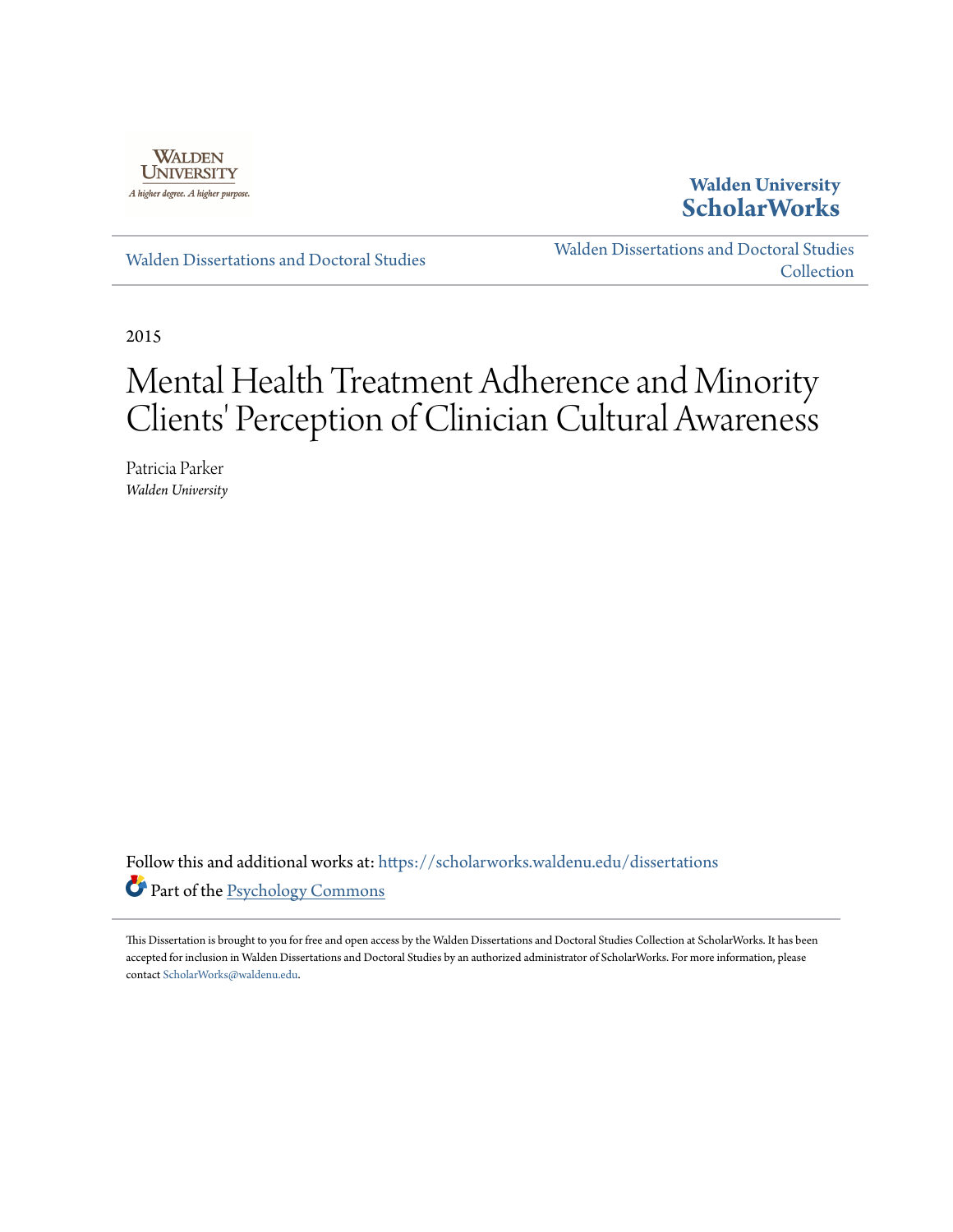

## **Walden University [ScholarWorks](https://scholarworks.waldenu.edu?utm_source=scholarworks.waldenu.edu%2Fdissertations%2F597&utm_medium=PDF&utm_campaign=PDFCoverPages)**

[Walden Dissertations and Doctoral Studies](https://scholarworks.waldenu.edu/dissertations?utm_source=scholarworks.waldenu.edu%2Fdissertations%2F597&utm_medium=PDF&utm_campaign=PDFCoverPages)

[Walden Dissertations and Doctoral Studies](https://scholarworks.waldenu.edu/dissanddoc?utm_source=scholarworks.waldenu.edu%2Fdissertations%2F597&utm_medium=PDF&utm_campaign=PDFCoverPages) [Collection](https://scholarworks.waldenu.edu/dissanddoc?utm_source=scholarworks.waldenu.edu%2Fdissertations%2F597&utm_medium=PDF&utm_campaign=PDFCoverPages)

2015

# Mental Health Treatment Adherence and Minority Clients' Perception of Clinician Cultural Awareness

Patricia Parker *Walden University*

Follow this and additional works at: [https://scholarworks.waldenu.edu/dissertations](https://scholarworks.waldenu.edu/dissertations?utm_source=scholarworks.waldenu.edu%2Fdissertations%2F597&utm_medium=PDF&utm_campaign=PDFCoverPages) Part of the [Psychology Commons](http://network.bepress.com/hgg/discipline/404?utm_source=scholarworks.waldenu.edu%2Fdissertations%2F597&utm_medium=PDF&utm_campaign=PDFCoverPages)

This Dissertation is brought to you for free and open access by the Walden Dissertations and Doctoral Studies Collection at ScholarWorks. It has been accepted for inclusion in Walden Dissertations and Doctoral Studies by an authorized administrator of ScholarWorks. For more information, please contact [ScholarWorks@waldenu.edu](mailto:ScholarWorks@waldenu.edu).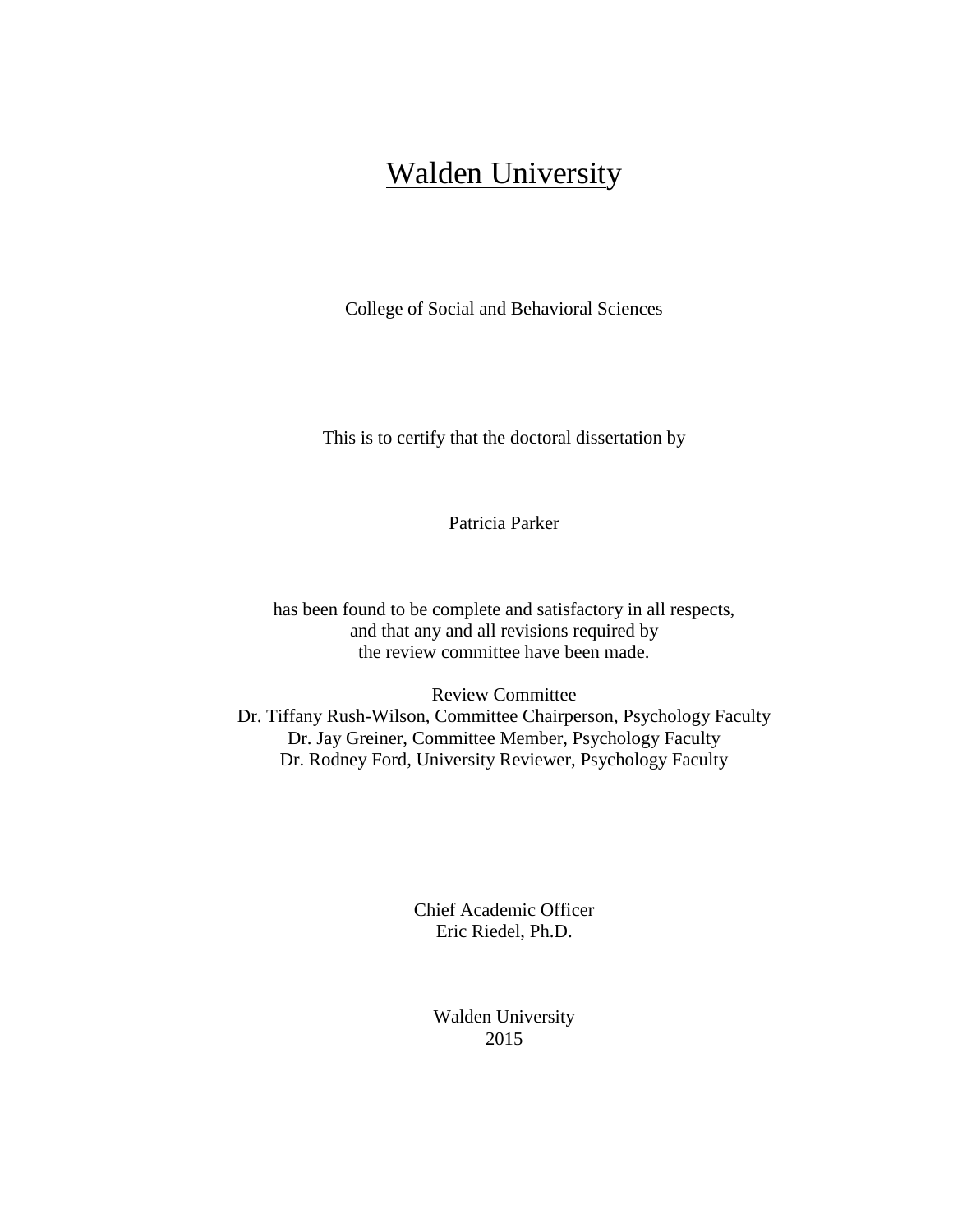## **Walden University**

College of Social and Behavioral Sciences

This is to certify that the doctoral dissertation by

Patricia Parker

has been found to be complete and satisfactory in all respects, and that any and all revisions required by the review committee have been made.

Review Committee Dr. Tiffany Rush-Wilson, Committee Chairperson, Psychology Faculty Dr. Jay Greiner, Committee Member, Psychology Faculty Dr. Rodney Ford, University Reviewer, Psychology Faculty

> Chief Academic Officer Eric Riedel, Ph.D.

> > Walden University 2015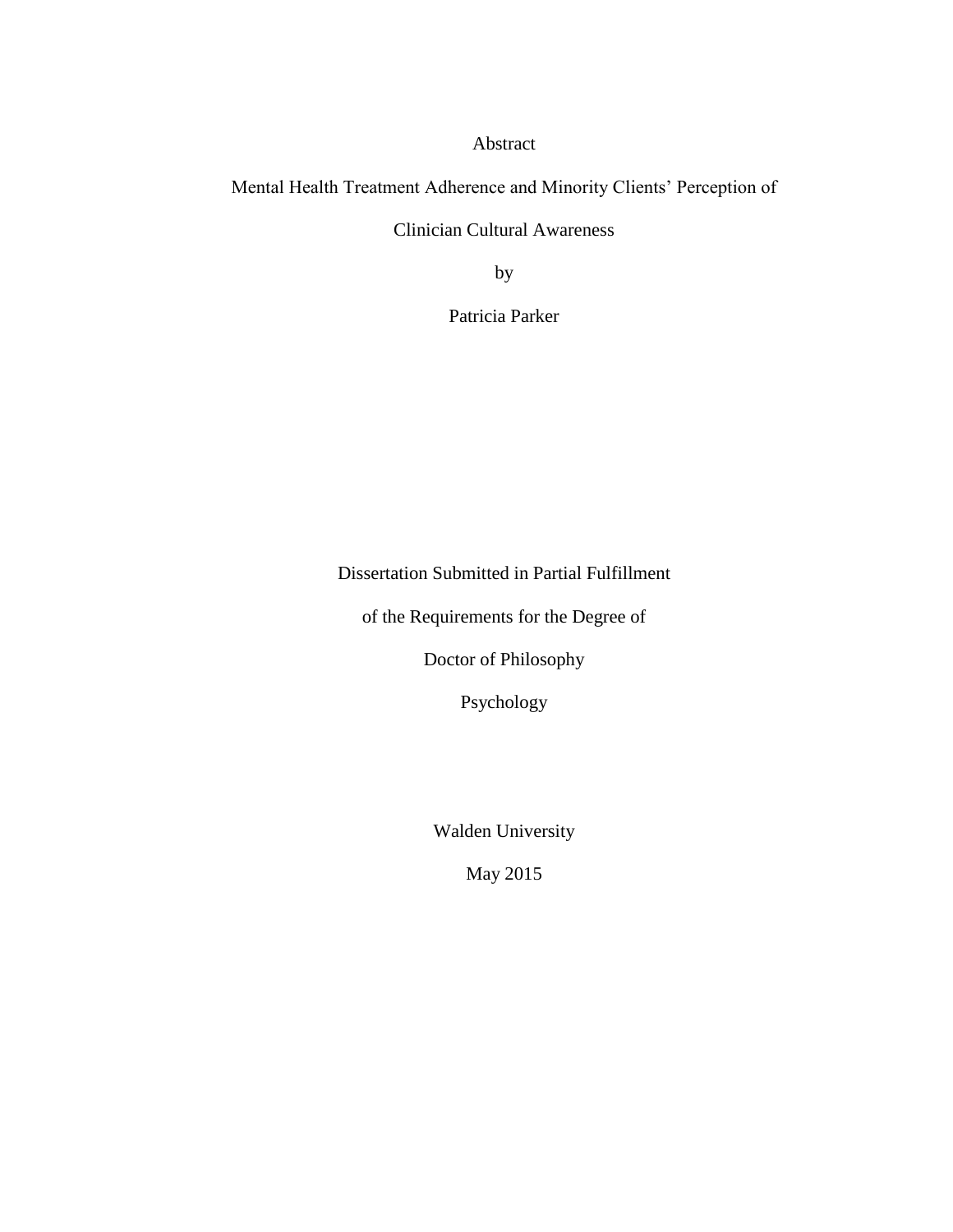Abstract

Mental Health Treatment Adherence and Minority Clients' Perception of

Clinician Cultural Awareness

by

Patricia Parker

Dissertation Submitted in Partial Fulfillment

of the Requirements for the Degree of

Doctor of Philosophy

Psychology

Walden University

May 2015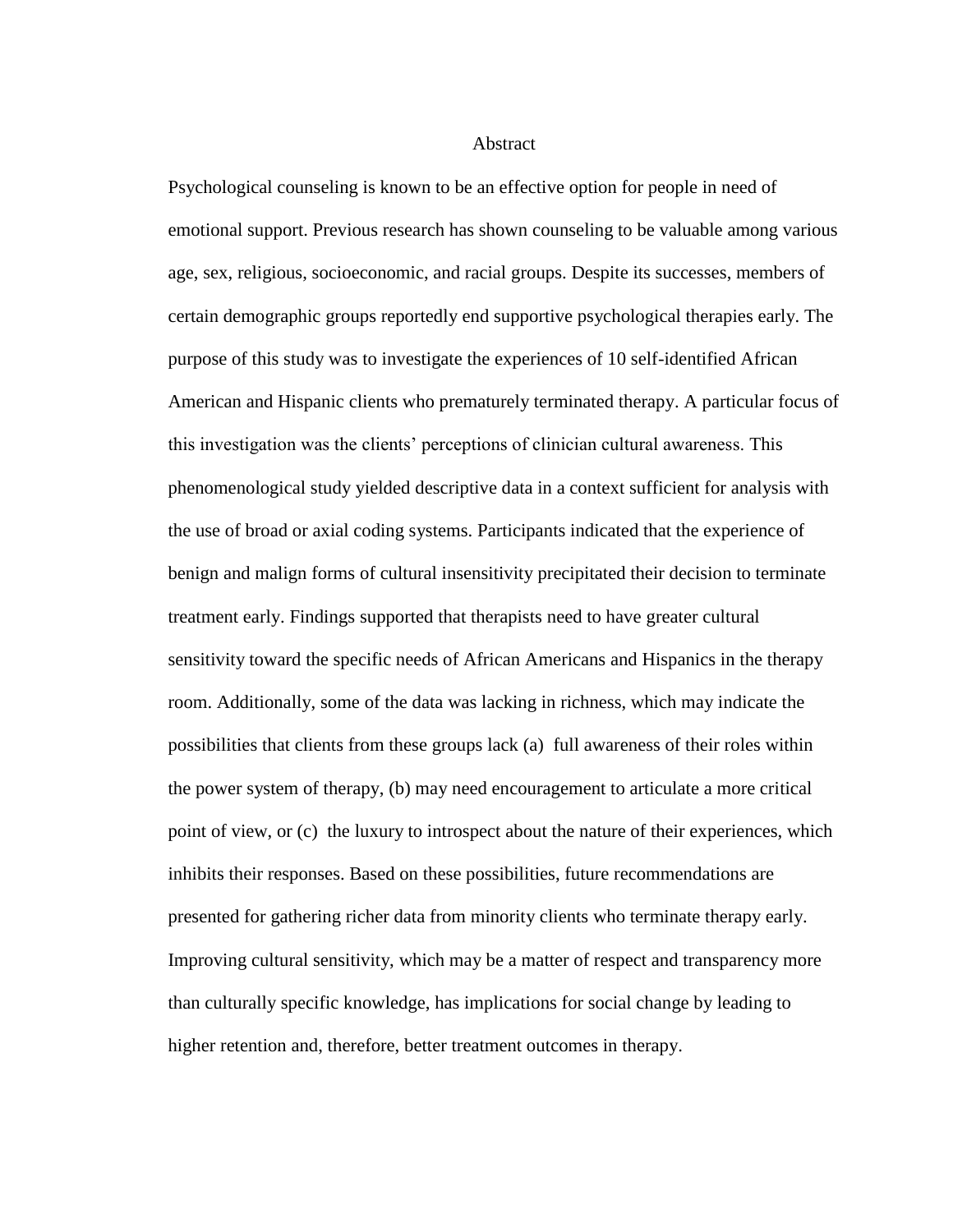**Abstract** 

Psychological counseling is known to be an effective option for people in need of emotional support. Previous research has shown counseling to be valuable among various age, sex, religious, socioeconomic, and racial groups. Despite its successes, members of certain demographic groups reportedly end supportive psychological therapies early. The purpose of this study was to investigate the experiences of 10 self-identified African American and Hispanic clients who prematurely terminated therapy. A particular focus of this investigation was the clients' perceptions of clinician cultural awareness. This phenomenological study yielded descriptive data in a context sufficient for analysis with the use of broad or axial coding systems. Participants indicated that the experience of benign and malign forms of cultural insensitivity precipitated their decision to terminate treatment early. Findings supported that therapists need to have greater cultural sensitivity toward the specific needs of African Americans and Hispanics in the therapy room. Additionally, some of the data was lacking in richness, which may indicate the possibilities that clients from these groups lack (a) full awareness of their roles within the power system of therapy, (b) may need encouragement to articulate a more critical point of view, or (c) the luxury to introspect about the nature of their experiences, which inhibits their responses. Based on these possibilities, future recommendations are presented for gathering richer data from minority clients who terminate therapy early. Improving cultural sensitivity, which may be a matter of respect and transparency more than culturally specific knowledge, has implications for social change by leading to higher retention and, therefore, better treatment outcomes in therapy.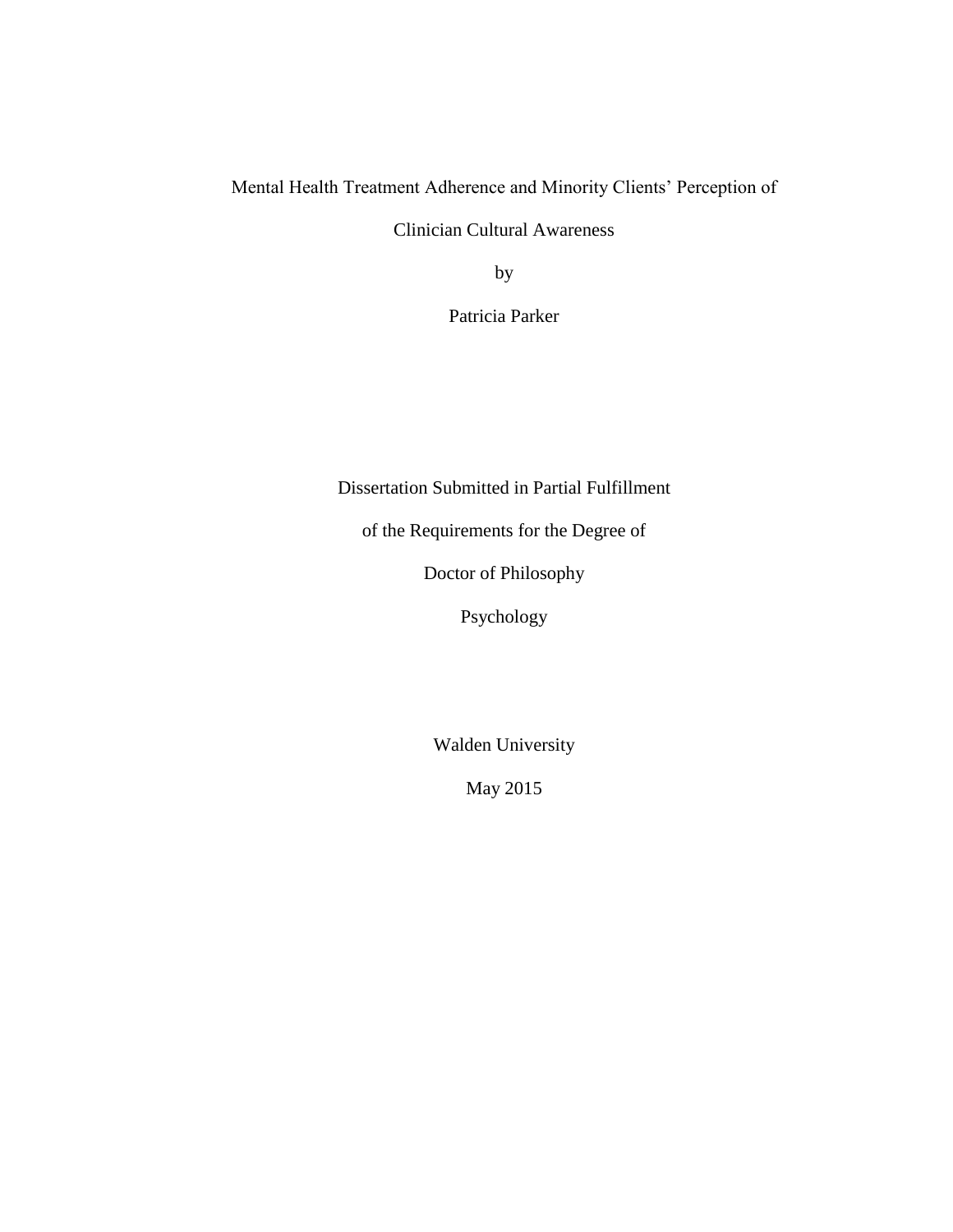Mental Health Treatment Adherence and Minority Clients' Perception of

Clinician Cultural Awareness

by

Patricia Parker

Dissertation Submitted in Partial Fulfillment

of the Requirements for the Degree of

Doctor of Philosophy

Psychology

Walden University

May 2015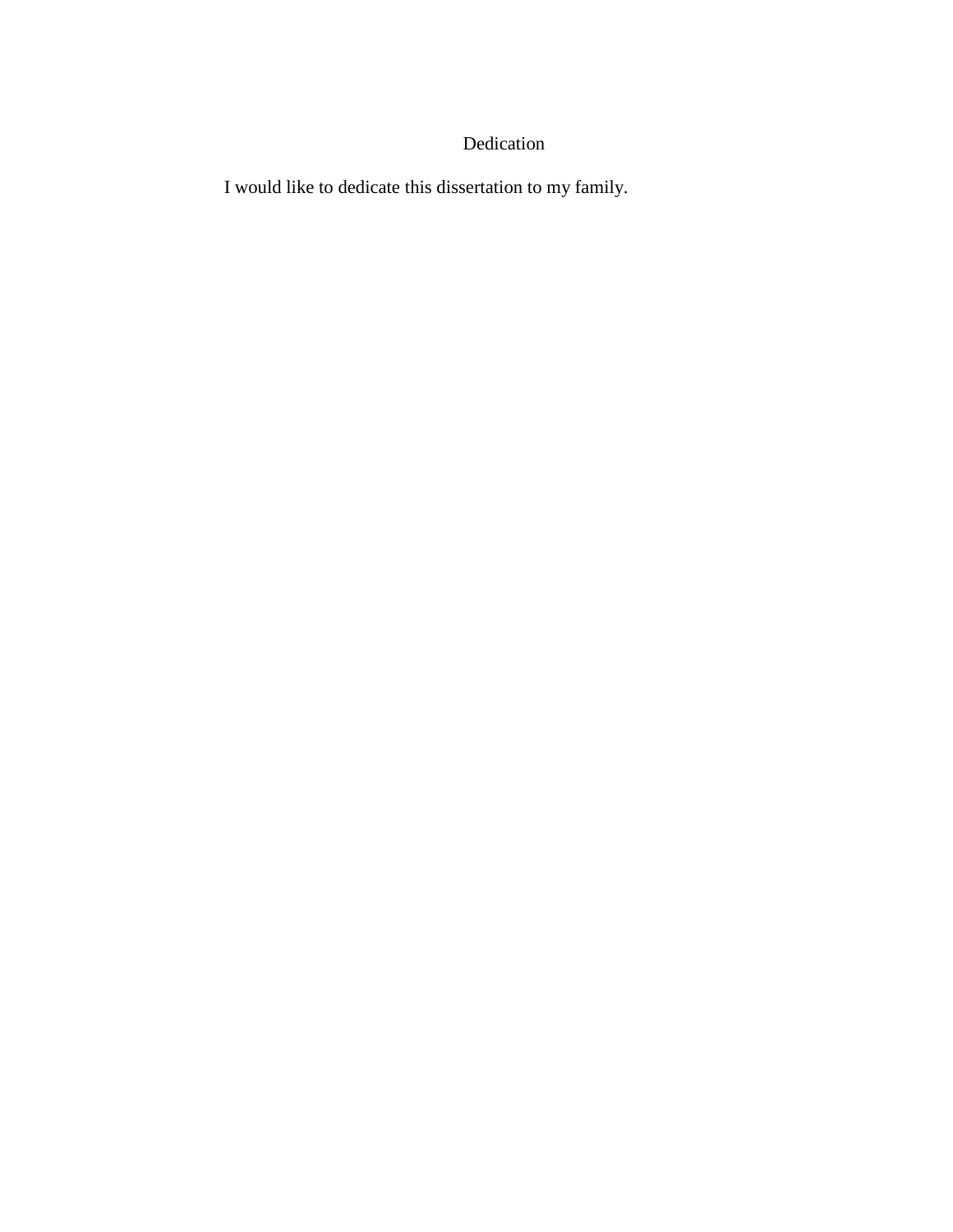### Dedication

I would like to dedicate this dissertation to my family.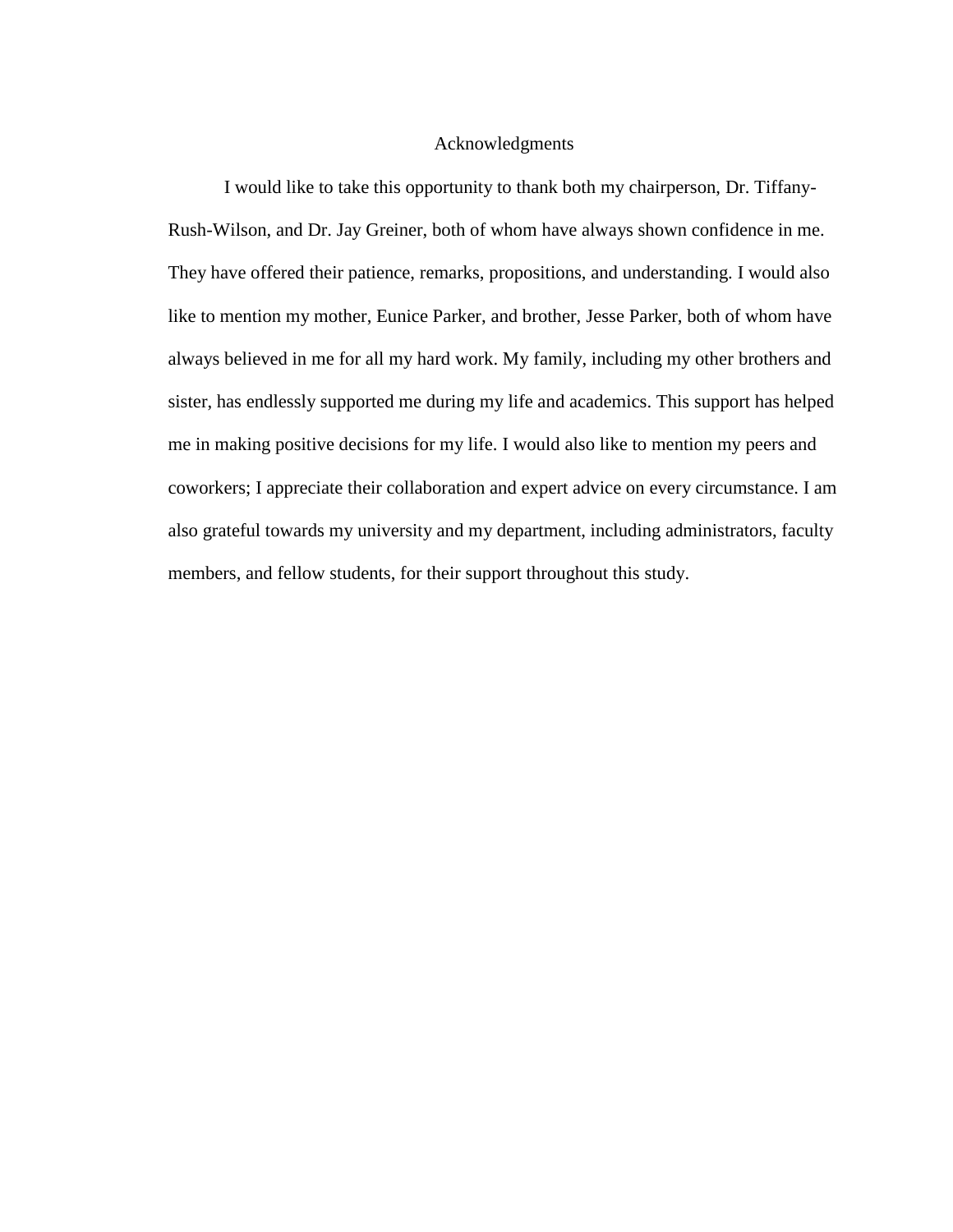#### Acknowledgments

I would like to take this opportunity to thank both my chairperson, Dr. Tiffany-Rush-Wilson, and Dr. Jay Greiner, both of whom have always shown confidence in me. They have offered their patience, remarks, propositions, and understanding. I would also like to mention my mother, Eunice Parker, and brother, Jesse Parker, both of whom have always believed in me for all my hard work. My family, including my other brothers and sister, has endlessly supported me during my life and academics. This support has helped me in making positive decisions for my life. I would also like to mention my peers and coworkers; I appreciate their collaboration and expert advice on every circumstance. I am also grateful towards my university and my department, including administrators, faculty members, and fellow students, for their support throughout this study.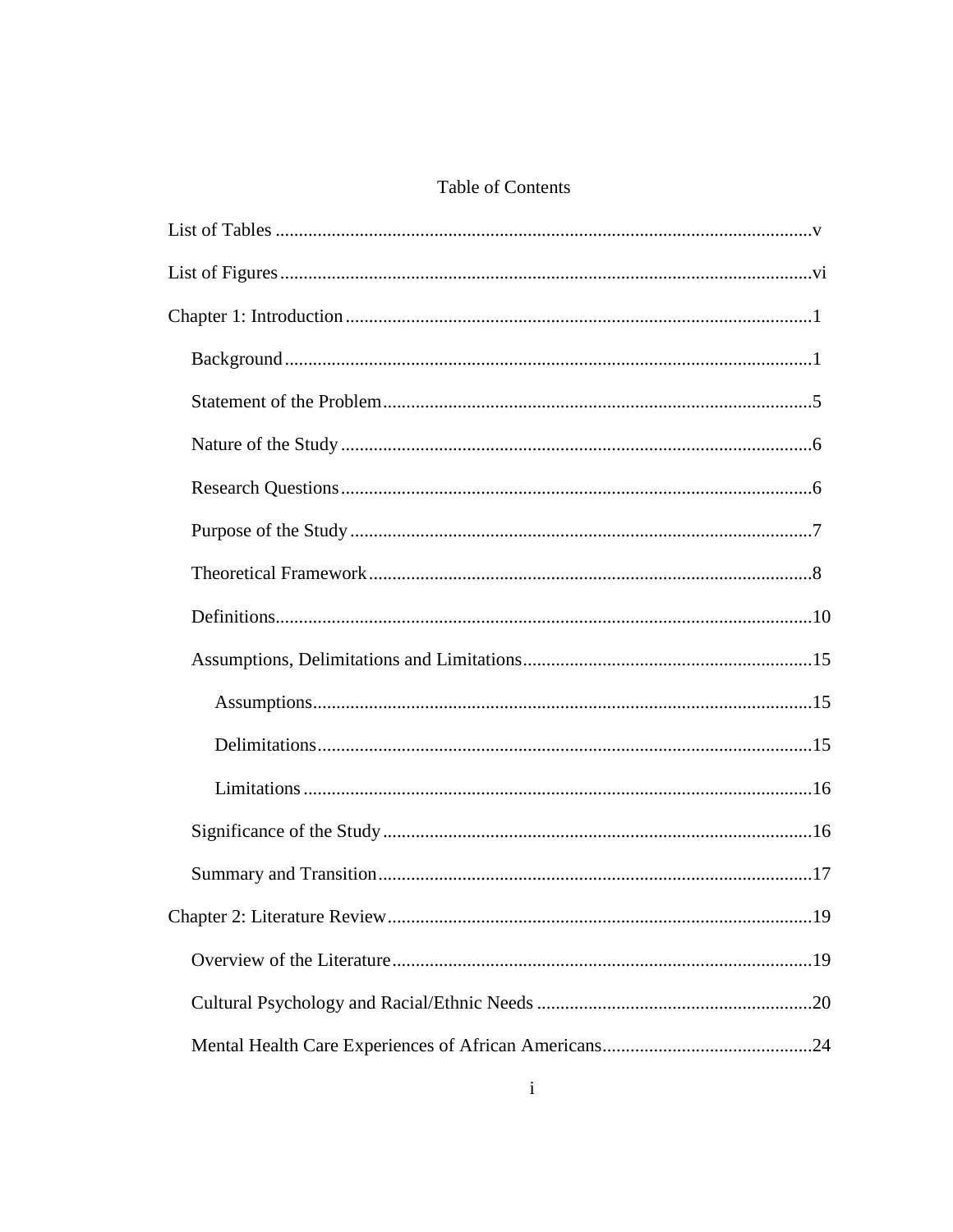### Table of Contents

| .19 |
|-----|
|     |
|     |
|     |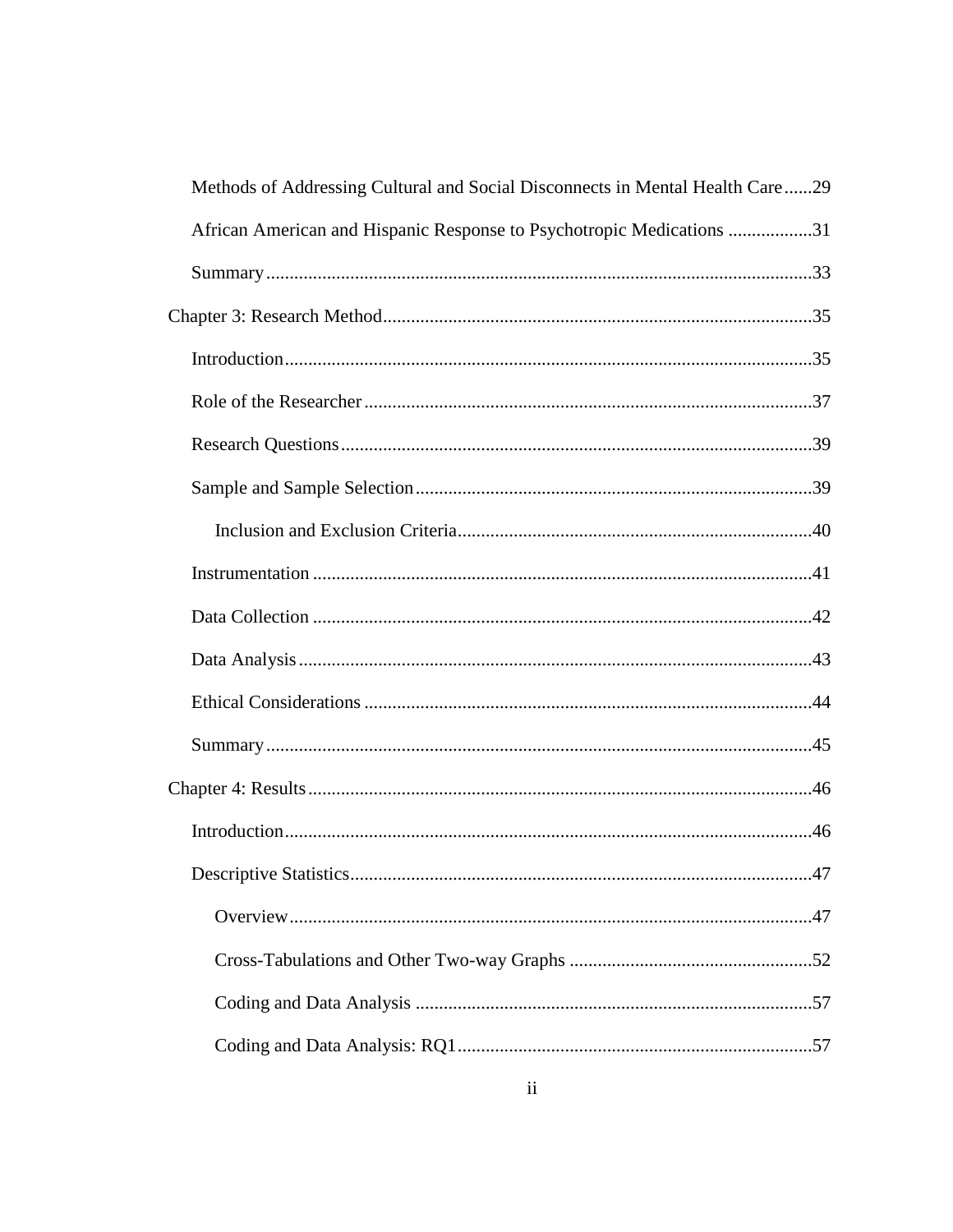| Methods of Addressing Cultural and Social Disconnects in Mental Health Care29 |
|-------------------------------------------------------------------------------|
| African American and Hispanic Response to Psychotropic Medications 31         |
|                                                                               |
|                                                                               |
|                                                                               |
|                                                                               |
|                                                                               |
|                                                                               |
|                                                                               |
|                                                                               |
|                                                                               |
|                                                                               |
|                                                                               |
|                                                                               |
|                                                                               |
|                                                                               |
| .47                                                                           |
|                                                                               |
|                                                                               |
|                                                                               |
|                                                                               |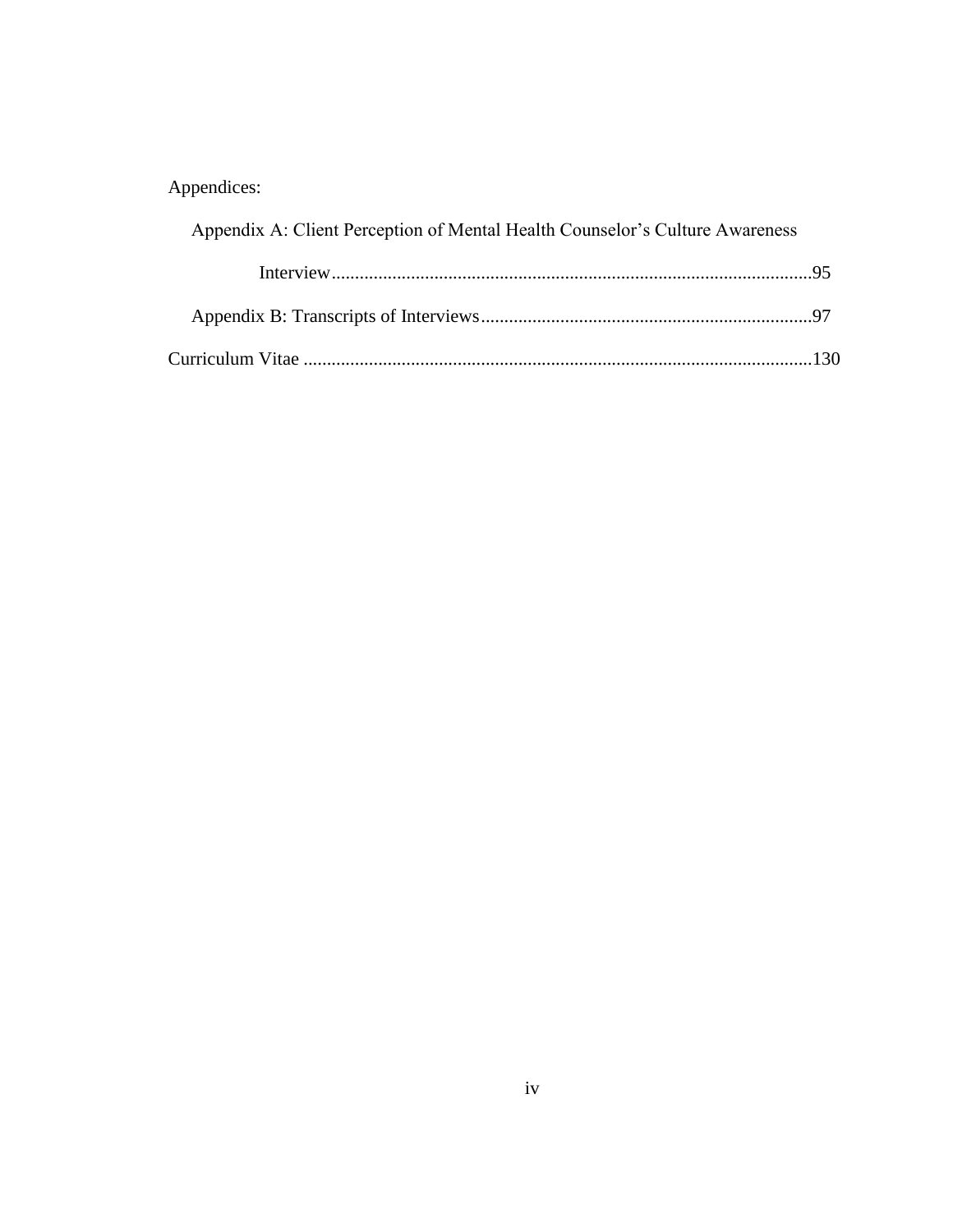## Appendices:

| Appendix A: Client Perception of Mental Health Counselor's Culture Awareness |  |
|------------------------------------------------------------------------------|--|
|                                                                              |  |
|                                                                              |  |
|                                                                              |  |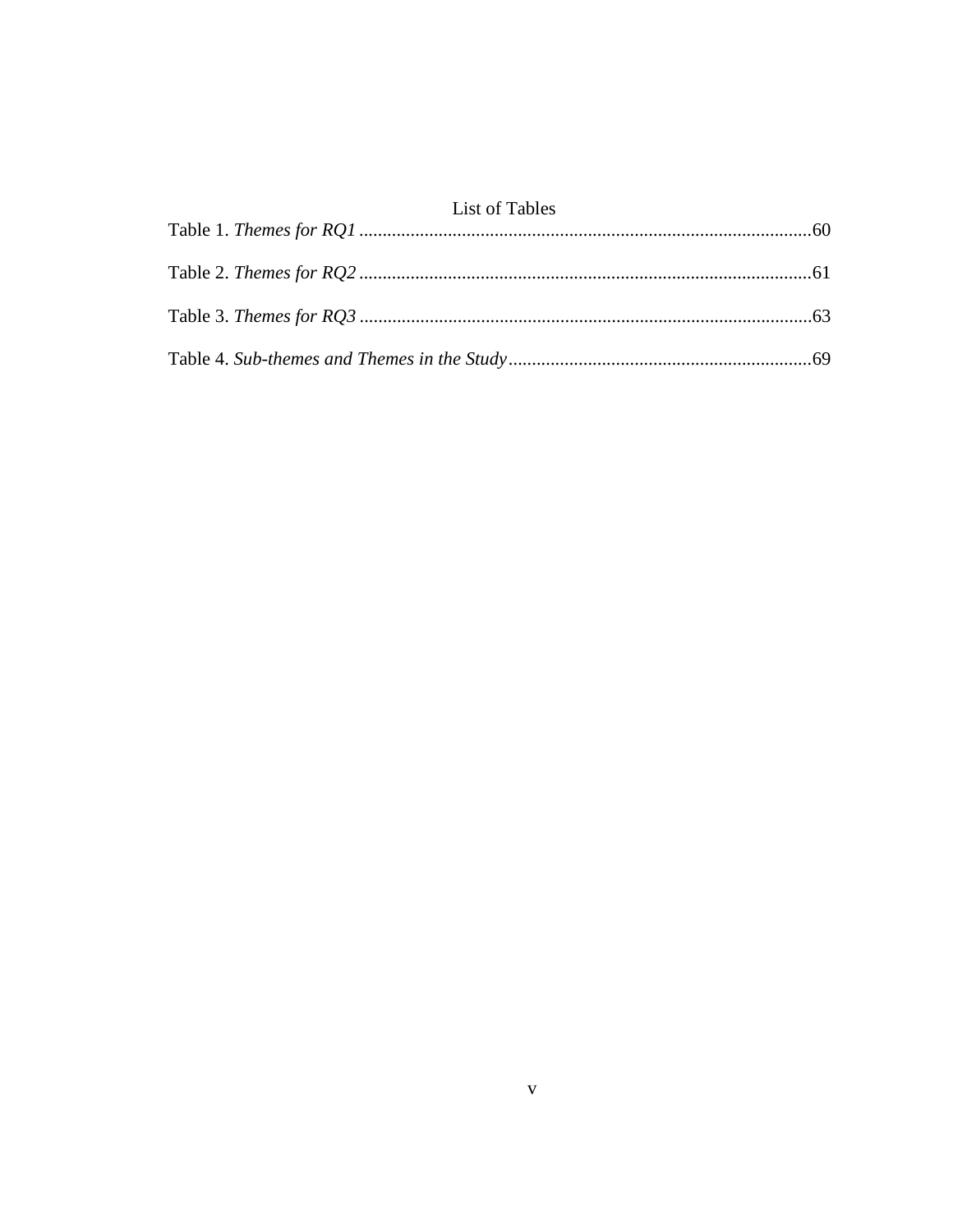### List of Tables

| <b>LIBE OF TWOTER</b> |  |
|-----------------------|--|
|                       |  |
|                       |  |
|                       |  |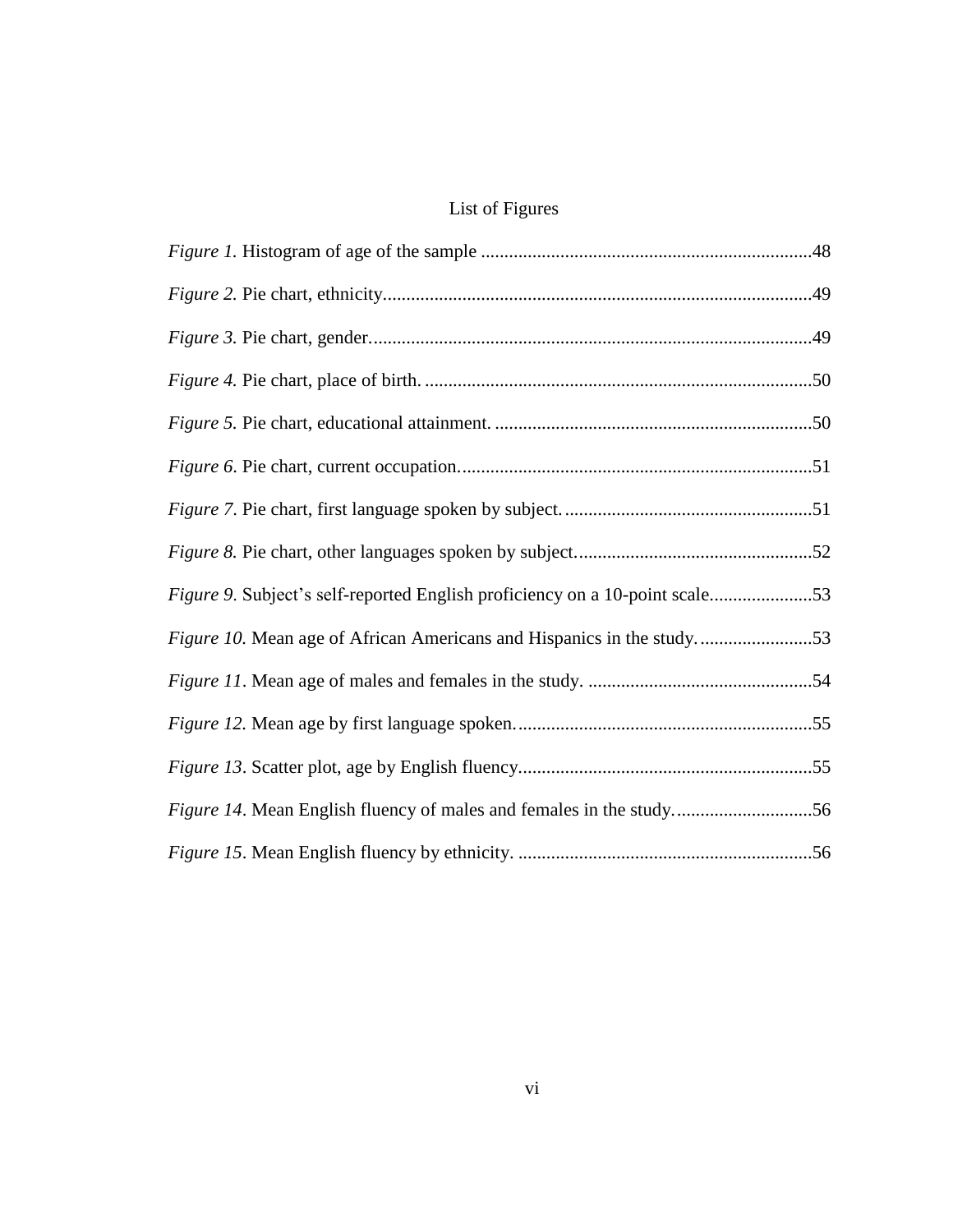## List of Figures

| Figure 10. Mean age of African Americans and Hispanics in the study53 |  |
|-----------------------------------------------------------------------|--|
|                                                                       |  |
|                                                                       |  |
|                                                                       |  |
| Figure 14. Mean English fluency of males and females in the study56   |  |
|                                                                       |  |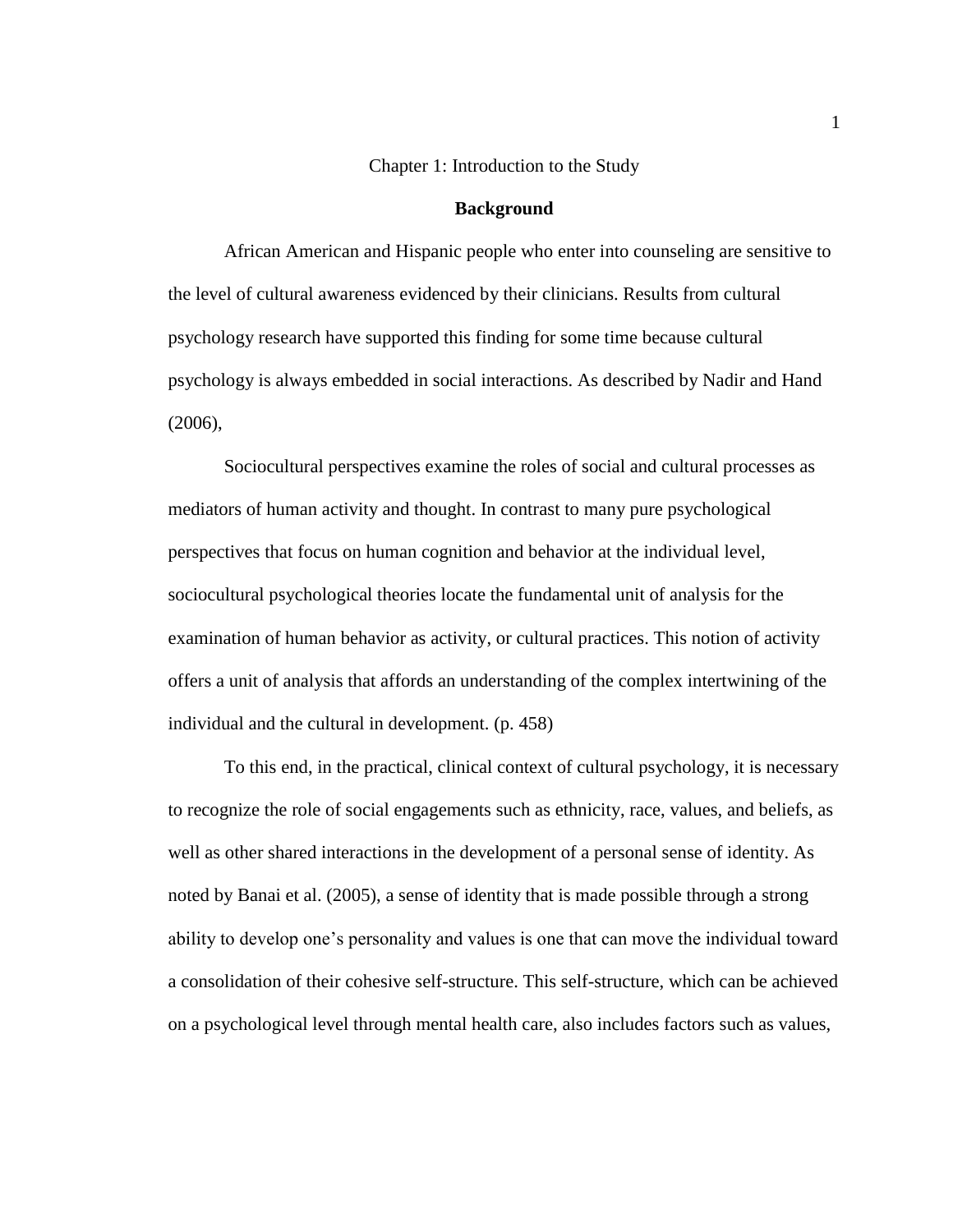#### Chapter 1: Introduction to the Study

#### **Background**

African American and Hispanic people who enter into counseling are sensitive to the level of cultural awareness evidenced by their clinicians. Results from cultural psychology research have supported this finding for some time because cultural psychology is always embedded in social interactions. As described by Nadir and Hand (2006),

Sociocultural perspectives examine the roles of social and cultural processes as mediators of human activity and thought. In contrast to many pure psychological perspectives that focus on human cognition and behavior at the individual level, sociocultural psychological theories locate the fundamental unit of analysis for the examination of human behavior as activity, or cultural practices. This notion of activity offers a unit of analysis that affords an understanding of the complex intertwining of the individual and the cultural in development. (p. 458)

To this end, in the practical, clinical context of cultural psychology, it is necessary to recognize the role of social engagements such as ethnicity, race, values, and beliefs, as well as other shared interactions in the development of a personal sense of identity. As noted by Banai et al. (2005), a sense of identity that is made possible through a strong ability to develop one's personality and values is one that can move the individual toward a consolidation of their cohesive self-structure. This self-structure, which can be achieved on a psychological level through mental health care, also includes factors such as values,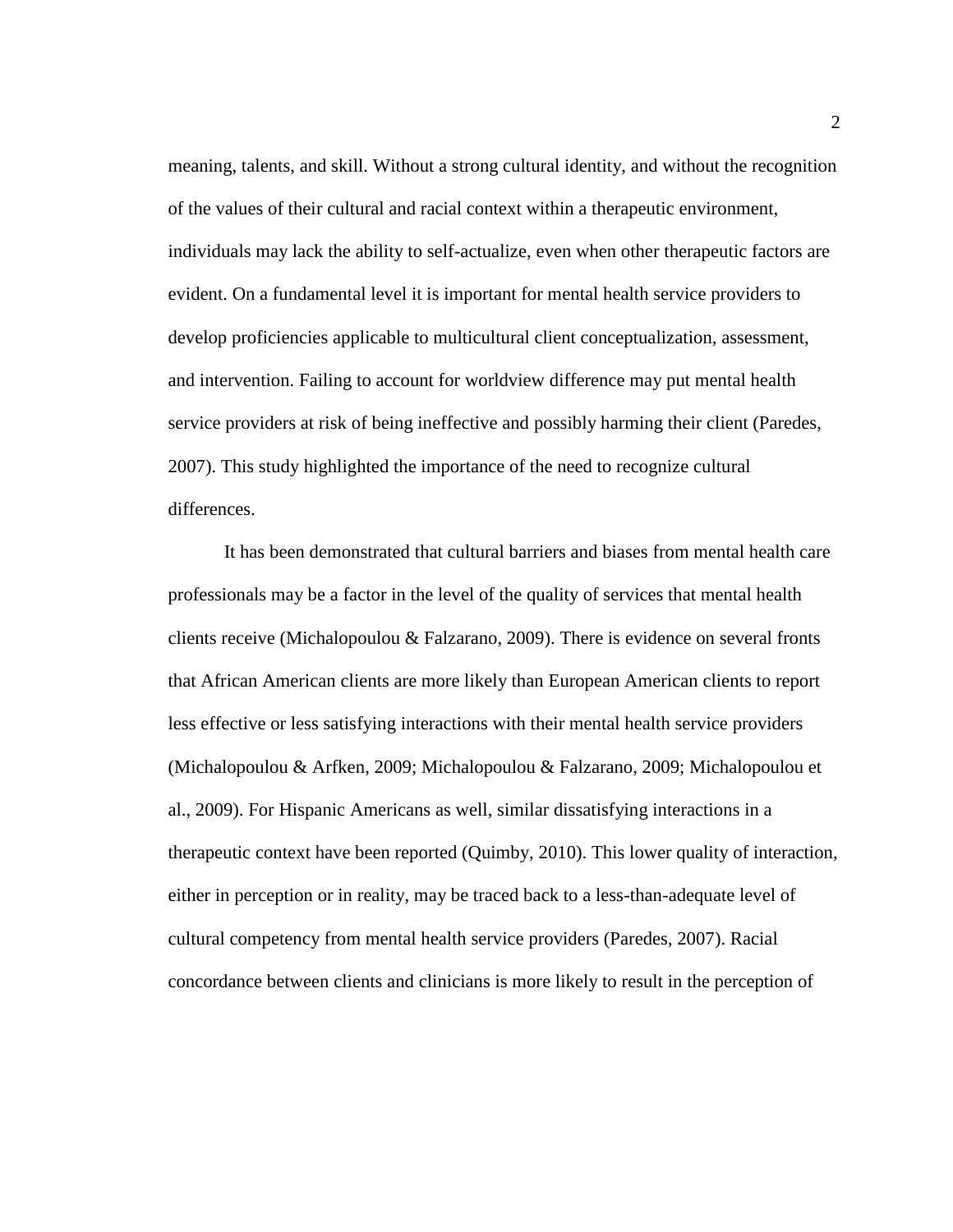meaning, talents, and skill. Without a strong cultural identity, and without the recognition of the values of their cultural and racial context within a therapeutic environment, individuals may lack the ability to self-actualize, even when other therapeutic factors are evident. On a fundamental level it is important for mental health service providers to develop proficiencies applicable to multicultural client conceptualization, assessment, and intervention. Failing to account for worldview difference may put mental health service providers at risk of being ineffective and possibly harming their client (Paredes, 2007). This study highlighted the importance of the need to recognize cultural differences.

It has been demonstrated that cultural barriers and biases from mental health care professionals may be a factor in the level of the quality of services that mental health clients receive (Michalopoulou & Falzarano, 2009). There is evidence on several fronts that African American clients are more likely than European American clients to report less effective or less satisfying interactions with their mental health service providers (Michalopoulou & Arfken, 2009; Michalopoulou & Falzarano, 2009; Michalopoulou et al., 2009). For Hispanic Americans as well, similar dissatisfying interactions in a therapeutic context have been reported (Quimby, 2010). This lower quality of interaction, either in perception or in reality, may be traced back to a less-than-adequate level of cultural competency from mental health service providers (Paredes, 2007). Racial concordance between clients and clinicians is more likely to result in the perception of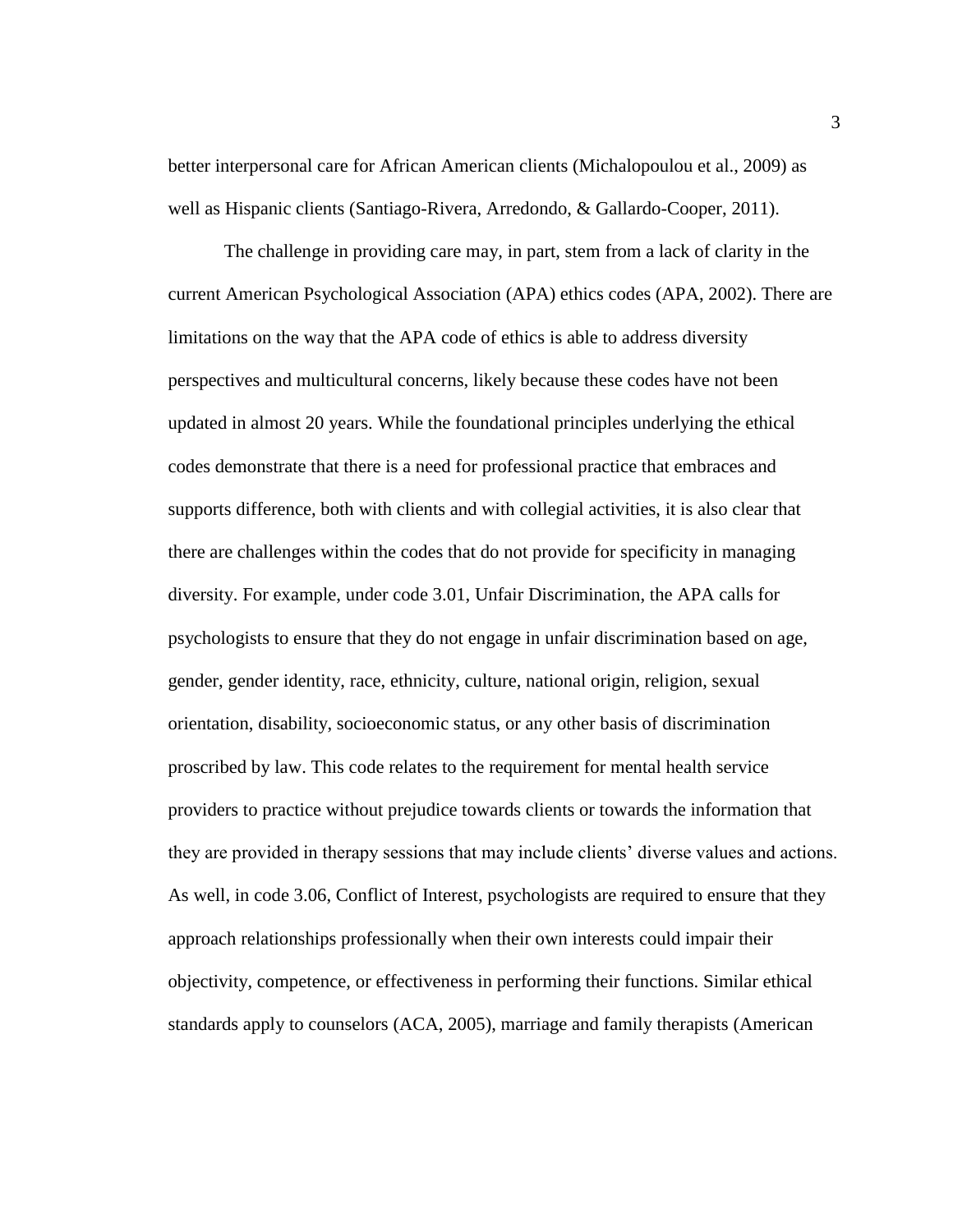better interpersonal care for African American clients (Michalopoulou et al., 2009) as well as Hispanic clients (Santiago-Rivera, Arredondo, & Gallardo-Cooper, 2011).

The challenge in providing care may, in part, stem from a lack of clarity in the current American Psychological Association (APA) ethics codes (APA, 2002). There are limitations on the way that the APA code of ethics is able to address diversity perspectives and multicultural concerns, likely because these codes have not been updated in almost 20 years. While the foundational principles underlying the ethical codes demonstrate that there is a need for professional practice that embraces and supports difference, both with clients and with collegial activities, it is also clear that there are challenges within the codes that do not provide for specificity in managing diversity. For example, under code 3.01, Unfair Discrimination, the APA calls for psychologists to ensure that they do not engage in unfair discrimination based on age, gender, gender identity, race, ethnicity, culture, national origin, religion, sexual orientation, disability, socioeconomic status, or any other basis of discrimination proscribed by law. This code relates to the requirement for mental health service providers to practice without prejudice towards clients or towards the information that they are provided in therapy sessions that may include clients' diverse values and actions. As well, in code 3.06, Conflict of Interest, psychologists are required to ensure that they approach relationships professionally when their own interests could impair their objectivity, competence, or effectiveness in performing their functions. Similar ethical standards apply to counselors (ACA, 2005), marriage and family therapists (American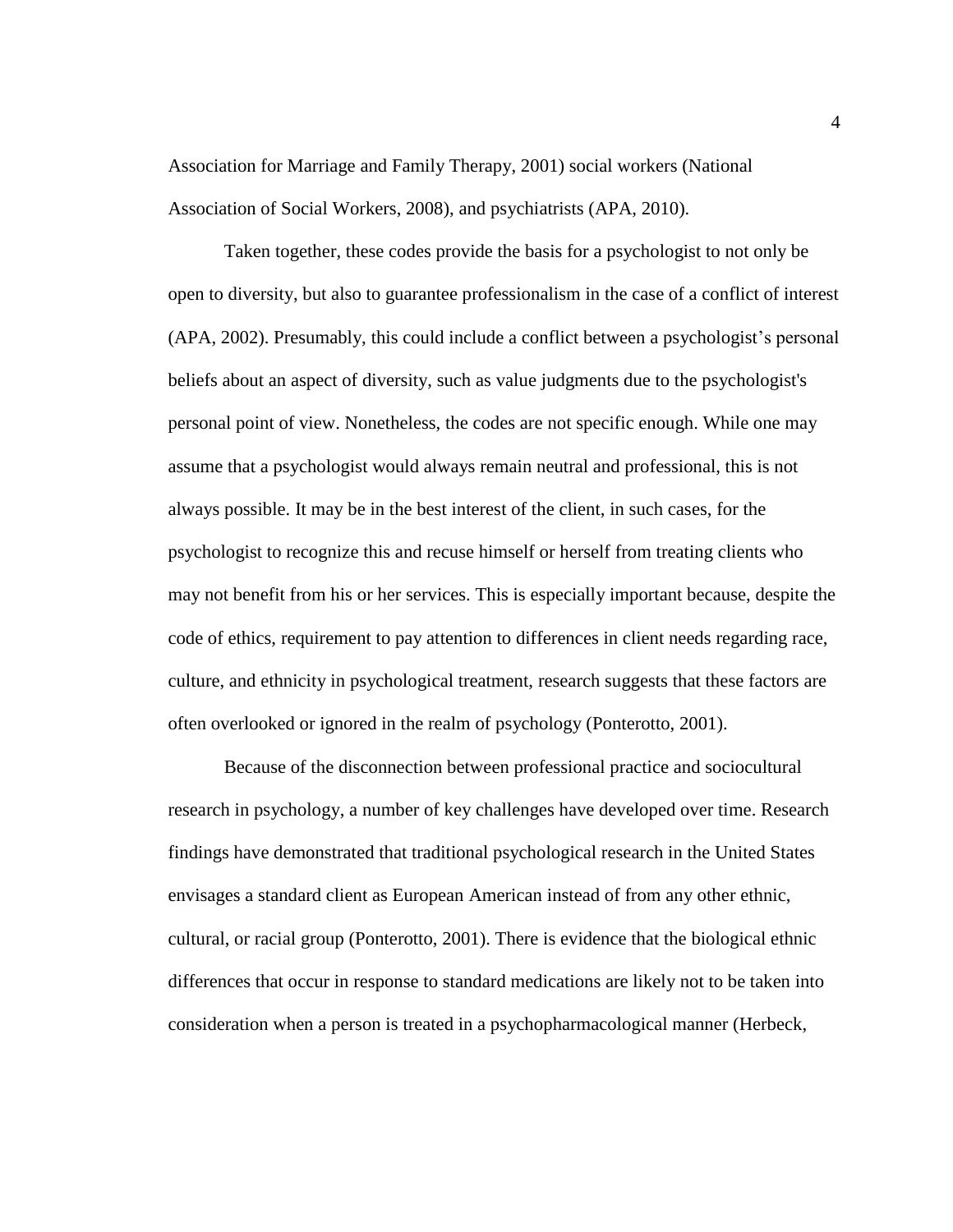Association for Marriage and Family Therapy, 2001) social workers (National Association of Social Workers, 2008), and psychiatrists (APA, 2010).

Taken together, these codes provide the basis for a psychologist to not only be open to diversity, but also to guarantee professionalism in the case of a conflict of interest (APA, 2002). Presumably, this could include a conflict between a psychologist's personal beliefs about an aspect of diversity, such as value judgments due to the psychologist's personal point of view. Nonetheless, the codes are not specific enough. While one may assume that a psychologist would always remain neutral and professional, this is not always possible. It may be in the best interest of the client, in such cases, for the psychologist to recognize this and recuse himself or herself from treating clients who may not benefit from his or her services. This is especially important because, despite the code of ethics, requirement to pay attention to differences in client needs regarding race, culture, and ethnicity in psychological treatment, research suggests that these factors are often overlooked or ignored in the realm of psychology (Ponterotto, 2001).

Because of the disconnection between professional practice and sociocultural research in psychology, a number of key challenges have developed over time. Research findings have demonstrated that traditional psychological research in the United States envisages a standard client as European American instead of from any other ethnic, cultural, or racial group (Ponterotto, 2001). There is evidence that the biological ethnic differences that occur in response to standard medications are likely not to be taken into consideration when a person is treated in a psychopharmacological manner (Herbeck,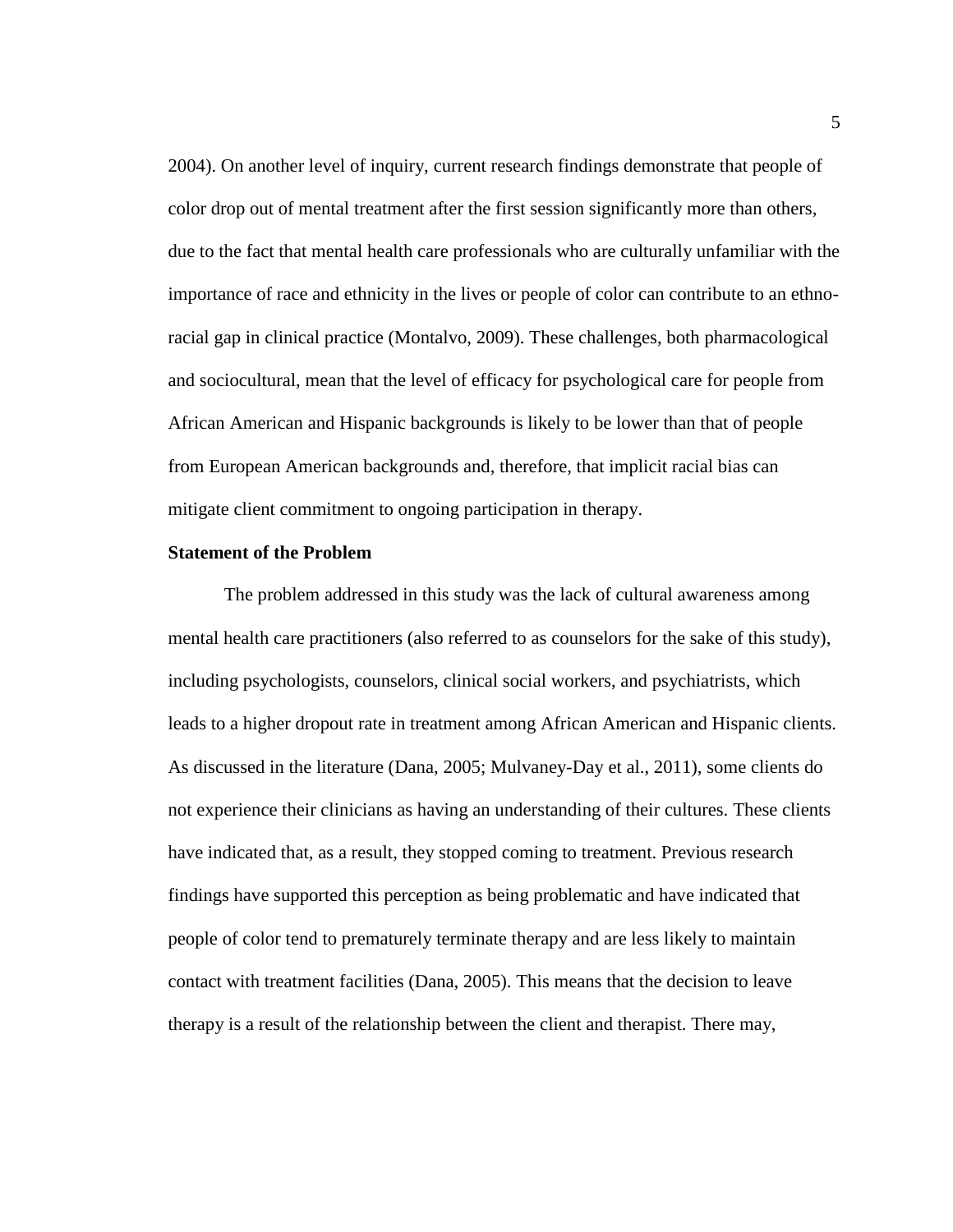2004). On another level of inquiry, current research findings demonstrate that people of color drop out of mental treatment after the first session significantly more than others, due to the fact that mental health care professionals who are culturally unfamiliar with the importance of race and ethnicity in the lives or people of color can contribute to an ethnoracial gap in clinical practice (Montalvo, 2009). These challenges, both pharmacological and sociocultural, mean that the level of efficacy for psychological care for people from African American and Hispanic backgrounds is likely to be lower than that of people from European American backgrounds and, therefore, that implicit racial bias can mitigate client commitment to ongoing participation in therapy.

#### **Statement of the Problem**

The problem addressed in this study was the lack of cultural awareness among mental health care practitioners (also referred to as counselors for the sake of this study), including psychologists, counselors, clinical social workers, and psychiatrists, which leads to a higher dropout rate in treatment among African American and Hispanic clients. As discussed in the literature (Dana, 2005; Mulvaney-Day et al., 2011), some clients do not experience their clinicians as having an understanding of their cultures. These clients have indicated that, as a result, they stopped coming to treatment. Previous research findings have supported this perception as being problematic and have indicated that people of color tend to prematurely terminate therapy and are less likely to maintain contact with treatment facilities (Dana, 2005). This means that the decision to leave therapy is a result of the relationship between the client and therapist. There may,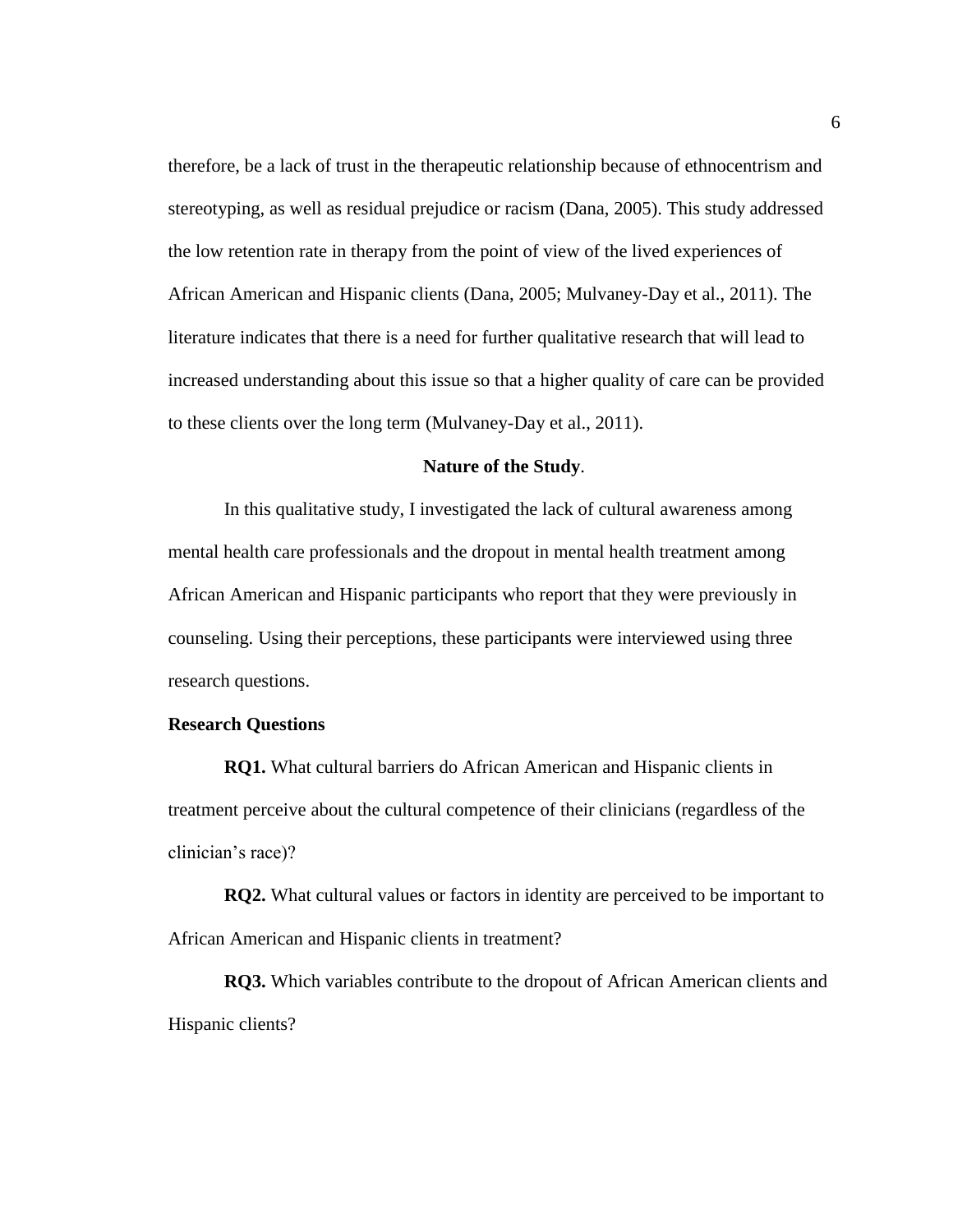therefore, be a lack of trust in the therapeutic relationship because of ethnocentrism and stereotyping, as well as residual prejudice or racism (Dana, 2005). This study addressed the low retention rate in therapy from the point of view of the lived experiences of African American and Hispanic clients (Dana, 2005; Mulvaney-Day et al., 2011). The literature indicates that there is a need for further qualitative research that will lead to increased understanding about this issue so that a higher quality of care can be provided to these clients over the long term (Mulvaney-Day et al., 2011).

#### **Nature of the Study**.

In this qualitative study, I investigated the lack of cultural awareness among mental health care professionals and the dropout in mental health treatment among African American and Hispanic participants who report that they were previously in counseling. Using their perceptions, these participants were interviewed using three research questions.

#### **Research Questions**

**RQ1.** What cultural barriers do African American and Hispanic clients in treatment perceive about the cultural competence of their clinicians (regardless of the clinician's race)?

**RQ2.** What cultural values or factors in identity are perceived to be important to African American and Hispanic clients in treatment?

**RQ3.** Which variables contribute to the dropout of African American clients and Hispanic clients?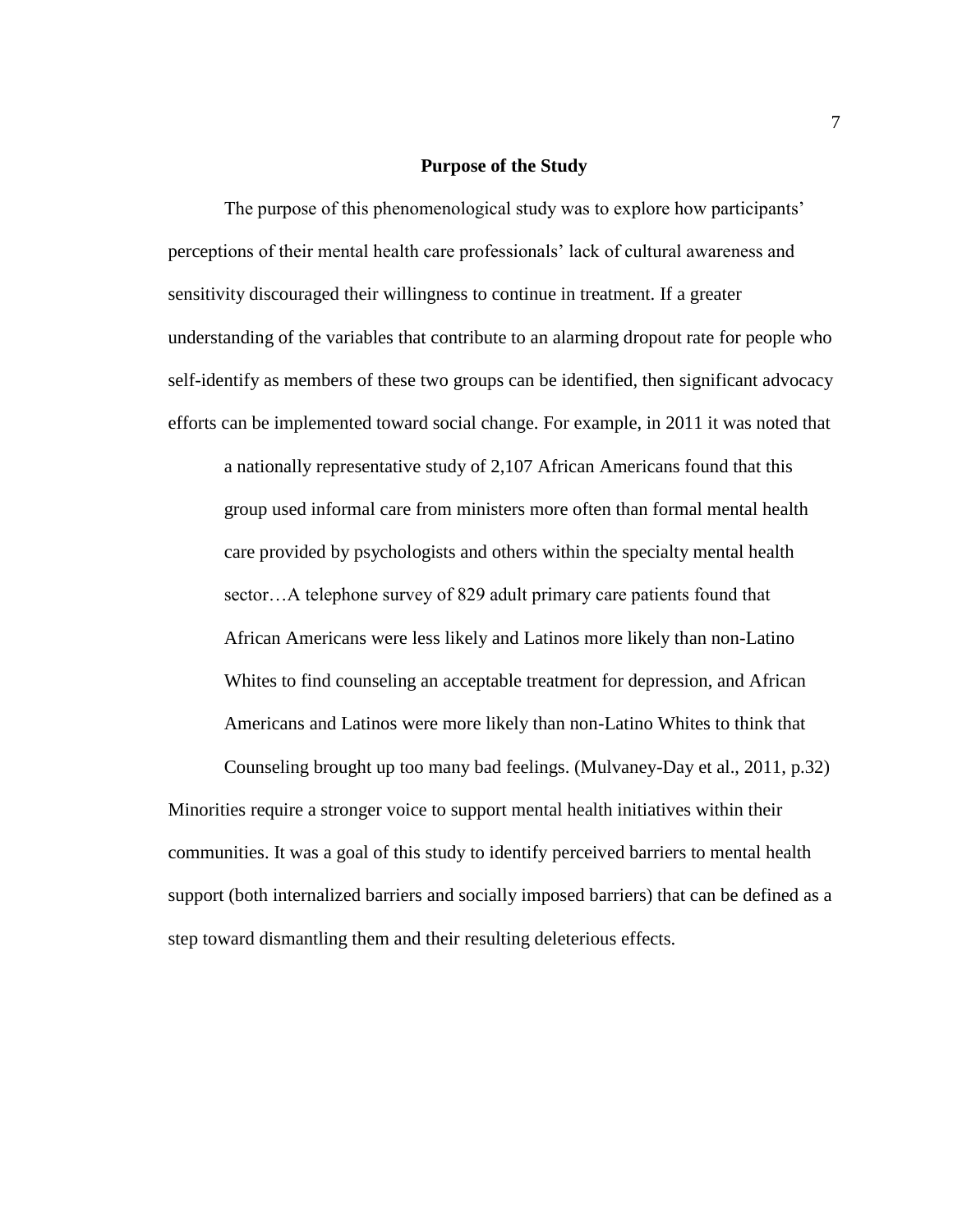#### **Purpose of the Study**

The purpose of this phenomenological study was to explore how participants' perceptions of their mental health care professionals' lack of cultural awareness and sensitivity discouraged their willingness to continue in treatment. If a greater understanding of the variables that contribute to an alarming dropout rate for people who self-identify as members of these two groups can be identified, then significant advocacy efforts can be implemented toward social change. For example, in 2011 it was noted that a nationally representative study of 2,107 African Americans found that this group used informal care from ministers more often than formal mental health care provided by psychologists and others within the specialty mental health sector…A telephone survey of 829 adult primary care patients found that African Americans were less likely and Latinos more likely than non-Latino Whites to find counseling an acceptable treatment for depression, and African Americans and Latinos were more likely than non-Latino Whites to think that

Counseling brought up too many bad feelings. (Mulvaney-Day et al., 2011, p.32) Minorities require a stronger voice to support mental health initiatives within their communities. It was a goal of this study to identify perceived barriers to mental health support (both internalized barriers and socially imposed barriers) that can be defined as a step toward dismantling them and their resulting deleterious effects.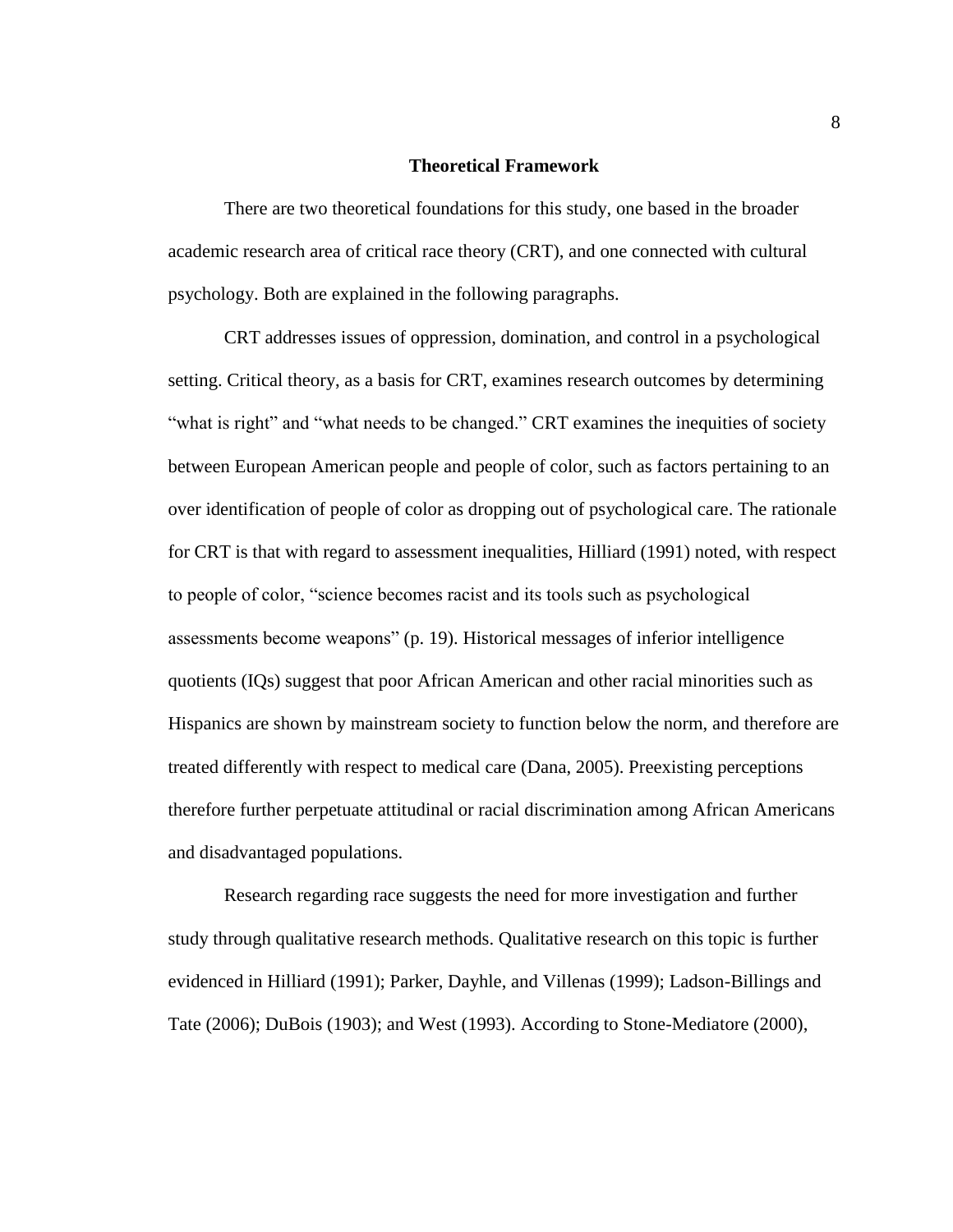#### **Theoretical Framework**

There are two theoretical foundations for this study, one based in the broader academic research area of critical race theory (CRT), and one connected with cultural psychology. Both are explained in the following paragraphs.

CRT addresses issues of oppression, domination, and control in a psychological setting. Critical theory, as a basis for CRT, examines research outcomes by determining "what is right" and "what needs to be changed." CRT examines the inequities of society between European American people and people of color, such as factors pertaining to an over identification of people of color as dropping out of psychological care. The rationale for CRT is that with regard to assessment inequalities, Hilliard (1991) noted, with respect to people of color, "science becomes racist and its tools such as psychological assessments become weapons" (p. 19). Historical messages of inferior intelligence quotients (IQs) suggest that poor African American and other racial minorities such as Hispanics are shown by mainstream society to function below the norm, and therefore are treated differently with respect to medical care (Dana, 2005). Preexisting perceptions therefore further perpetuate attitudinal or racial discrimination among African Americans and disadvantaged populations.

Research regarding race suggests the need for more investigation and further study through qualitative research methods. Qualitative research on this topic is further evidenced in Hilliard (1991); Parker, Dayhle, and Villenas (1999); Ladson-Billings and Tate (2006); DuBois (1903); and West (1993). According to Stone-Mediatore (2000),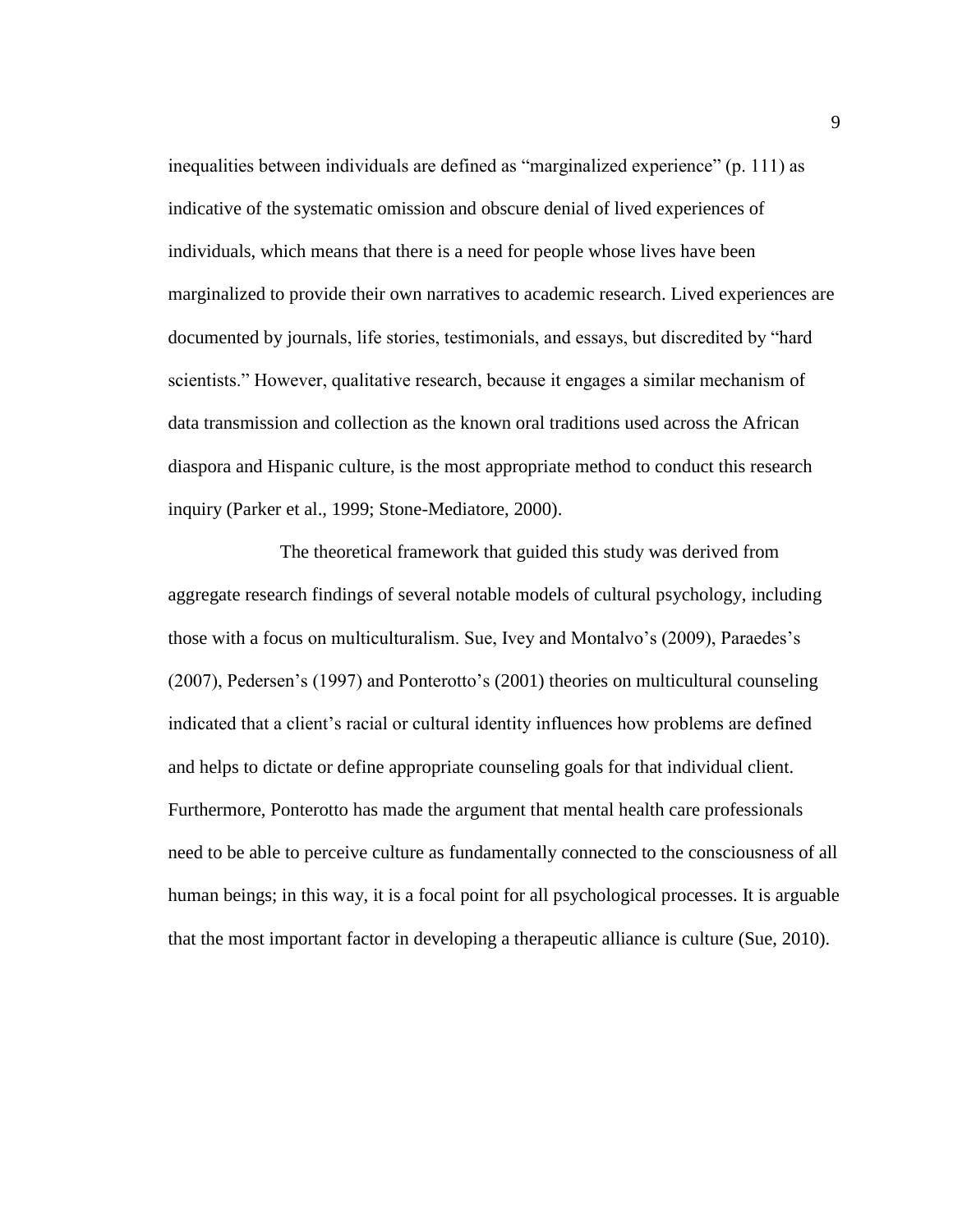inequalities between individuals are defined as "marginalized experience" (p. 111) as indicative of the systematic omission and obscure denial of lived experiences of individuals, which means that there is a need for people whose lives have been marginalized to provide their own narratives to academic research. Lived experiences are documented by journals, life stories, testimonials, and essays, but discredited by "hard scientists." However, qualitative research, because it engages a similar mechanism of data transmission and collection as the known oral traditions used across the African diaspora and Hispanic culture, is the most appropriate method to conduct this research inquiry (Parker et al., 1999; Stone-Mediatore, 2000).

The theoretical framework that guided this study was derived from aggregate research findings of several notable models of cultural psychology, including those with a focus on multiculturalism. Sue, Ivey and Montalvo's (2009), Paraedes's (2007), Pedersen's (1997) and Ponterotto's (2001) theories on multicultural counseling indicated that a client's racial or cultural identity influences how problems are defined and helps to dictate or define appropriate counseling goals for that individual client. Furthermore, Ponterotto has made the argument that mental health care professionals need to be able to perceive culture as fundamentally connected to the consciousness of all human beings; in this way, it is a focal point for all psychological processes. It is arguable that the most important factor in developing a therapeutic alliance is culture (Sue, 2010).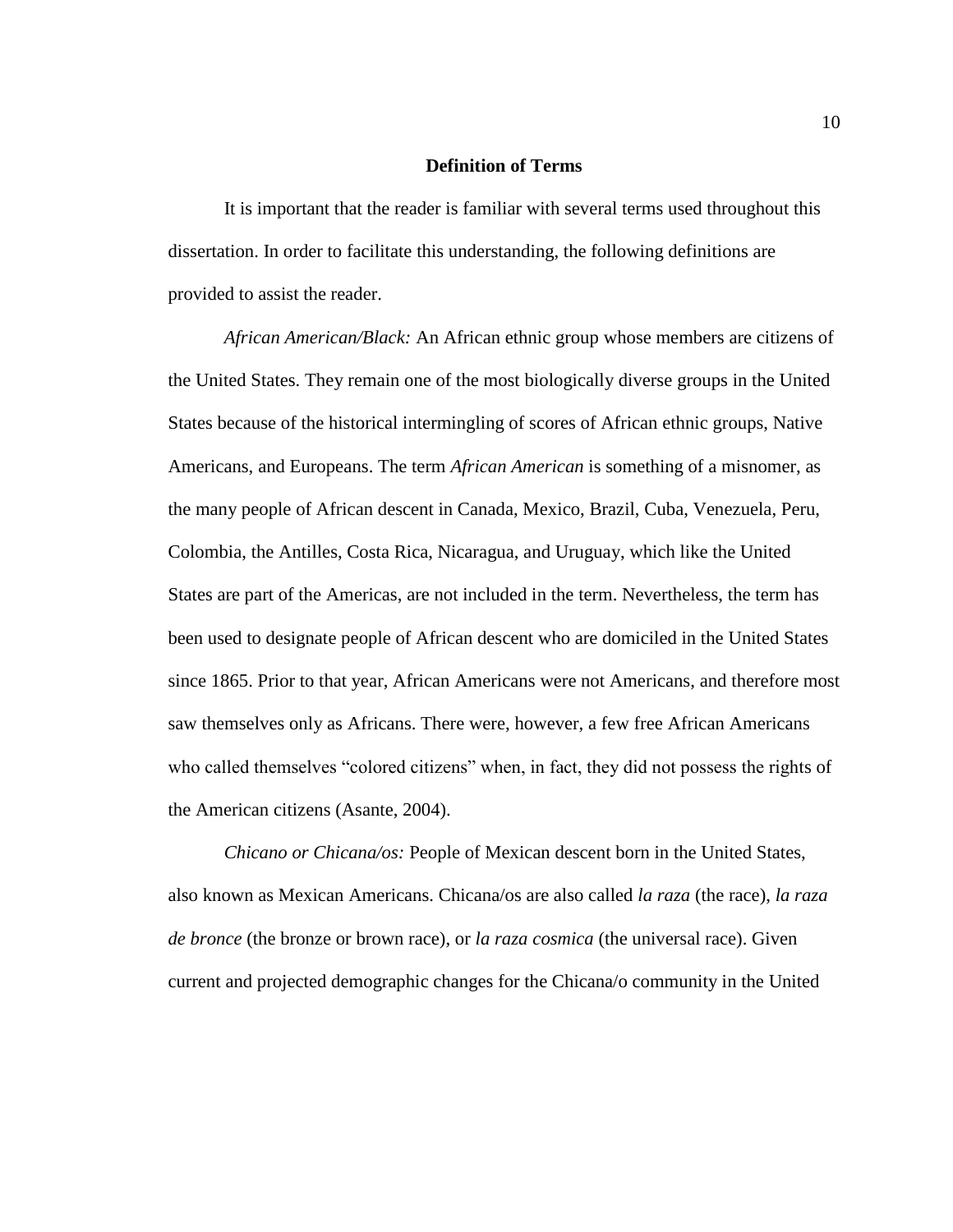#### **Definition of Terms**

It is important that the reader is familiar with several terms used throughout this dissertation. In order to facilitate this understanding, the following definitions are provided to assist the reader.

*African American/Black:* An African ethnic group whose members are citizens of the United States. They remain one of the most biologically diverse groups in the United States because of the historical intermingling of scores of African ethnic groups, Native Americans, and Europeans. The term *African American* is something of a misnomer, as the many people of African descent in Canada, Mexico, Brazil, Cuba, Venezuela, Peru, Colombia, the Antilles, Costa Rica, Nicaragua, and Uruguay, which like the United States are part of the Americas, are not included in the term. Nevertheless, the term has been used to designate people of African descent who are domiciled in the United States since 1865. Prior to that year, African Americans were not Americans, and therefore most saw themselves only as Africans. There were, however, a few free African Americans who called themselves "colored citizens" when, in fact, they did not possess the rights of the American citizens (Asante, 2004).

*Chicano or Chicana/os:* People of Mexican descent born in the United States, also known as Mexican Americans. Chicana/os are also called *la raza* (the race), *la raza de bronce* (the bronze or brown race), or *la raza cosmica* (the universal race). Given current and projected demographic changes for the Chicana/o community in the United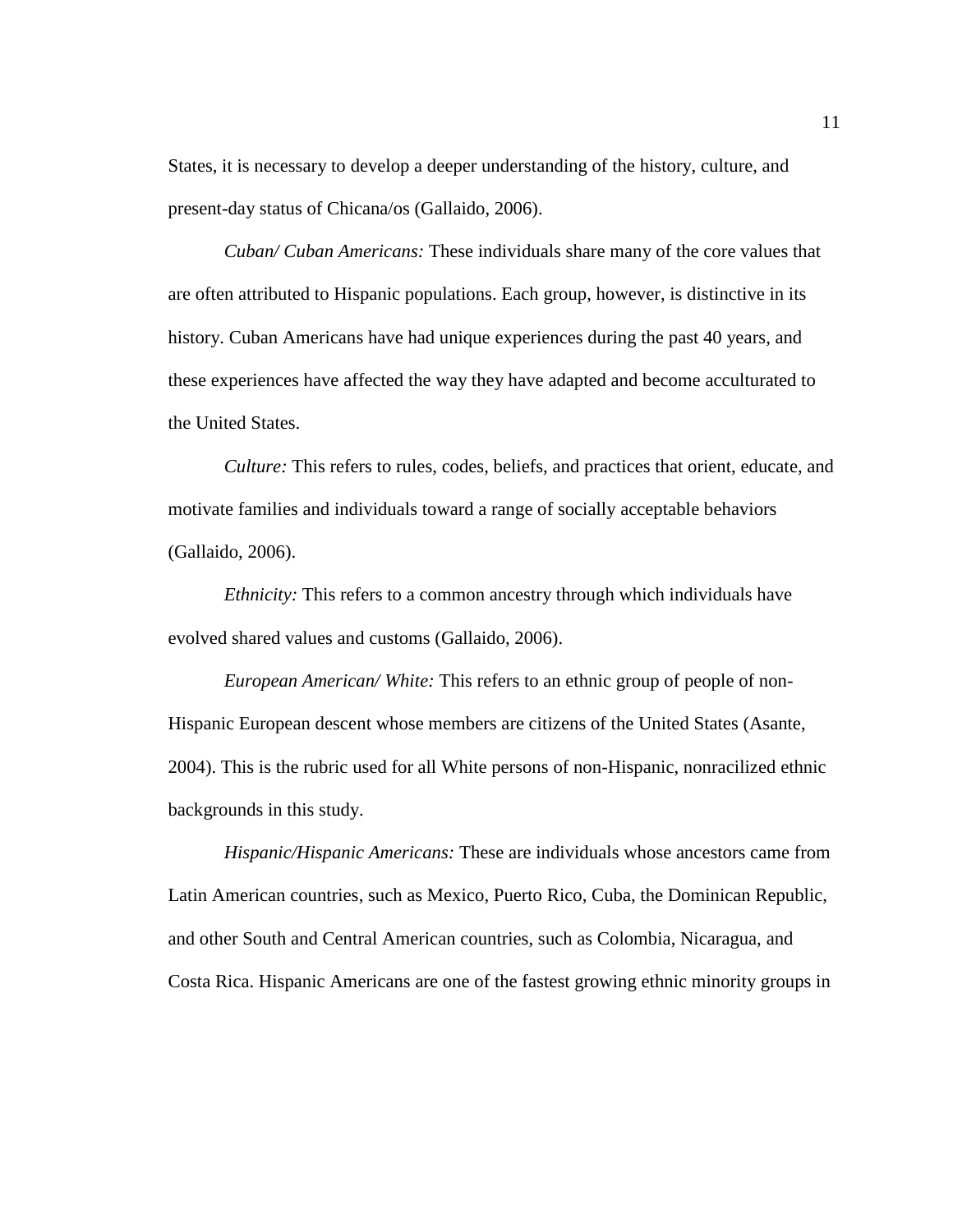States, it is necessary to develop a deeper understanding of the history, culture, and present-day status of Chicana/os (Gallaido, 2006).

*Cuban/ Cuban Americans:* These individuals share many of the core values that are often attributed to Hispanic populations. Each group, however, is distinctive in its history. Cuban Americans have had unique experiences during the past 40 years, and these experiences have affected the way they have adapted and become acculturated to the United States.

*Culture:* This refers to rules, codes, beliefs, and practices that orient, educate, and motivate families and individuals toward a range of socially acceptable behaviors (Gallaido, 2006).

*Ethnicity:* This refers to a common ancestry through which individuals have evolved shared values and customs (Gallaido, 2006).

*European American/ White:* This refers to an ethnic group of people of non-Hispanic European descent whose members are citizens of the United States (Asante, 2004). This is the rubric used for all White persons of non-Hispanic, nonracilized ethnic backgrounds in this study.

*Hispanic/Hispanic Americans:* These are individuals whose ancestors came from Latin American countries, such as Mexico, Puerto Rico, Cuba, the Dominican Republic, and other South and Central American countries, such as Colombia, Nicaragua, and Costa Rica. Hispanic Americans are one of the fastest growing ethnic minority groups in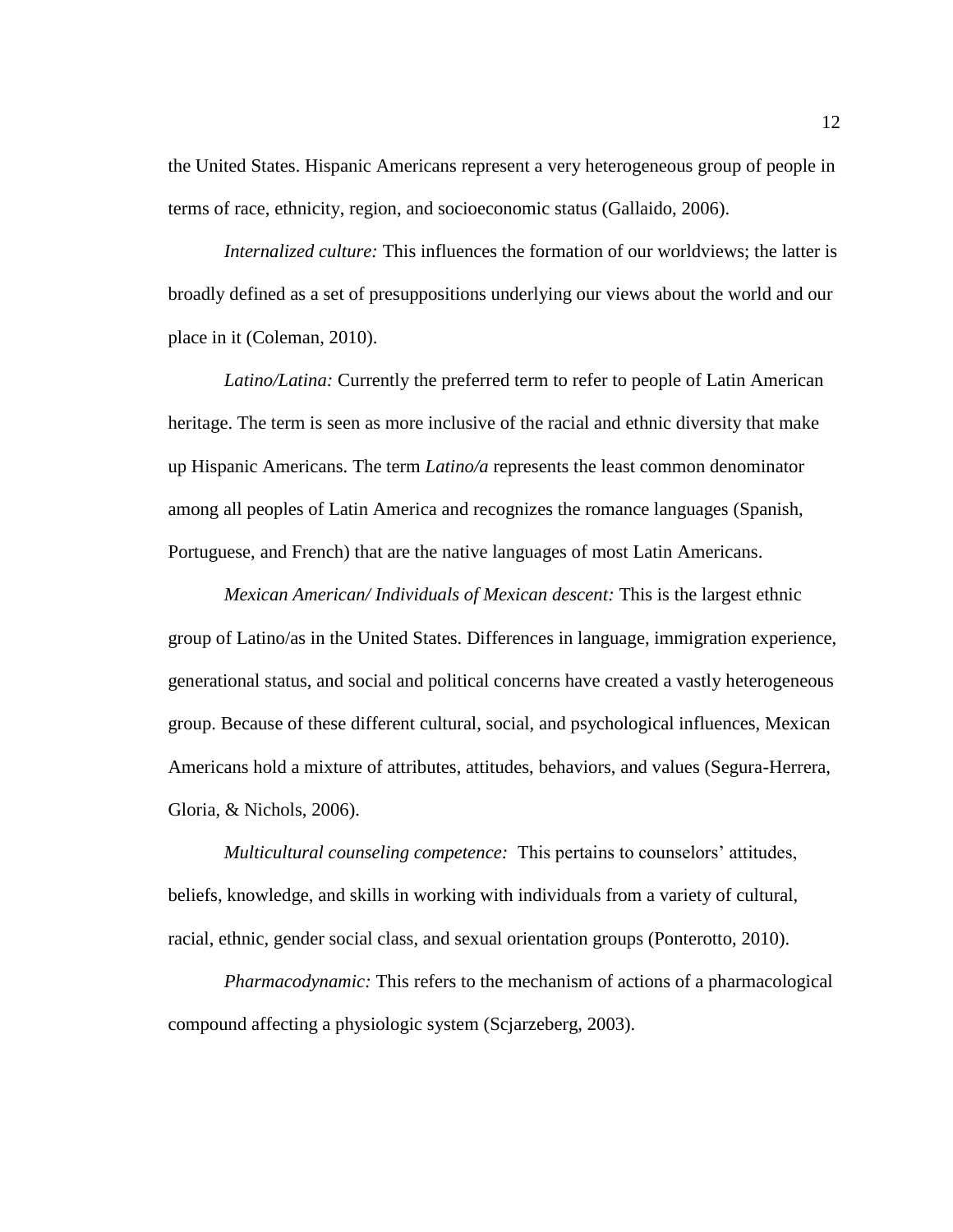the United States. Hispanic Americans represent a very heterogeneous group of people in terms of race, ethnicity, region, and socioeconomic status (Gallaido, 2006).

*Internalized culture:* This influences the formation of our worldviews; the latter is broadly defined as a set of presuppositions underlying our views about the world and our place in it (Coleman, 2010).

*Latino/Latina:* Currently the preferred term to refer to people of Latin American heritage. The term is seen as more inclusive of the racial and ethnic diversity that make up Hispanic Americans. The term *Latino/a* represents the least common denominator among all peoples of Latin America and recognizes the romance languages (Spanish, Portuguese, and French) that are the native languages of most Latin Americans.

*Mexican American/ Individuals of Mexican descent:* This is the largest ethnic group of Latino/as in the United States. Differences in language, immigration experience, generational status, and social and political concerns have created a vastly heterogeneous group. Because of these different cultural, social, and psychological influences, Mexican Americans hold a mixture of attributes, attitudes, behaviors, and values (Segura-Herrera, Gloria, & Nichols, 2006).

*Multicultural counseling competence:* This pertains to counselors' attitudes, beliefs, knowledge, and skills in working with individuals from a variety of cultural, racial, ethnic, gender social class, and sexual orientation groups (Ponterotto, 2010).

*Pharmacodynamic:* This refers to the mechanism of actions of a pharmacological compound affecting a physiologic system (Scjarzeberg, 2003).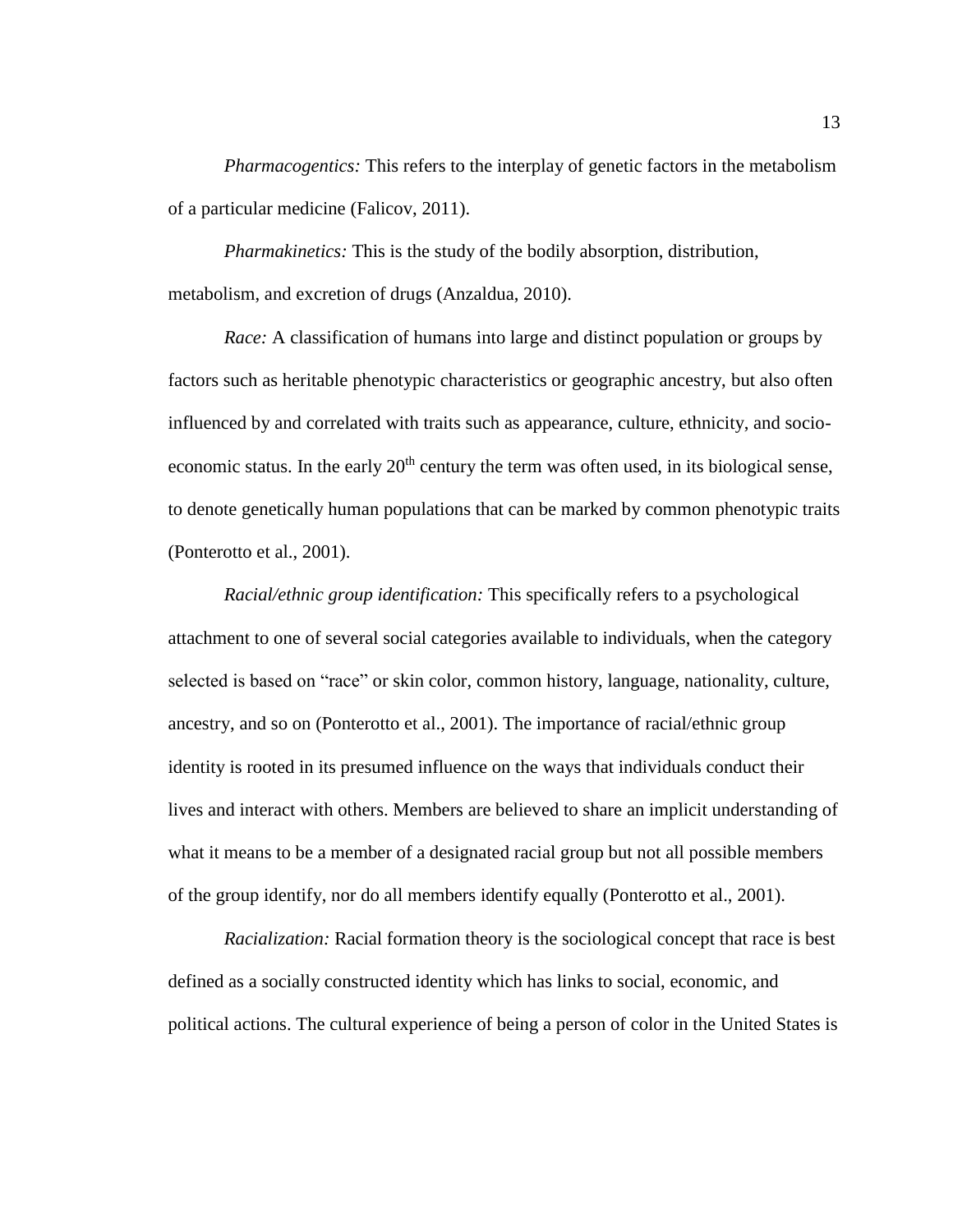*Pharmacogentics:* This refers to the interplay of genetic factors in the metabolism of a particular medicine (Falicov, 2011).

*Pharmakinetics:* This is the study of the bodily absorption, distribution, metabolism, and excretion of drugs (Anzaldua, 2010).

*Race:* A classification of humans into large and distinct population or groups by factors such as heritable phenotypic characteristics or geographic ancestry, but also often influenced by and correlated with traits such as appearance, culture, ethnicity, and socioeconomic status. In the early  $20<sup>th</sup>$  century the term was often used, in its biological sense, to denote genetically human populations that can be marked by common phenotypic traits (Ponterotto et al., 2001).

*Racial/ethnic group identification:* This specifically refers to a psychological attachment to one of several social categories available to individuals, when the category selected is based on "race" or skin color, common history, language, nationality, culture, ancestry, and so on (Ponterotto et al., 2001). The importance of racial/ethnic group identity is rooted in its presumed influence on the ways that individuals conduct their lives and interact with others. Members are believed to share an implicit understanding of what it means to be a member of a designated racial group but not all possible members of the group identify, nor do all members identify equally (Ponterotto et al., 2001).

*Racialization:* Racial formation theory is the sociological concept that race is best defined as a socially constructed identity which has links to social, economic, and political actions. The cultural experience of being a person of color in the United States is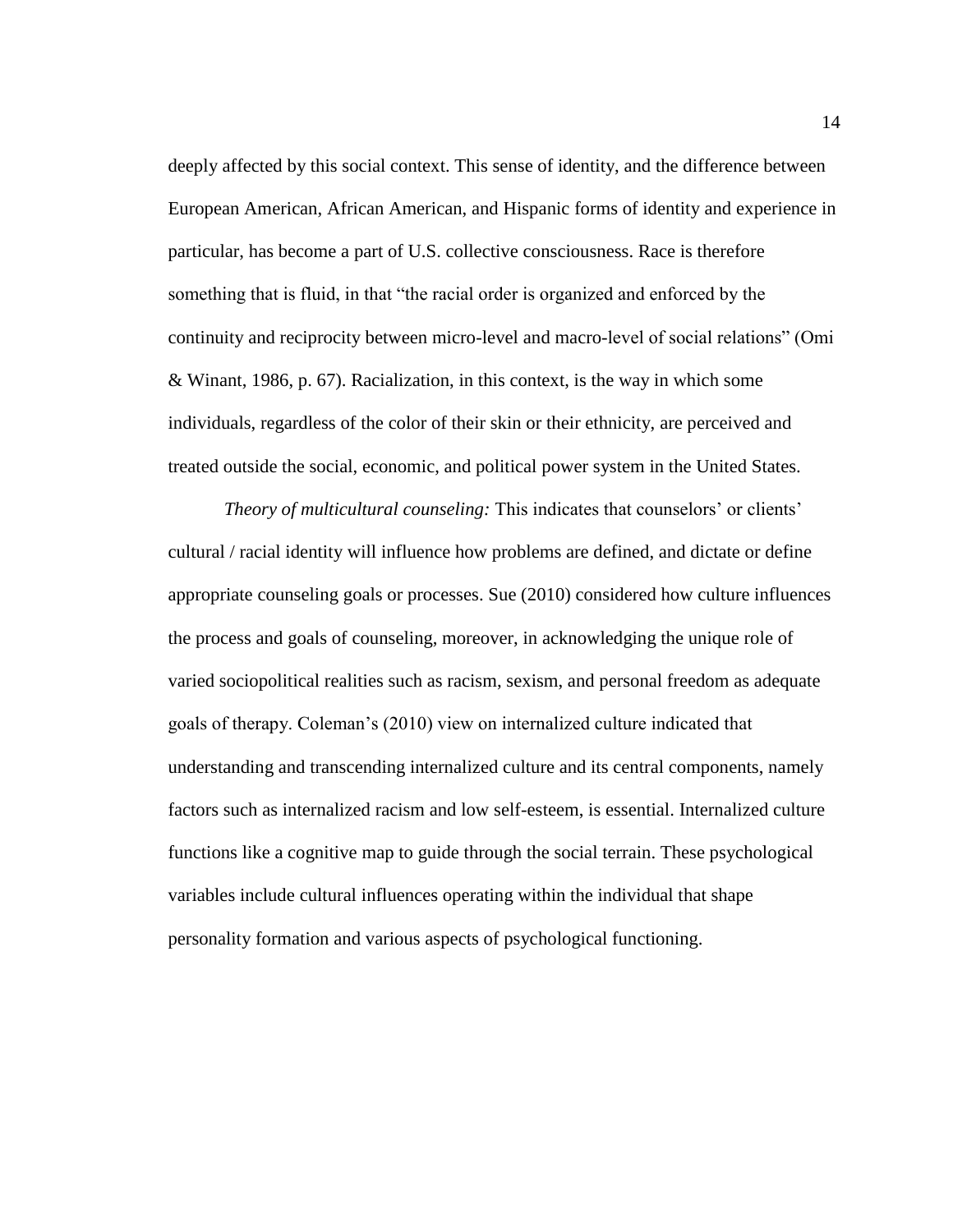deeply affected by this social context. This sense of identity, and the difference between European American, African American, and Hispanic forms of identity and experience in particular, has become a part of U.S. collective consciousness. Race is therefore something that is fluid, in that "the racial order is organized and enforced by the continuity and reciprocity between micro-level and macro-level of social relations" (Omi & Winant, 1986, p. 67). Racialization, in this context, is the way in which some individuals, regardless of the color of their skin or their ethnicity, are perceived and treated outside the social, economic, and political power system in the United States.

*Theory of multicultural counseling: This indicates that counselors' or clients'* cultural / racial identity will influence how problems are defined, and dictate or define appropriate counseling goals or processes. Sue (2010) considered how culture influences the process and goals of counseling, moreover, in acknowledging the unique role of varied sociopolitical realities such as racism, sexism, and personal freedom as adequate goals of therapy. Coleman's (2010) view on internalized culture indicated that understanding and transcending internalized culture and its central components, namely factors such as internalized racism and low self-esteem, is essential. Internalized culture functions like a cognitive map to guide through the social terrain. These psychological variables include cultural influences operating within the individual that shape personality formation and various aspects of psychological functioning.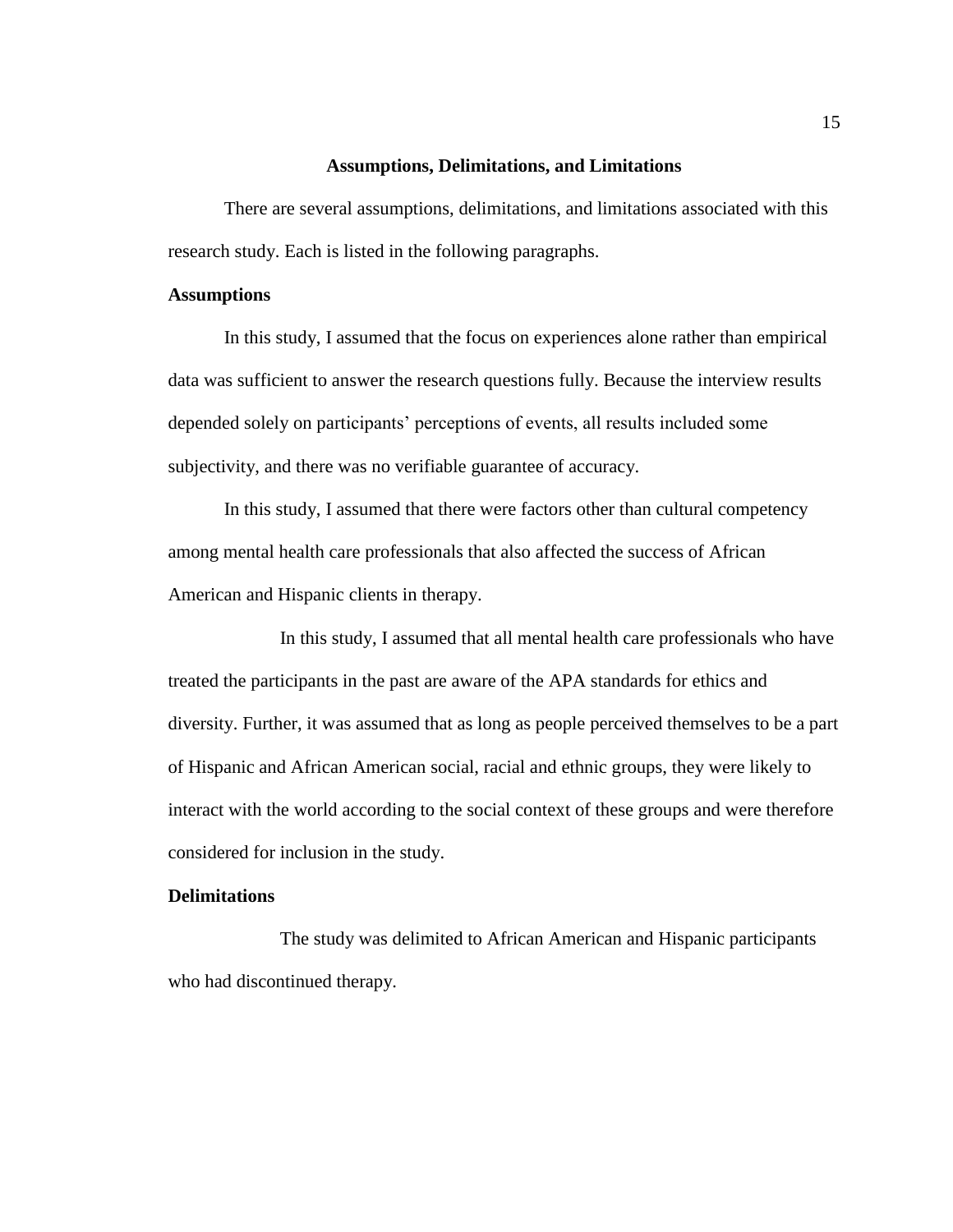#### **Assumptions, Delimitations, and Limitations**

There are several assumptions, delimitations, and limitations associated with this research study. Each is listed in the following paragraphs.

#### **Assumptions**

In this study, I assumed that the focus on experiences alone rather than empirical data was sufficient to answer the research questions fully. Because the interview results depended solely on participants' perceptions of events, all results included some subjectivity, and there was no verifiable guarantee of accuracy.

In this study, I assumed that there were factors other than cultural competency among mental health care professionals that also affected the success of African American and Hispanic clients in therapy.

In this study, I assumed that all mental health care professionals who have treated the participants in the past are aware of the APA standards for ethics and diversity. Further, it was assumed that as long as people perceived themselves to be a part of Hispanic and African American social, racial and ethnic groups, they were likely to interact with the world according to the social context of these groups and were therefore considered for inclusion in the study.

#### **Delimitations**

The study was delimited to African American and Hispanic participants who had discontinued therapy.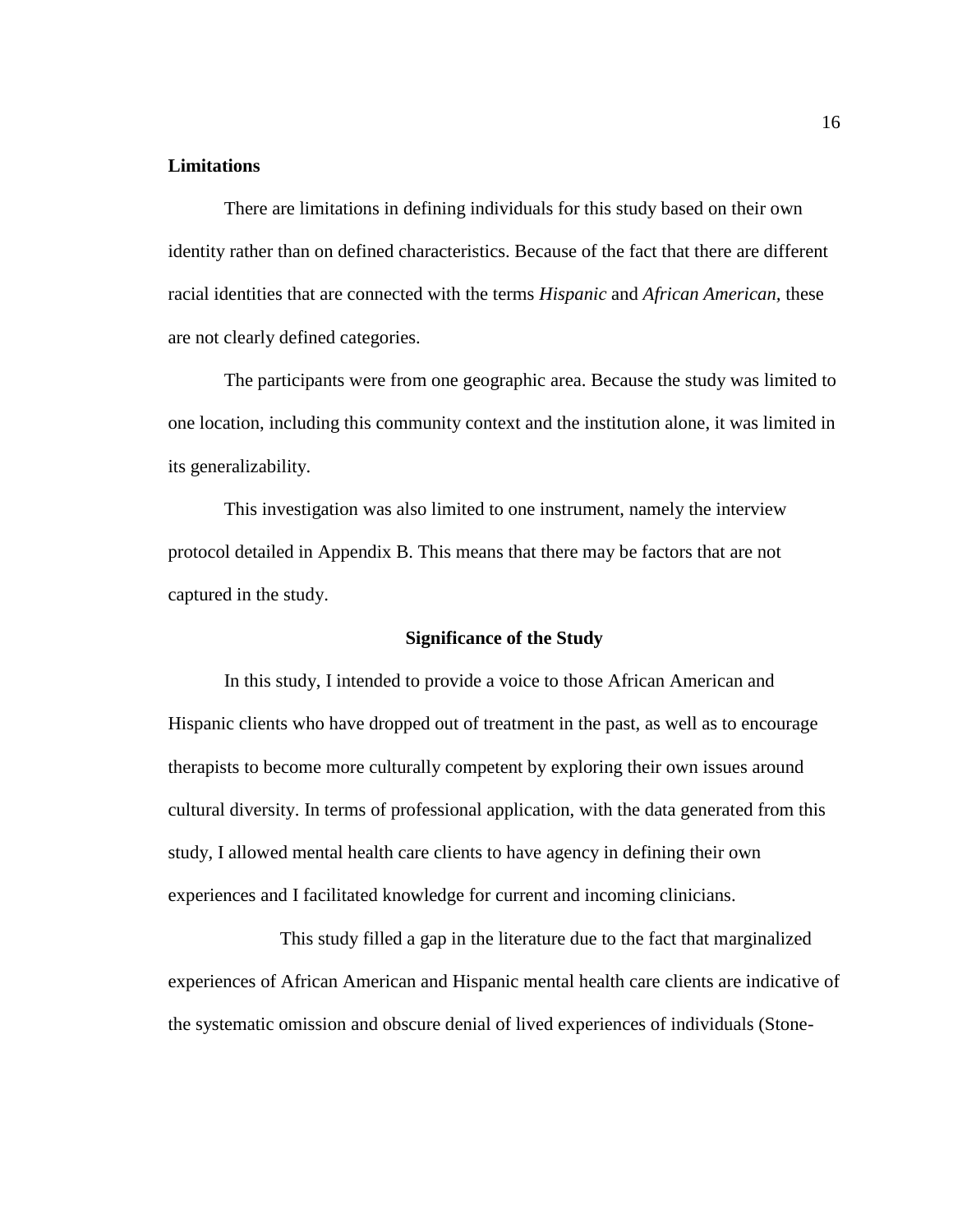#### **Limitations**

There are limitations in defining individuals for this study based on their own identity rather than on defined characteristics. Because of the fact that there are different racial identities that are connected with the terms *Hispanic* and *African American,* these are not clearly defined categories.

The participants were from one geographic area. Because the study was limited to one location, including this community context and the institution alone, it was limited in its generalizability.

This investigation was also limited to one instrument, namely the interview protocol detailed in Appendix B. This means that there may be factors that are not captured in the study.

#### **Significance of the Study**

In this study, I intended to provide a voice to those African American and Hispanic clients who have dropped out of treatment in the past, as well as to encourage therapists to become more culturally competent by exploring their own issues around cultural diversity. In terms of professional application, with the data generated from this study, I allowed mental health care clients to have agency in defining their own experiences and I facilitated knowledge for current and incoming clinicians.

This study filled a gap in the literature due to the fact that marginalized experiences of African American and Hispanic mental health care clients are indicative of the systematic omission and obscure denial of lived experiences of individuals (Stone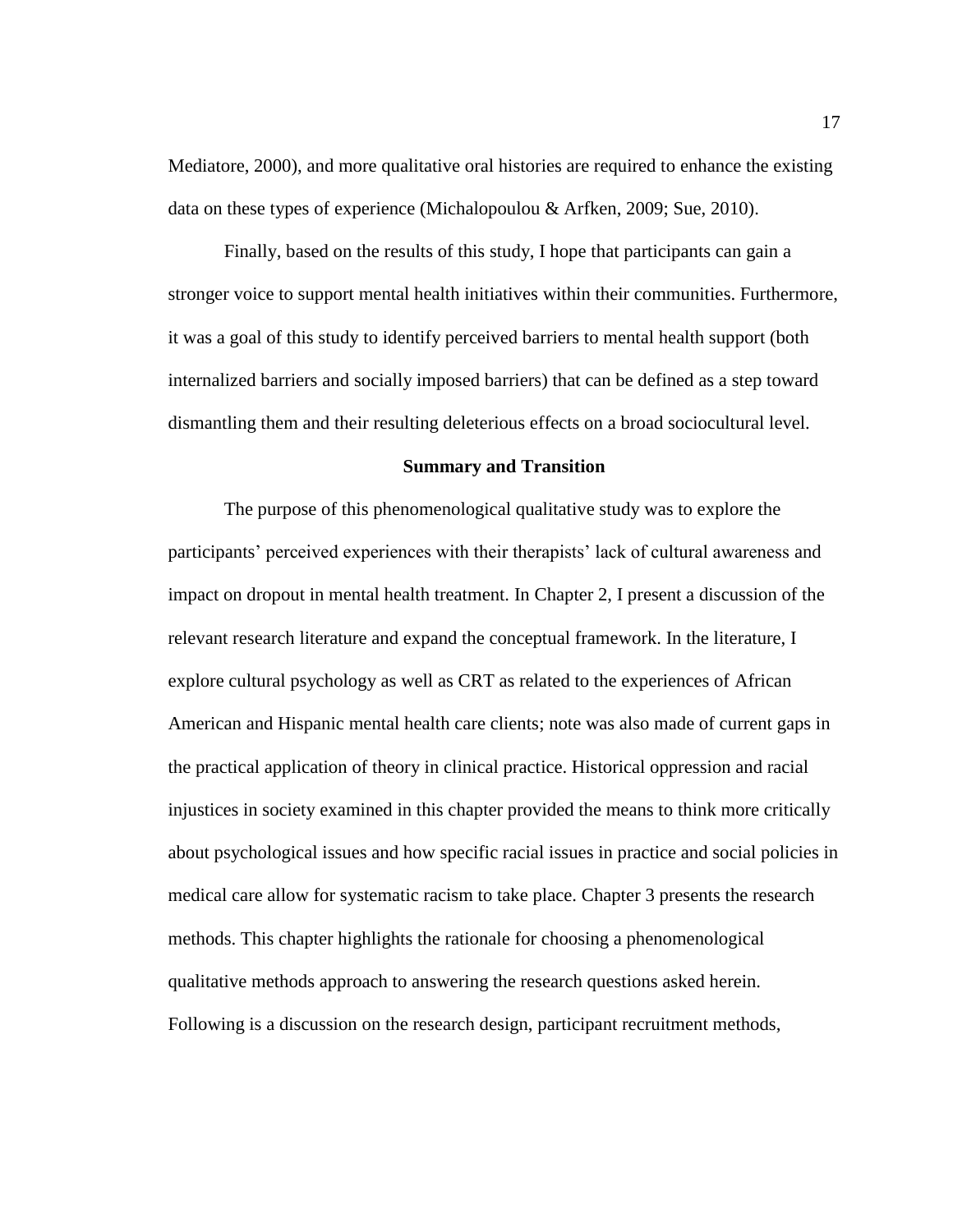Mediatore, 2000), and more qualitative oral histories are required to enhance the existing data on these types of experience (Michalopoulou & Arfken, 2009; Sue, 2010).

Finally, based on the results of this study, I hope that participants can gain a stronger voice to support mental health initiatives within their communities. Furthermore, it was a goal of this study to identify perceived barriers to mental health support (both internalized barriers and socially imposed barriers) that can be defined as a step toward dismantling them and their resulting deleterious effects on a broad sociocultural level.

#### **Summary and Transition**

The purpose of this phenomenological qualitative study was to explore the participants' perceived experiences with their therapists' lack of cultural awareness and impact on dropout in mental health treatment. In Chapter 2, I present a discussion of the relevant research literature and expand the conceptual framework. In the literature, I explore cultural psychology as well as CRT as related to the experiences of African American and Hispanic mental health care clients; note was also made of current gaps in the practical application of theory in clinical practice. Historical oppression and racial injustices in society examined in this chapter provided the means to think more critically about psychological issues and how specific racial issues in practice and social policies in medical care allow for systematic racism to take place. Chapter 3 presents the research methods. This chapter highlights the rationale for choosing a phenomenological qualitative methods approach to answering the research questions asked herein. Following is a discussion on the research design, participant recruitment methods,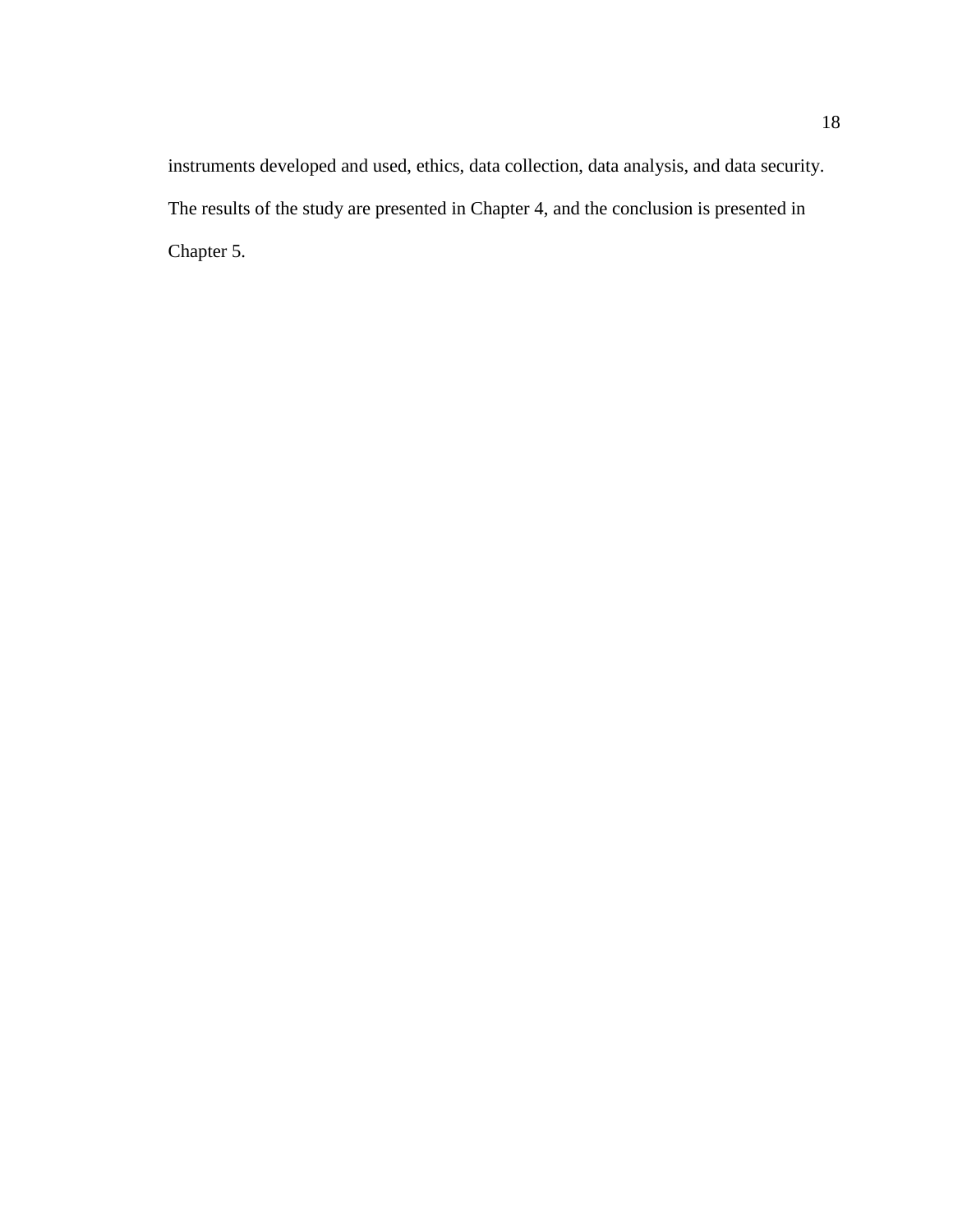instruments developed and used, ethics, data collection, data analysis, and data security. The results of the study are presented in Chapter 4, and the conclusion is presented in Chapter 5.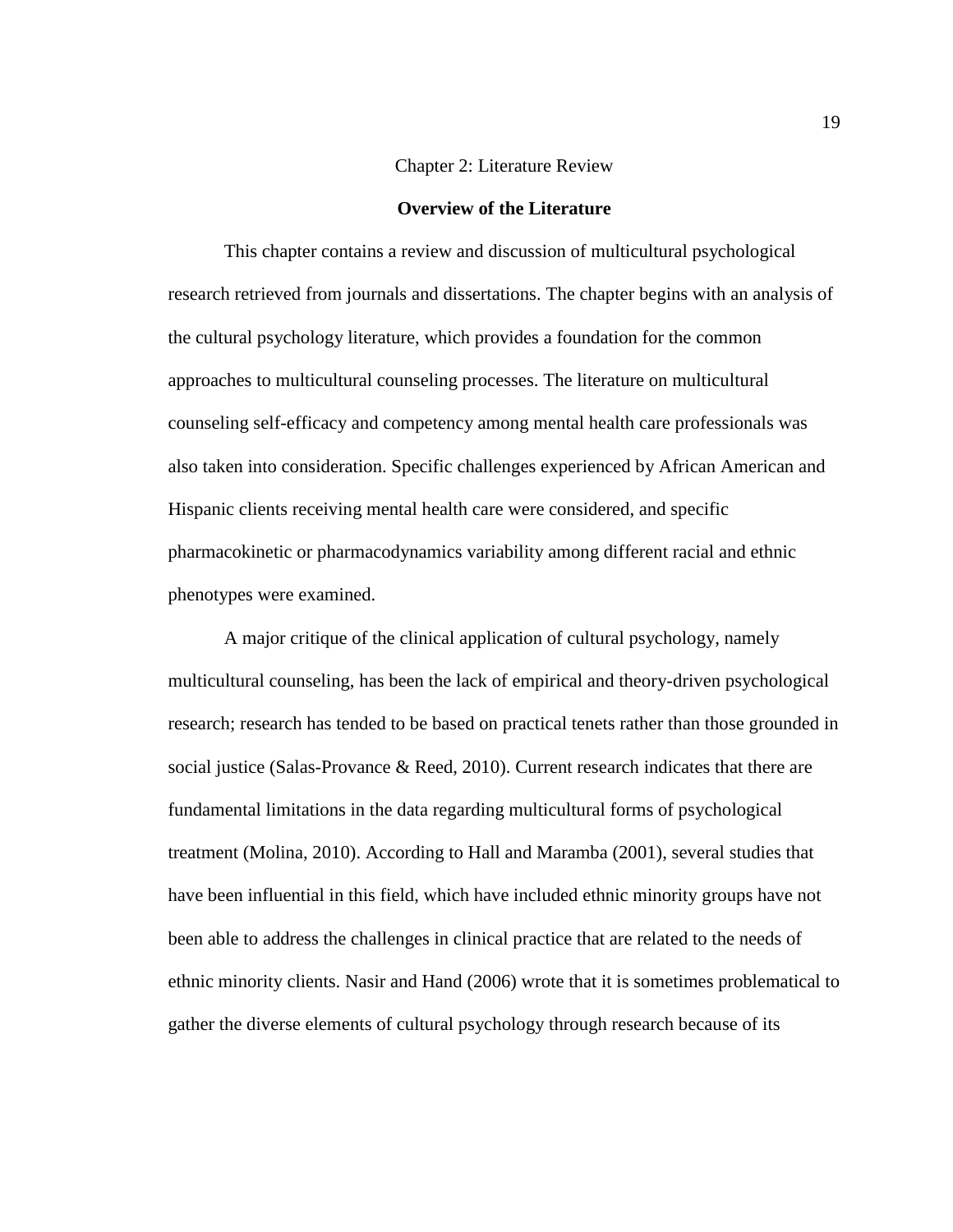#### Chapter 2: Literature Review

#### **Overview of the Literature**

This chapter contains a review and discussion of multicultural psychological research retrieved from journals and dissertations. The chapter begins with an analysis of the cultural psychology literature, which provides a foundation for the common approaches to multicultural counseling processes. The literature on multicultural counseling self-efficacy and competency among mental health care professionals was also taken into consideration. Specific challenges experienced by African American and Hispanic clients receiving mental health care were considered, and specific pharmacokinetic or pharmacodynamics variability among different racial and ethnic phenotypes were examined.

A major critique of the clinical application of cultural psychology, namely multicultural counseling, has been the lack of empirical and theory-driven psychological research; research has tended to be based on practical tenets rather than those grounded in social justice (Salas-Provance & Reed, 2010). Current research indicates that there are fundamental limitations in the data regarding multicultural forms of psychological treatment (Molina, 2010). According to Hall and Maramba (2001), several studies that have been influential in this field, which have included ethnic minority groups have not been able to address the challenges in clinical practice that are related to the needs of ethnic minority clients. Nasir and Hand (2006) wrote that it is sometimes problematical to gather the diverse elements of cultural psychology through research because of its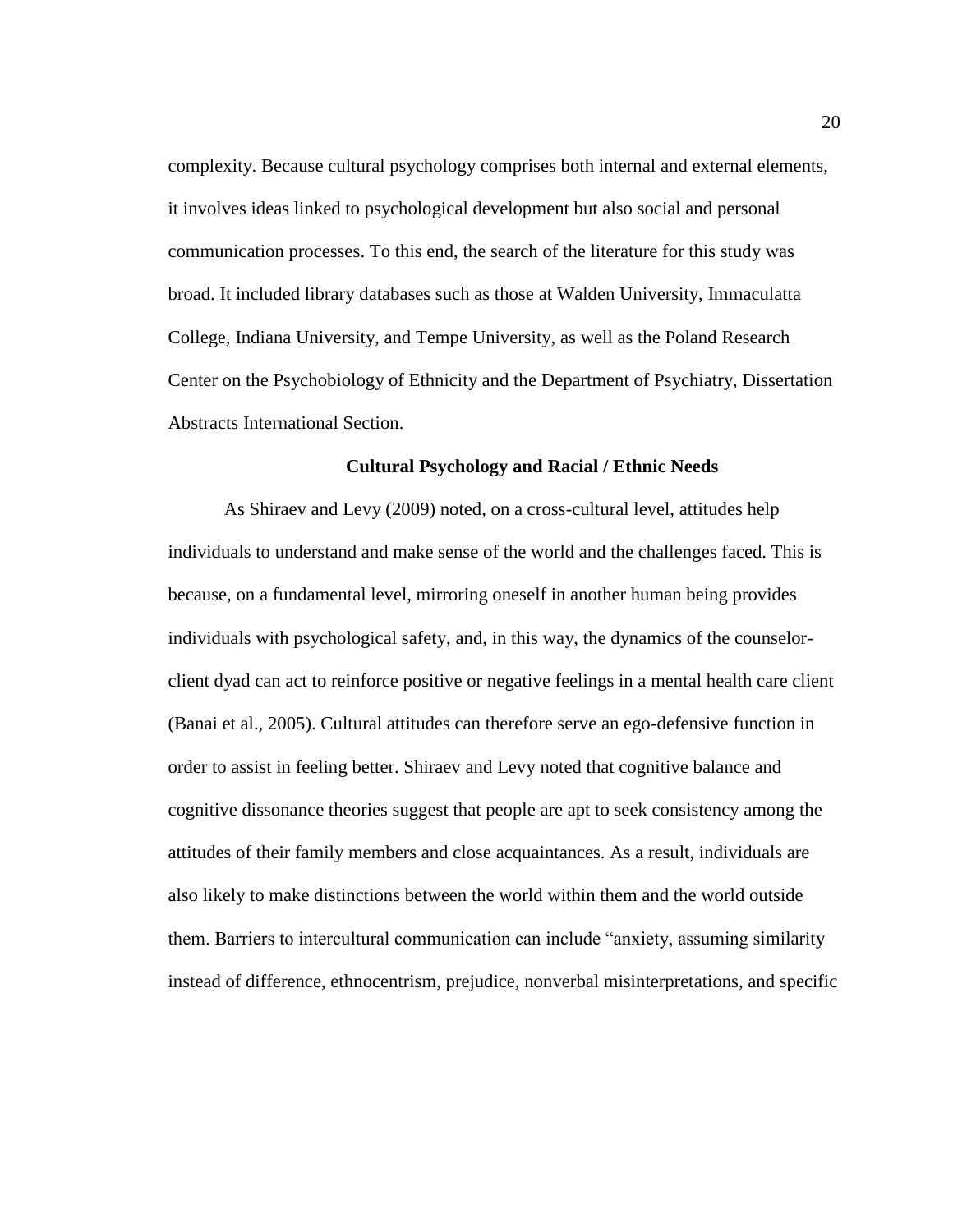complexity. Because cultural psychology comprises both internal and external elements, it involves ideas linked to psychological development but also social and personal communication processes. To this end, the search of the literature for this study was broad. It included library databases such as those at Walden University, Immaculatta College, Indiana University, and Tempe University, as well as the Poland Research Center on the Psychobiology of Ethnicity and the Department of Psychiatry, Dissertation Abstracts International Section.

#### **Cultural Psychology and Racial / Ethnic Needs**

As Shiraev and Levy (2009) noted, on a cross-cultural level, attitudes help individuals to understand and make sense of the world and the challenges faced. This is because, on a fundamental level, mirroring oneself in another human being provides individuals with psychological safety, and, in this way, the dynamics of the counselorclient dyad can act to reinforce positive or negative feelings in a mental health care client (Banai et al., 2005). Cultural attitudes can therefore serve an ego-defensive function in order to assist in feeling better. Shiraev and Levy noted that cognitive balance and cognitive dissonance theories suggest that people are apt to seek consistency among the attitudes of their family members and close acquaintances. As a result, individuals are also likely to make distinctions between the world within them and the world outside them. Barriers to intercultural communication can include "anxiety, assuming similarity instead of difference, ethnocentrism, prejudice, nonverbal misinterpretations, and specific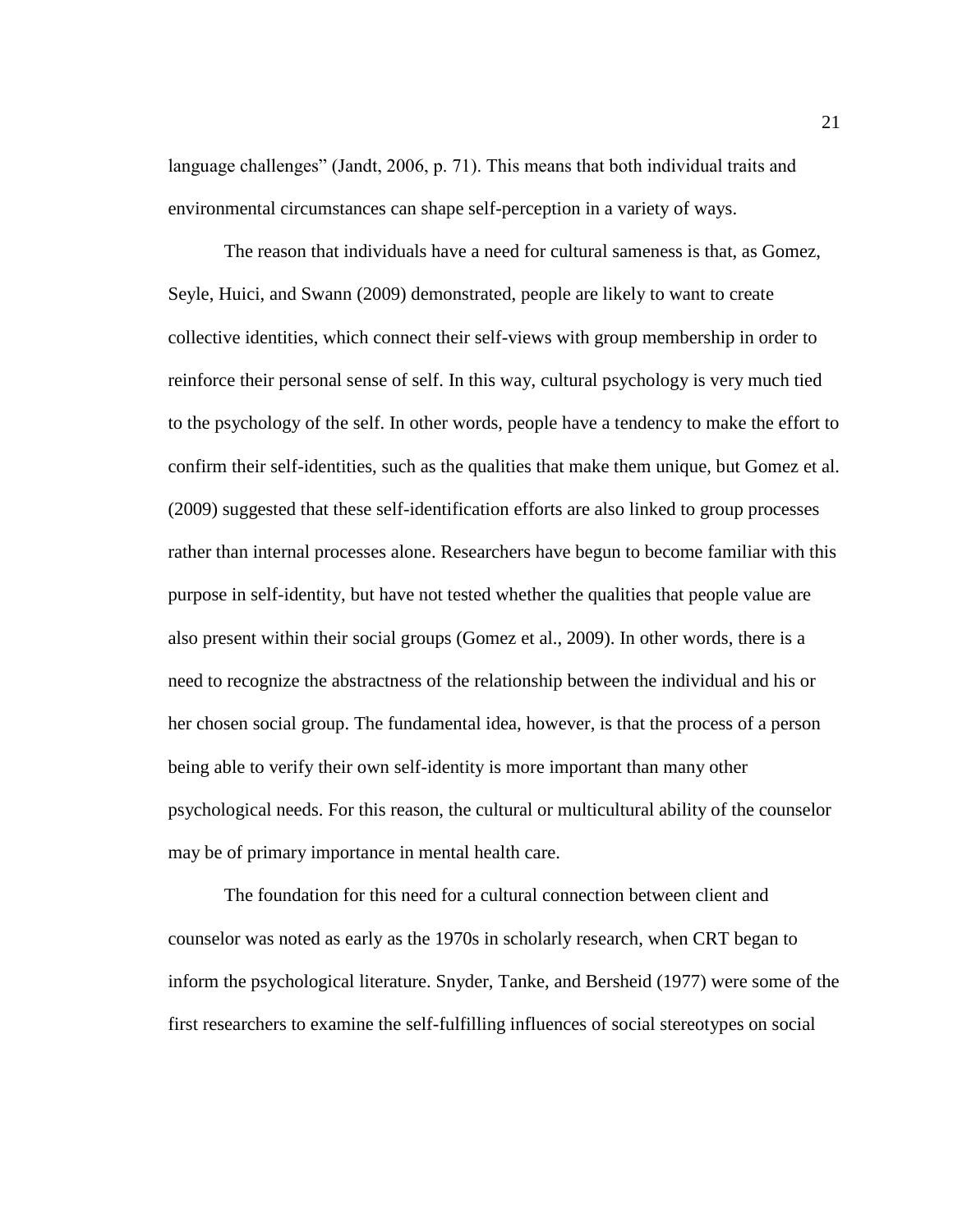language challenges" (Jandt, 2006, p. 71). This means that both individual traits and environmental circumstances can shape self-perception in a variety of ways.

The reason that individuals have a need for cultural sameness is that, as Gomez, Seyle, Huici, and Swann (2009) demonstrated, people are likely to want to create collective identities, which connect their self-views with group membership in order to reinforce their personal sense of self. In this way, cultural psychology is very much tied to the psychology of the self. In other words, people have a tendency to make the effort to confirm their self-identities, such as the qualities that make them unique, but Gomez et al. (2009) suggested that these self-identification efforts are also linked to group processes rather than internal processes alone. Researchers have begun to become familiar with this purpose in self-identity, but have not tested whether the qualities that people value are also present within their social groups (Gomez et al., 2009). In other words, there is a need to recognize the abstractness of the relationship between the individual and his or her chosen social group. The fundamental idea, however, is that the process of a person being able to verify their own self-identity is more important than many other psychological needs. For this reason, the cultural or multicultural ability of the counselor may be of primary importance in mental health care.

The foundation for this need for a cultural connection between client and counselor was noted as early as the 1970s in scholarly research, when CRT began to inform the psychological literature. Snyder, Tanke, and Bersheid (1977) were some of the first researchers to examine the self-fulfilling influences of social stereotypes on social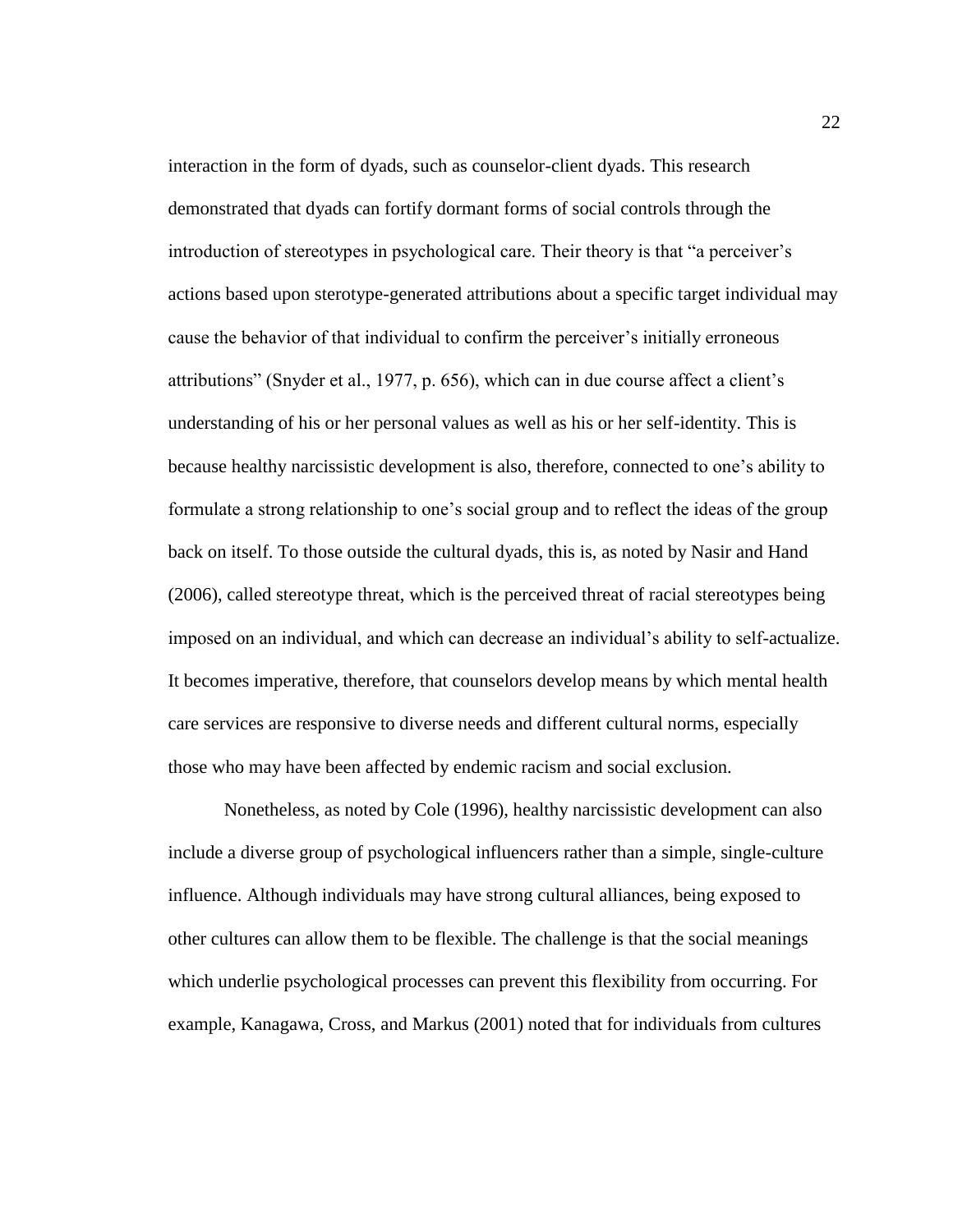interaction in the form of dyads, such as counselor-client dyads. This research demonstrated that dyads can fortify dormant forms of social controls through the introduction of stereotypes in psychological care. Their theory is that "a perceiver's actions based upon sterotype-generated attributions about a specific target individual may cause the behavior of that individual to confirm the perceiver's initially erroneous attributions" (Snyder et al., 1977, p. 656), which can in due course affect a client's understanding of his or her personal values as well as his or her self-identity. This is because healthy narcissistic development is also, therefore, connected to one's ability to formulate a strong relationship to one's social group and to reflect the ideas of the group back on itself. To those outside the cultural dyads, this is, as noted by Nasir and Hand (2006), called stereotype threat, which is the perceived threat of racial stereotypes being imposed on an individual, and which can decrease an individual's ability to self-actualize. It becomes imperative, therefore, that counselors develop means by which mental health care services are responsive to diverse needs and different cultural norms, especially those who may have been affected by endemic racism and social exclusion.

Nonetheless, as noted by Cole (1996), healthy narcissistic development can also include a diverse group of psychological influencers rather than a simple, single-culture influence. Although individuals may have strong cultural alliances, being exposed to other cultures can allow them to be flexible. The challenge is that the social meanings which underlie psychological processes can prevent this flexibility from occurring. For example, Kanagawa, Cross, and Markus (2001) noted that for individuals from cultures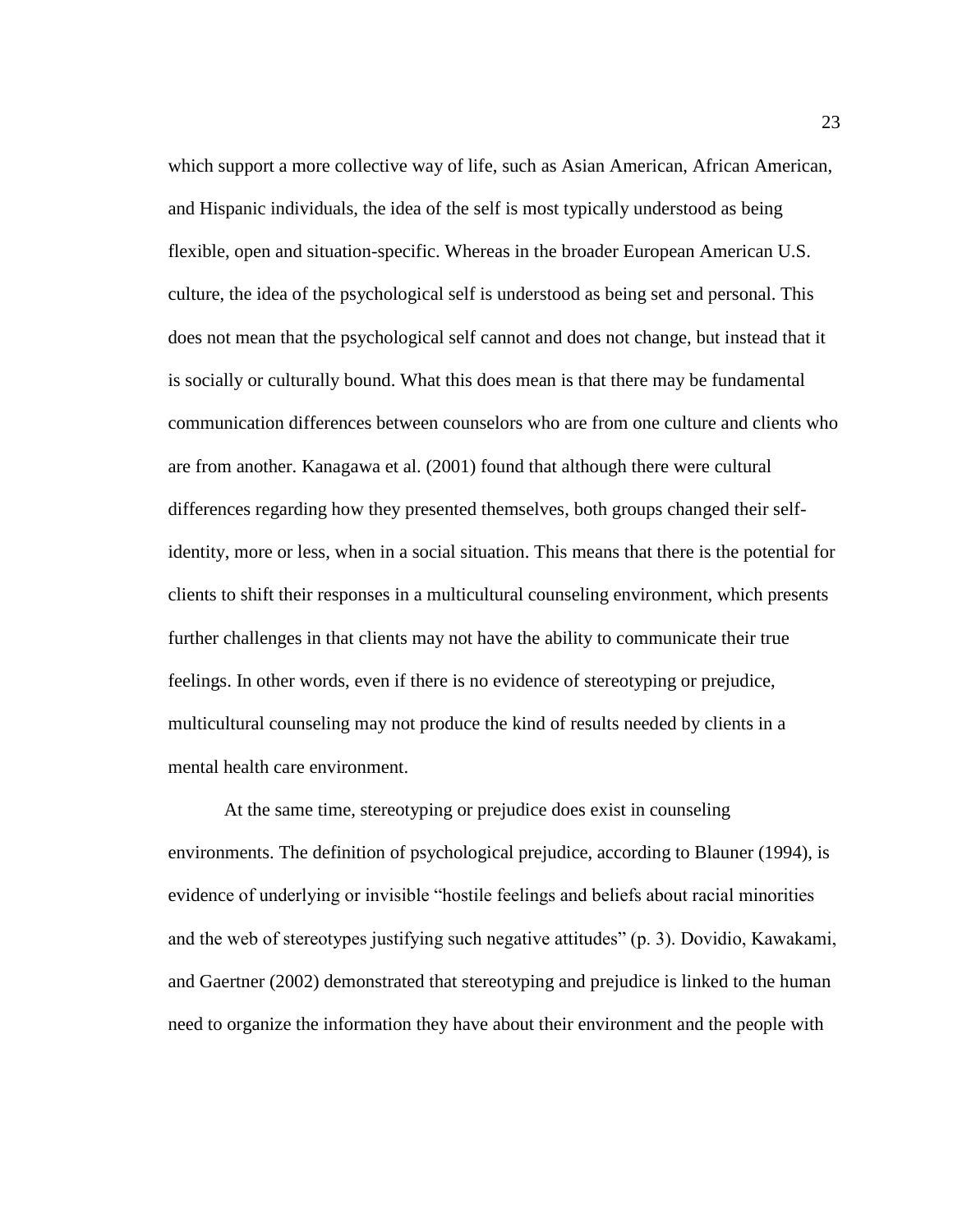which support a more collective way of life, such as Asian American, African American, and Hispanic individuals, the idea of the self is most typically understood as being flexible, open and situation-specific. Whereas in the broader European American U.S. culture, the idea of the psychological self is understood as being set and personal. This does not mean that the psychological self cannot and does not change, but instead that it is socially or culturally bound. What this does mean is that there may be fundamental communication differences between counselors who are from one culture and clients who are from another. Kanagawa et al. (2001) found that although there were cultural differences regarding how they presented themselves, both groups changed their selfidentity, more or less, when in a social situation. This means that there is the potential for clients to shift their responses in a multicultural counseling environment, which presents further challenges in that clients may not have the ability to communicate their true feelings. In other words, even if there is no evidence of stereotyping or prejudice, multicultural counseling may not produce the kind of results needed by clients in a mental health care environment.

At the same time, stereotyping or prejudice does exist in counseling environments. The definition of psychological prejudice, according to Blauner (1994), is evidence of underlying or invisible "hostile feelings and beliefs about racial minorities and the web of stereotypes justifying such negative attitudes" (p. 3). Dovidio, Kawakami, and Gaertner (2002) demonstrated that stereotyping and prejudice is linked to the human need to organize the information they have about their environment and the people with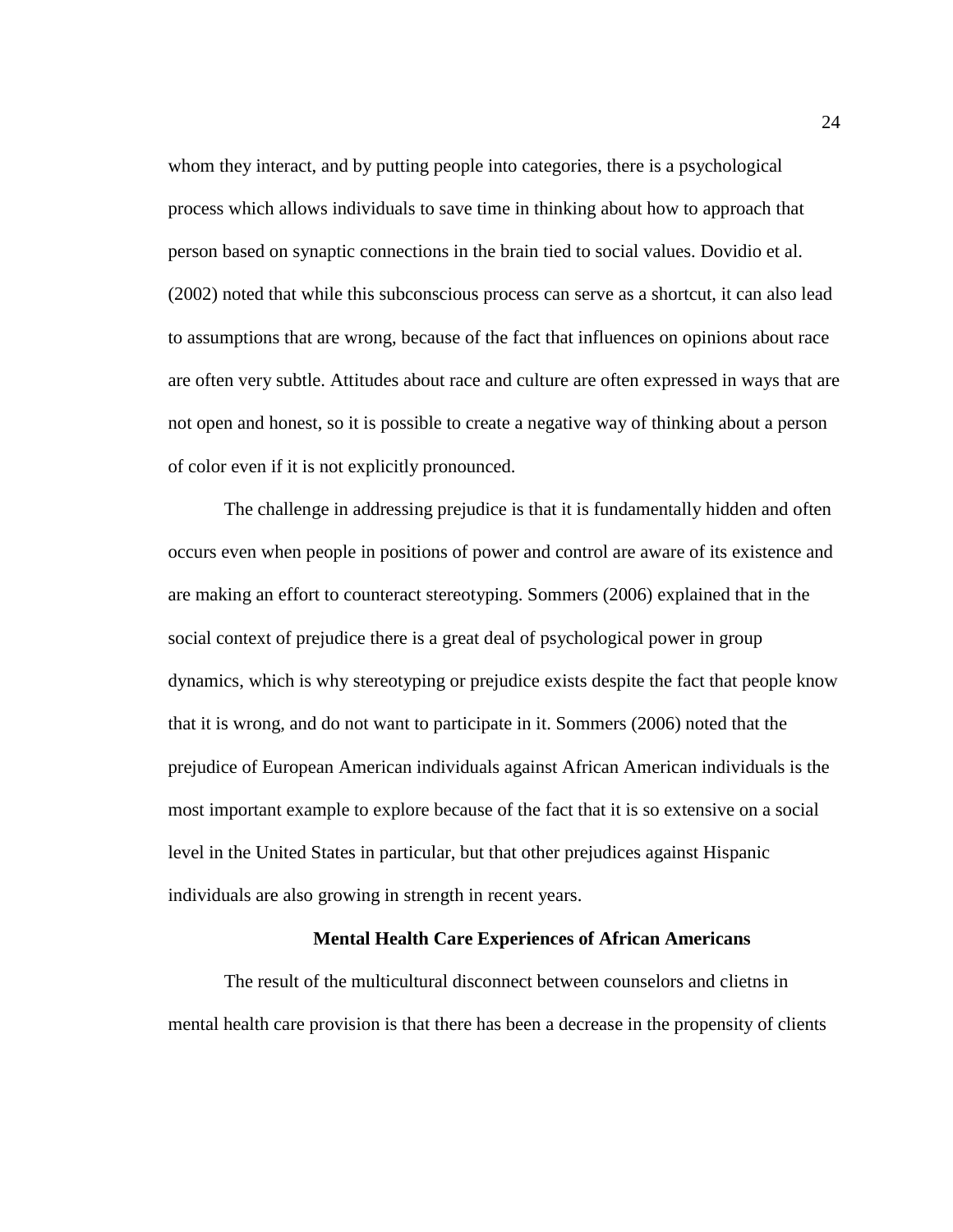whom they interact, and by putting people into categories, there is a psychological process which allows individuals to save time in thinking about how to approach that person based on synaptic connections in the brain tied to social values. Dovidio et al. (2002) noted that while this subconscious process can serve as a shortcut, it can also lead to assumptions that are wrong, because of the fact that influences on opinions about race are often very subtle. Attitudes about race and culture are often expressed in ways that are not open and honest, so it is possible to create a negative way of thinking about a person of color even if it is not explicitly pronounced.

The challenge in addressing prejudice is that it is fundamentally hidden and often occurs even when people in positions of power and control are aware of its existence and are making an effort to counteract stereotyping. Sommers (2006) explained that in the social context of prejudice there is a great deal of psychological power in group dynamics, which is why stereotyping or prejudice exists despite the fact that people know that it is wrong, and do not want to participate in it. Sommers (2006) noted that the prejudice of European American individuals against African American individuals is the most important example to explore because of the fact that it is so extensive on a social level in the United States in particular, but that other prejudices against Hispanic individuals are also growing in strength in recent years.

## **Mental Health Care Experiences of African Americans**

The result of the multicultural disconnect between counselors and clietns in mental health care provision is that there has been a decrease in the propensity of clients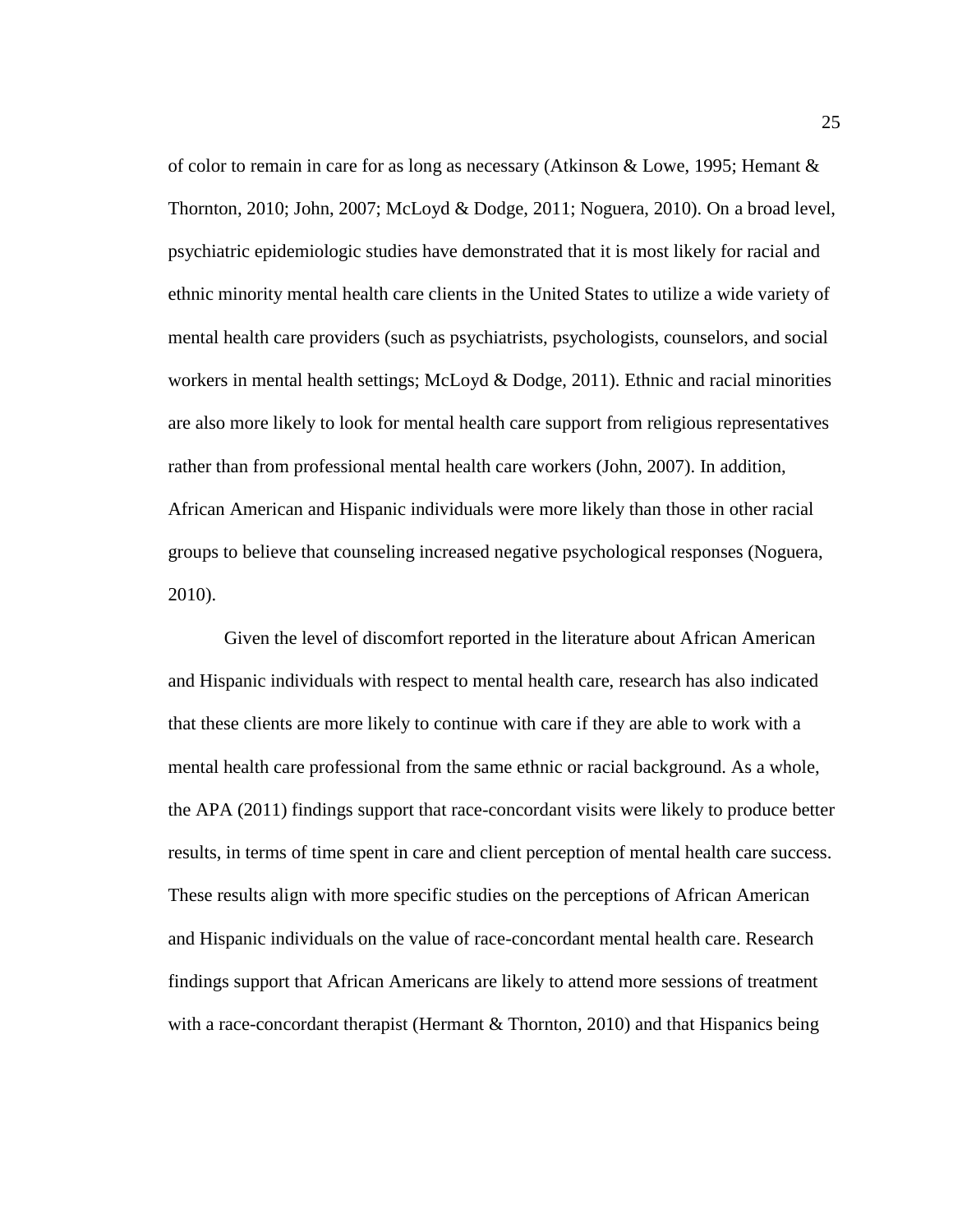of color to remain in care for as long as necessary (Atkinson & Lowe, 1995; Hemant & Thornton, 2010; John, 2007; McLoyd & Dodge, 2011; Noguera, 2010). On a broad level, psychiatric epidemiologic studies have demonstrated that it is most likely for racial and ethnic minority mental health care clients in the United States to utilize a wide variety of mental health care providers (such as psychiatrists, psychologists, counselors, and social workers in mental health settings; McLoyd & Dodge, 2011). Ethnic and racial minorities are also more likely to look for mental health care support from religious representatives rather than from professional mental health care workers (John, 2007). In addition, African American and Hispanic individuals were more likely than those in other racial groups to believe that counseling increased negative psychological responses (Noguera, 2010).

Given the level of discomfort reported in the literature about African American and Hispanic individuals with respect to mental health care, research has also indicated that these clients are more likely to continue with care if they are able to work with a mental health care professional from the same ethnic or racial background. As a whole, the APA (2011) findings support that race-concordant visits were likely to produce better results, in terms of time spent in care and client perception of mental health care success. These results align with more specific studies on the perceptions of African American and Hispanic individuals on the value of race-concordant mental health care. Research findings support that African Americans are likely to attend more sessions of treatment with a race-concordant therapist (Hermant & Thornton, 2010) and that Hispanics being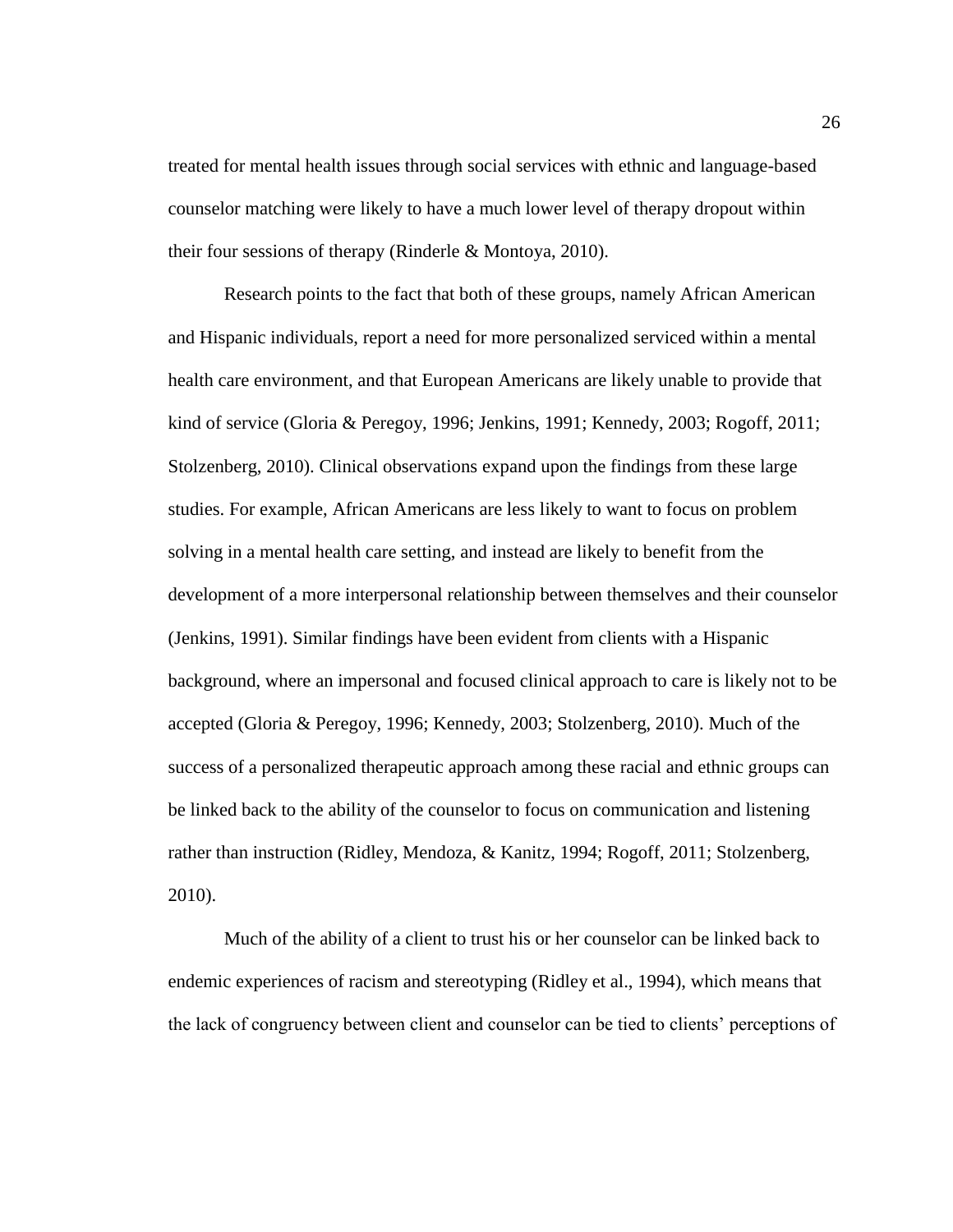treated for mental health issues through social services with ethnic and language-based counselor matching were likely to have a much lower level of therapy dropout within their four sessions of therapy (Rinderle & Montoya, 2010).

Research points to the fact that both of these groups, namely African American and Hispanic individuals, report a need for more personalized serviced within a mental health care environment, and that European Americans are likely unable to provide that kind of service (Gloria & Peregoy, 1996; Jenkins, 1991; Kennedy, 2003; Rogoff, 2011; Stolzenberg, 2010). Clinical observations expand upon the findings from these large studies. For example, African Americans are less likely to want to focus on problem solving in a mental health care setting, and instead are likely to benefit from the development of a more interpersonal relationship between themselves and their counselor (Jenkins, 1991). Similar findings have been evident from clients with a Hispanic background, where an impersonal and focused clinical approach to care is likely not to be accepted (Gloria & Peregoy, 1996; Kennedy, 2003; Stolzenberg, 2010). Much of the success of a personalized therapeutic approach among these racial and ethnic groups can be linked back to the ability of the counselor to focus on communication and listening rather than instruction (Ridley, Mendoza, & Kanitz, 1994; Rogoff, 2011; Stolzenberg, 2010).

Much of the ability of a client to trust his or her counselor can be linked back to endemic experiences of racism and stereotyping (Ridley et al., 1994), which means that the lack of congruency between client and counselor can be tied to clients' perceptions of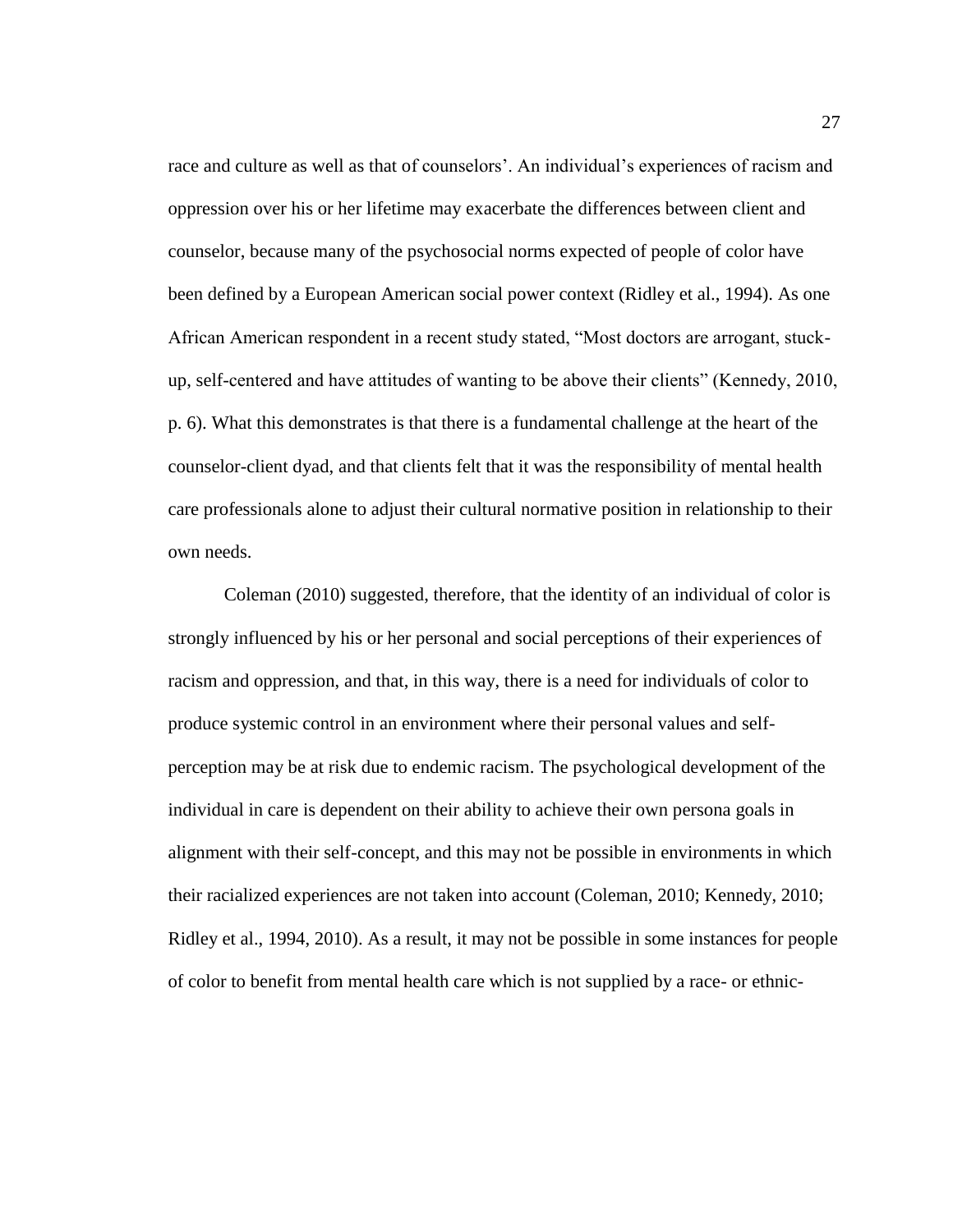race and culture as well as that of counselors'. An individual's experiences of racism and oppression over his or her lifetime may exacerbate the differences between client and counselor, because many of the psychosocial norms expected of people of color have been defined by a European American social power context (Ridley et al., 1994). As one African American respondent in a recent study stated, "Most doctors are arrogant, stuckup, self-centered and have attitudes of wanting to be above their clients" (Kennedy, 2010, p. 6). What this demonstrates is that there is a fundamental challenge at the heart of the counselor-client dyad, and that clients felt that it was the responsibility of mental health care professionals alone to adjust their cultural normative position in relationship to their own needs.

Coleman (2010) suggested, therefore, that the identity of an individual of color is strongly influenced by his or her personal and social perceptions of their experiences of racism and oppression, and that, in this way, there is a need for individuals of color to produce systemic control in an environment where their personal values and selfperception may be at risk due to endemic racism. The psychological development of the individual in care is dependent on their ability to achieve their own persona goals in alignment with their self-concept, and this may not be possible in environments in which their racialized experiences are not taken into account (Coleman, 2010; Kennedy, 2010; Ridley et al., 1994, 2010). As a result, it may not be possible in some instances for people of color to benefit from mental health care which is not supplied by a race- or ethnic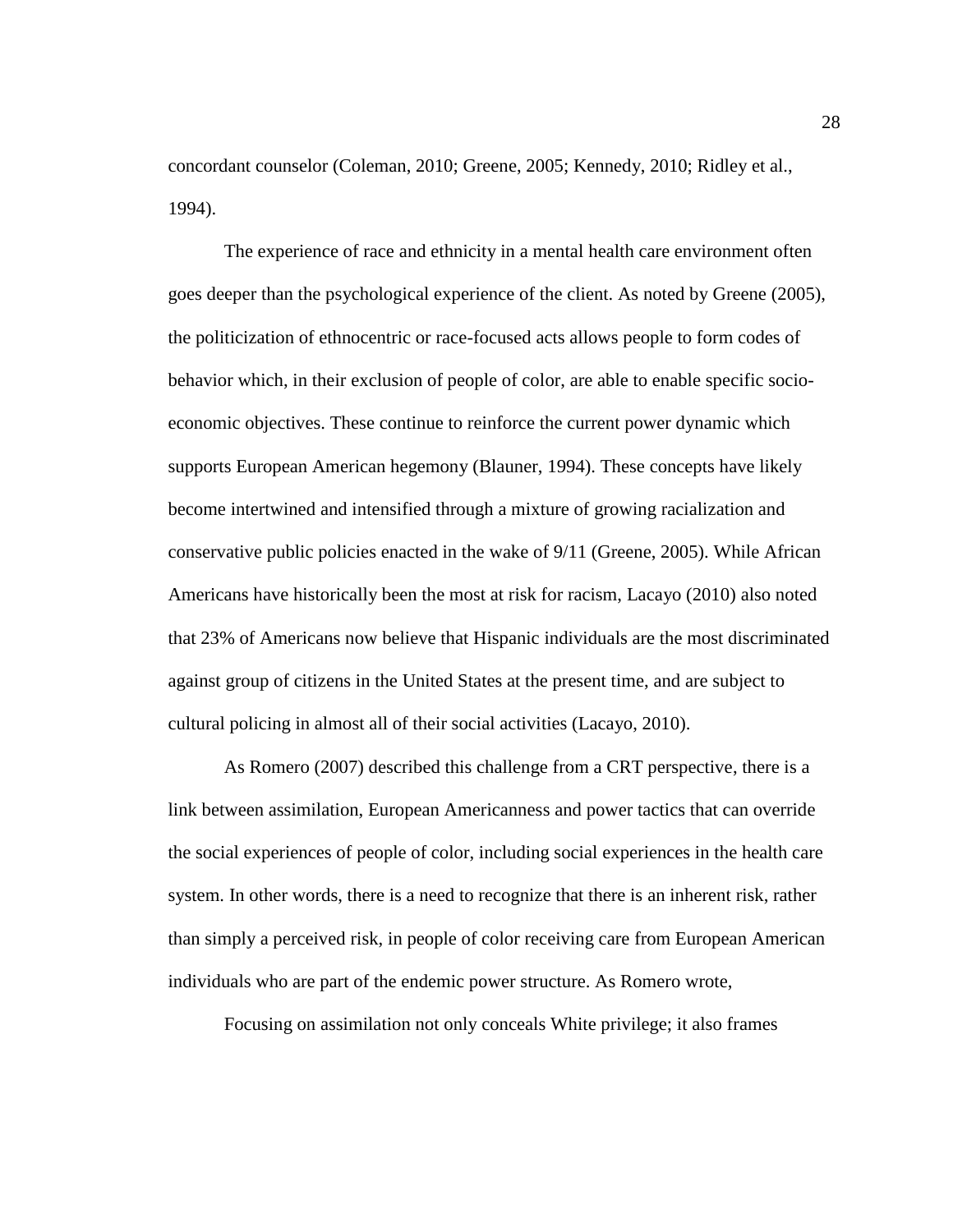concordant counselor (Coleman, 2010; Greene, 2005; Kennedy, 2010; Ridley et al., 1994).

The experience of race and ethnicity in a mental health care environment often goes deeper than the psychological experience of the client. As noted by Greene (2005), the politicization of ethnocentric or race-focused acts allows people to form codes of behavior which, in their exclusion of people of color, are able to enable specific socioeconomic objectives. These continue to reinforce the current power dynamic which supports European American hegemony (Blauner, 1994). These concepts have likely become intertwined and intensified through a mixture of growing racialization and conservative public policies enacted in the wake of 9/11 (Greene, 2005). While African Americans have historically been the most at risk for racism, Lacayo (2010) also noted that 23% of Americans now believe that Hispanic individuals are the most discriminated against group of citizens in the United States at the present time, and are subject to cultural policing in almost all of their social activities (Lacayo, 2010).

As Romero (2007) described this challenge from a CRT perspective, there is a link between assimilation, European Americanness and power tactics that can override the social experiences of people of color, including social experiences in the health care system. In other words, there is a need to recognize that there is an inherent risk, rather than simply a perceived risk, in people of color receiving care from European American individuals who are part of the endemic power structure. As Romero wrote,

Focusing on assimilation not only conceals White privilege; it also frames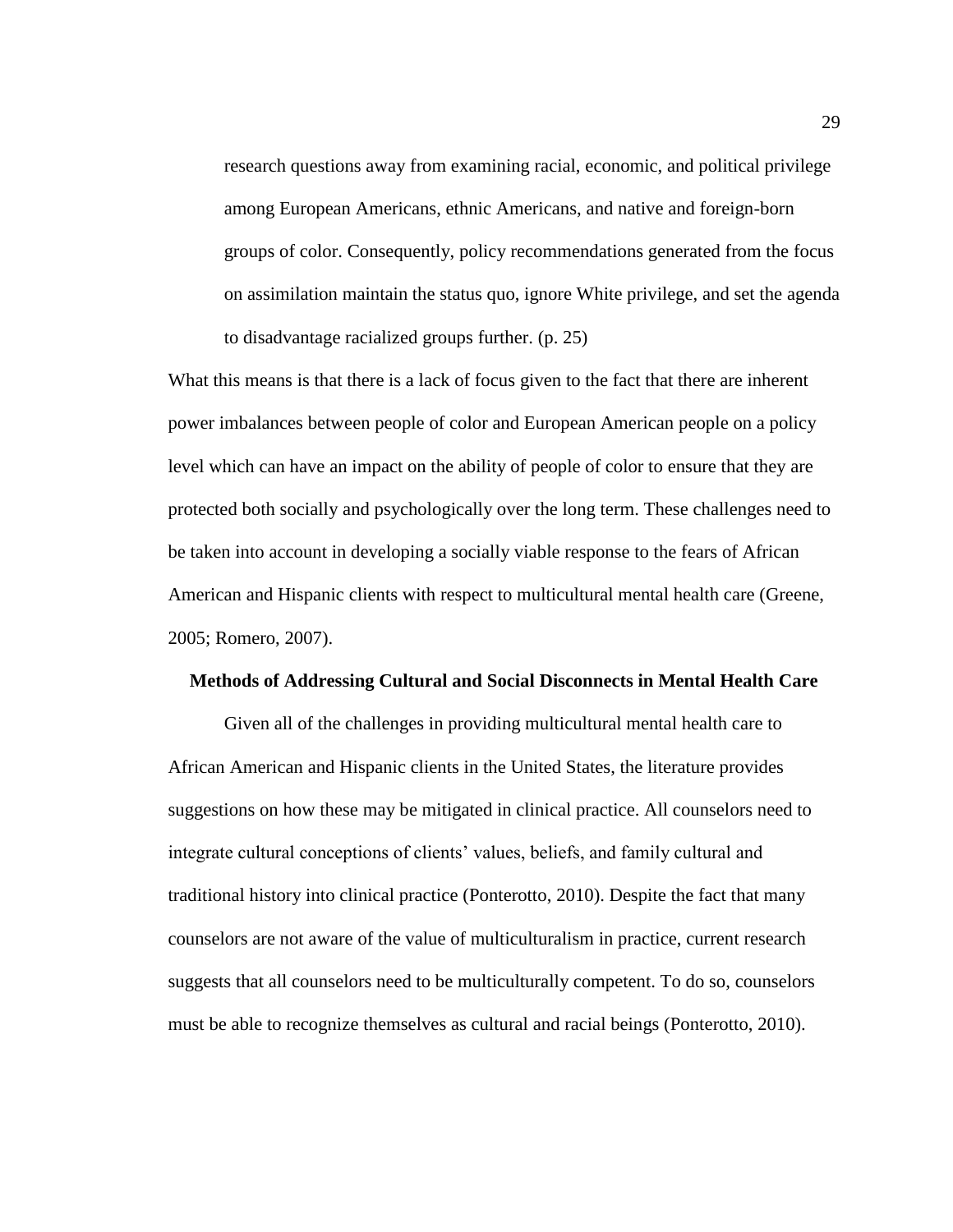research questions away from examining racial, economic, and political privilege among European Americans, ethnic Americans, and native and foreign-born groups of color. Consequently, policy recommendations generated from the focus on assimilation maintain the status quo, ignore White privilege, and set the agenda to disadvantage racialized groups further. (p. 25)

What this means is that there is a lack of focus given to the fact that there are inherent power imbalances between people of color and European American people on a policy level which can have an impact on the ability of people of color to ensure that they are protected both socially and psychologically over the long term. These challenges need to be taken into account in developing a socially viable response to the fears of African American and Hispanic clients with respect to multicultural mental health care (Greene, 2005; Romero, 2007).

#### **Methods of Addressing Cultural and Social Disconnects in Mental Health Care**

Given all of the challenges in providing multicultural mental health care to African American and Hispanic clients in the United States, the literature provides suggestions on how these may be mitigated in clinical practice. All counselors need to integrate cultural conceptions of clients' values, beliefs, and family cultural and traditional history into clinical practice (Ponterotto, 2010). Despite the fact that many counselors are not aware of the value of multiculturalism in practice, current research suggests that all counselors need to be multiculturally competent. To do so, counselors must be able to recognize themselves as cultural and racial beings (Ponterotto, 2010).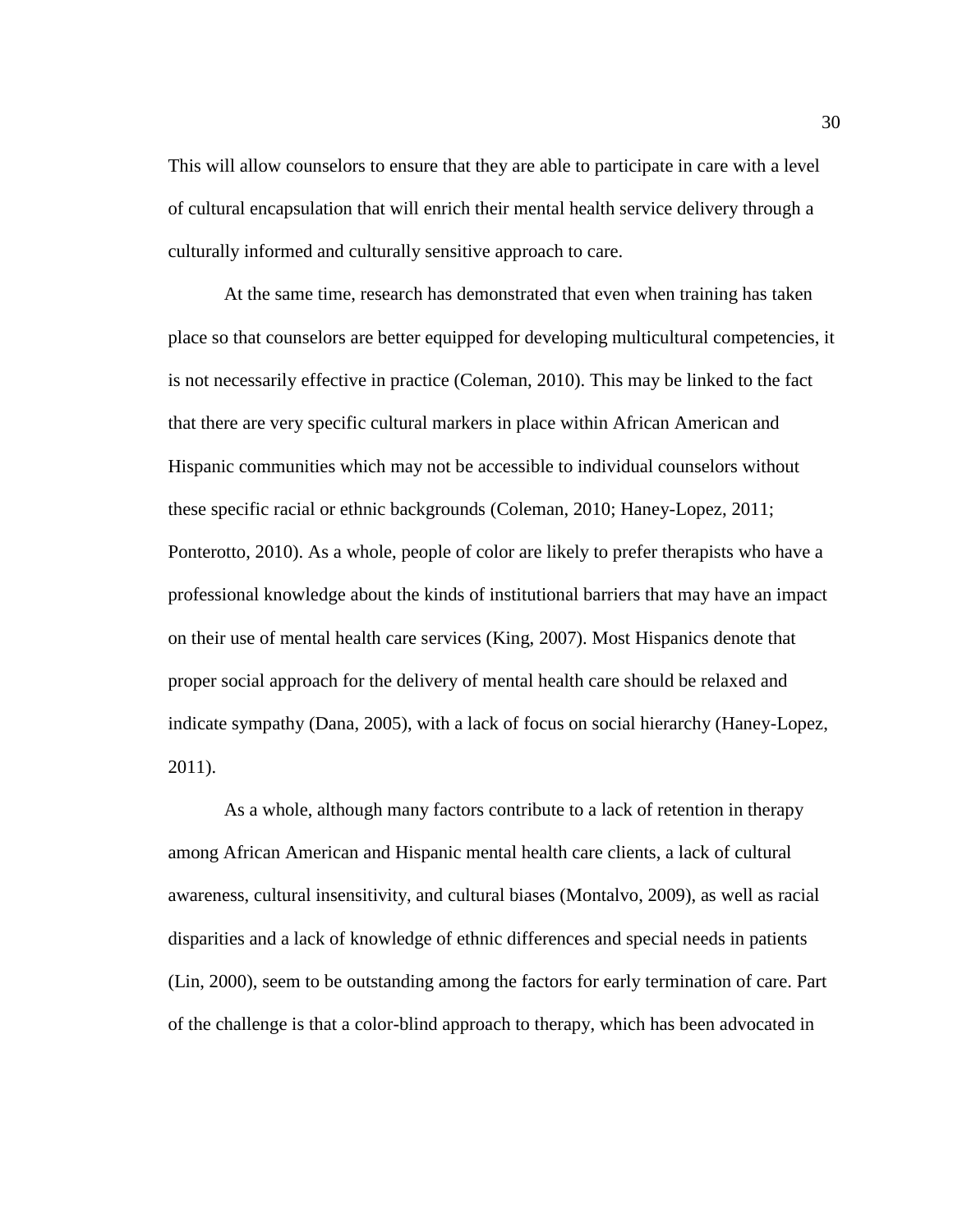This will allow counselors to ensure that they are able to participate in care with a level of cultural encapsulation that will enrich their mental health service delivery through a culturally informed and culturally sensitive approach to care.

At the same time, research has demonstrated that even when training has taken place so that counselors are better equipped for developing multicultural competencies, it is not necessarily effective in practice (Coleman, 2010). This may be linked to the fact that there are very specific cultural markers in place within African American and Hispanic communities which may not be accessible to individual counselors without these specific racial or ethnic backgrounds (Coleman, 2010; Haney-Lopez, 2011; Ponterotto, 2010). As a whole, people of color are likely to prefer therapists who have a professional knowledge about the kinds of institutional barriers that may have an impact on their use of mental health care services (King, 2007). Most Hispanics denote that proper social approach for the delivery of mental health care should be relaxed and indicate sympathy (Dana, 2005), with a lack of focus on social hierarchy (Haney-Lopez, 2011).

As a whole, although many factors contribute to a lack of retention in therapy among African American and Hispanic mental health care clients, a lack of cultural awareness, cultural insensitivity, and cultural biases (Montalvo, 2009), as well as racial disparities and a lack of knowledge of ethnic differences and special needs in patients (Lin, 2000), seem to be outstanding among the factors for early termination of care. Part of the challenge is that a color-blind approach to therapy, which has been advocated in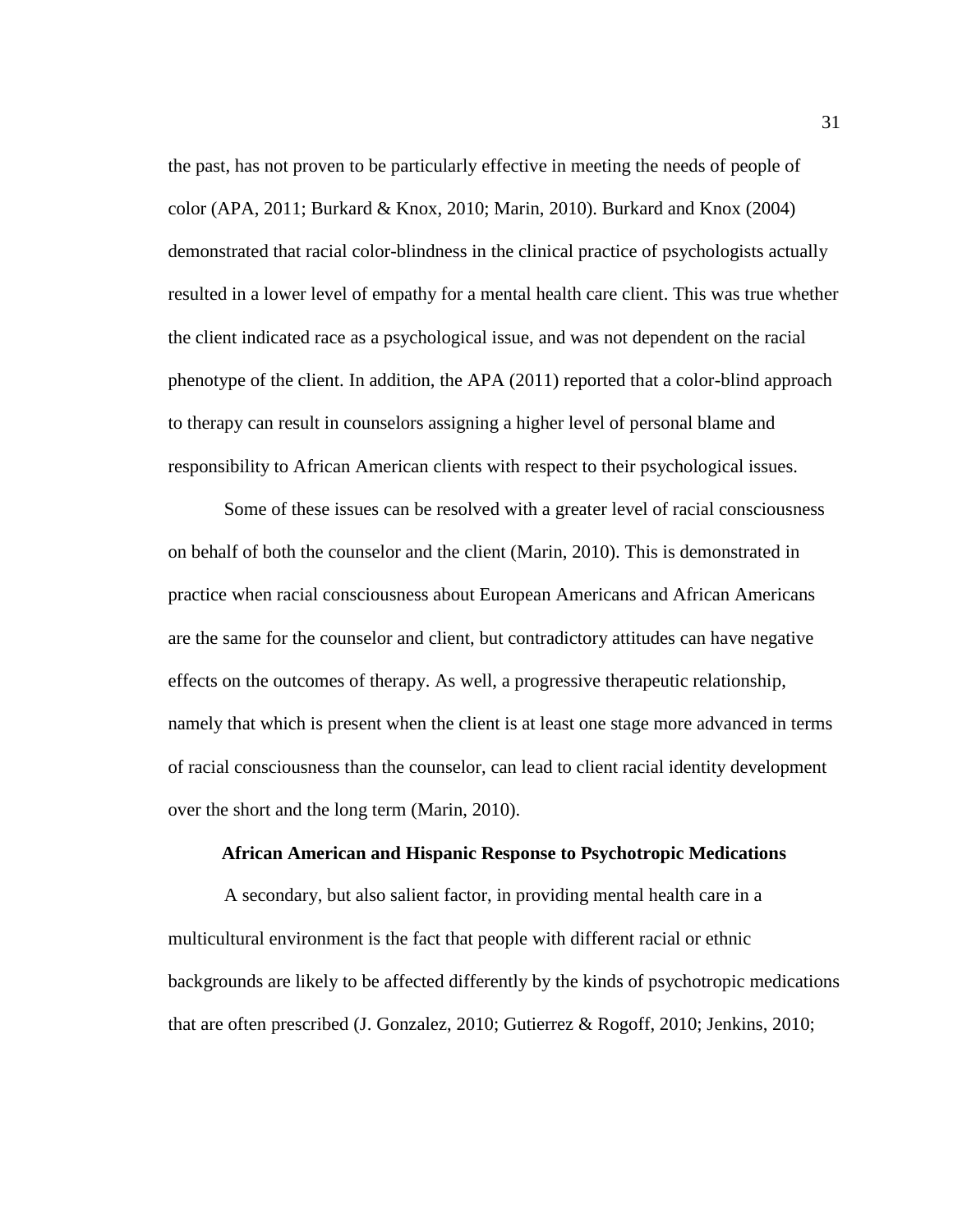the past, has not proven to be particularly effective in meeting the needs of people of color (APA, 2011; Burkard & Knox, 2010; Marin, 2010). Burkard and Knox (2004) demonstrated that racial color-blindness in the clinical practice of psychologists actually resulted in a lower level of empathy for a mental health care client. This was true whether the client indicated race as a psychological issue, and was not dependent on the racial phenotype of the client. In addition, the APA (2011) reported that a color-blind approach to therapy can result in counselors assigning a higher level of personal blame and responsibility to African American clients with respect to their psychological issues.

Some of these issues can be resolved with a greater level of racial consciousness on behalf of both the counselor and the client (Marin, 2010). This is demonstrated in practice when racial consciousness about European Americans and African Americans are the same for the counselor and client, but contradictory attitudes can have negative effects on the outcomes of therapy. As well, a progressive therapeutic relationship, namely that which is present when the client is at least one stage more advanced in terms of racial consciousness than the counselor, can lead to client racial identity development over the short and the long term (Marin, 2010).

#### **African American and Hispanic Response to Psychotropic Medications**

A secondary, but also salient factor, in providing mental health care in a multicultural environment is the fact that people with different racial or ethnic backgrounds are likely to be affected differently by the kinds of psychotropic medications that are often prescribed (J. Gonzalez, 2010; Gutierrez & Rogoff, 2010; Jenkins, 2010;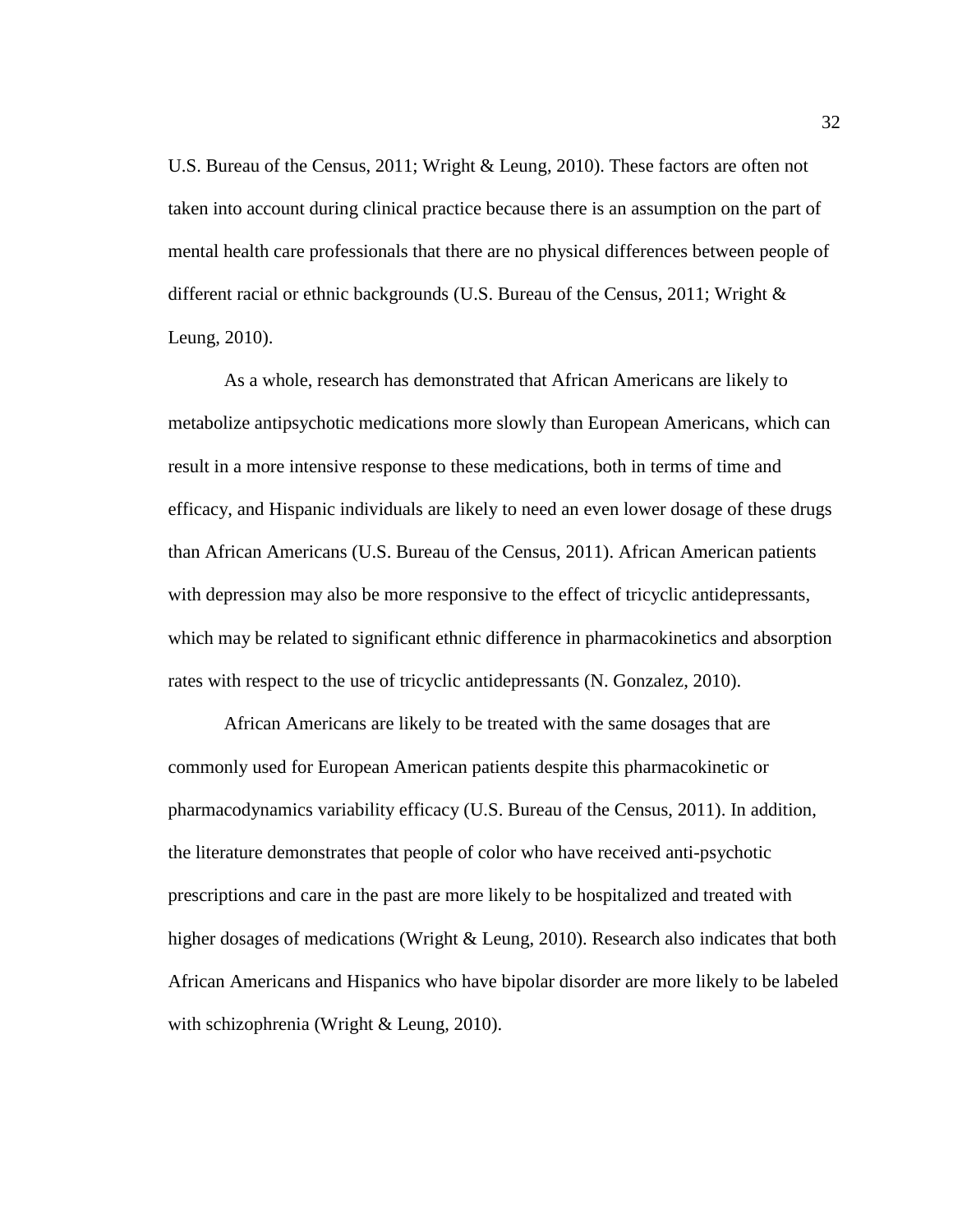U.S. Bureau of the Census, 2011; Wright & Leung, 2010). These factors are often not taken into account during clinical practice because there is an assumption on the part of mental health care professionals that there are no physical differences between people of different racial or ethnic backgrounds (U.S. Bureau of the Census, 2011; Wright & Leung, 2010).

As a whole, research has demonstrated that African Americans are likely to metabolize antipsychotic medications more slowly than European Americans, which can result in a more intensive response to these medications, both in terms of time and efficacy, and Hispanic individuals are likely to need an even lower dosage of these drugs than African Americans (U.S. Bureau of the Census, 2011). African American patients with depression may also be more responsive to the effect of tricyclic antidepressants, which may be related to significant ethnic difference in pharmacokinetics and absorption rates with respect to the use of tricyclic antidepressants (N. Gonzalez, 2010).

African Americans are likely to be treated with the same dosages that are commonly used for European American patients despite this pharmacokinetic or pharmacodynamics variability efficacy (U.S. Bureau of the Census, 2011). In addition, the literature demonstrates that people of color who have received anti-psychotic prescriptions and care in the past are more likely to be hospitalized and treated with higher dosages of medications (Wright & Leung, 2010). Research also indicates that both African Americans and Hispanics who have bipolar disorder are more likely to be labeled with schizophrenia (Wright & Leung, 2010).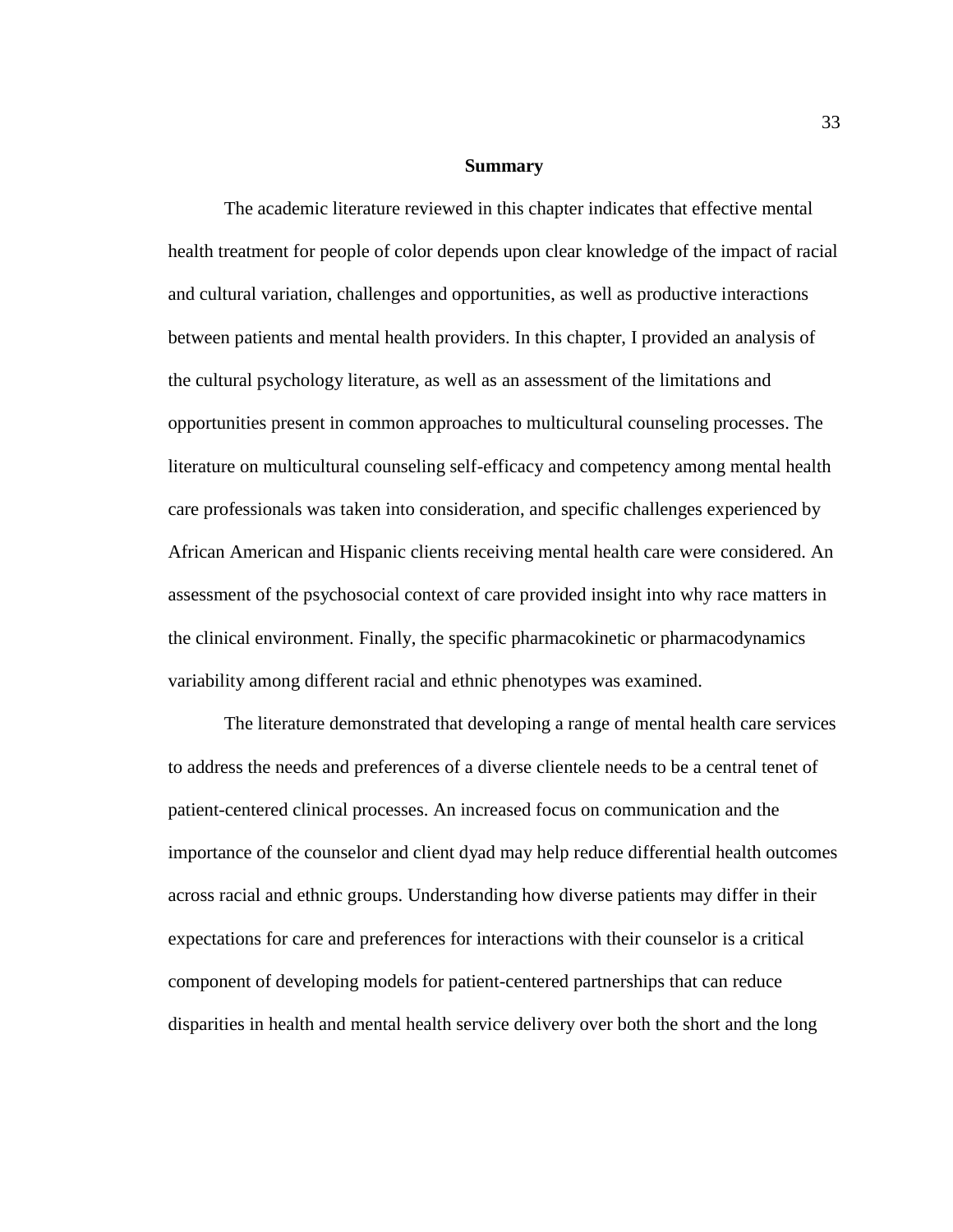#### **Summary**

The academic literature reviewed in this chapter indicates that effective mental health treatment for people of color depends upon clear knowledge of the impact of racial and cultural variation, challenges and opportunities, as well as productive interactions between patients and mental health providers. In this chapter, I provided an analysis of the cultural psychology literature, as well as an assessment of the limitations and opportunities present in common approaches to multicultural counseling processes. The literature on multicultural counseling self-efficacy and competency among mental health care professionals was taken into consideration, and specific challenges experienced by African American and Hispanic clients receiving mental health care were considered. An assessment of the psychosocial context of care provided insight into why race matters in the clinical environment. Finally, the specific pharmacokinetic or pharmacodynamics variability among different racial and ethnic phenotypes was examined.

The literature demonstrated that developing a range of mental health care services to address the needs and preferences of a diverse clientele needs to be a central tenet of patient-centered clinical processes. An increased focus on communication and the importance of the counselor and client dyad may help reduce differential health outcomes across racial and ethnic groups. Understanding how diverse patients may differ in their expectations for care and preferences for interactions with their counselor is a critical component of developing models for patient-centered partnerships that can reduce disparities in health and mental health service delivery over both the short and the long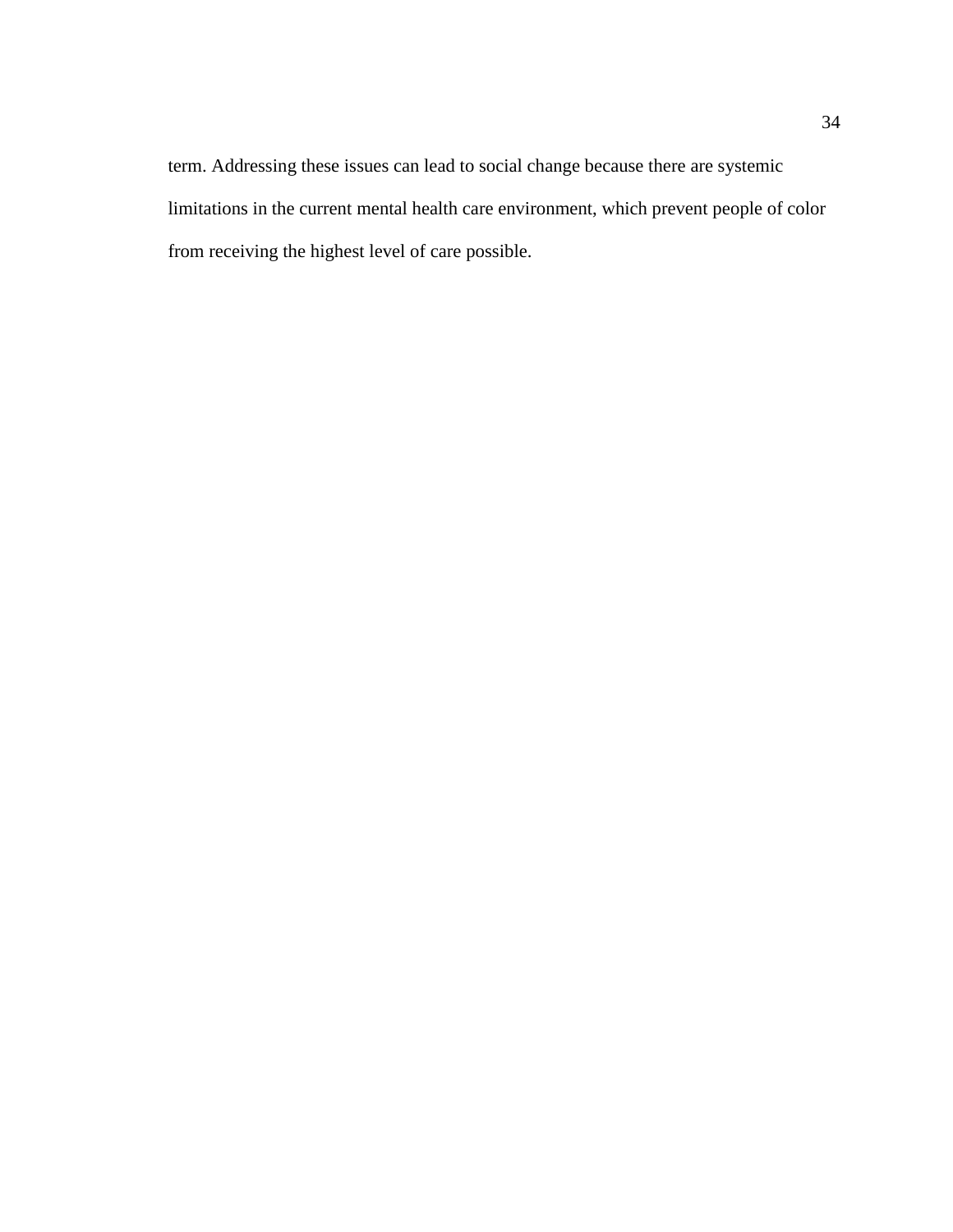term. Addressing these issues can lead to social change because there are systemic limitations in the current mental health care environment, which prevent people of color from receiving the highest level of care possible.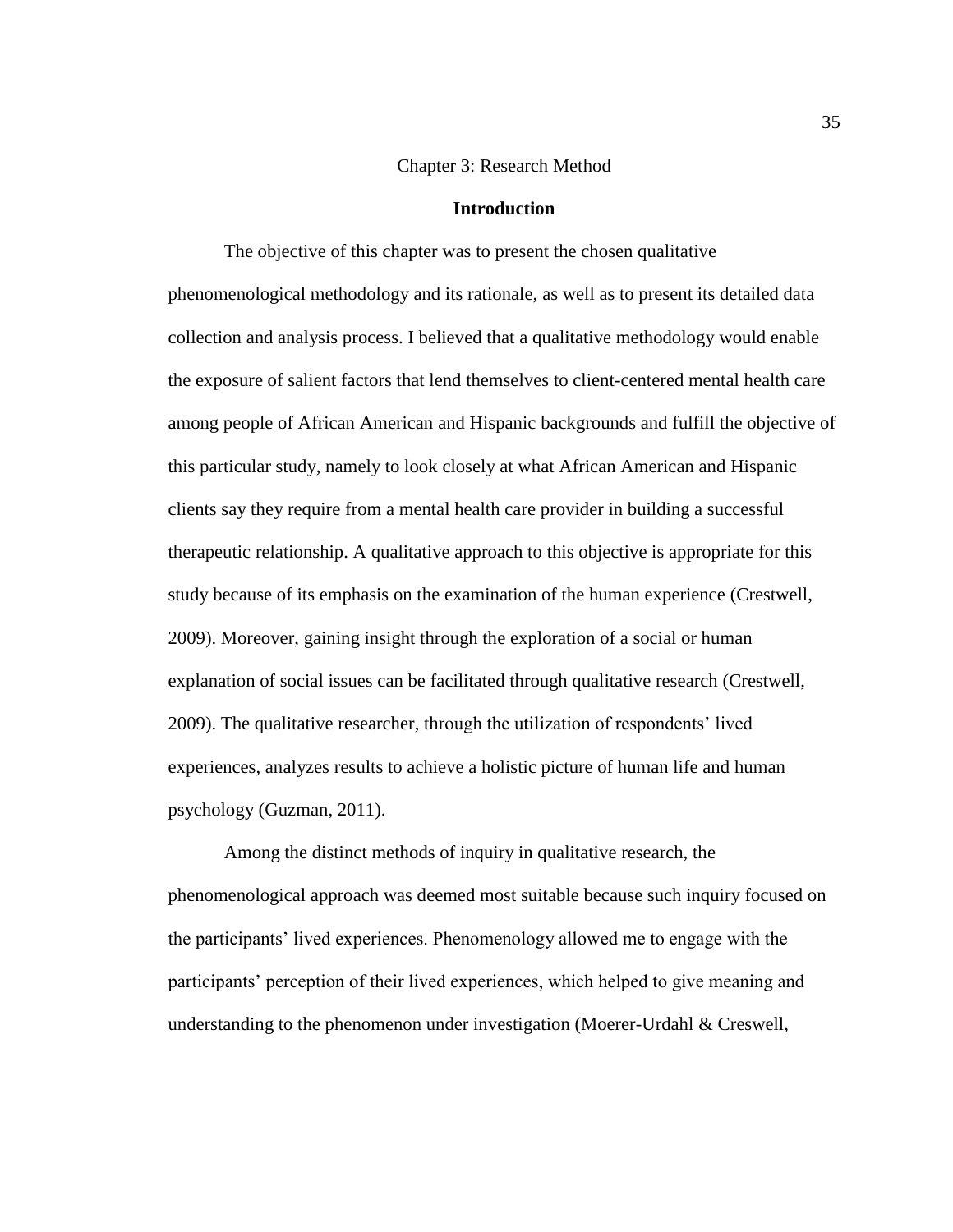## Chapter 3: Research Method

### **Introduction**

The objective of this chapter was to present the chosen qualitative phenomenological methodology and its rationale, as well as to present its detailed data collection and analysis process. I believed that a qualitative methodology would enable the exposure of salient factors that lend themselves to client-centered mental health care among people of African American and Hispanic backgrounds and fulfill the objective of this particular study, namely to look closely at what African American and Hispanic clients say they require from a mental health care provider in building a successful therapeutic relationship. A qualitative approach to this objective is appropriate for this study because of its emphasis on the examination of the human experience (Crestwell, 2009). Moreover, gaining insight through the exploration of a social or human explanation of social issues can be facilitated through qualitative research (Crestwell, 2009). The qualitative researcher, through the utilization of respondents' lived experiences, analyzes results to achieve a holistic picture of human life and human psychology (Guzman, 2011).

Among the distinct methods of inquiry in qualitative research, the phenomenological approach was deemed most suitable because such inquiry focused on the participants' lived experiences. Phenomenology allowed me to engage with the participants' perception of their lived experiences, which helped to give meaning and understanding to the phenomenon under investigation (Moerer-Urdahl & Creswell,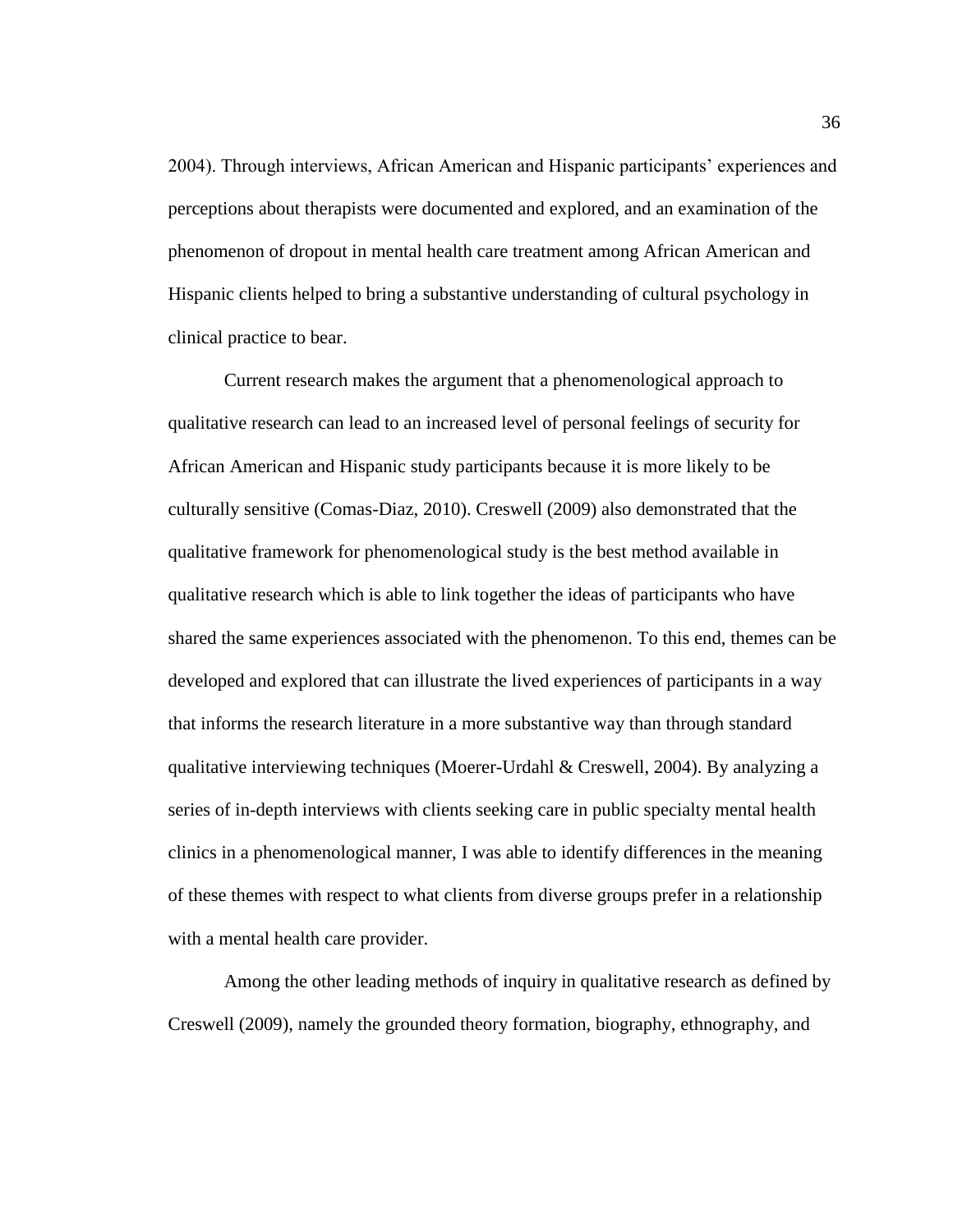2004). Through interviews, African American and Hispanic participants' experiences and perceptions about therapists were documented and explored, and an examination of the phenomenon of dropout in mental health care treatment among African American and Hispanic clients helped to bring a substantive understanding of cultural psychology in clinical practice to bear.

Current research makes the argument that a phenomenological approach to qualitative research can lead to an increased level of personal feelings of security for African American and Hispanic study participants because it is more likely to be culturally sensitive (Comas-Diaz, 2010). Creswell (2009) also demonstrated that the qualitative framework for phenomenological study is the best method available in qualitative research which is able to link together the ideas of participants who have shared the same experiences associated with the phenomenon. To this end, themes can be developed and explored that can illustrate the lived experiences of participants in a way that informs the research literature in a more substantive way than through standard qualitative interviewing techniques (Moerer-Urdahl & Creswell, 2004). By analyzing a series of in-depth interviews with clients seeking care in public specialty mental health clinics in a phenomenological manner, I was able to identify differences in the meaning of these themes with respect to what clients from diverse groups prefer in a relationship with a mental health care provider.

Among the other leading methods of inquiry in qualitative research as defined by Creswell (2009), namely the grounded theory formation, biography, ethnography, and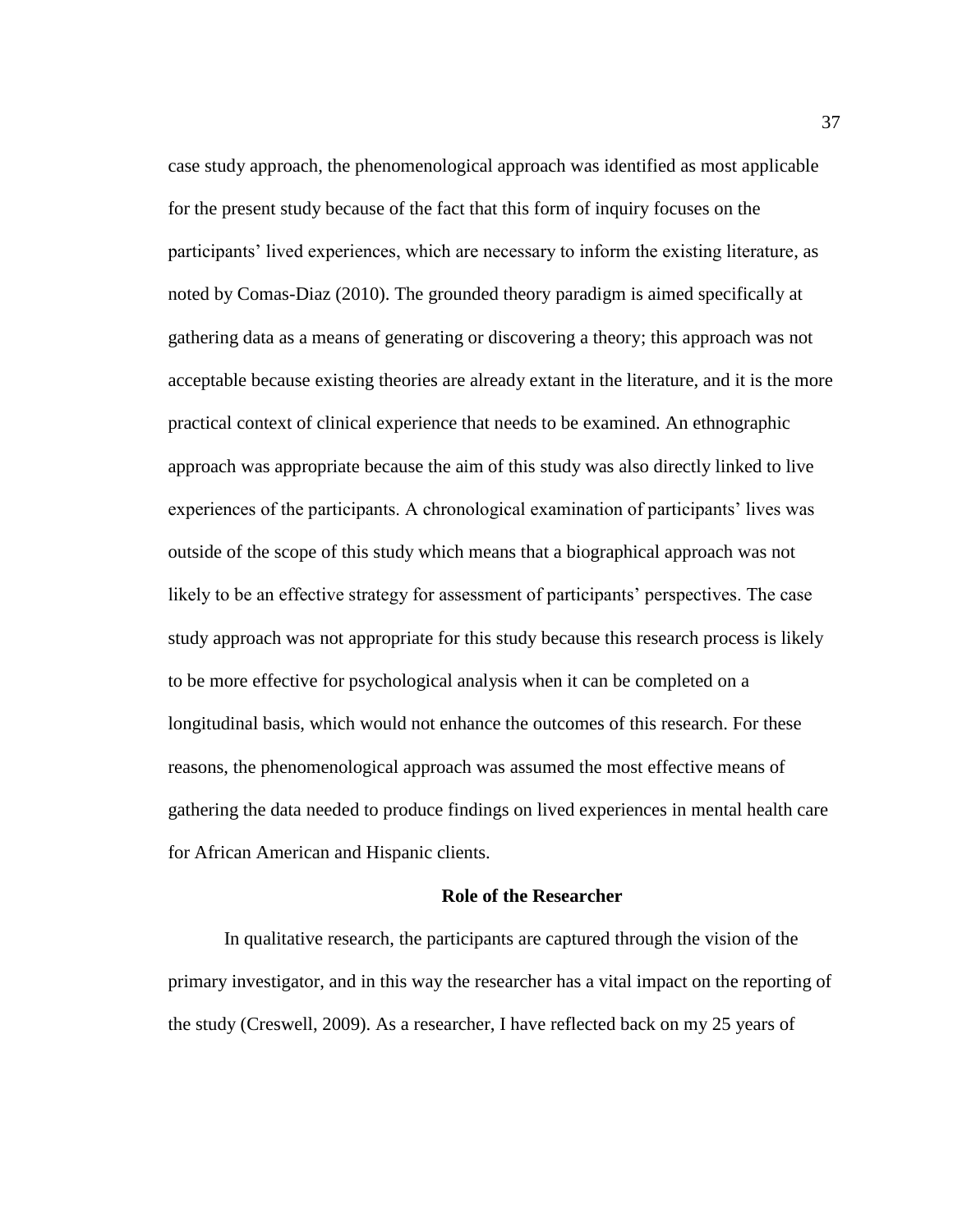case study approach, the phenomenological approach was identified as most applicable for the present study because of the fact that this form of inquiry focuses on the participants' lived experiences, which are necessary to inform the existing literature, as noted by Comas-Diaz (2010). The grounded theory paradigm is aimed specifically at gathering data as a means of generating or discovering a theory; this approach was not acceptable because existing theories are already extant in the literature, and it is the more practical context of clinical experience that needs to be examined. An ethnographic approach was appropriate because the aim of this study was also directly linked to live experiences of the participants. A chronological examination of participants' lives was outside of the scope of this study which means that a biographical approach was not likely to be an effective strategy for assessment of participants' perspectives. The case study approach was not appropriate for this study because this research process is likely to be more effective for psychological analysis when it can be completed on a longitudinal basis, which would not enhance the outcomes of this research. For these reasons, the phenomenological approach was assumed the most effective means of gathering the data needed to produce findings on lived experiences in mental health care for African American and Hispanic clients.

#### **Role of the Researcher**

In qualitative research, the participants are captured through the vision of the primary investigator, and in this way the researcher has a vital impact on the reporting of the study (Creswell, 2009). As a researcher, I have reflected back on my 25 years of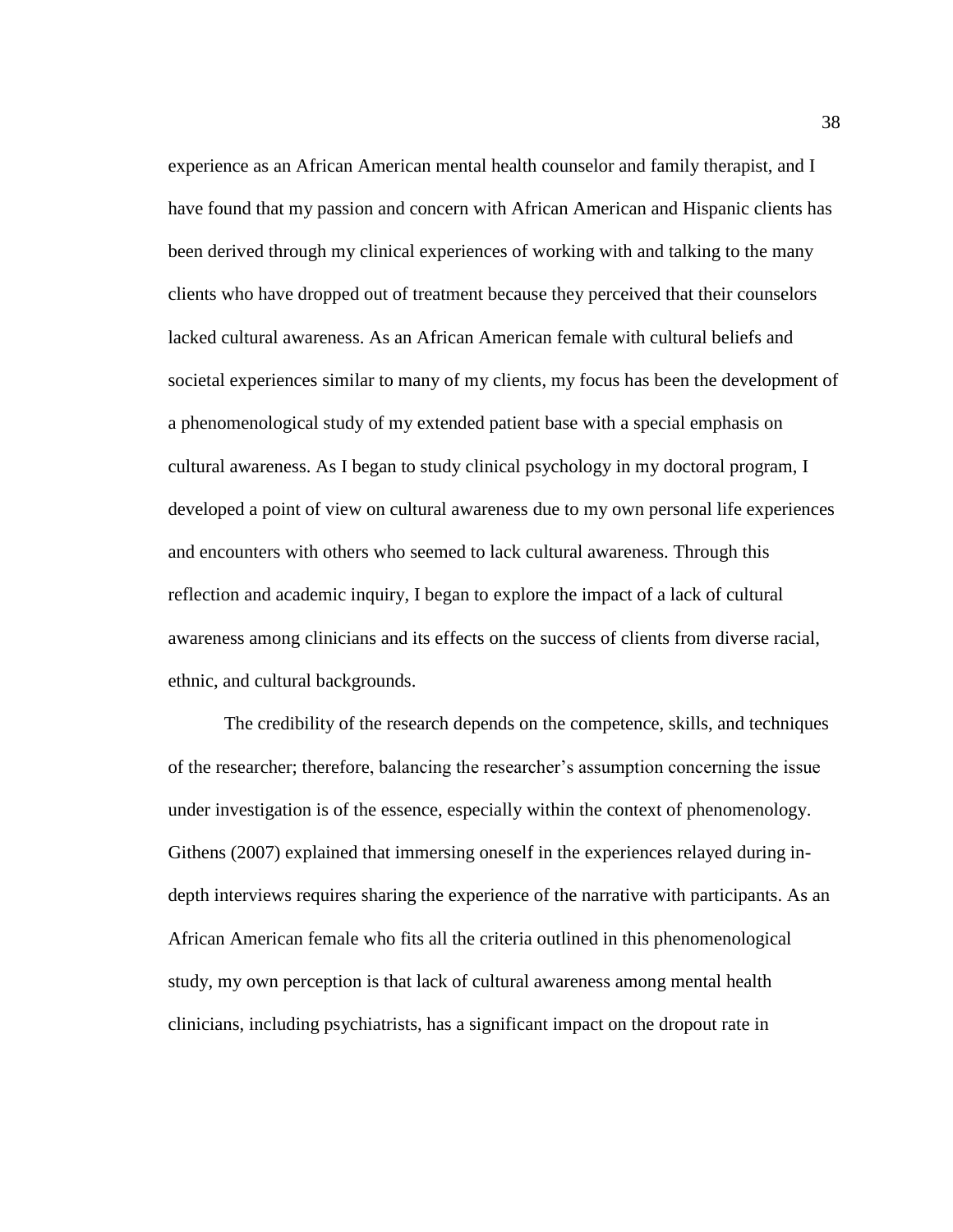experience as an African American mental health counselor and family therapist, and I have found that my passion and concern with African American and Hispanic clients has been derived through my clinical experiences of working with and talking to the many clients who have dropped out of treatment because they perceived that their counselors lacked cultural awareness. As an African American female with cultural beliefs and societal experiences similar to many of my clients, my focus has been the development of a phenomenological study of my extended patient base with a special emphasis on cultural awareness. As I began to study clinical psychology in my doctoral program, I developed a point of view on cultural awareness due to my own personal life experiences and encounters with others who seemed to lack cultural awareness. Through this reflection and academic inquiry, I began to explore the impact of a lack of cultural awareness among clinicians and its effects on the success of clients from diverse racial, ethnic, and cultural backgrounds.

The credibility of the research depends on the competence, skills, and techniques of the researcher; therefore, balancing the researcher's assumption concerning the issue under investigation is of the essence, especially within the context of phenomenology. Githens (2007) explained that immersing oneself in the experiences relayed during indepth interviews requires sharing the experience of the narrative with participants. As an African American female who fits all the criteria outlined in this phenomenological study, my own perception is that lack of cultural awareness among mental health clinicians, including psychiatrists, has a significant impact on the dropout rate in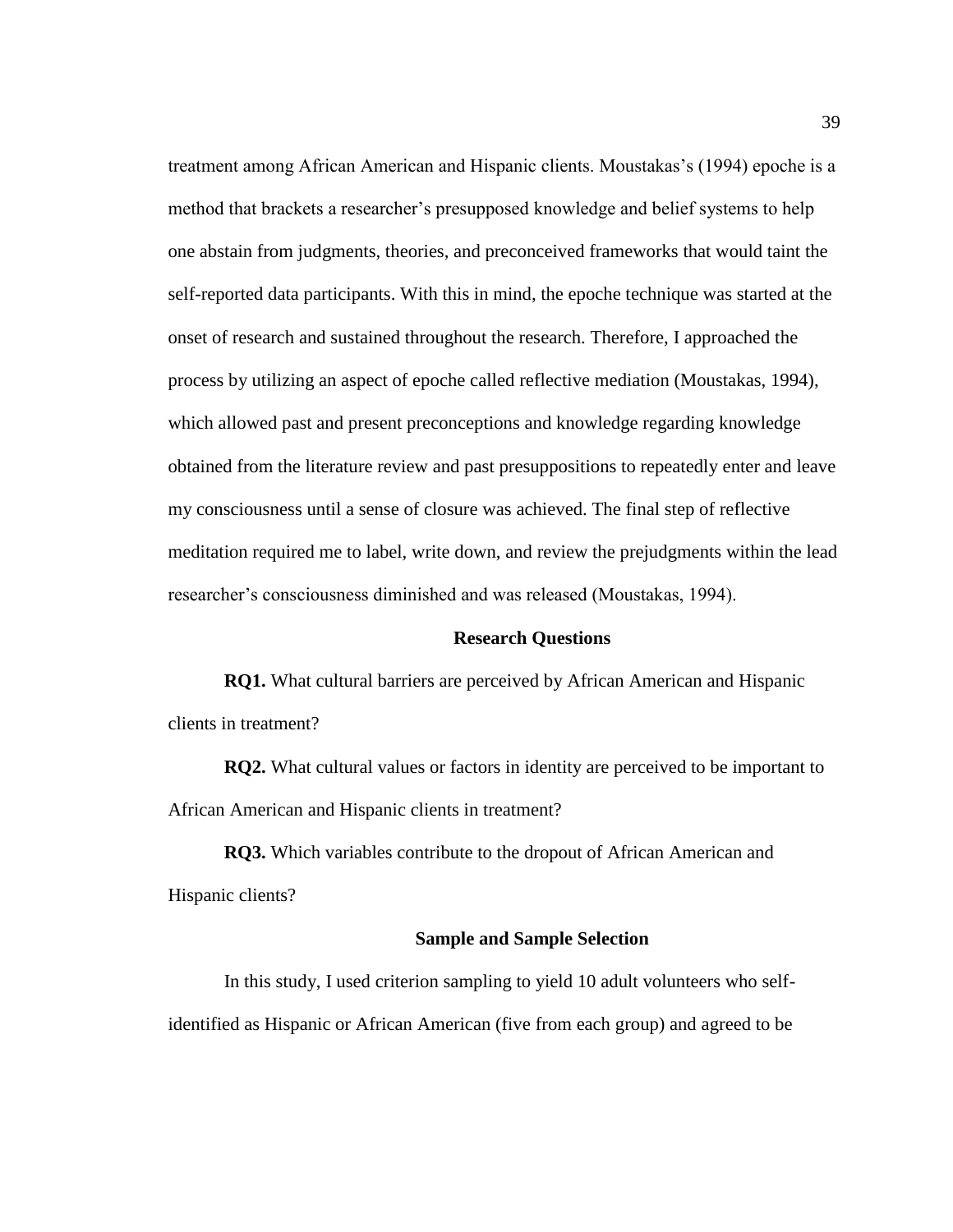treatment among African American and Hispanic clients. Moustakas's (1994) epoche is a method that brackets a researcher's presupposed knowledge and belief systems to help one abstain from judgments, theories, and preconceived frameworks that would taint the self-reported data participants. With this in mind, the epoche technique was started at the onset of research and sustained throughout the research. Therefore, I approached the process by utilizing an aspect of epoche called reflective mediation (Moustakas, 1994), which allowed past and present preconceptions and knowledge regarding knowledge obtained from the literature review and past presuppositions to repeatedly enter and leave my consciousness until a sense of closure was achieved. The final step of reflective meditation required me to label, write down, and review the prejudgments within the lead researcher's consciousness diminished and was released (Moustakas, 1994).

### **Research Questions**

**RQ1.** What cultural barriers are perceived by African American and Hispanic clients in treatment?

**RQ2.** What cultural values or factors in identity are perceived to be important to African American and Hispanic clients in treatment?

**RQ3.** Which variables contribute to the dropout of African American and Hispanic clients?

#### **Sample and Sample Selection**

In this study, I used criterion sampling to yield 10 adult volunteers who selfidentified as Hispanic or African American (five from each group) and agreed to be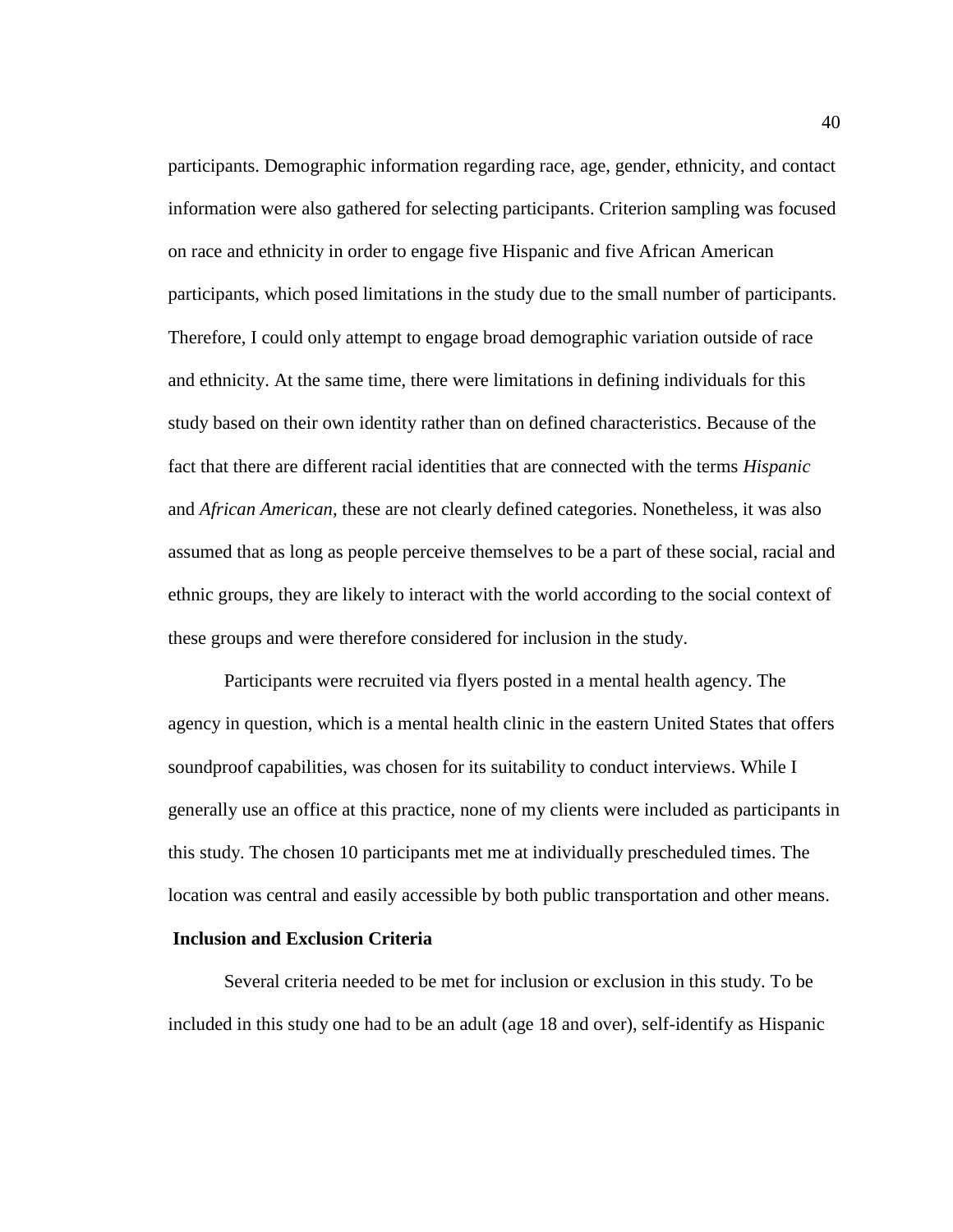participants. Demographic information regarding race, age, gender, ethnicity, and contact information were also gathered for selecting participants. Criterion sampling was focused on race and ethnicity in order to engage five Hispanic and five African American participants, which posed limitations in the study due to the small number of participants. Therefore, I could only attempt to engage broad demographic variation outside of race and ethnicity. At the same time, there were limitations in defining individuals for this study based on their own identity rather than on defined characteristics. Because of the fact that there are different racial identities that are connected with the terms *Hispanic* and *African American,* these are not clearly defined categories. Nonetheless, it was also assumed that as long as people perceive themselves to be a part of these social, racial and ethnic groups, they are likely to interact with the world according to the social context of these groups and were therefore considered for inclusion in the study.

Participants were recruited via flyers posted in a mental health agency. The agency in question, which is a mental health clinic in the eastern United States that offers soundproof capabilities, was chosen for its suitability to conduct interviews. While I generally use an office at this practice, none of my clients were included as participants in this study. The chosen 10 participants met me at individually prescheduled times. The location was central and easily accessible by both public transportation and other means.

## **Inclusion and Exclusion Criteria**

Several criteria needed to be met for inclusion or exclusion in this study. To be included in this study one had to be an adult (age 18 and over), self-identify as Hispanic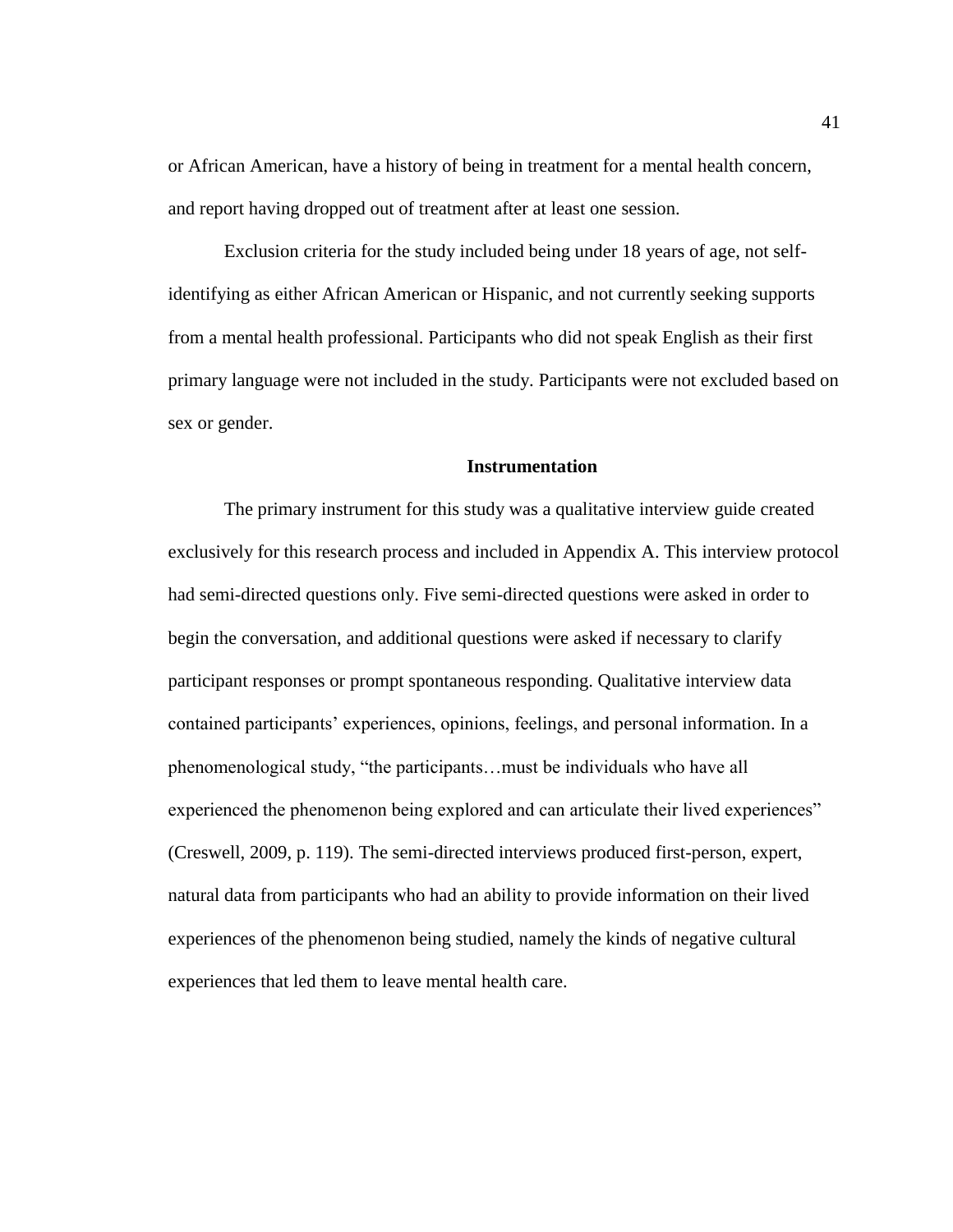or African American, have a history of being in treatment for a mental health concern, and report having dropped out of treatment after at least one session.

Exclusion criteria for the study included being under 18 years of age, not selfidentifying as either African American or Hispanic, and not currently seeking supports from a mental health professional. Participants who did not speak English as their first primary language were not included in the study. Participants were not excluded based on sex or gender.

#### **Instrumentation**

The primary instrument for this study was a qualitative interview guide created exclusively for this research process and included in Appendix A. This interview protocol had semi-directed questions only. Five semi-directed questions were asked in order to begin the conversation, and additional questions were asked if necessary to clarify participant responses or prompt spontaneous responding. Qualitative interview data contained participants' experiences, opinions, feelings, and personal information. In a phenomenological study, "the participants…must be individuals who have all experienced the phenomenon being explored and can articulate their lived experiences" (Creswell, 2009, p. 119). The semi-directed interviews produced first-person, expert, natural data from participants who had an ability to provide information on their lived experiences of the phenomenon being studied, namely the kinds of negative cultural experiences that led them to leave mental health care.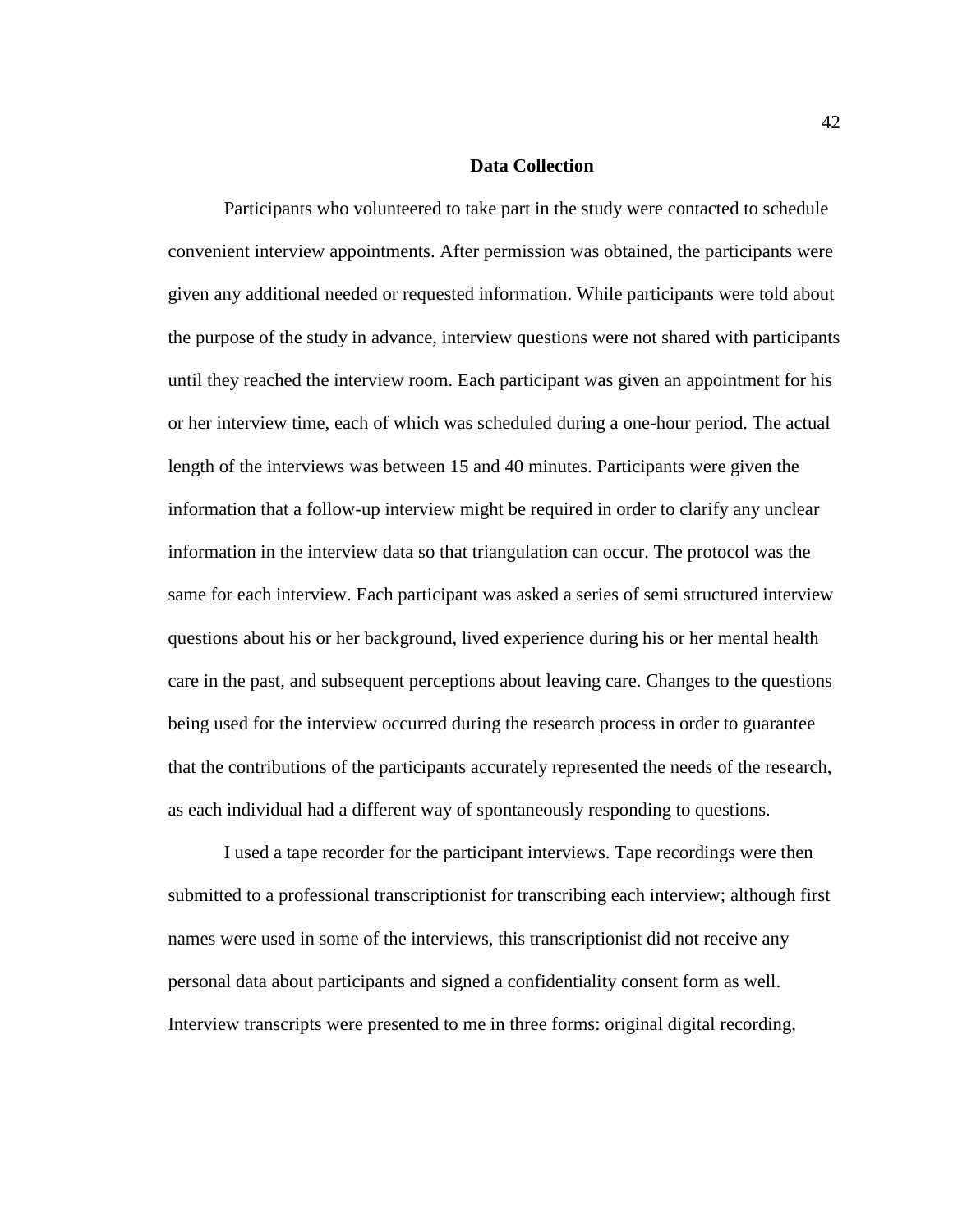#### **Data Collection**

Participants who volunteered to take part in the study were contacted to schedule convenient interview appointments. After permission was obtained, the participants were given any additional needed or requested information. While participants were told about the purpose of the study in advance, interview questions were not shared with participants until they reached the interview room. Each participant was given an appointment for his or her interview time, each of which was scheduled during a one-hour period. The actual length of the interviews was between 15 and 40 minutes. Participants were given the information that a follow-up interview might be required in order to clarify any unclear information in the interview data so that triangulation can occur. The protocol was the same for each interview. Each participant was asked a series of semi structured interview questions about his or her background, lived experience during his or her mental health care in the past, and subsequent perceptions about leaving care. Changes to the questions being used for the interview occurred during the research process in order to guarantee that the contributions of the participants accurately represented the needs of the research, as each individual had a different way of spontaneously responding to questions.

I used a tape recorder for the participant interviews. Tape recordings were then submitted to a professional transcriptionist for transcribing each interview; although first names were used in some of the interviews, this transcriptionist did not receive any personal data about participants and signed a confidentiality consent form as well. Interview transcripts were presented to me in three forms: original digital recording,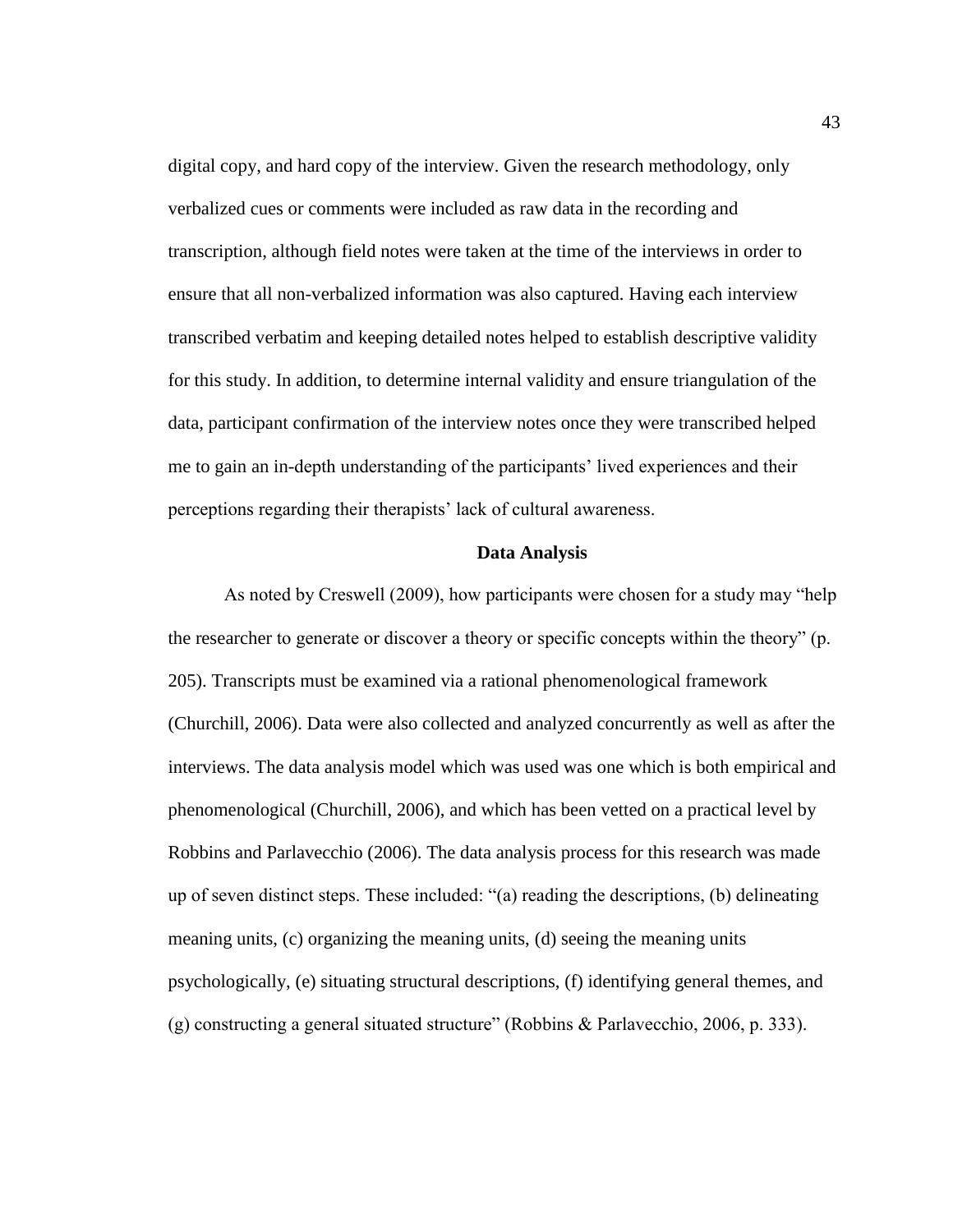digital copy, and hard copy of the interview. Given the research methodology, only verbalized cues or comments were included as raw data in the recording and transcription, although field notes were taken at the time of the interviews in order to ensure that all non-verbalized information was also captured. Having each interview transcribed verbatim and keeping detailed notes helped to establish descriptive validity for this study. In addition, to determine internal validity and ensure triangulation of the data, participant confirmation of the interview notes once they were transcribed helped me to gain an in-depth understanding of the participants' lived experiences and their perceptions regarding their therapists' lack of cultural awareness.

### **Data Analysis**

As noted by Creswell (2009), how participants were chosen for a study may "help the researcher to generate or discover a theory or specific concepts within the theory" (p. 205). Transcripts must be examined via a rational phenomenological framework (Churchill, 2006). Data were also collected and analyzed concurrently as well as after the interviews. The data analysis model which was used was one which is both empirical and phenomenological (Churchill, 2006), and which has been vetted on a practical level by Robbins and Parlavecchio (2006). The data analysis process for this research was made up of seven distinct steps. These included: "(a) reading the descriptions, (b) delineating meaning units, (c) organizing the meaning units, (d) seeing the meaning units psychologically, (e) situating structural descriptions, (f) identifying general themes, and (g) constructing a general situated structure" (Robbins & Parlavecchio, 2006, p. 333).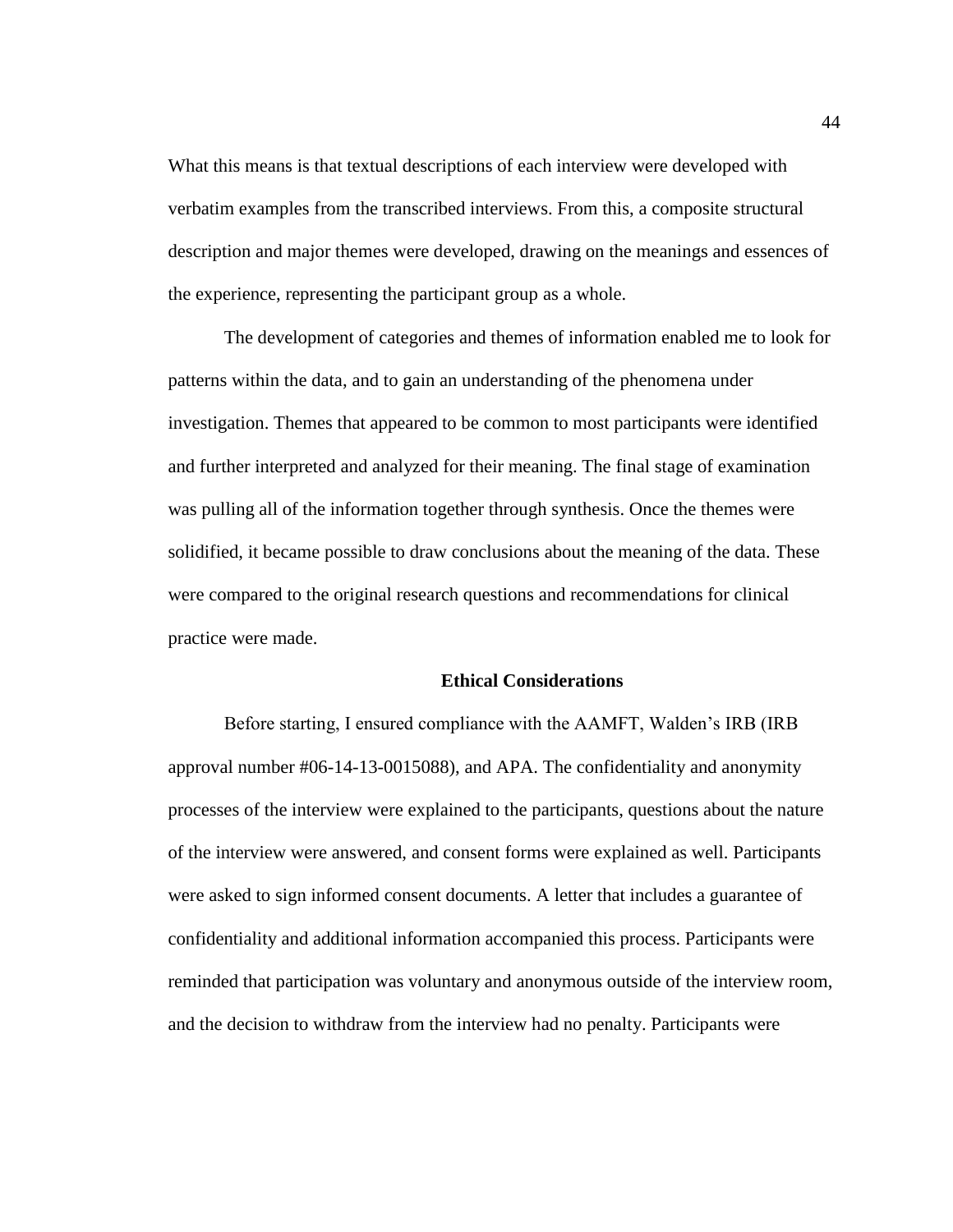What this means is that textual descriptions of each interview were developed with verbatim examples from the transcribed interviews. From this, a composite structural description and major themes were developed, drawing on the meanings and essences of the experience, representing the participant group as a whole.

The development of categories and themes of information enabled me to look for patterns within the data, and to gain an understanding of the phenomena under investigation. Themes that appeared to be common to most participants were identified and further interpreted and analyzed for their meaning. The final stage of examination was pulling all of the information together through synthesis. Once the themes were solidified, it became possible to draw conclusions about the meaning of the data. These were compared to the original research questions and recommendations for clinical practice were made.

#### **Ethical Considerations**

Before starting, I ensured compliance with the AAMFT, Walden's IRB (IRB approval number #06-14-13-0015088), and APA. The confidentiality and anonymity processes of the interview were explained to the participants, questions about the nature of the interview were answered, and consent forms were explained as well. Participants were asked to sign informed consent documents. A letter that includes a guarantee of confidentiality and additional information accompanied this process. Participants were reminded that participation was voluntary and anonymous outside of the interview room, and the decision to withdraw from the interview had no penalty. Participants were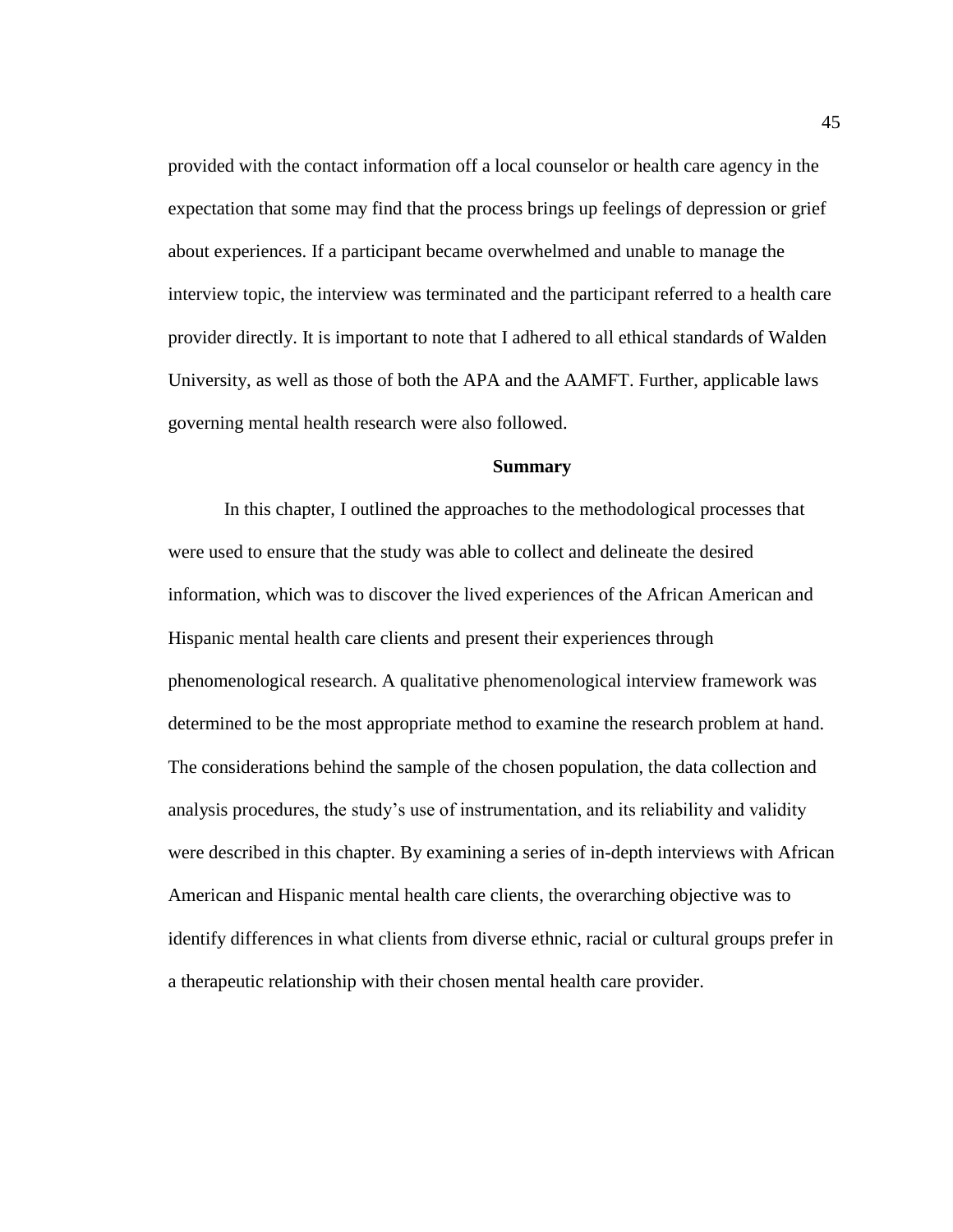provided with the contact information off a local counselor or health care agency in the expectation that some may find that the process brings up feelings of depression or grief about experiences. If a participant became overwhelmed and unable to manage the interview topic, the interview was terminated and the participant referred to a health care provider directly. It is important to note that I adhered to all ethical standards of Walden University, as well as those of both the APA and the AAMFT. Further, applicable laws governing mental health research were also followed.

#### **Summary**

In this chapter, I outlined the approaches to the methodological processes that were used to ensure that the study was able to collect and delineate the desired information, which was to discover the lived experiences of the African American and Hispanic mental health care clients and present their experiences through phenomenological research. A qualitative phenomenological interview framework was determined to be the most appropriate method to examine the research problem at hand. The considerations behind the sample of the chosen population, the data collection and analysis procedures, the study's use of instrumentation, and its reliability and validity were described in this chapter. By examining a series of in-depth interviews with African American and Hispanic mental health care clients, the overarching objective was to identify differences in what clients from diverse ethnic, racial or cultural groups prefer in a therapeutic relationship with their chosen mental health care provider.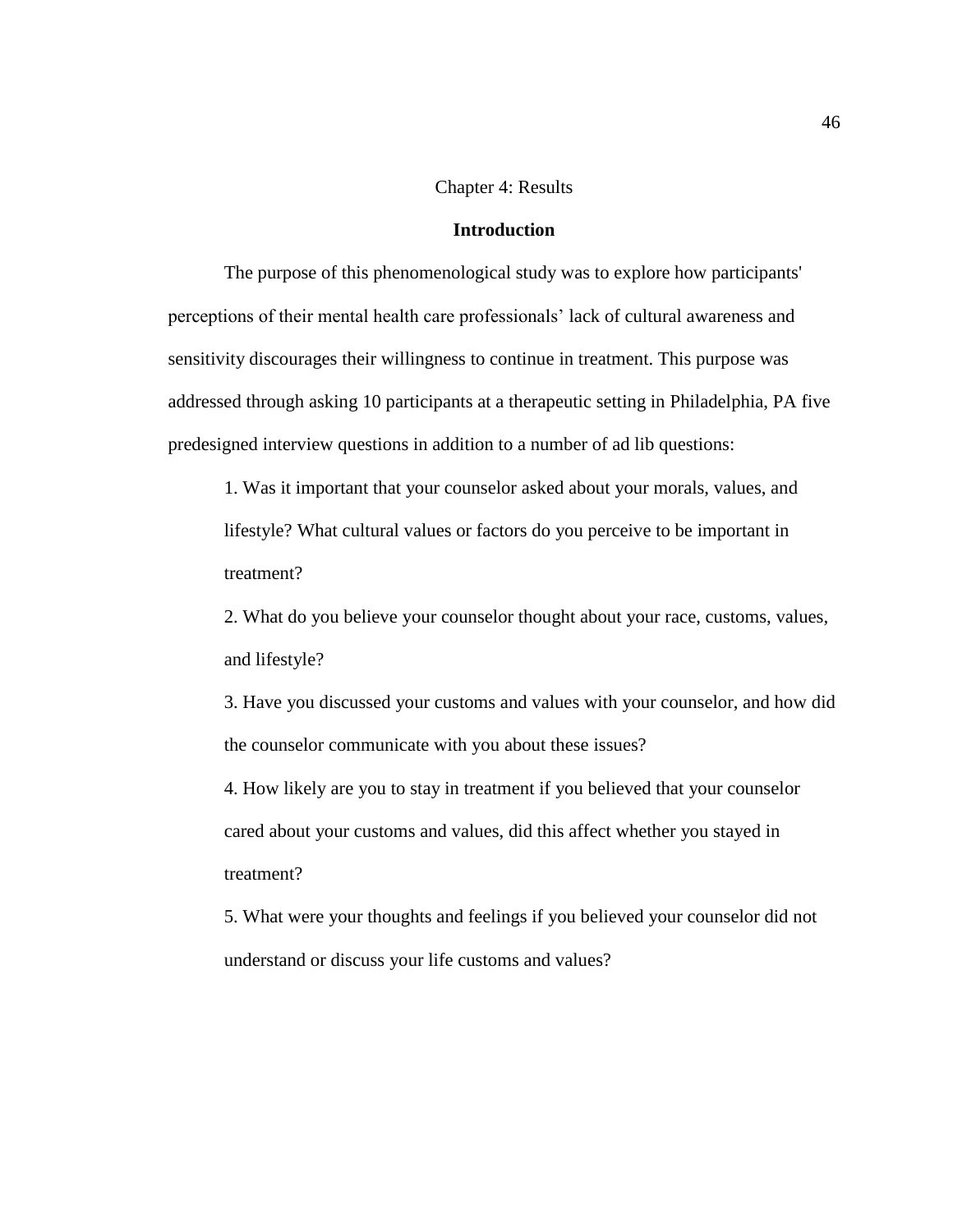#### Chapter 4: Results

# **Introduction**

The purpose of this phenomenological study was to explore how participants' perceptions of their mental health care professionals' lack of cultural awareness and sensitivity discourages their willingness to continue in treatment. This purpose was addressed through asking 10 participants at a therapeutic setting in Philadelphia, PA five predesigned interview questions in addition to a number of ad lib questions:

1. Was it important that your counselor asked about your morals, values, and lifestyle? What cultural values or factors do you perceive to be important in treatment?

2. What do you believe your counselor thought about your race, customs, values, and lifestyle?

3. Have you discussed your customs and values with your counselor, and how did the counselor communicate with you about these issues?

4. How likely are you to stay in treatment if you believed that your counselor cared about your customs and values, did this affect whether you stayed in treatment?

5. What were your thoughts and feelings if you believed your counselor did not understand or discuss your life customs and values?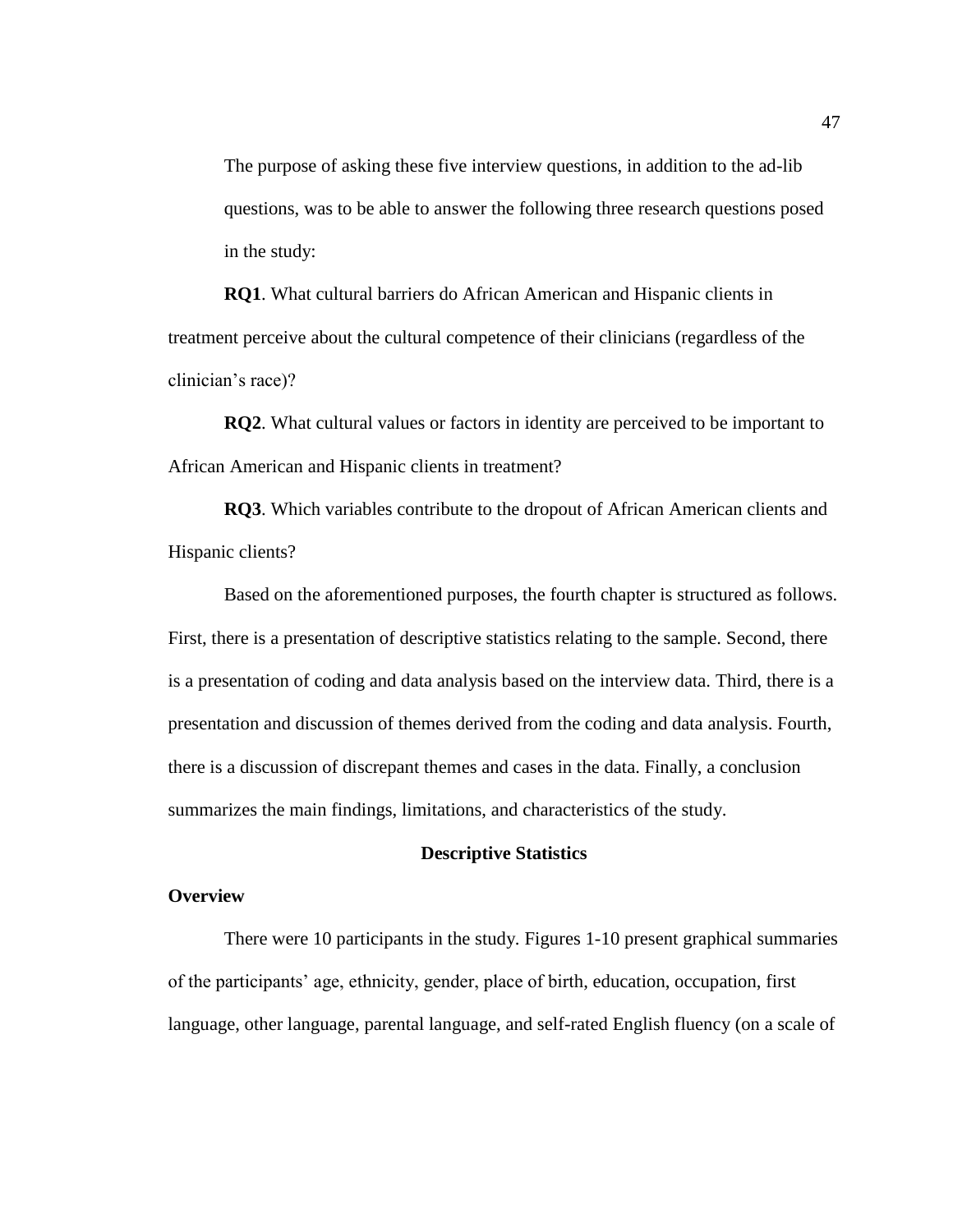The purpose of asking these five interview questions, in addition to the ad-lib questions, was to be able to answer the following three research questions posed in the study:

**RQ1**. What cultural barriers do African American and Hispanic clients in treatment perceive about the cultural competence of their clinicians (regardless of the clinician's race)?

**RQ2**. What cultural values or factors in identity are perceived to be important to African American and Hispanic clients in treatment?

**RQ3**. Which variables contribute to the dropout of African American clients and Hispanic clients?

Based on the aforementioned purposes, the fourth chapter is structured as follows. First, there is a presentation of descriptive statistics relating to the sample. Second, there is a presentation of coding and data analysis based on the interview data. Third, there is a presentation and discussion of themes derived from the coding and data analysis. Fourth, there is a discussion of discrepant themes and cases in the data. Finally, a conclusion summarizes the main findings, limitations, and characteristics of the study.

## **Descriptive Statistics**

# **Overview**

There were 10 participants in the study. Figures 1-10 present graphical summaries of the participants' age, ethnicity, gender, place of birth, education, occupation, first language, other language, parental language, and self-rated English fluency (on a scale of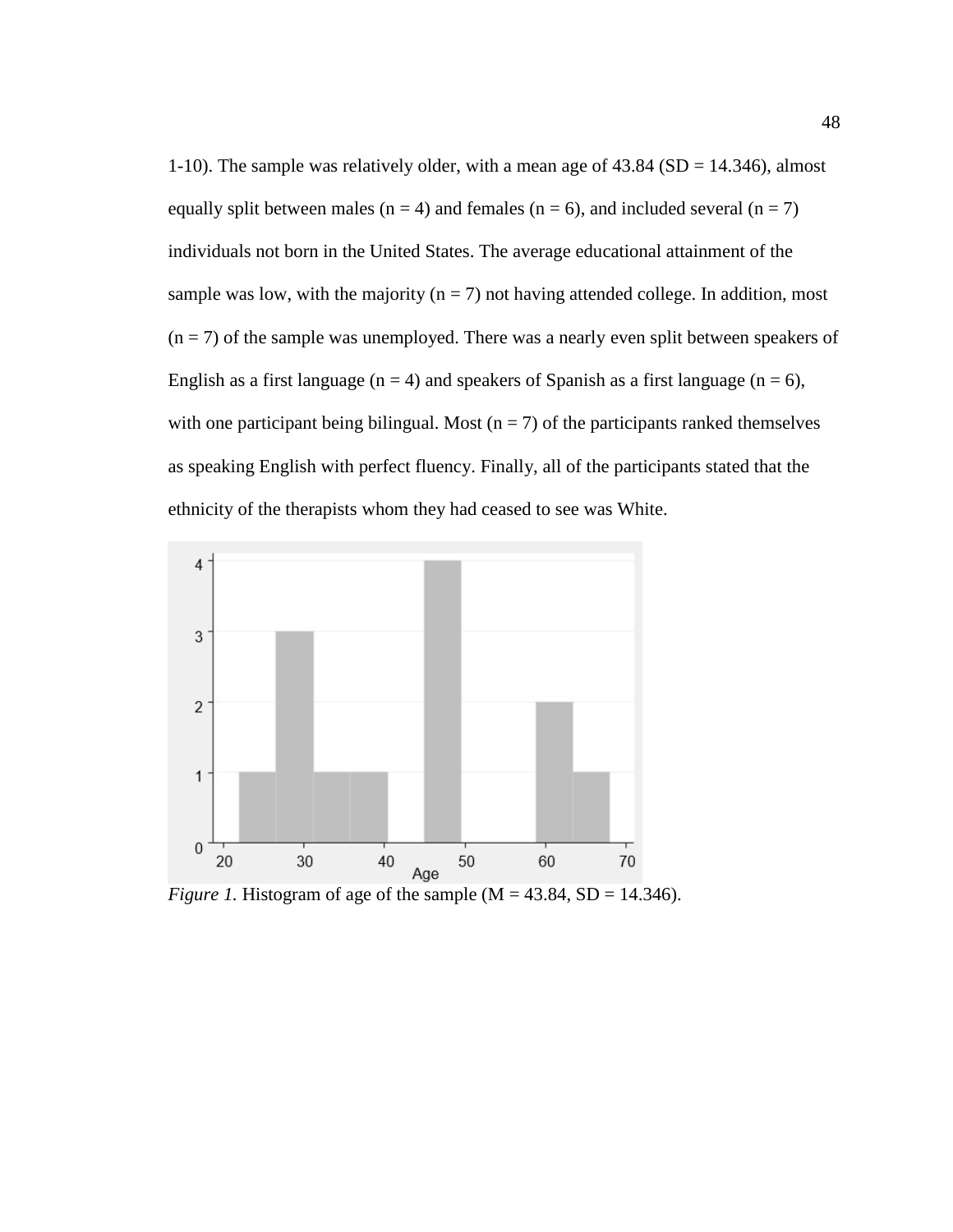1-10). The sample was relatively older, with a mean age of 43.84 (SD = 14.346), almost equally split between males ( $n = 4$ ) and females ( $n = 6$ ), and included several ( $n = 7$ ) individuals not born in the United States. The average educational attainment of the sample was low, with the majority ( $n = 7$ ) not having attended college. In addition, most  $(n = 7)$  of the sample was unemployed. There was a nearly even split between speakers of English as a first language ( $n = 4$ ) and speakers of Spanish as a first language ( $n = 6$ ), with one participant being bilingual. Most ( $n = 7$ ) of the participants ranked themselves as speaking English with perfect fluency. Finally, all of the participants stated that the ethnicity of the therapists whom they had ceased to see was White.



*Figure 1.* Histogram of age of the sample  $(M = 43.84, SD = 14.346)$ .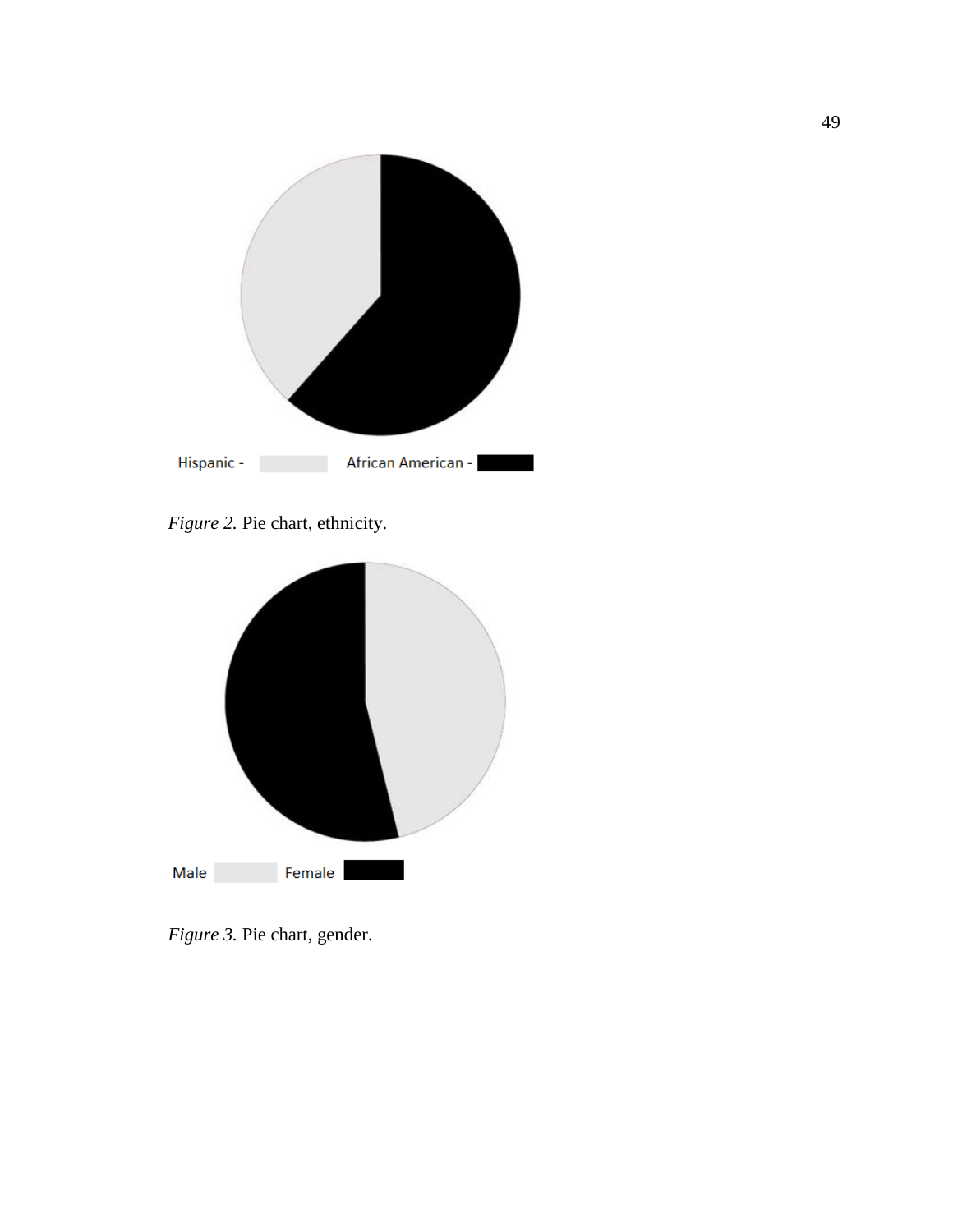

*Figure 2.* Pie chart, ethnicity.



*Figure 3.* Pie chart, gender.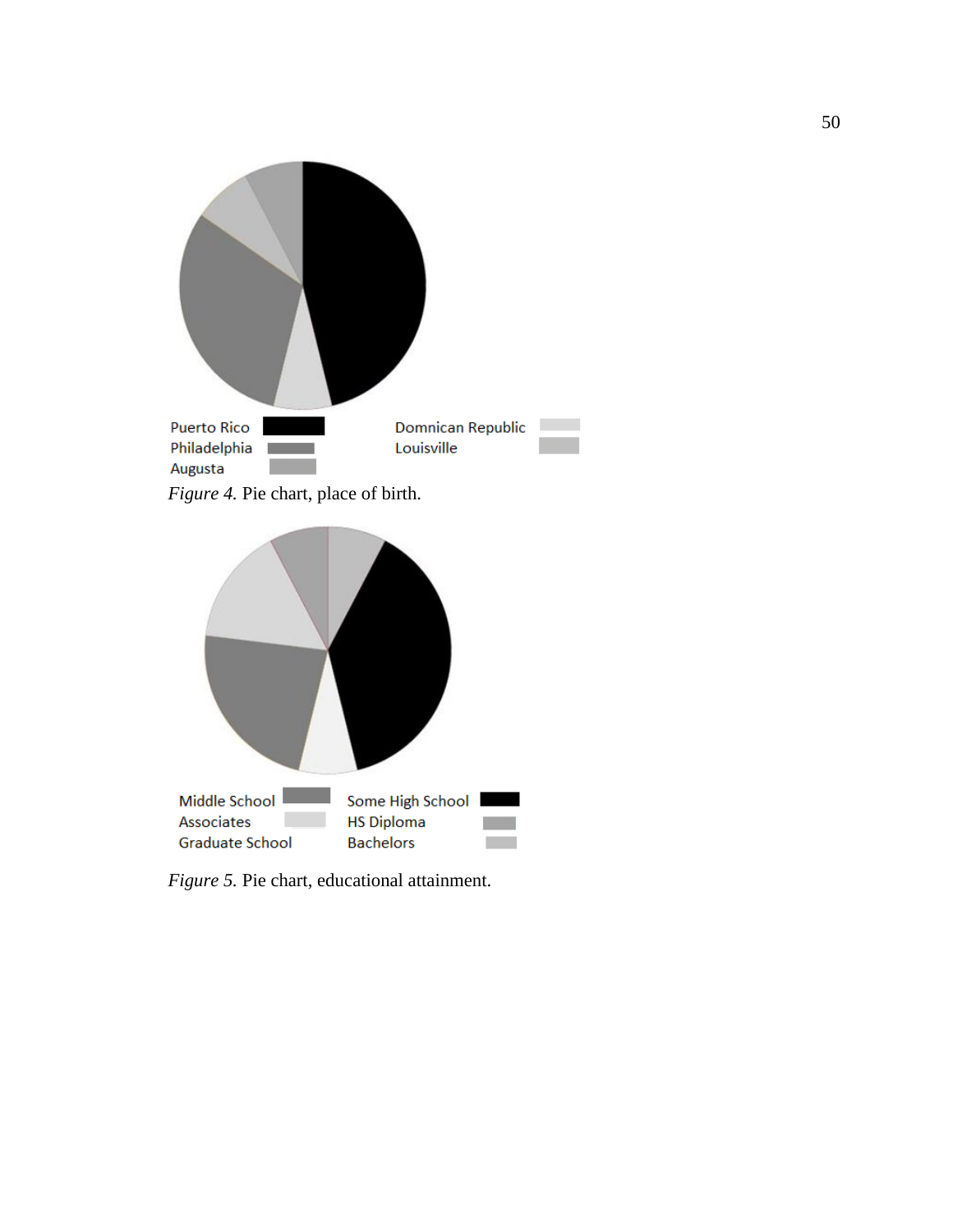

*Figure 4.* Pie chart, place of birth.



*Figure 5.* Pie chart, educational attainment.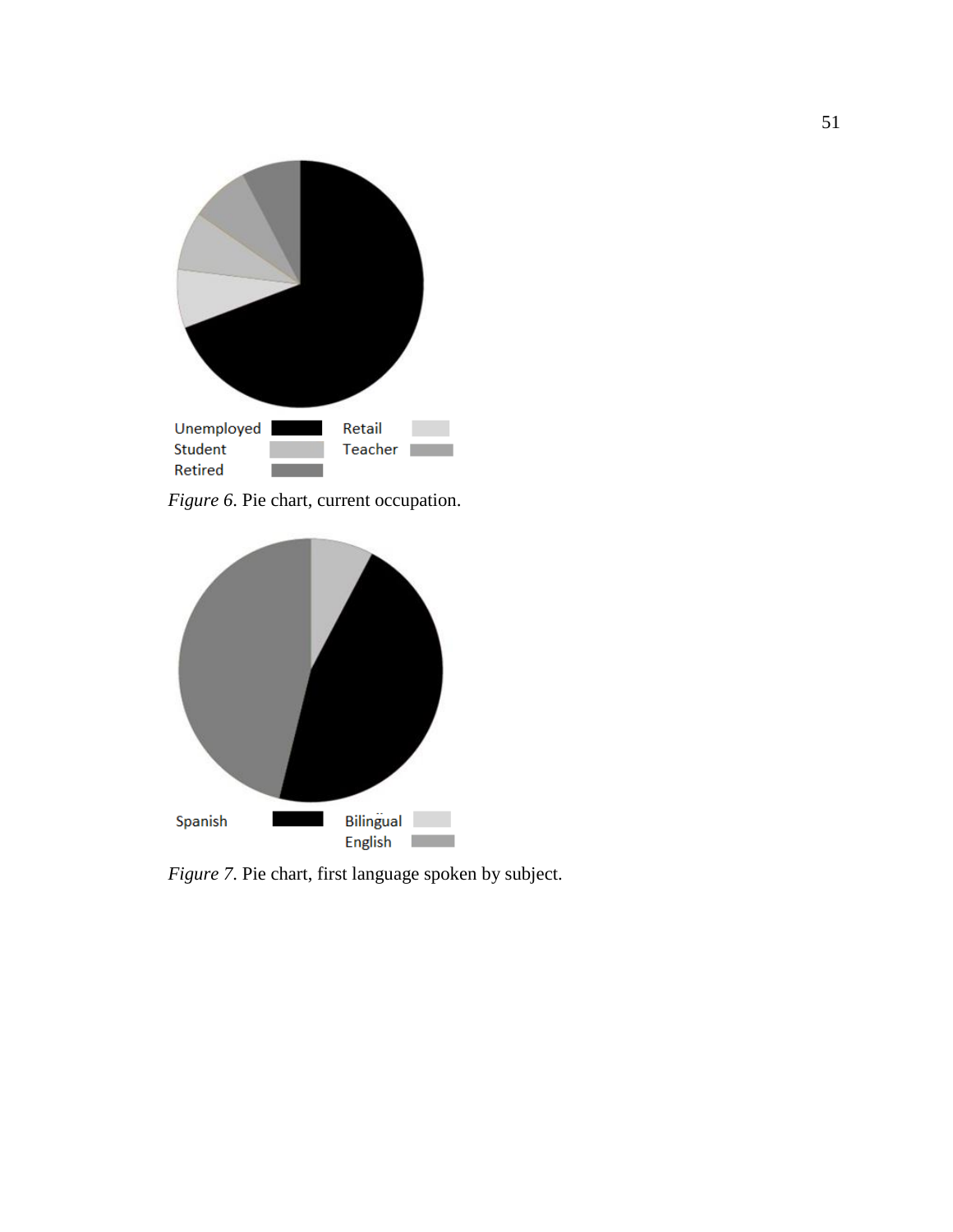

*Figure 6*. Pie chart, current occupation.



*Figure 7*. Pie chart, first language spoken by subject.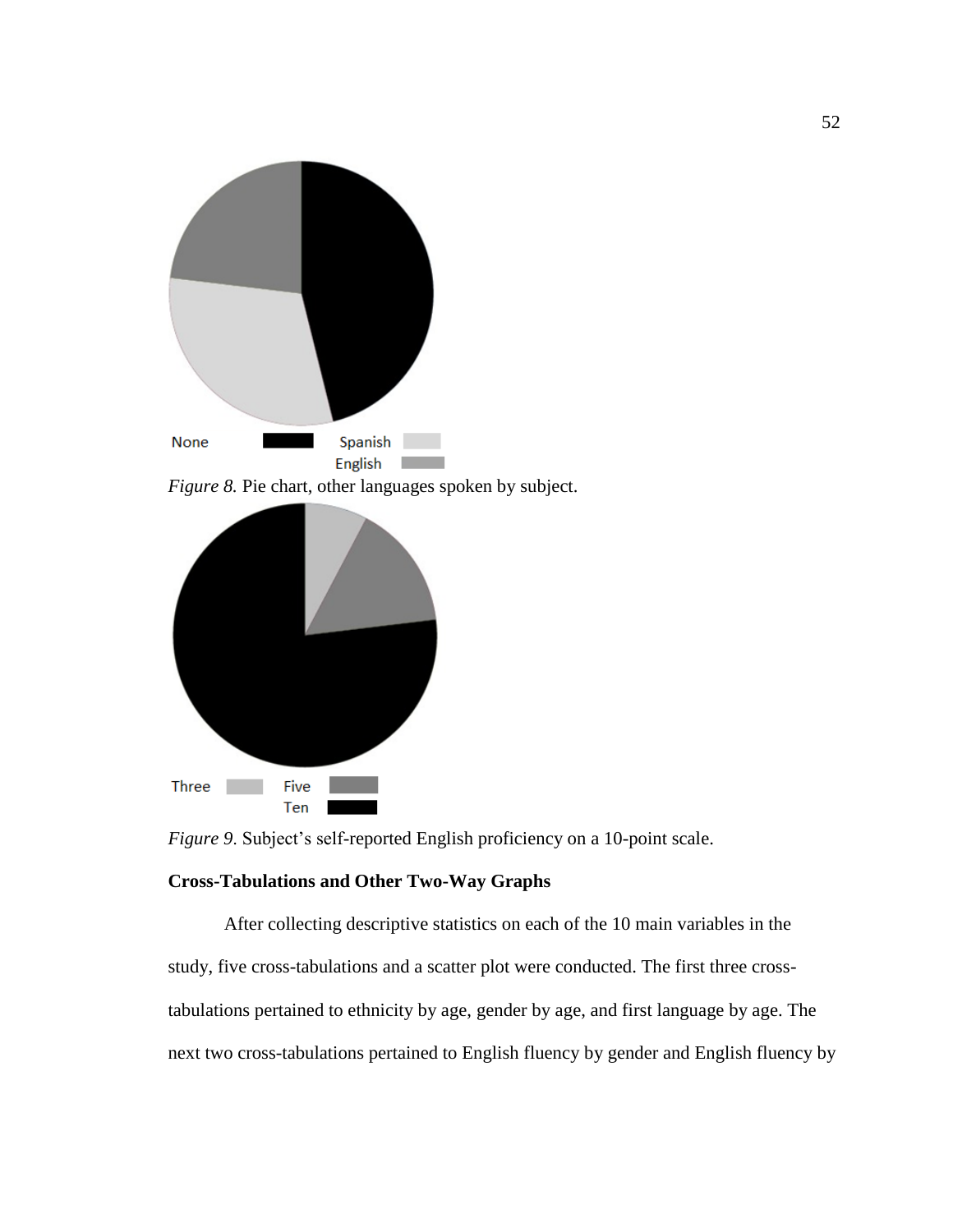

*Figure 9*. Subject's self-reported English proficiency on a 10-point scale.

# **Cross-Tabulations and Other Two-Way Graphs**

Five Ten

Three

After collecting descriptive statistics on each of the 10 main variables in the study, five cross-tabulations and a scatter plot were conducted. The first three crosstabulations pertained to ethnicity by age, gender by age, and first language by age. The next two cross-tabulations pertained to English fluency by gender and English fluency by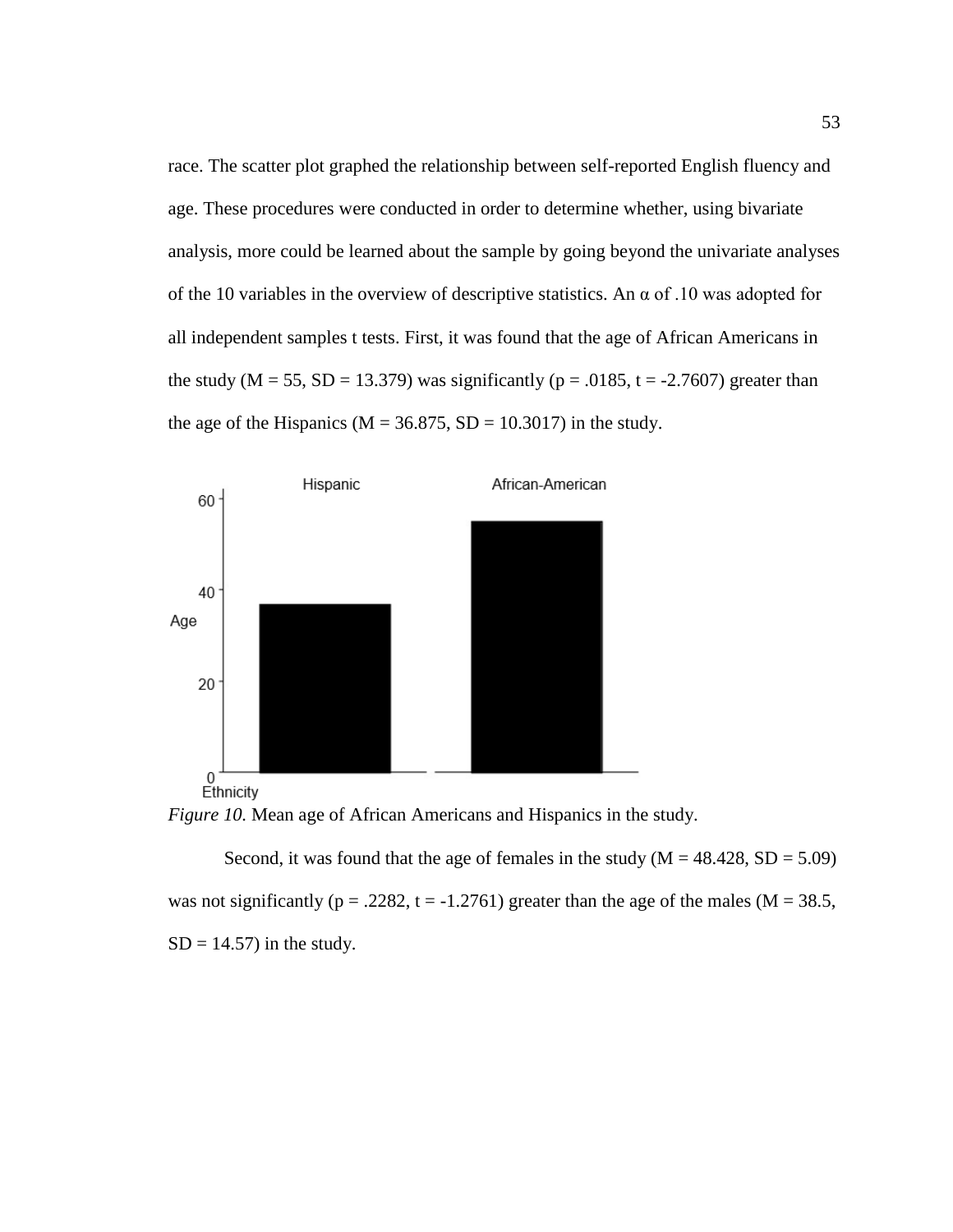race. The scatter plot graphed the relationship between self-reported English fluency and age. These procedures were conducted in order to determine whether, using bivariate analysis, more could be learned about the sample by going beyond the univariate analyses of the 10 variables in the overview of descriptive statistics. An  $\alpha$  of .10 was adopted for all independent samples t tests. First, it was found that the age of African Americans in the study (M = 55, SD = 13.379) was significantly ( $p = .0185$ , t = -2.7607) greater than the age of the Hispanics ( $M = 36.875$ ,  $SD = 10.3017$ ) in the study.





Second, it was found that the age of females in the study  $(M = 48.428, SD = 5.09)$ was not significantly ( $p = .2282$ ,  $t = -1.2761$ ) greater than the age of the males ( $M = 38.5$ ,  $SD = 14.57$ ) in the study.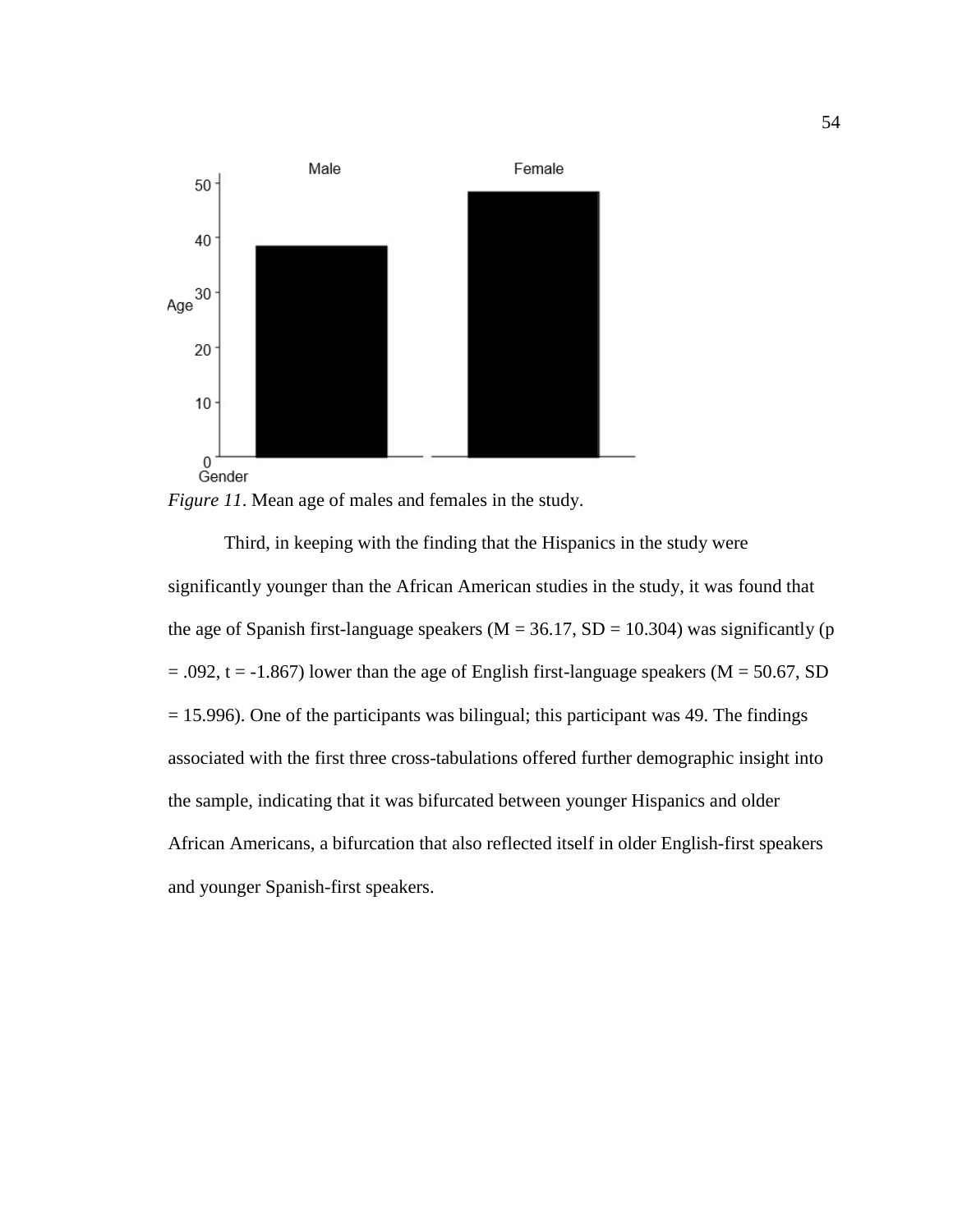



Third, in keeping with the finding that the Hispanics in the study were significantly younger than the African American studies in the study, it was found that the age of Spanish first-language speakers ( $M = 36.17$ , SD = 10.304) was significantly (p  $= .092$ , t = -1.867) lower than the age of English first-language speakers (M = 50.67, SD  $= 15.996$ ). One of the participants was bilingual; this participant was 49. The findings associated with the first three cross-tabulations offered further demographic insight into the sample, indicating that it was bifurcated between younger Hispanics and older African Americans, a bifurcation that also reflected itself in older English-first speakers and younger Spanish-first speakers.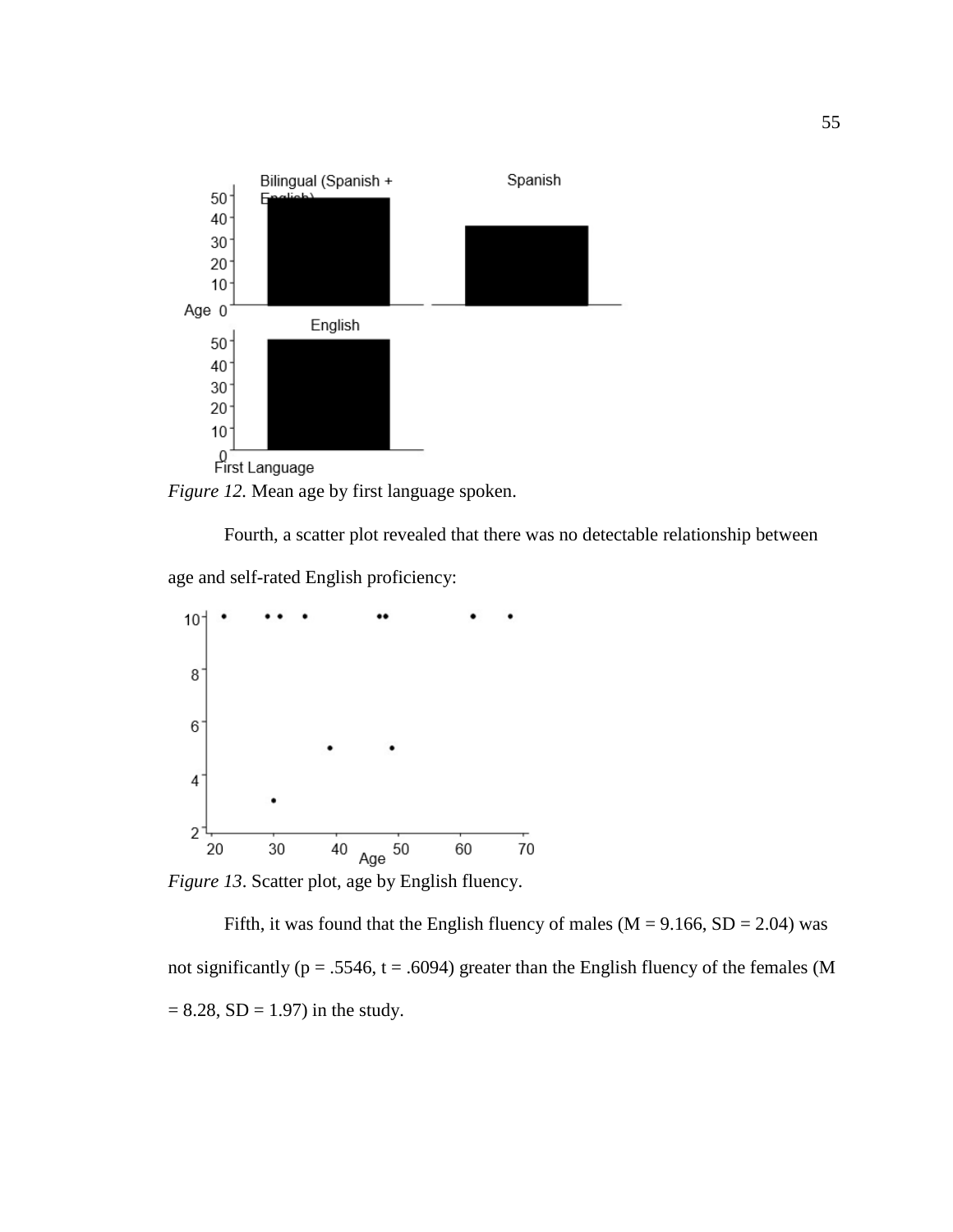

*Figure 12.* Mean age by first language spoken.

Fourth, a scatter plot revealed that there was no detectable relationship between

age and self-rated English proficiency:



*Figure 13*. Scatter plot, age by English fluency.

Fifth, it was found that the English fluency of males ( $M = 9.166$ ,  $SD = 2.04$ ) was not significantly ( $p = .5546$ ,  $t = .6094$ ) greater than the English fluency of the females (M  $= 8.28$ , SD  $= 1.97$ ) in the study.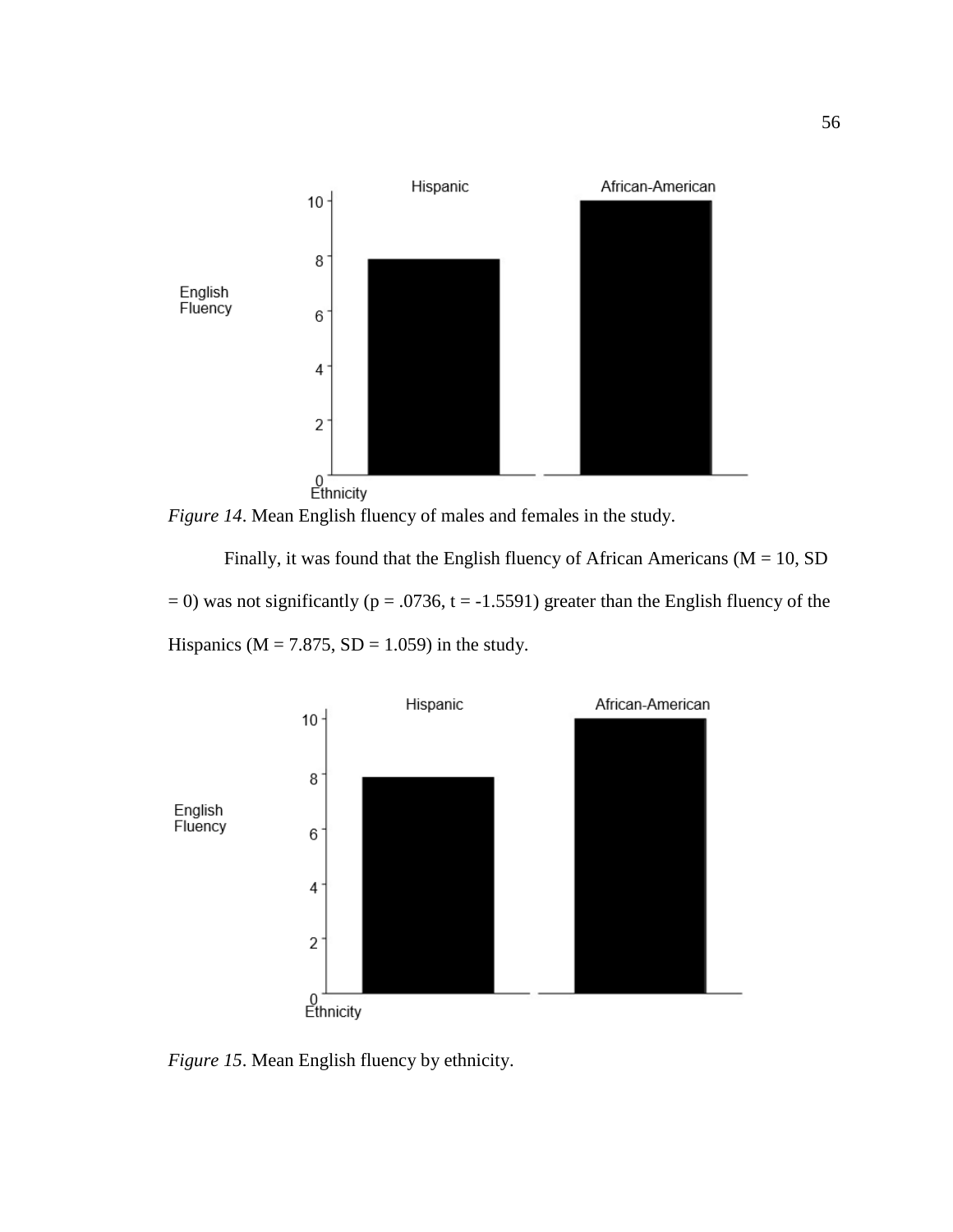

*Figure 14*. Mean English fluency of males and females in the study.

Finally, it was found that the English fluency of African Americans ( $M = 10$ , SD  $= 0$ ) was not significantly (p = .0736, t = -1.5591) greater than the English fluency of the Hispanics ( $M = 7.875$ ,  $SD = 1.059$ ) in the study.



*Figure 15*. Mean English fluency by ethnicity.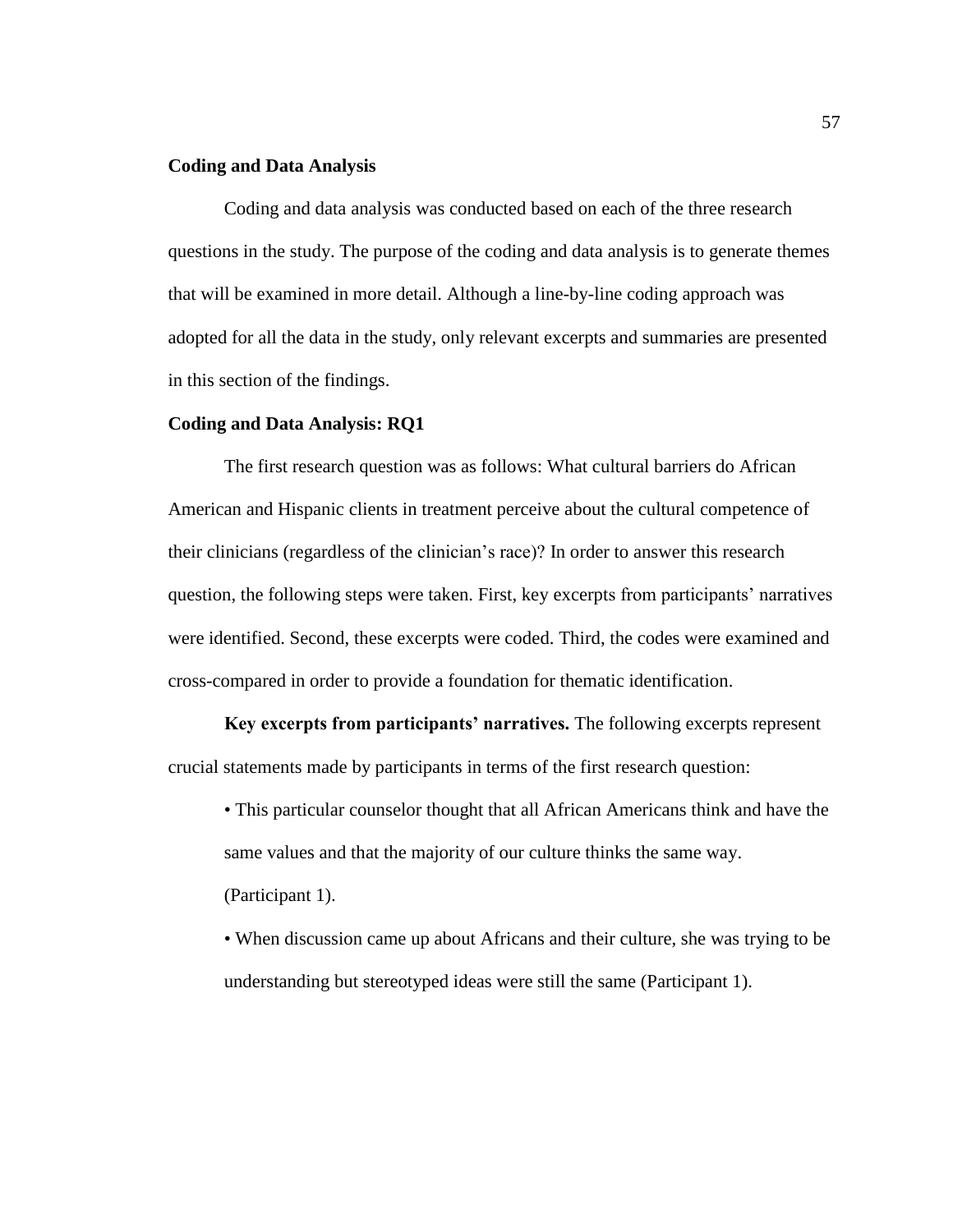## **Coding and Data Analysis**

Coding and data analysis was conducted based on each of the three research questions in the study. The purpose of the coding and data analysis is to generate themes that will be examined in more detail. Although a line-by-line coding approach was adopted for all the data in the study, only relevant excerpts and summaries are presented in this section of the findings.

#### **Coding and Data Analysis: RQ1**

The first research question was as follows: What cultural barriers do African American and Hispanic clients in treatment perceive about the cultural competence of their clinicians (regardless of the clinician's race)? In order to answer this research question, the following steps were taken. First, key excerpts from participants' narratives were identified. Second, these excerpts were coded. Third, the codes were examined and cross-compared in order to provide a foundation for thematic identification.

**Key excerpts from participants' narratives.** The following excerpts represent crucial statements made by participants in terms of the first research question:

• This particular counselor thought that all African Americans think and have the same values and that the majority of our culture thinks the same way. (Participant 1).

• When discussion came up about Africans and their culture, she was trying to be understanding but stereotyped ideas were still the same (Participant 1).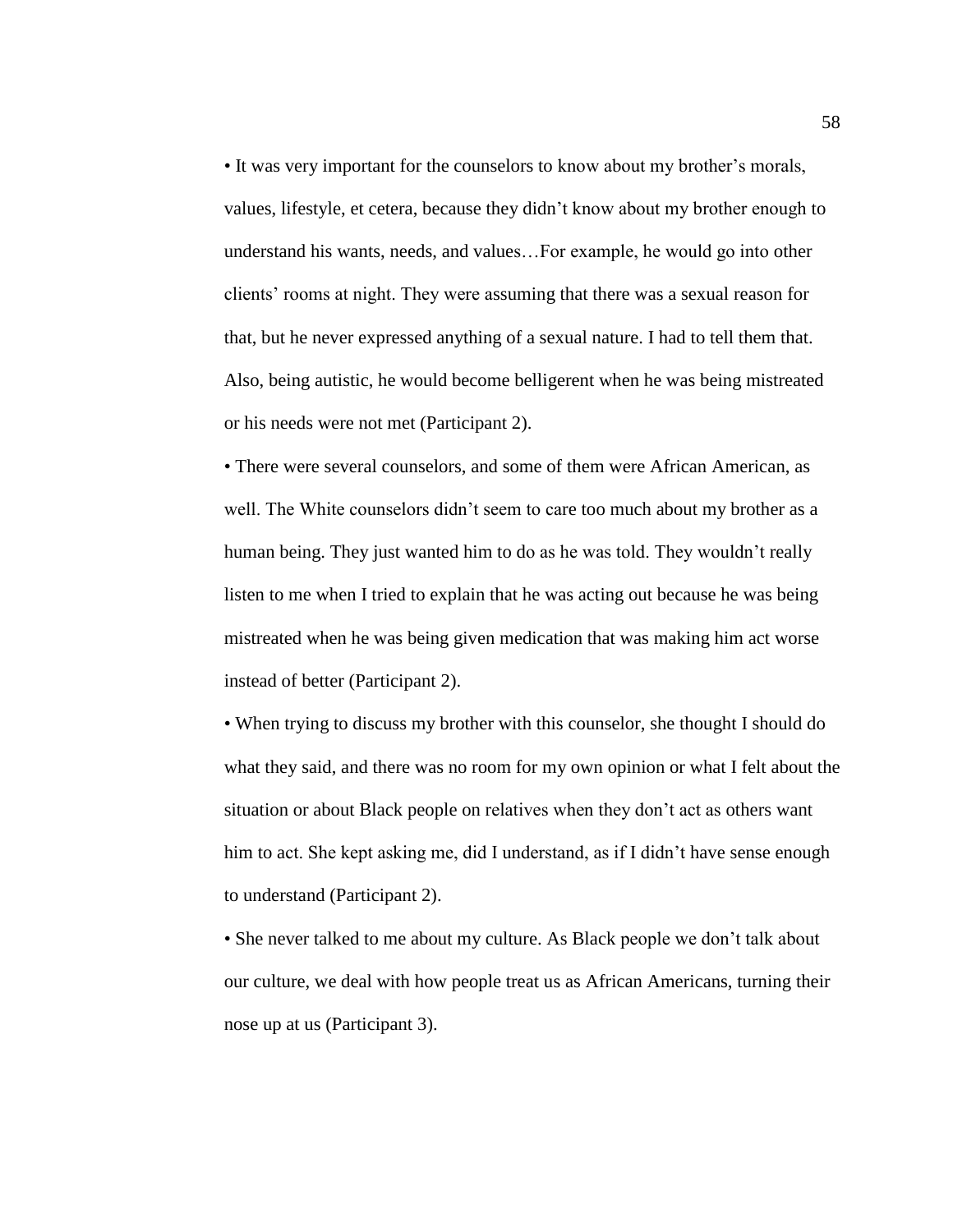• It was very important for the counselors to know about my brother's morals, values, lifestyle, et cetera, because they didn't know about my brother enough to understand his wants, needs, and values…For example, he would go into other clients' rooms at night. They were assuming that there was a sexual reason for that, but he never expressed anything of a sexual nature. I had to tell them that. Also, being autistic, he would become belligerent when he was being mistreated or his needs were not met (Participant 2).

• There were several counselors, and some of them were African American, as well. The White counselors didn't seem to care too much about my brother as a human being. They just wanted him to do as he was told. They wouldn't really listen to me when I tried to explain that he was acting out because he was being mistreated when he was being given medication that was making him act worse instead of better (Participant 2).

• When trying to discuss my brother with this counselor, she thought I should do what they said, and there was no room for my own opinion or what I felt about the situation or about Black people on relatives when they don't act as others want him to act. She kept asking me, did I understand, as if I didn't have sense enough to understand (Participant 2).

• She never talked to me about my culture. As Black people we don't talk about our culture, we deal with how people treat us as African Americans, turning their nose up at us (Participant 3).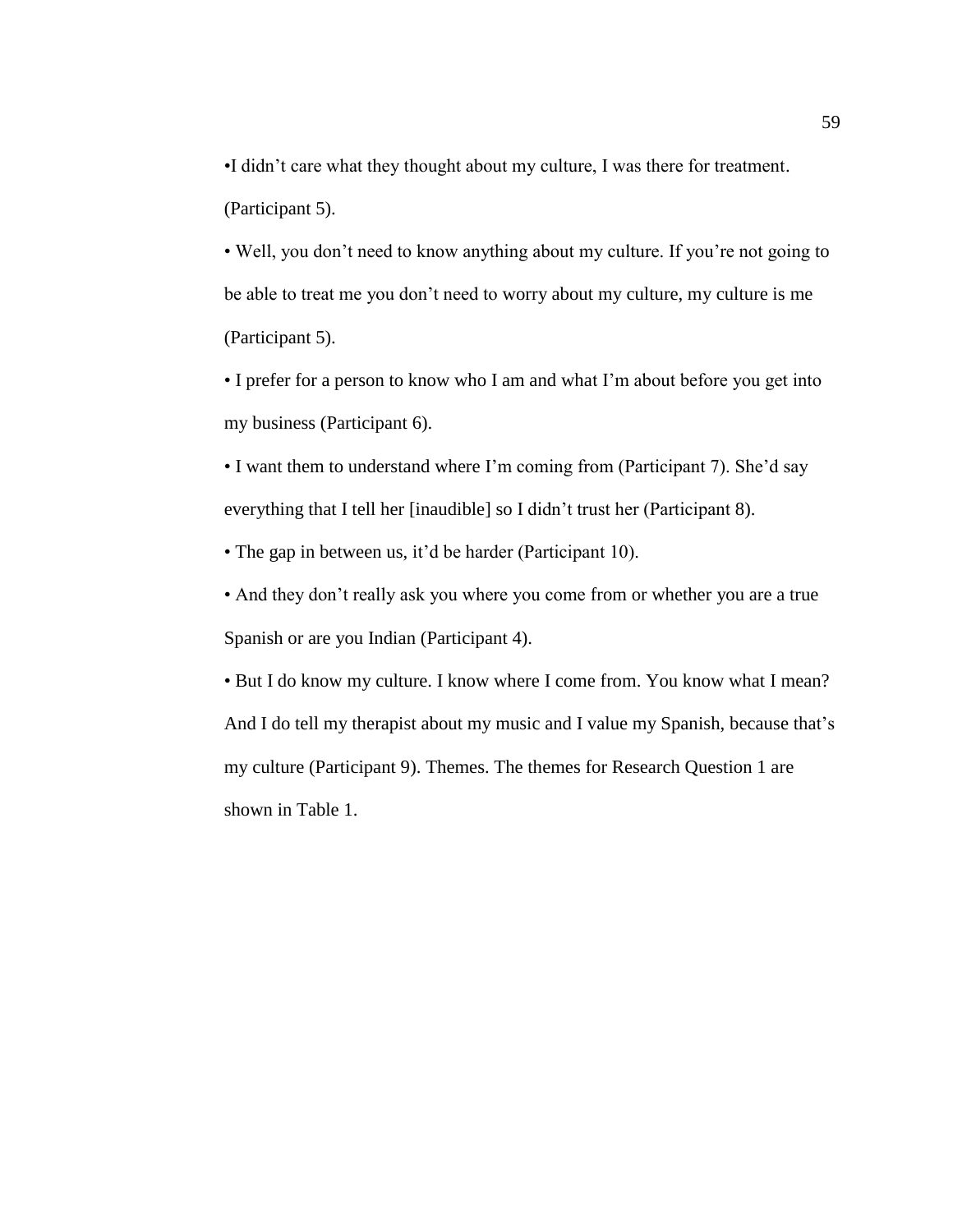•I didn't care what they thought about my culture, I was there for treatment. (Participant 5).

• Well, you don't need to know anything about my culture. If you're not going to be able to treat me you don't need to worry about my culture, my culture is me (Participant 5).

• I prefer for a person to know who I am and what I'm about before you get into my business (Participant 6).

• I want them to understand where I'm coming from (Participant 7). She'd say everything that I tell her [inaudible] so I didn't trust her (Participant 8).

• The gap in between us, it'd be harder (Participant 10).

• And they don't really ask you where you come from or whether you are a true Spanish or are you Indian (Participant 4).

• But I do know my culture. I know where I come from. You know what I mean? And I do tell my therapist about my music and I value my Spanish, because that's my culture (Participant 9). Themes. The themes for Research Question 1 are shown in Table 1.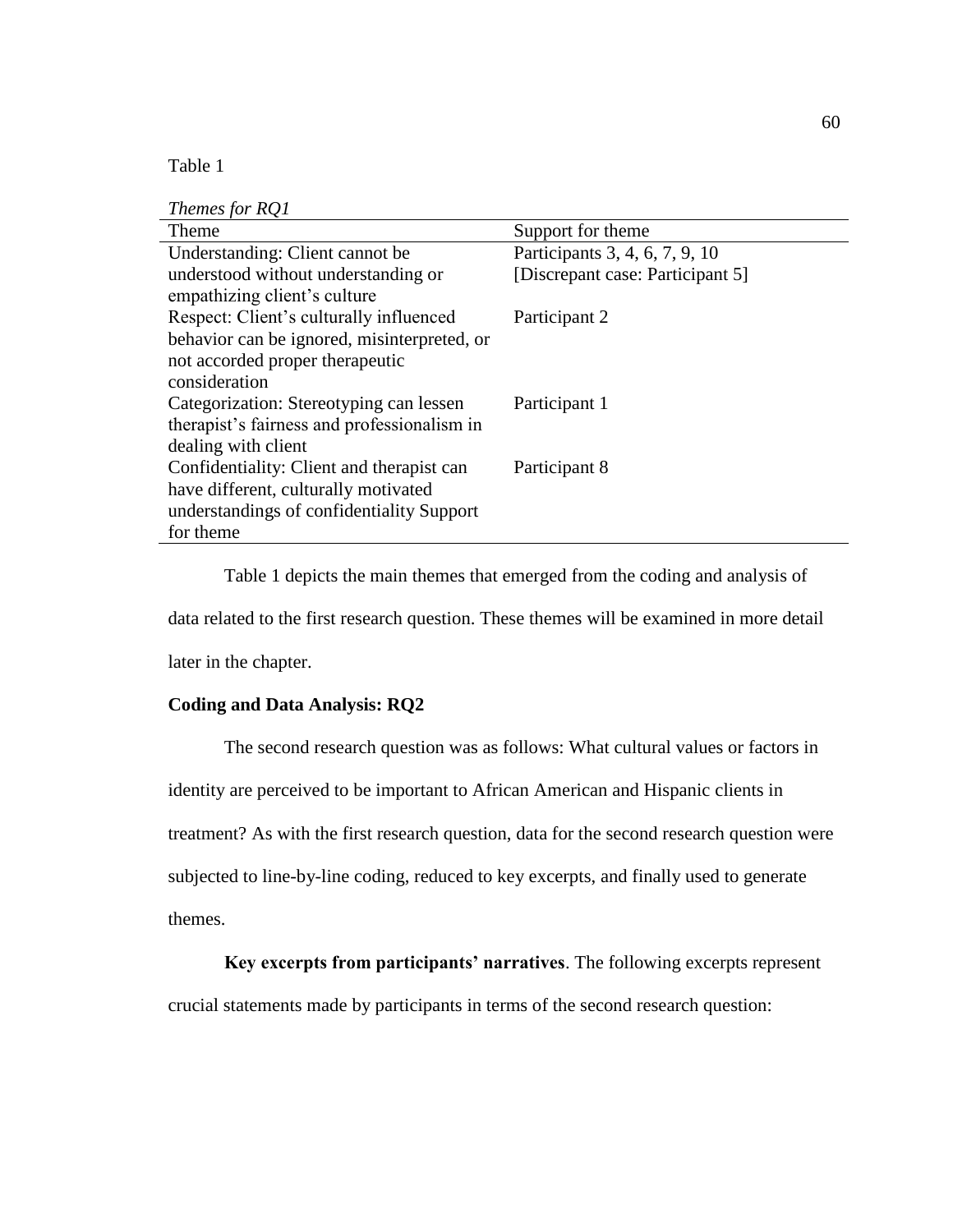Table 1

| Themes for RQ1 |  |  |  |
|----------------|--|--|--|
|----------------|--|--|--|

| Theme                                       | Support for theme                |
|---------------------------------------------|----------------------------------|
| Understanding: Client cannot be             | Participants 3, 4, 6, 7, 9, 10   |
| understood without understanding or         | [Discrepant case: Participant 5] |
| empathizing client's culture                |                                  |
| Respect: Client's culturally influenced     | Participant 2                    |
| behavior can be ignored, misinterpreted, or |                                  |
| not accorded proper therapeutic             |                                  |
| consideration                               |                                  |
| Categorization: Stereotyping can lessen     | Participant 1                    |
| therapist's fairness and professionalism in |                                  |
| dealing with client                         |                                  |
| Confidentiality: Client and therapist can   | Participant 8                    |
| have different, culturally motivated        |                                  |
| understandings of confidentiality Support   |                                  |
| for theme                                   |                                  |

Table 1 depicts the main themes that emerged from the coding and analysis of data related to the first research question. These themes will be examined in more detail later in the chapter.

# **Coding and Data Analysis: RQ2**

The second research question was as follows: What cultural values or factors in identity are perceived to be important to African American and Hispanic clients in treatment? As with the first research question, data for the second research question were subjected to line-by-line coding, reduced to key excerpts, and finally used to generate themes.

# **Key excerpts from participants' narratives**. The following excerpts represent

crucial statements made by participants in terms of the second research question: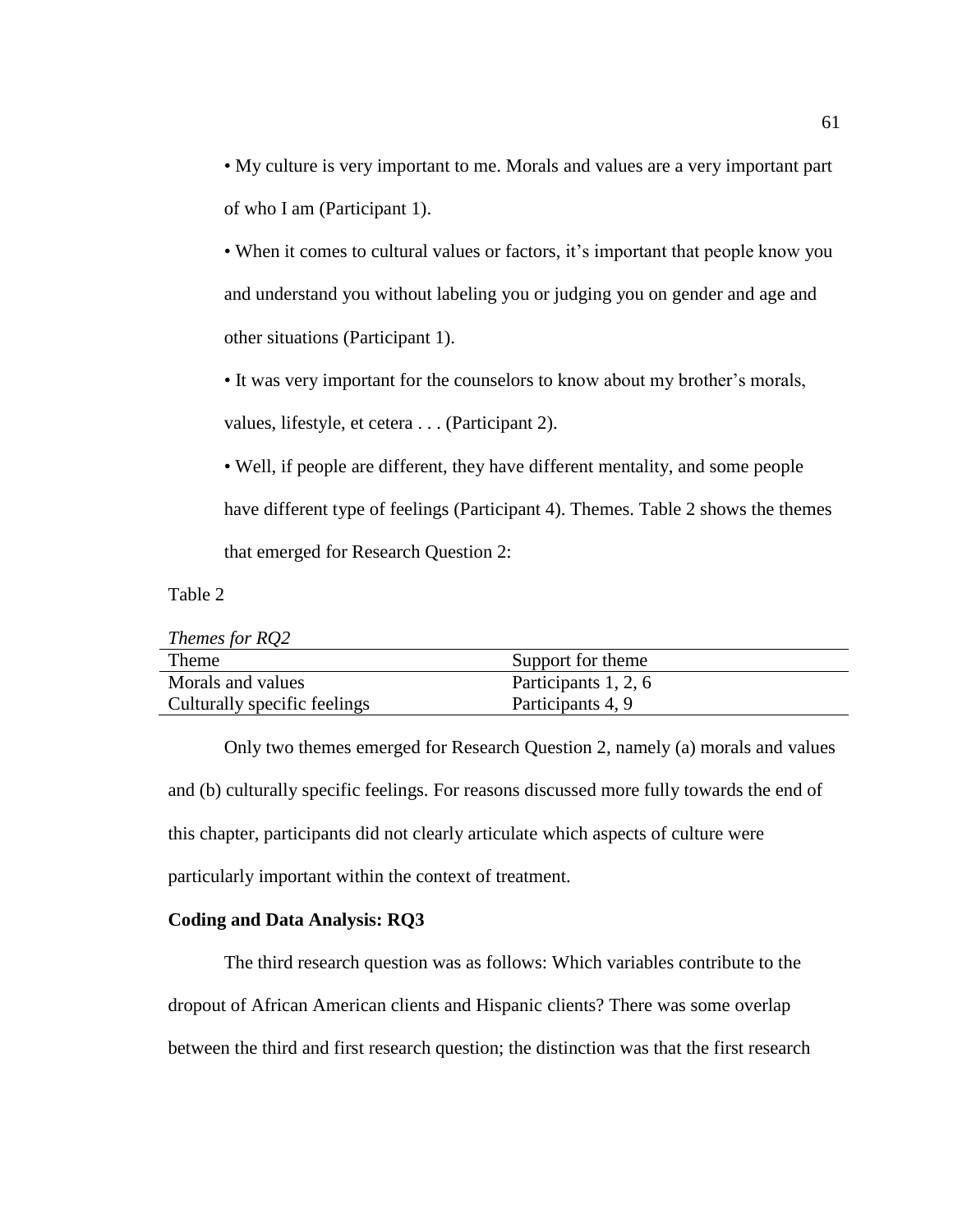• My culture is very important to me. Morals and values are a very important part of who I am (Participant 1).

• When it comes to cultural values or factors, it's important that people know you and understand you without labeling you or judging you on gender and age and other situations (Participant 1).

• It was very important for the counselors to know about my brother's morals, values, lifestyle, et cetera . . . (Participant 2).

• Well, if people are different, they have different mentality, and some people have different type of feelings (Participant 4). Themes. Table 2 shows the themes that emerged for Research Question 2:

Table 2

| Themes for RQ2               |                      |
|------------------------------|----------------------|
| Theme                        | Support for theme    |
| Morals and values            | Participants 1, 2, 6 |
| Culturally specific feelings | Participants 4, 9    |

Only two themes emerged for Research Question 2, namely (a) morals and values and (b) culturally specific feelings. For reasons discussed more fully towards the end of this chapter, participants did not clearly articulate which aspects of culture were particularly important within the context of treatment.

### **Coding and Data Analysis: RQ3**

The third research question was as follows: Which variables contribute to the dropout of African American clients and Hispanic clients? There was some overlap between the third and first research question; the distinction was that the first research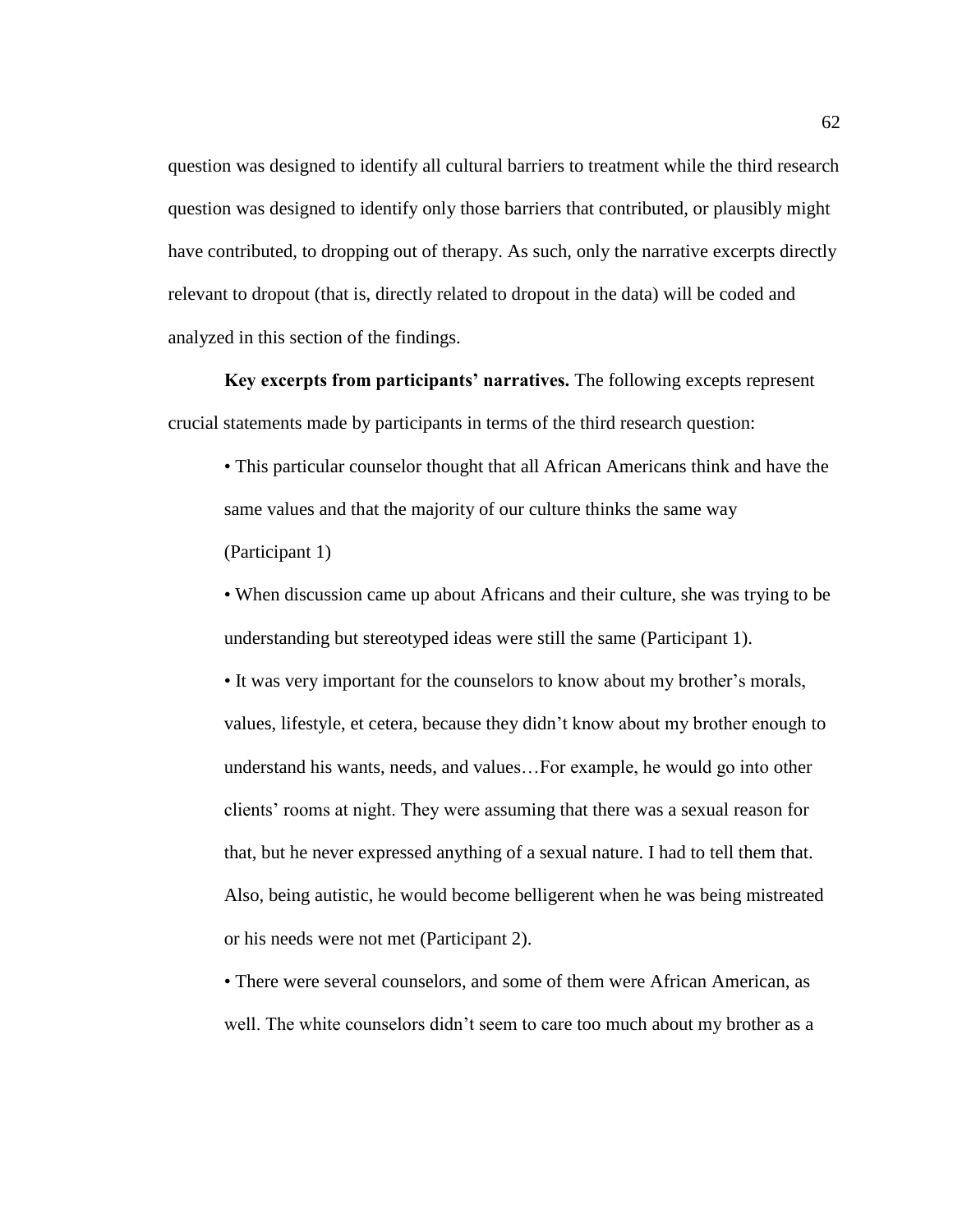question was designed to identify all cultural barriers to treatment while the third research question was designed to identify only those barriers that contributed, or plausibly might have contributed, to dropping out of therapy. As such, only the narrative excerpts directly relevant to dropout (that is, directly related to dropout in the data) will be coded and analyzed in this section of the findings.

**Key excerpts from participants' narratives.** The following excepts represent crucial statements made by participants in terms of the third research question:

• This particular counselor thought that all African Americans think and have the same values and that the majority of our culture thinks the same way (Participant 1)

• When discussion came up about Africans and their culture, she was trying to be understanding but stereotyped ideas were still the same (Participant 1).

• It was very important for the counselors to know about my brother's morals, values, lifestyle, et cetera, because they didn't know about my brother enough to understand his wants, needs, and values…For example, he would go into other clients' rooms at night. They were assuming that there was a sexual reason for that, but he never expressed anything of a sexual nature. I had to tell them that. Also, being autistic, he would become belligerent when he was being mistreated or his needs were not met (Participant 2).

• There were several counselors, and some of them were African American, as well. The white counselors didn't seem to care too much about my brother as a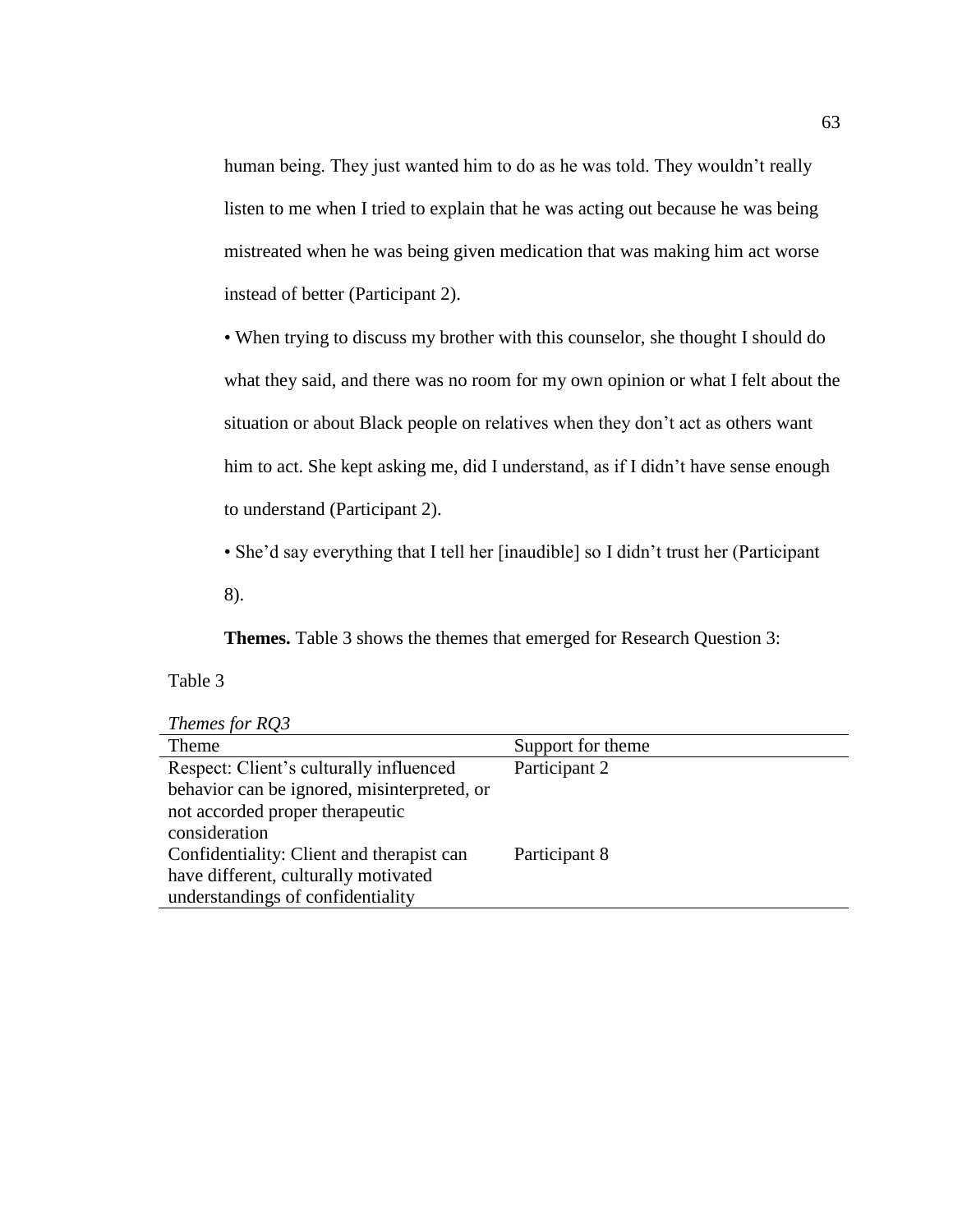human being. They just wanted him to do as he was told. They wouldn't really listen to me when I tried to explain that he was acting out because he was being mistreated when he was being given medication that was making him act worse instead of better (Participant 2).

• When trying to discuss my brother with this counselor, she thought I should do what they said, and there was no room for my own opinion or what I felt about the situation or about Black people on relatives when they don't act as others want him to act. She kept asking me, did I understand, as if I didn't have sense enough to understand (Participant 2).

• She'd say everything that I tell her [inaudible] so I didn't trust her (Participant

8).

**Themes.** Table 3 shows the themes that emerged for Research Question 3:

# Table 3

*Themes for RQ3*

| Theme                                       | Support for theme |
|---------------------------------------------|-------------------|
| Respect: Client's culturally influenced     | Participant 2     |
| behavior can be ignored, misinterpreted, or |                   |
| not accorded proper therapeutic             |                   |
| consideration                               |                   |
| Confidentiality: Client and therapist can   | Participant 8     |
| have different, culturally motivated        |                   |
| understandings of confidentiality           |                   |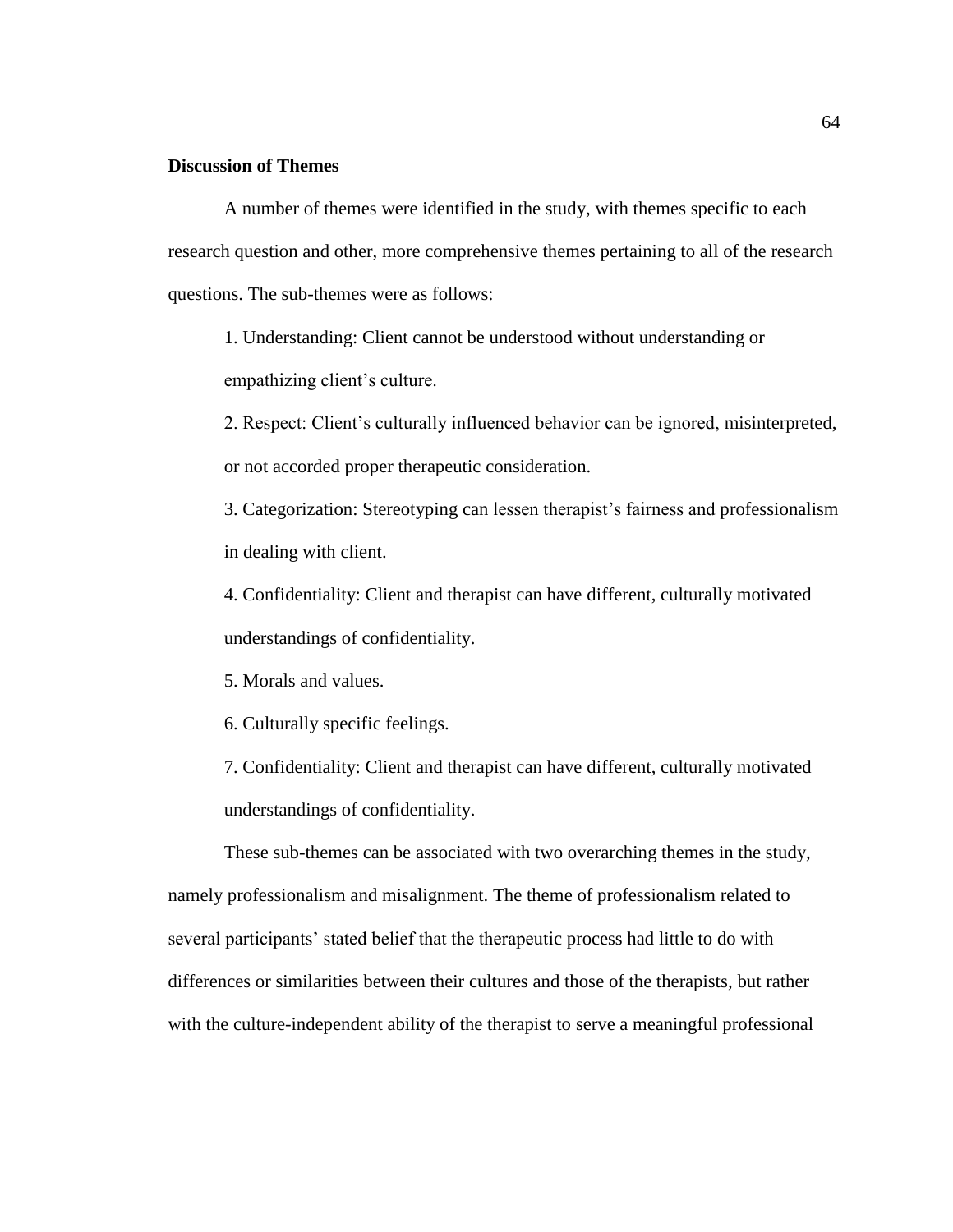# **Discussion of Themes**

A number of themes were identified in the study, with themes specific to each research question and other, more comprehensive themes pertaining to all of the research questions. The sub-themes were as follows:

1. Understanding: Client cannot be understood without understanding or empathizing client's culture.

2. Respect: Client's culturally influenced behavior can be ignored, misinterpreted, or not accorded proper therapeutic consideration.

3. Categorization: Stereotyping can lessen therapist's fairness and professionalism in dealing with client.

4. Confidentiality: Client and therapist can have different, culturally motivated understandings of confidentiality.

5. Morals and values.

6. Culturally specific feelings.

7. Confidentiality: Client and therapist can have different, culturally motivated understandings of confidentiality.

These sub-themes can be associated with two overarching themes in the study, namely professionalism and misalignment. The theme of professionalism related to several participants' stated belief that the therapeutic process had little to do with differences or similarities between their cultures and those of the therapists, but rather with the culture-independent ability of the therapist to serve a meaningful professional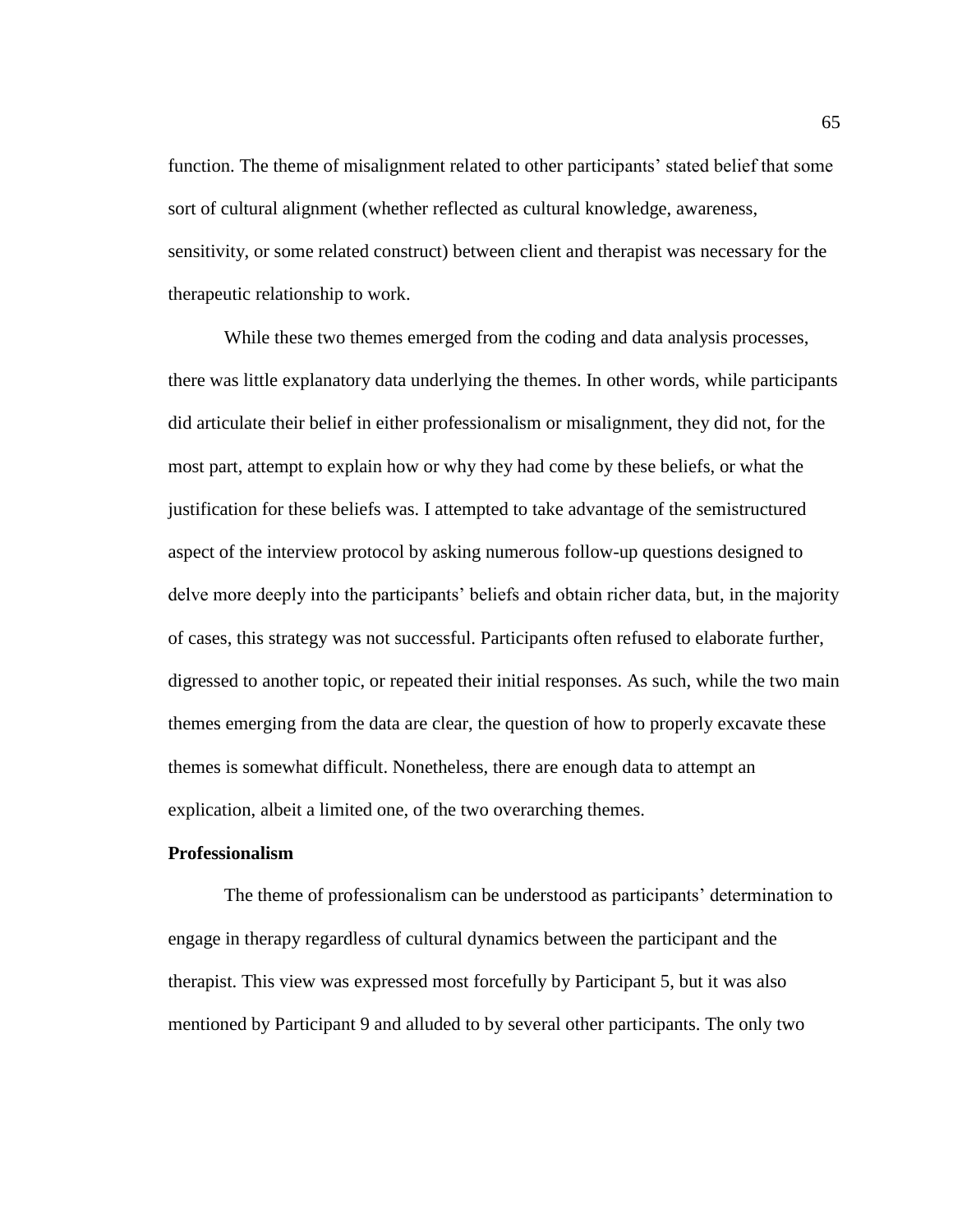function. The theme of misalignment related to other participants' stated belief that some sort of cultural alignment (whether reflected as cultural knowledge, awareness, sensitivity, or some related construct) between client and therapist was necessary for the therapeutic relationship to work.

While these two themes emerged from the coding and data analysis processes, there was little explanatory data underlying the themes. In other words, while participants did articulate their belief in either professionalism or misalignment, they did not, for the most part, attempt to explain how or why they had come by these beliefs, or what the justification for these beliefs was. I attempted to take advantage of the semistructured aspect of the interview protocol by asking numerous follow-up questions designed to delve more deeply into the participants' beliefs and obtain richer data, but, in the majority of cases, this strategy was not successful. Participants often refused to elaborate further, digressed to another topic, or repeated their initial responses. As such, while the two main themes emerging from the data are clear, the question of how to properly excavate these themes is somewhat difficult. Nonetheless, there are enough data to attempt an explication, albeit a limited one, of the two overarching themes.

### **Professionalism**

The theme of professionalism can be understood as participants' determination to engage in therapy regardless of cultural dynamics between the participant and the therapist. This view was expressed most forcefully by Participant 5, but it was also mentioned by Participant 9 and alluded to by several other participants. The only two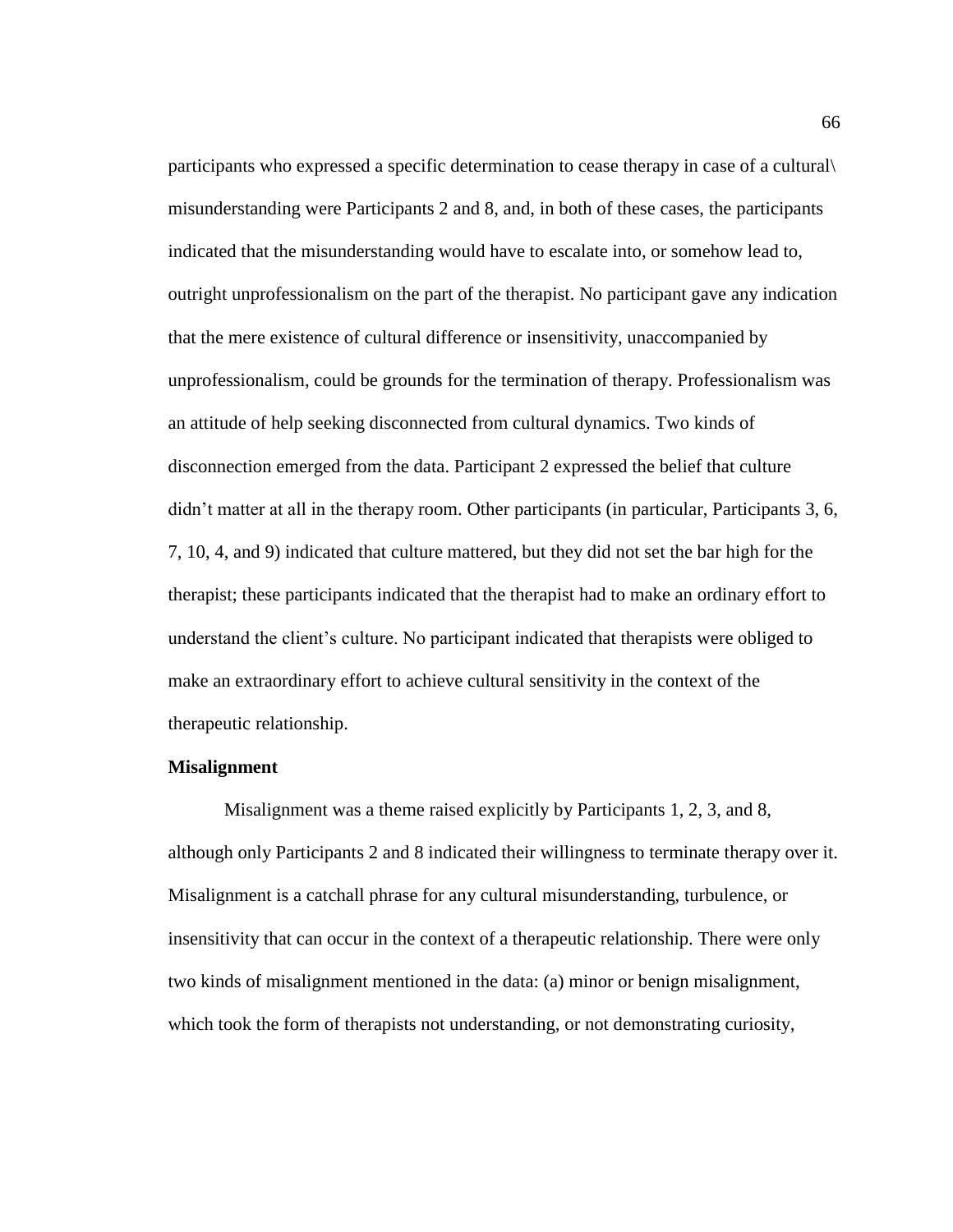participants who expressed a specific determination to cease therapy in case of a cultural\ misunderstanding were Participants 2 and 8, and, in both of these cases, the participants indicated that the misunderstanding would have to escalate into, or somehow lead to, outright unprofessionalism on the part of the therapist. No participant gave any indication that the mere existence of cultural difference or insensitivity, unaccompanied by unprofessionalism, could be grounds for the termination of therapy. Professionalism was an attitude of help seeking disconnected from cultural dynamics. Two kinds of disconnection emerged from the data. Participant 2 expressed the belief that culture didn't matter at all in the therapy room. Other participants (in particular, Participants 3, 6, 7, 10, 4, and 9) indicated that culture mattered, but they did not set the bar high for the therapist; these participants indicated that the therapist had to make an ordinary effort to understand the client's culture. No participant indicated that therapists were obliged to make an extraordinary effort to achieve cultural sensitivity in the context of the therapeutic relationship.

## **Misalignment**

Misalignment was a theme raised explicitly by Participants 1, 2, 3, and 8, although only Participants 2 and 8 indicated their willingness to terminate therapy over it. Misalignment is a catchall phrase for any cultural misunderstanding, turbulence, or insensitivity that can occur in the context of a therapeutic relationship. There were only two kinds of misalignment mentioned in the data: (a) minor or benign misalignment, which took the form of therapists not understanding, or not demonstrating curiosity,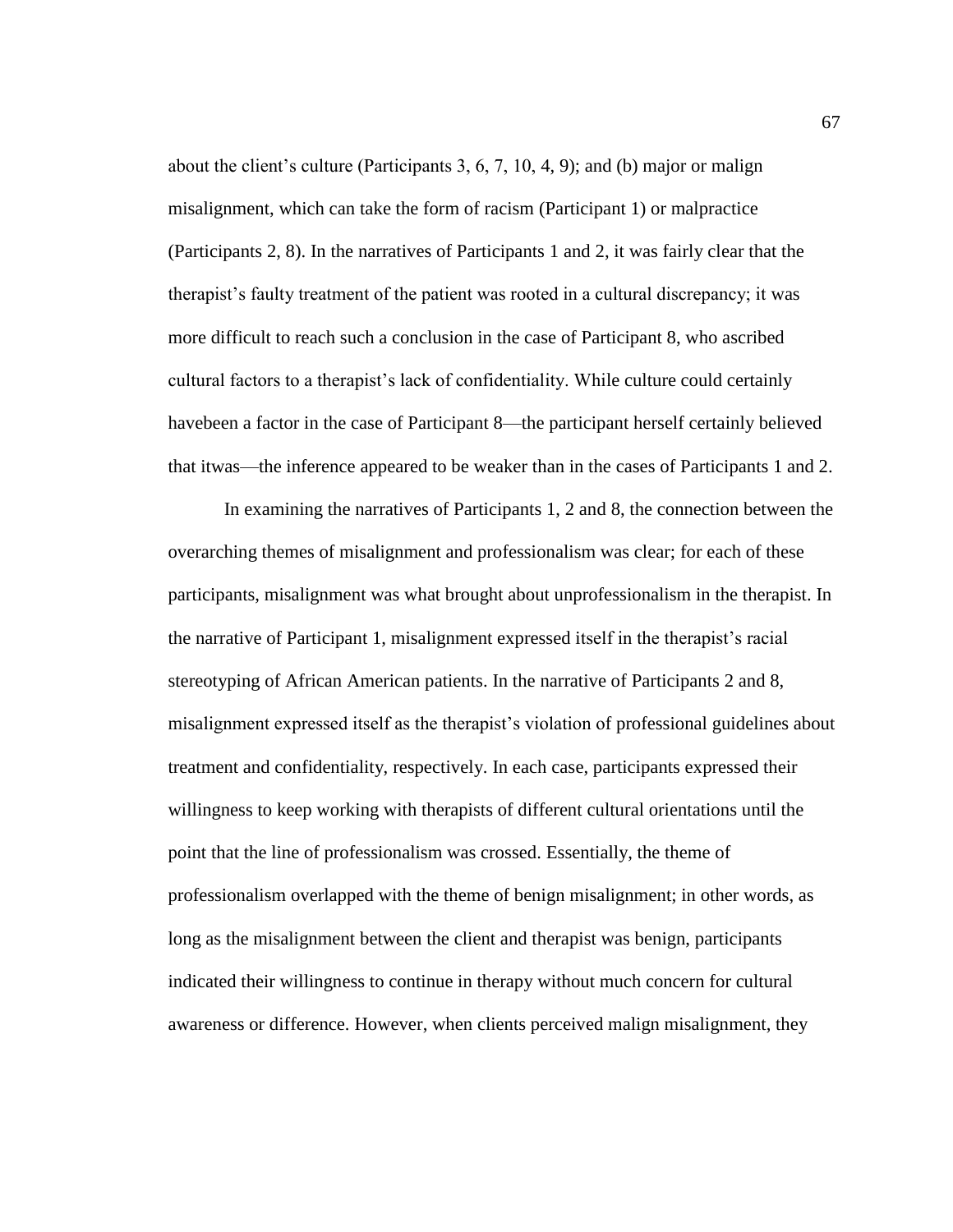about the client's culture (Participants 3, 6, 7, 10, 4, 9); and (b) major or malign misalignment, which can take the form of racism (Participant 1) or malpractice (Participants 2, 8). In the narratives of Participants 1 and 2, it was fairly clear that the therapist's faulty treatment of the patient was rooted in a cultural discrepancy; it was more difficult to reach such a conclusion in the case of Participant 8, who ascribed cultural factors to a therapist's lack of confidentiality. While culture could certainly havebeen a factor in the case of Participant 8—the participant herself certainly believed that itwas—the inference appeared to be weaker than in the cases of Participants 1 and 2.

In examining the narratives of Participants 1, 2 and 8, the connection between the overarching themes of misalignment and professionalism was clear; for each of these participants, misalignment was what brought about unprofessionalism in the therapist. In the narrative of Participant 1, misalignment expressed itself in the therapist's racial stereotyping of African American patients. In the narrative of Participants 2 and 8, misalignment expressed itself as the therapist's violation of professional guidelines about treatment and confidentiality, respectively. In each case, participants expressed their willingness to keep working with therapists of different cultural orientations until the point that the line of professionalism was crossed. Essentially, the theme of professionalism overlapped with the theme of benign misalignment; in other words, as long as the misalignment between the client and therapist was benign, participants indicated their willingness to continue in therapy without much concern for cultural awareness or difference. However, when clients perceived malign misalignment, they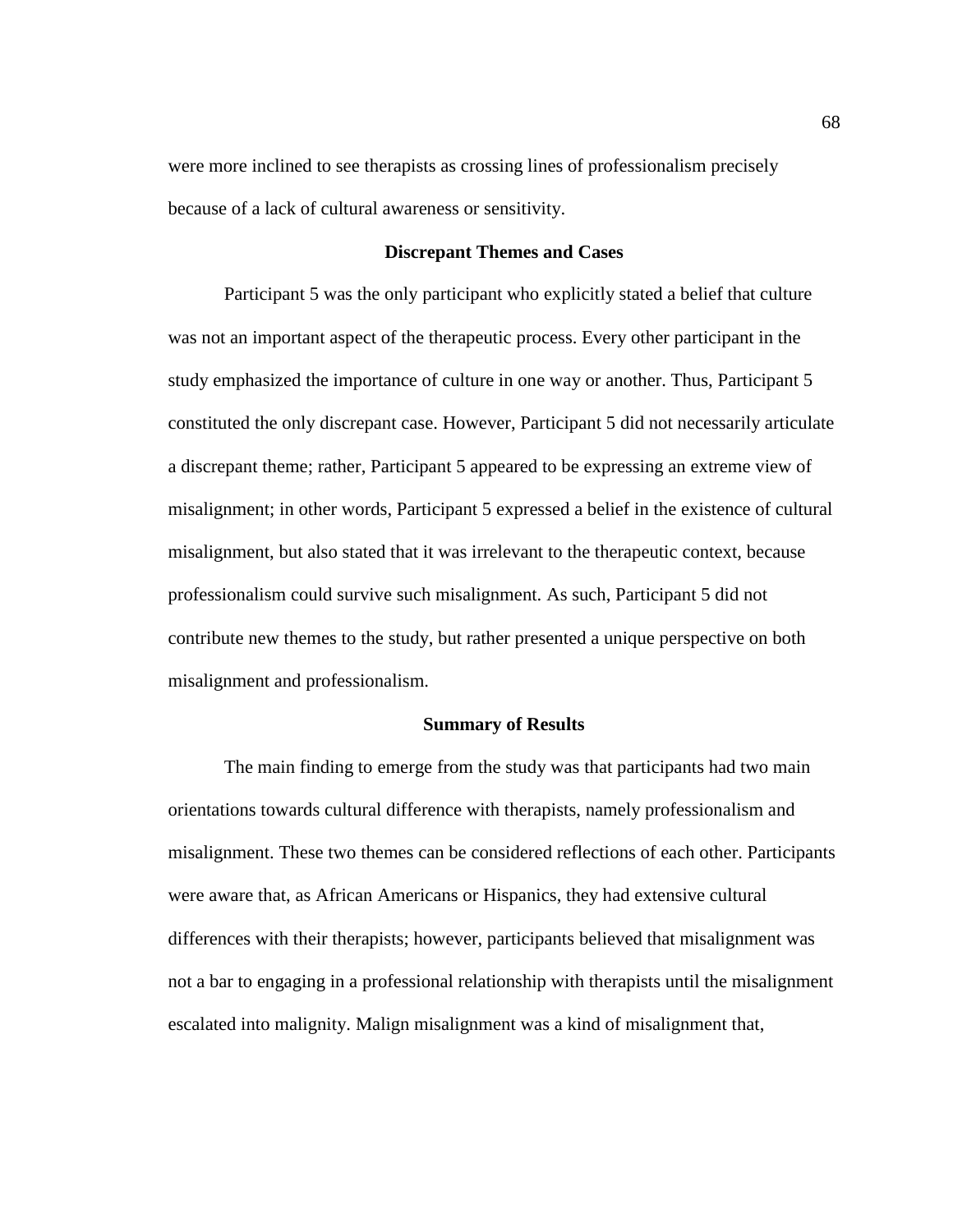were more inclined to see therapists as crossing lines of professionalism precisely because of a lack of cultural awareness or sensitivity.

## **Discrepant Themes and Cases**

Participant 5 was the only participant who explicitly stated a belief that culture was not an important aspect of the therapeutic process. Every other participant in the study emphasized the importance of culture in one way or another. Thus, Participant 5 constituted the only discrepant case. However, Participant 5 did not necessarily articulate a discrepant theme; rather, Participant 5 appeared to be expressing an extreme view of misalignment; in other words, Participant 5 expressed a belief in the existence of cultural misalignment, but also stated that it was irrelevant to the therapeutic context, because professionalism could survive such misalignment. As such, Participant 5 did not contribute new themes to the study, but rather presented a unique perspective on both misalignment and professionalism.

## **Summary of Results**

The main finding to emerge from the study was that participants had two main orientations towards cultural difference with therapists, namely professionalism and misalignment. These two themes can be considered reflections of each other. Participants were aware that, as African Americans or Hispanics, they had extensive cultural differences with their therapists; however, participants believed that misalignment was not a bar to engaging in a professional relationship with therapists until the misalignment escalated into malignity. Malign misalignment was a kind of misalignment that,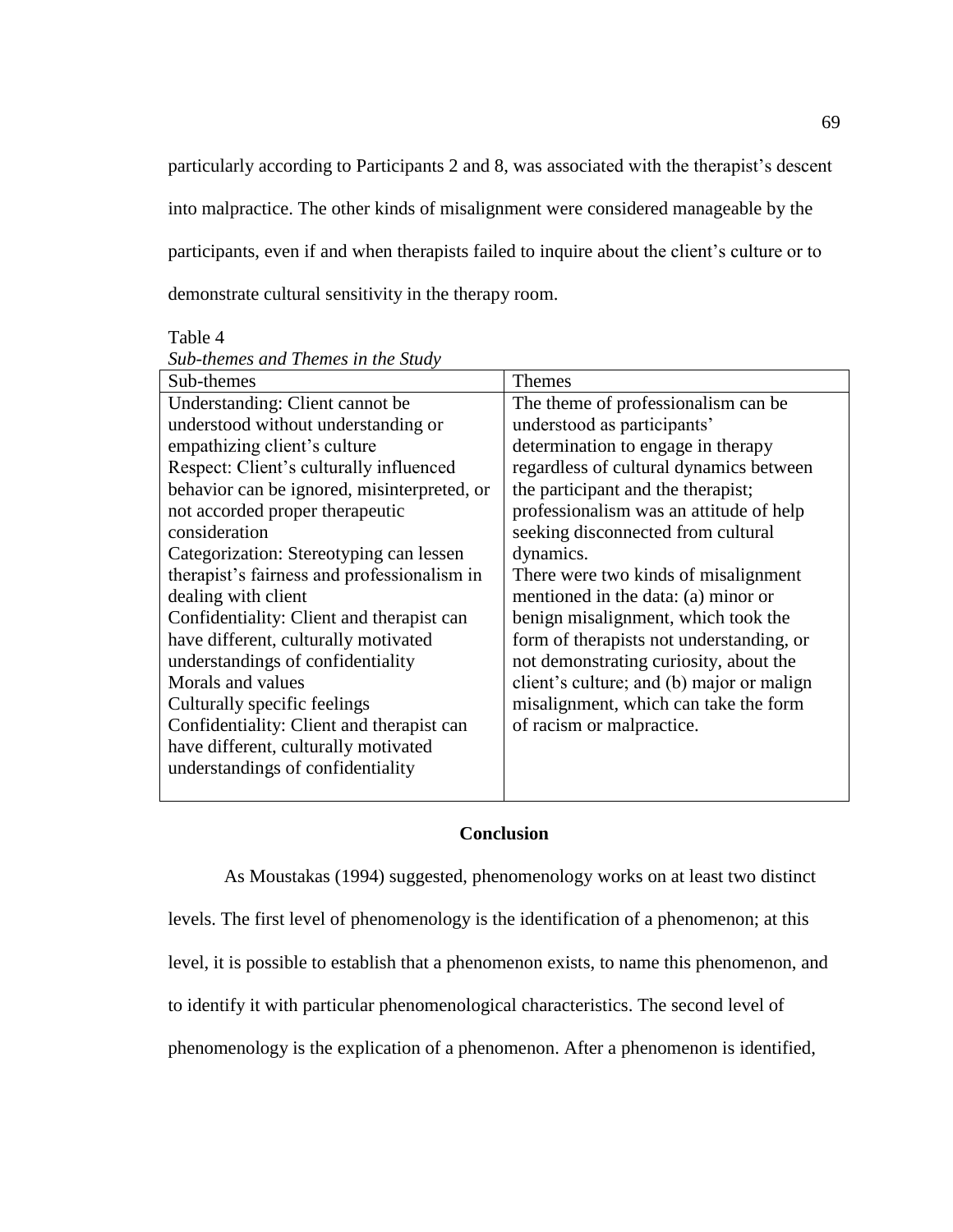particularly according to Participants 2 and 8, was associated with the therapist's descent into malpractice. The other kinds of misalignment were considered manageable by the participants, even if and when therapists failed to inquire about the client's culture or to demonstrate cultural sensitivity in the therapy room.

Table 4

| Sub-themes                                  | <b>Themes</b>                             |
|---------------------------------------------|-------------------------------------------|
| Understanding: Client cannot be             | The theme of professionalism can be       |
| understood without understanding or         | understood as participants'               |
| empathizing client's culture                | determination to engage in therapy        |
| Respect: Client's culturally influenced     | regardless of cultural dynamics between   |
| behavior can be ignored, misinterpreted, or | the participant and the therapist;        |
| not accorded proper therapeutic             | professionalism was an attitude of help   |
| consideration                               | seeking disconnected from cultural        |
| Categorization: Stereotyping can lessen     | dynamics.                                 |
| therapist's fairness and professionalism in | There were two kinds of misalignment      |
| dealing with client                         | mentioned in the data: (a) minor or       |
| Confidentiality: Client and therapist can   | benign misalignment, which took the       |
| have different, culturally motivated        | form of therapists not understanding, or  |
| understandings of confidentiality           | not demonstrating curiosity, about the    |
| Morals and values                           | client's culture; and (b) major or malign |
| Culturally specific feelings                | misalignment, which can take the form     |
| Confidentiality: Client and therapist can   | of racism or malpractice.                 |
| have different, culturally motivated        |                                           |
| understandings of confidentiality           |                                           |
|                                             |                                           |

*Sub-themes and Themes in the Study*

# **Conclusion**

As Moustakas (1994) suggested, phenomenology works on at least two distinct levels. The first level of phenomenology is the identification of a phenomenon; at this level, it is possible to establish that a phenomenon exists, to name this phenomenon, and to identify it with particular phenomenological characteristics. The second level of phenomenology is the explication of a phenomenon. After a phenomenon is identified,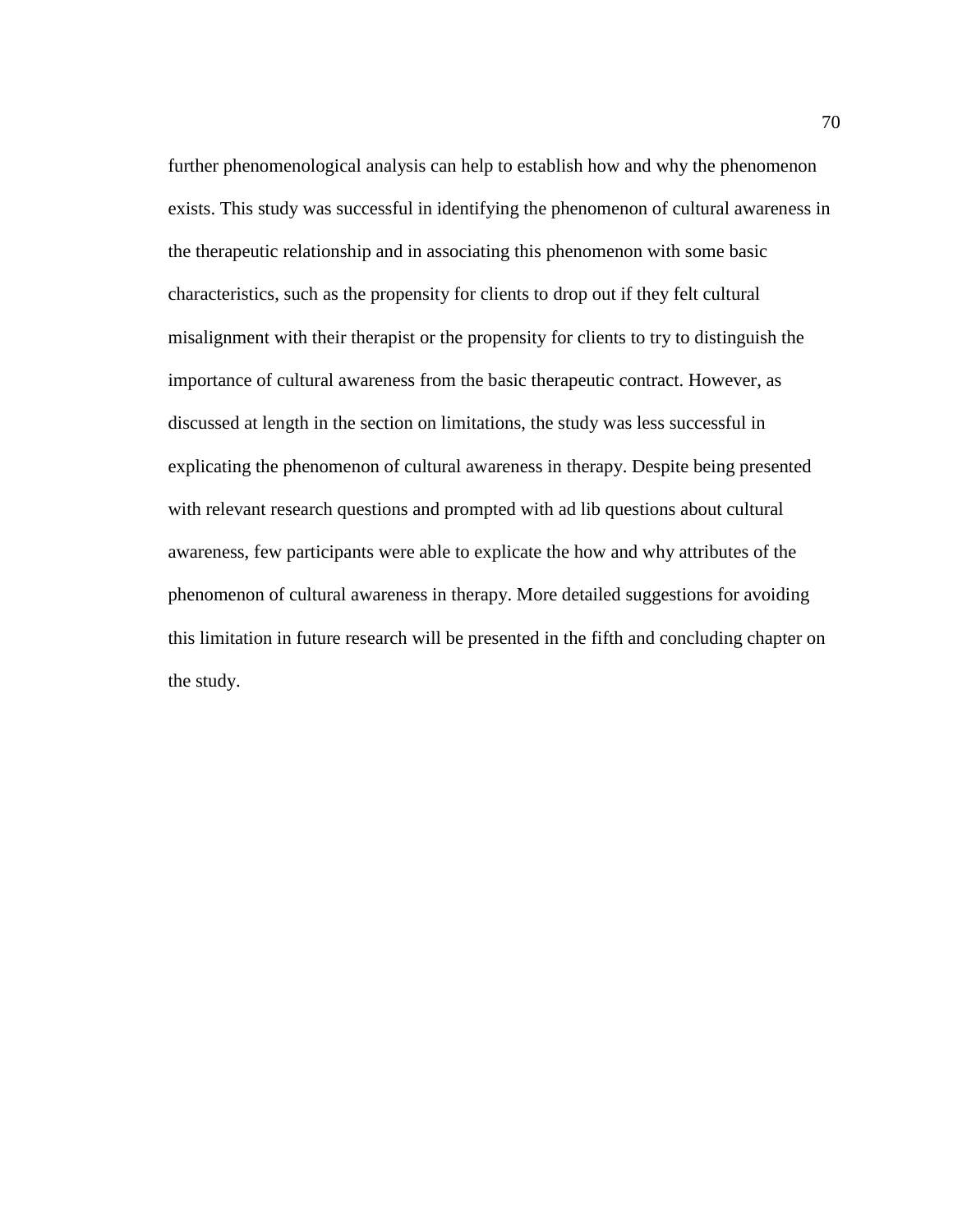further phenomenological analysis can help to establish how and why the phenomenon exists. This study was successful in identifying the phenomenon of cultural awareness in the therapeutic relationship and in associating this phenomenon with some basic characteristics, such as the propensity for clients to drop out if they felt cultural misalignment with their therapist or the propensity for clients to try to distinguish the importance of cultural awareness from the basic therapeutic contract. However, as discussed at length in the section on limitations, the study was less successful in explicating the phenomenon of cultural awareness in therapy. Despite being presented with relevant research questions and prompted with ad lib questions about cultural awareness, few participants were able to explicate the how and why attributes of the phenomenon of cultural awareness in therapy. More detailed suggestions for avoiding this limitation in future research will be presented in the fifth and concluding chapter on the study.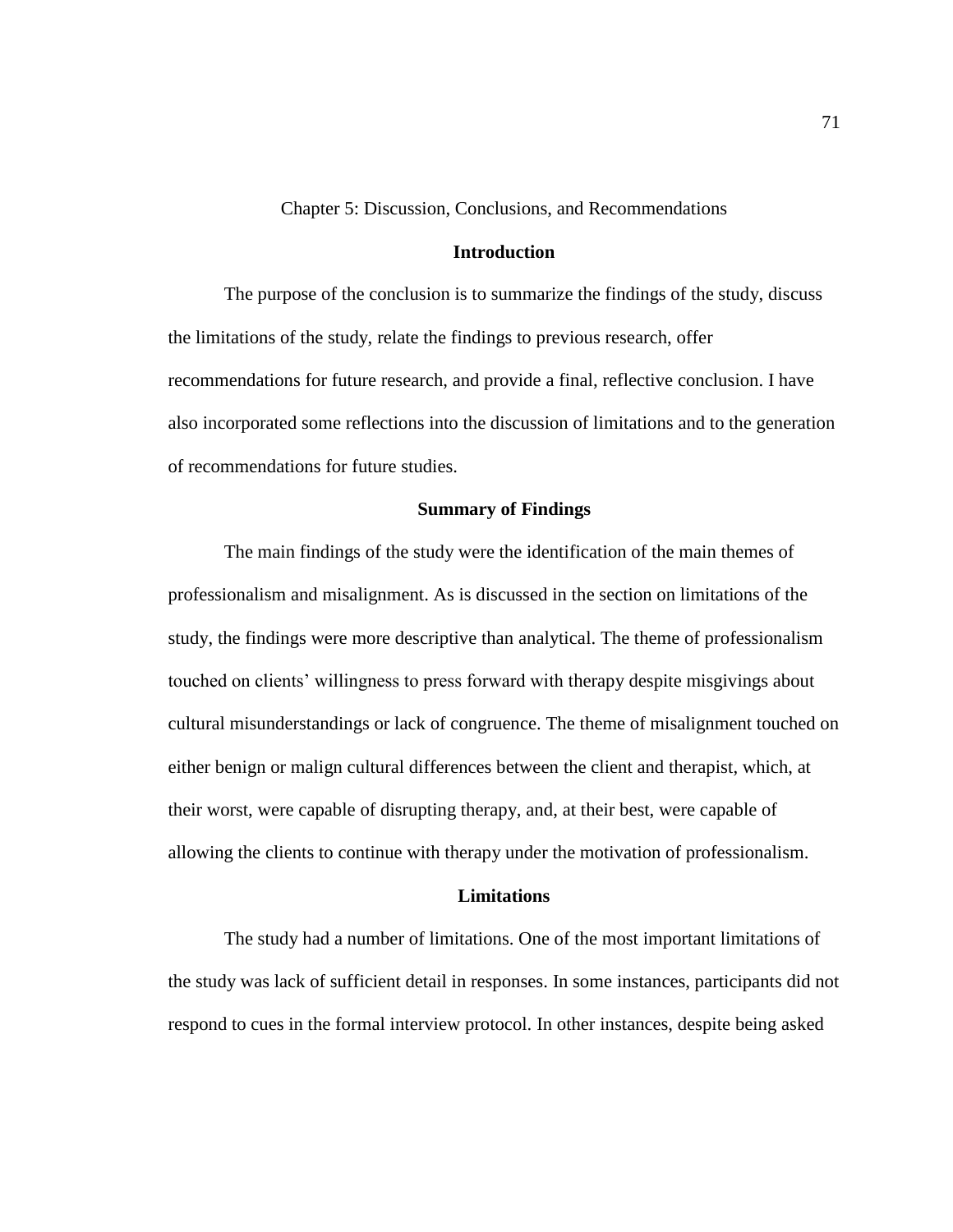Chapter 5: Discussion, Conclusions, and Recommendations

## **Introduction**

The purpose of the conclusion is to summarize the findings of the study, discuss the limitations of the study, relate the findings to previous research, offer recommendations for future research, and provide a final, reflective conclusion. I have also incorporated some reflections into the discussion of limitations and to the generation of recommendations for future studies.

#### **Summary of Findings**

The main findings of the study were the identification of the main themes of professionalism and misalignment. As is discussed in the section on limitations of the study, the findings were more descriptive than analytical. The theme of professionalism touched on clients' willingness to press forward with therapy despite misgivings about cultural misunderstandings or lack of congruence. The theme of misalignment touched on either benign or malign cultural differences between the client and therapist, which, at their worst, were capable of disrupting therapy, and, at their best, were capable of allowing the clients to continue with therapy under the motivation of professionalism.

## **Limitations**

The study had a number of limitations. One of the most important limitations of the study was lack of sufficient detail in responses. In some instances, participants did not respond to cues in the formal interview protocol. In other instances, despite being asked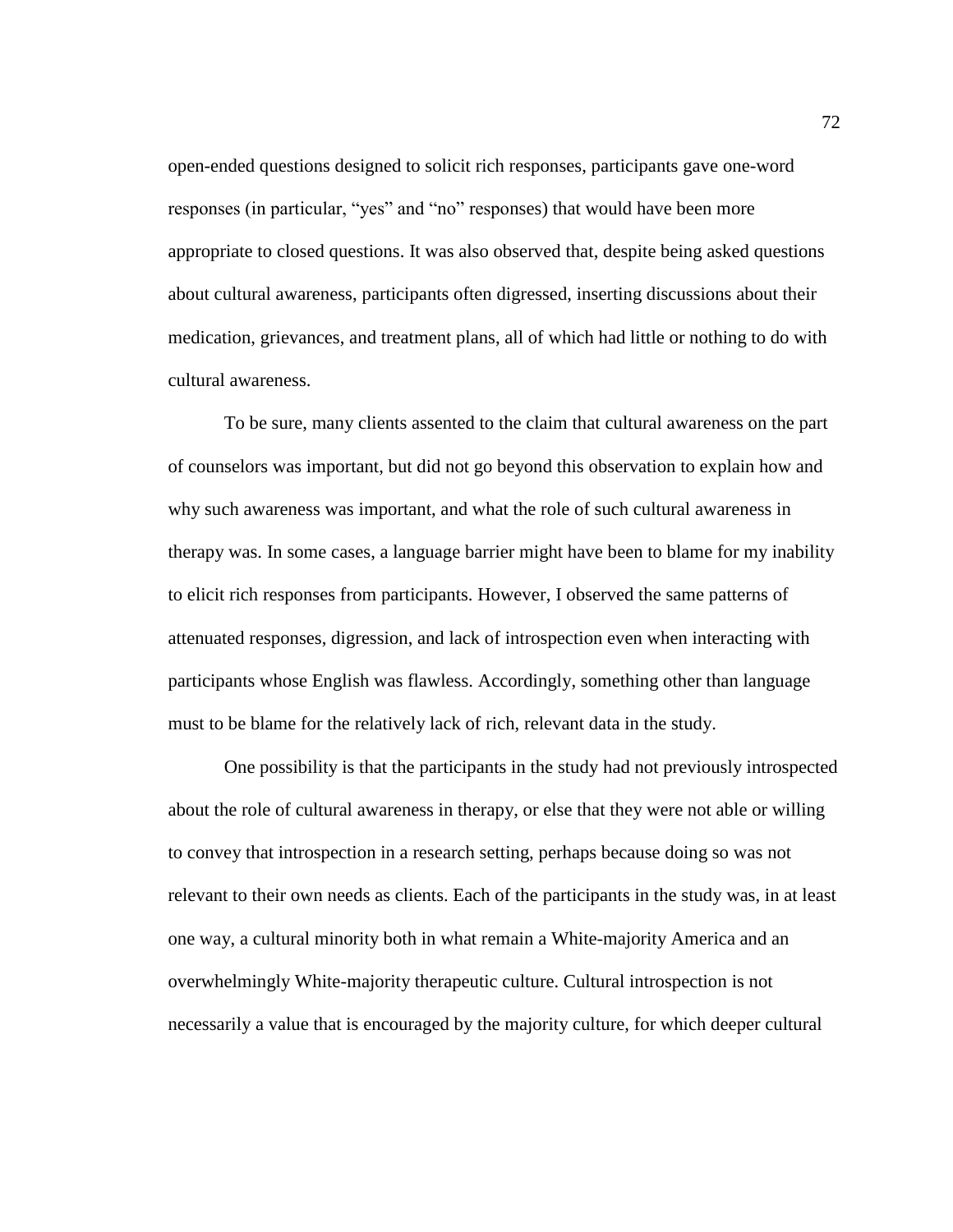open-ended questions designed to solicit rich responses, participants gave one-word responses (in particular, "yes" and "no" responses) that would have been more appropriate to closed questions. It was also observed that, despite being asked questions about cultural awareness, participants often digressed, inserting discussions about their medication, grievances, and treatment plans, all of which had little or nothing to do with cultural awareness.

To be sure, many clients assented to the claim that cultural awareness on the part of counselors was important, but did not go beyond this observation to explain how and why such awareness was important, and what the role of such cultural awareness in therapy was. In some cases, a language barrier might have been to blame for my inability to elicit rich responses from participants. However, I observed the same patterns of attenuated responses, digression, and lack of introspection even when interacting with participants whose English was flawless. Accordingly, something other than language must to be blame for the relatively lack of rich, relevant data in the study.

One possibility is that the participants in the study had not previously introspected about the role of cultural awareness in therapy, or else that they were not able or willing to convey that introspection in a research setting, perhaps because doing so was not relevant to their own needs as clients. Each of the participants in the study was, in at least one way, a cultural minority both in what remain a White-majority America and an overwhelmingly White-majority therapeutic culture. Cultural introspection is not necessarily a value that is encouraged by the majority culture, for which deeper cultural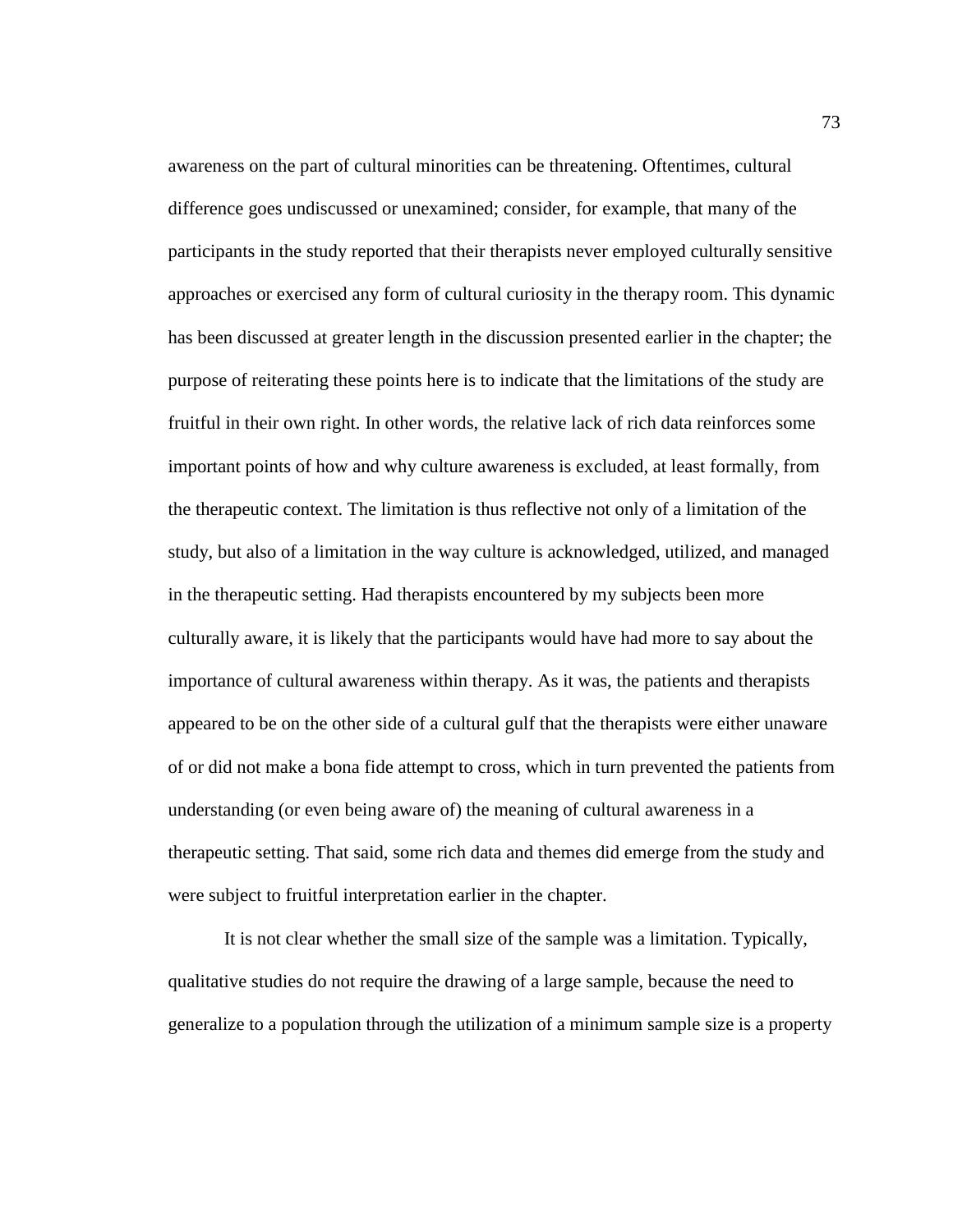awareness on the part of cultural minorities can be threatening. Oftentimes, cultural difference goes undiscussed or unexamined; consider, for example, that many of the participants in the study reported that their therapists never employed culturally sensitive approaches or exercised any form of cultural curiosity in the therapy room. This dynamic has been discussed at greater length in the discussion presented earlier in the chapter; the purpose of reiterating these points here is to indicate that the limitations of the study are fruitful in their own right. In other words, the relative lack of rich data reinforces some important points of how and why culture awareness is excluded, at least formally, from the therapeutic context. The limitation is thus reflective not only of a limitation of the study, but also of a limitation in the way culture is acknowledged, utilized, and managed in the therapeutic setting. Had therapists encountered by my subjects been more culturally aware, it is likely that the participants would have had more to say about the importance of cultural awareness within therapy. As it was, the patients and therapists appeared to be on the other side of a cultural gulf that the therapists were either unaware of or did not make a bona fide attempt to cross, which in turn prevented the patients from understanding (or even being aware of) the meaning of cultural awareness in a therapeutic setting. That said, some rich data and themes did emerge from the study and were subject to fruitful interpretation earlier in the chapter.

It is not clear whether the small size of the sample was a limitation. Typically, qualitative studies do not require the drawing of a large sample, because the need to generalize to a population through the utilization of a minimum sample size is a property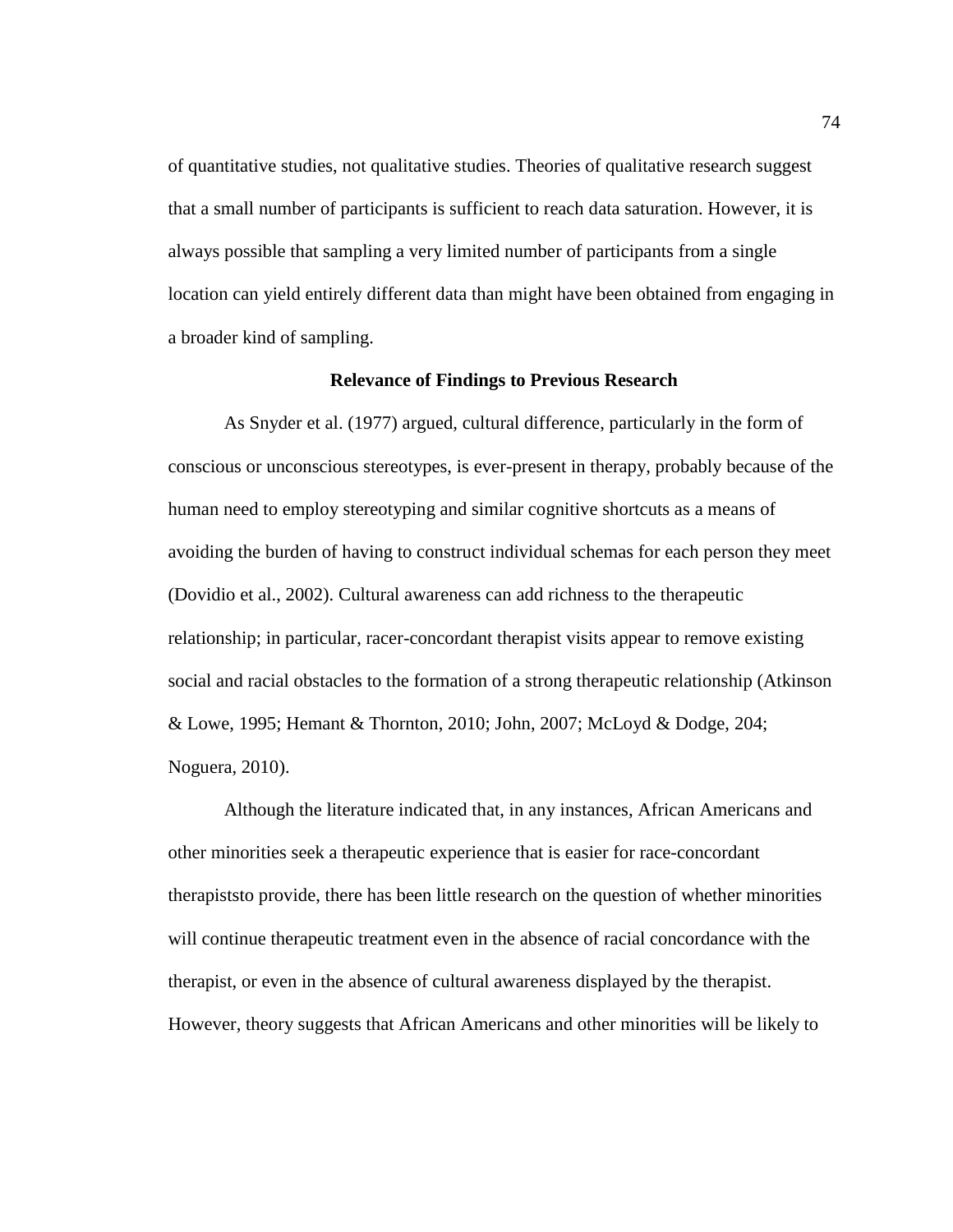of quantitative studies, not qualitative studies. Theories of qualitative research suggest that a small number of participants is sufficient to reach data saturation. However, it is always possible that sampling a very limited number of participants from a single location can yield entirely different data than might have been obtained from engaging in a broader kind of sampling.

### **Relevance of Findings to Previous Research**

As Snyder et al. (1977) argued, cultural difference, particularly in the form of conscious or unconscious stereotypes, is ever-present in therapy, probably because of the human need to employ stereotyping and similar cognitive shortcuts as a means of avoiding the burden of having to construct individual schemas for each person they meet (Dovidio et al., 2002). Cultural awareness can add richness to the therapeutic relationship; in particular, racer-concordant therapist visits appear to remove existing social and racial obstacles to the formation of a strong therapeutic relationship (Atkinson & Lowe, 1995; Hemant & Thornton, 2010; John, 2007; McLoyd & Dodge, 204; Noguera, 2010).

Although the literature indicated that, in any instances, African Americans and other minorities seek a therapeutic experience that is easier for race-concordant therapiststo provide, there has been little research on the question of whether minorities will continue therapeutic treatment even in the absence of racial concordance with the therapist, or even in the absence of cultural awareness displayed by the therapist. However, theory suggests that African Americans and other minorities will be likely to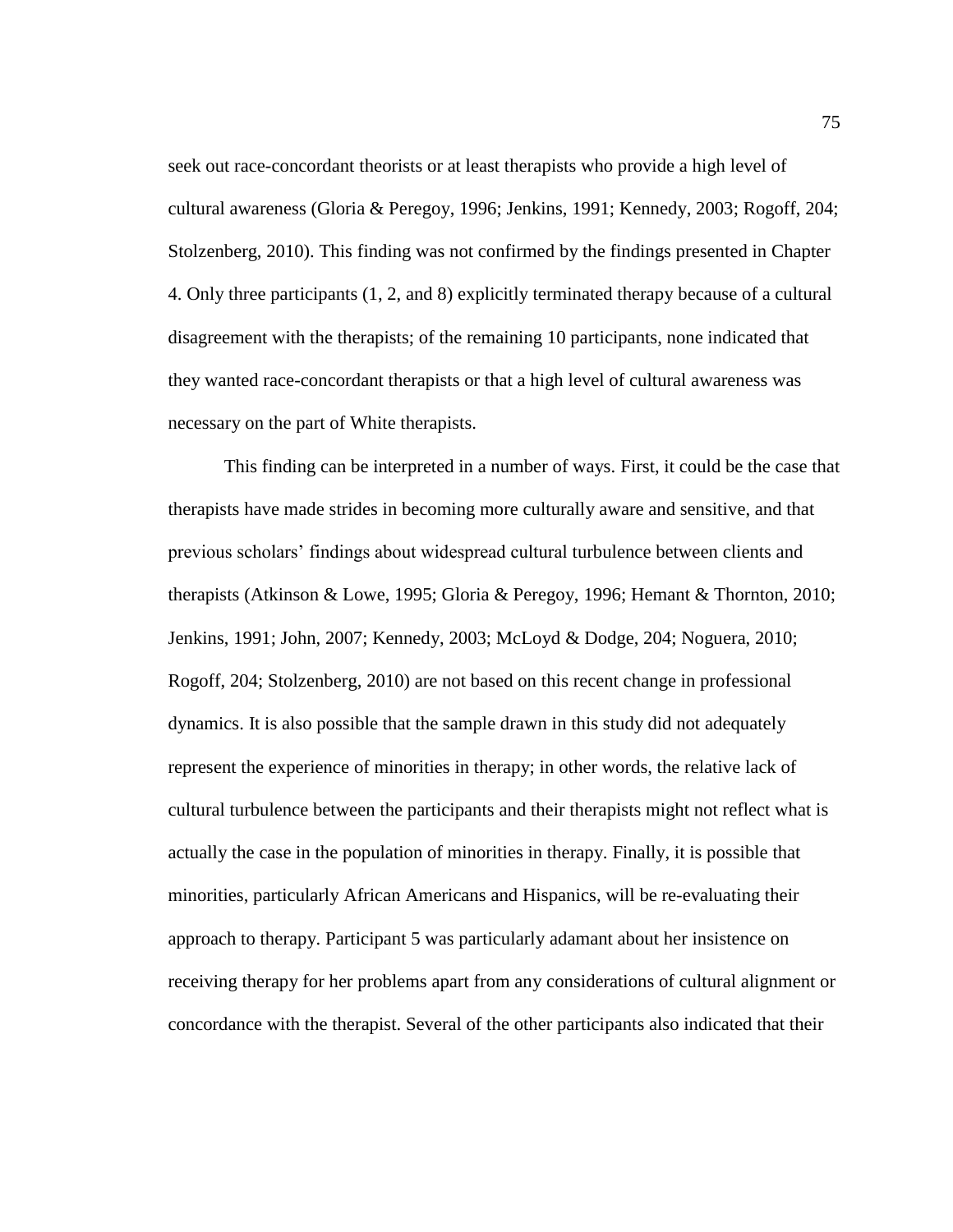seek out race-concordant theorists or at least therapists who provide a high level of cultural awareness (Gloria & Peregoy, 1996; Jenkins, 1991; Kennedy, 2003; Rogoff, 204; Stolzenberg, 2010). This finding was not confirmed by the findings presented in Chapter 4. Only three participants (1, 2, and 8) explicitly terminated therapy because of a cultural disagreement with the therapists; of the remaining 10 participants, none indicated that they wanted race-concordant therapists or that a high level of cultural awareness was necessary on the part of White therapists.

This finding can be interpreted in a number of ways. First, it could be the case that therapists have made strides in becoming more culturally aware and sensitive, and that previous scholars' findings about widespread cultural turbulence between clients and therapists (Atkinson & Lowe, 1995; Gloria & Peregoy, 1996; Hemant & Thornton, 2010; Jenkins, 1991; John, 2007; Kennedy, 2003; McLoyd & Dodge, 204; Noguera, 2010; Rogoff, 204; Stolzenberg, 2010) are not based on this recent change in professional dynamics. It is also possible that the sample drawn in this study did not adequately represent the experience of minorities in therapy; in other words, the relative lack of cultural turbulence between the participants and their therapists might not reflect what is actually the case in the population of minorities in therapy. Finally, it is possible that minorities, particularly African Americans and Hispanics, will be re-evaluating their approach to therapy. Participant 5 was particularly adamant about her insistence on receiving therapy for her problems apart from any considerations of cultural alignment or concordance with the therapist. Several of the other participants also indicated that their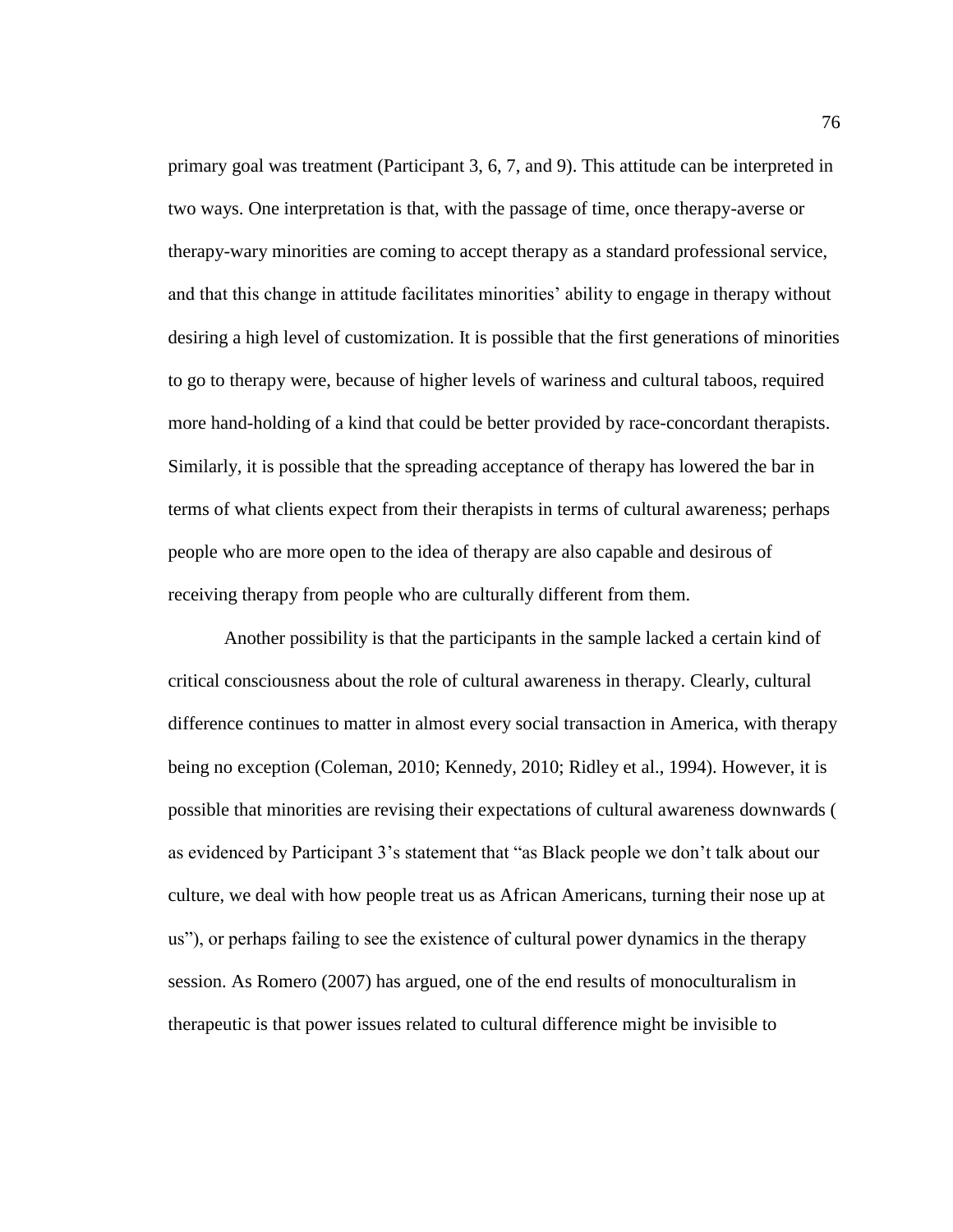primary goal was treatment (Participant 3, 6, 7, and 9). This attitude can be interpreted in two ways. One interpretation is that, with the passage of time, once therapy-averse or therapy-wary minorities are coming to accept therapy as a standard professional service, and that this change in attitude facilitates minorities' ability to engage in therapy without desiring a high level of customization. It is possible that the first generations of minorities to go to therapy were, because of higher levels of wariness and cultural taboos, required more hand-holding of a kind that could be better provided by race-concordant therapists. Similarly, it is possible that the spreading acceptance of therapy has lowered the bar in terms of what clients expect from their therapists in terms of cultural awareness; perhaps people who are more open to the idea of therapy are also capable and desirous of receiving therapy from people who are culturally different from them.

Another possibility is that the participants in the sample lacked a certain kind of critical consciousness about the role of cultural awareness in therapy. Clearly, cultural difference continues to matter in almost every social transaction in America, with therapy being no exception (Coleman, 2010; Kennedy, 2010; Ridley et al., 1994). However, it is possible that minorities are revising their expectations of cultural awareness downwards ( as evidenced by Participant 3's statement that "as Black people we don't talk about our culture, we deal with how people treat us as African Americans, turning their nose up at us"), or perhaps failing to see the existence of cultural power dynamics in the therapy session. As Romero (2007) has argued, one of the end results of monoculturalism in therapeutic is that power issues related to cultural difference might be invisible to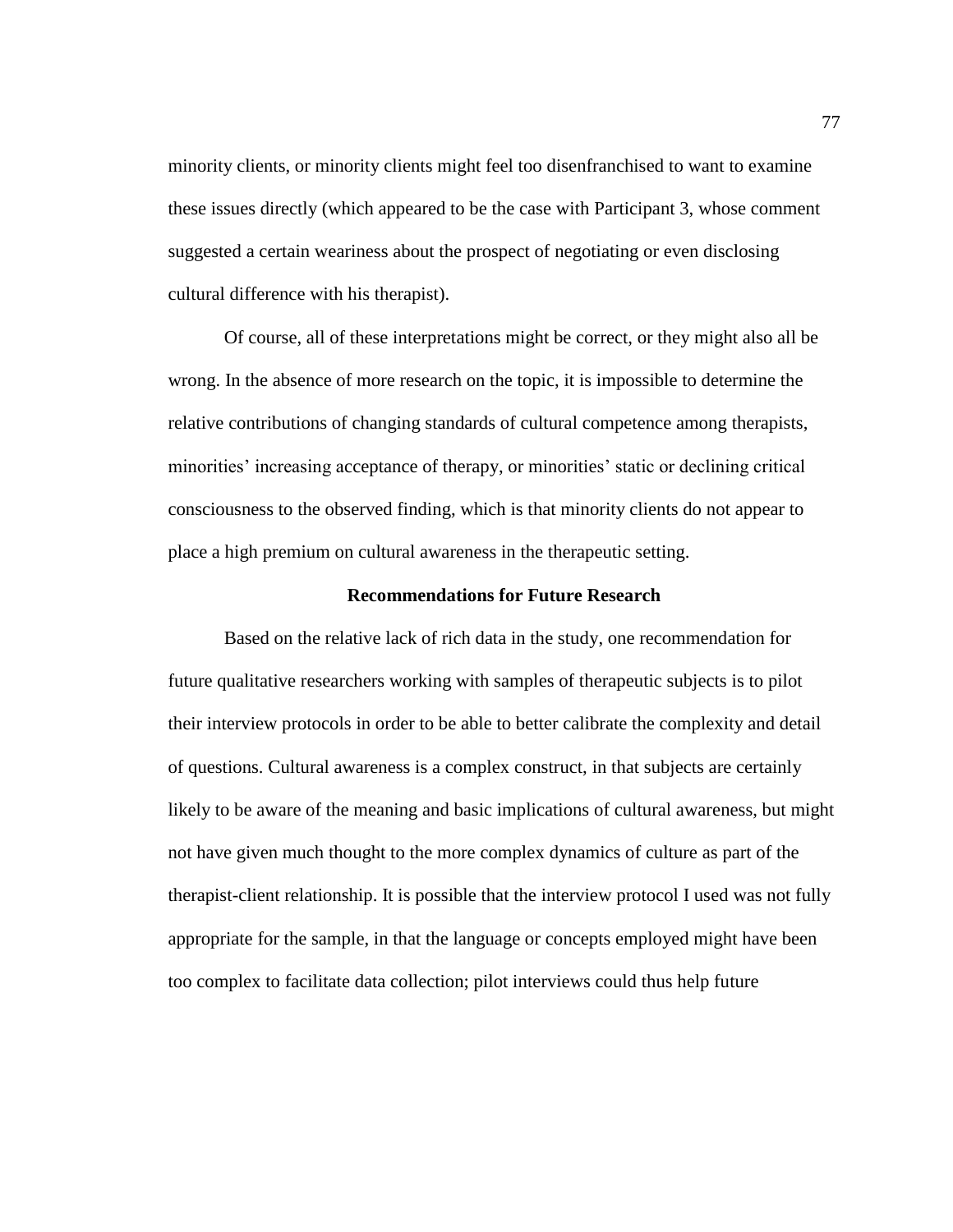minority clients, or minority clients might feel too disenfranchised to want to examine these issues directly (which appeared to be the case with Participant 3, whose comment suggested a certain weariness about the prospect of negotiating or even disclosing cultural difference with his therapist).

Of course, all of these interpretations might be correct, or they might also all be wrong. In the absence of more research on the topic, it is impossible to determine the relative contributions of changing standards of cultural competence among therapists, minorities' increasing acceptance of therapy, or minorities' static or declining critical consciousness to the observed finding, which is that minority clients do not appear to place a high premium on cultural awareness in the therapeutic setting.

### **Recommendations for Future Research**

Based on the relative lack of rich data in the study, one recommendation for future qualitative researchers working with samples of therapeutic subjects is to pilot their interview protocols in order to be able to better calibrate the complexity and detail of questions. Cultural awareness is a complex construct, in that subjects are certainly likely to be aware of the meaning and basic implications of cultural awareness, but might not have given much thought to the more complex dynamics of culture as part of the therapist-client relationship. It is possible that the interview protocol I used was not fully appropriate for the sample, in that the language or concepts employed might have been too complex to facilitate data collection; pilot interviews could thus help future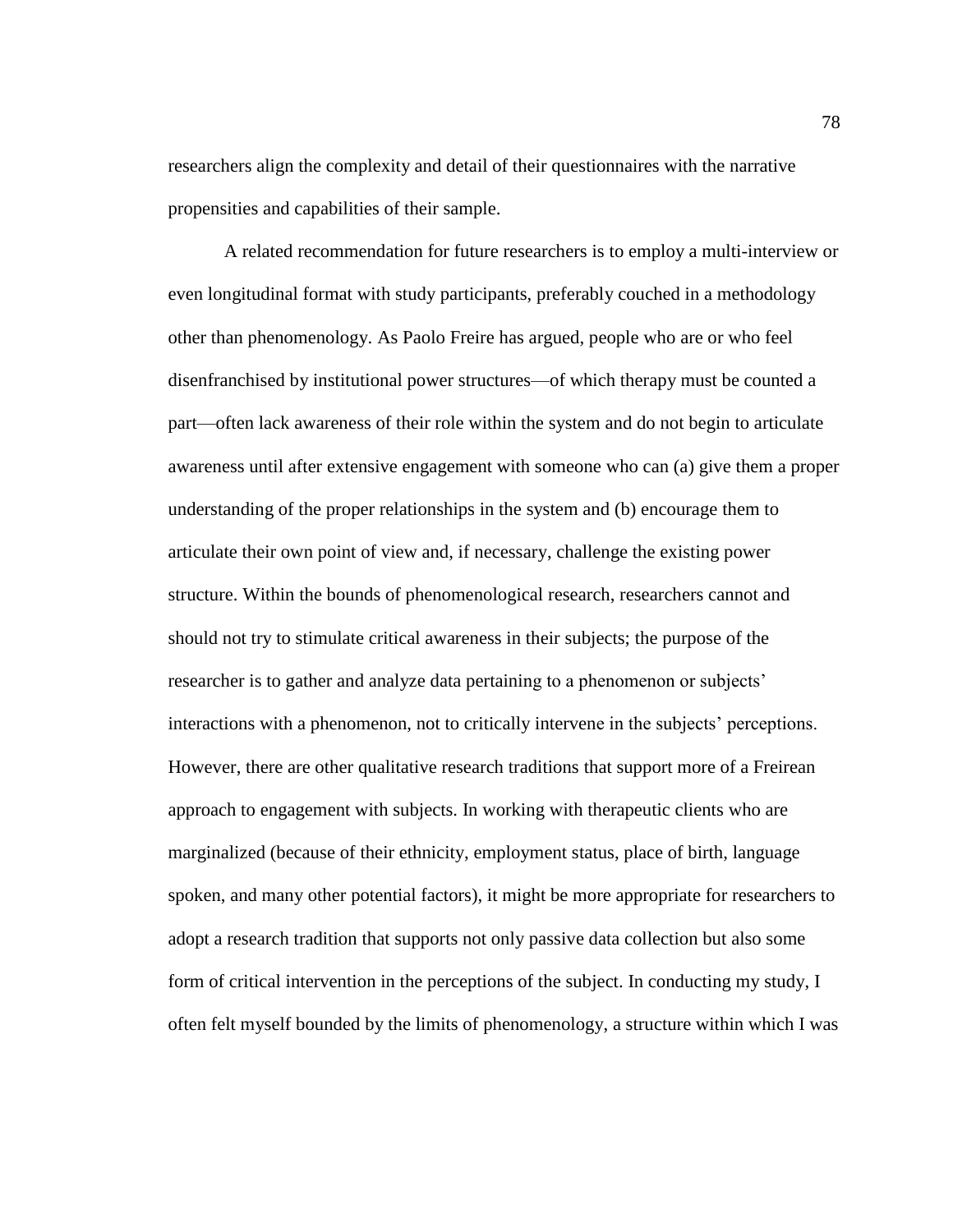researchers align the complexity and detail of their questionnaires with the narrative propensities and capabilities of their sample.

A related recommendation for future researchers is to employ a multi-interview or even longitudinal format with study participants, preferably couched in a methodology other than phenomenology. As Paolo Freire has argued, people who are or who feel disenfranchised by institutional power structures—of which therapy must be counted a part—often lack awareness of their role within the system and do not begin to articulate awareness until after extensive engagement with someone who can (a) give them a proper understanding of the proper relationships in the system and (b) encourage them to articulate their own point of view and, if necessary, challenge the existing power structure. Within the bounds of phenomenological research, researchers cannot and should not try to stimulate critical awareness in their subjects; the purpose of the researcher is to gather and analyze data pertaining to a phenomenon or subjects' interactions with a phenomenon, not to critically intervene in the subjects' perceptions. However, there are other qualitative research traditions that support more of a Freirean approach to engagement with subjects. In working with therapeutic clients who are marginalized (because of their ethnicity, employment status, place of birth, language spoken, and many other potential factors), it might be more appropriate for researchers to adopt a research tradition that supports not only passive data collection but also some form of critical intervention in the perceptions of the subject. In conducting my study, I often felt myself bounded by the limits of phenomenology, a structure within which I was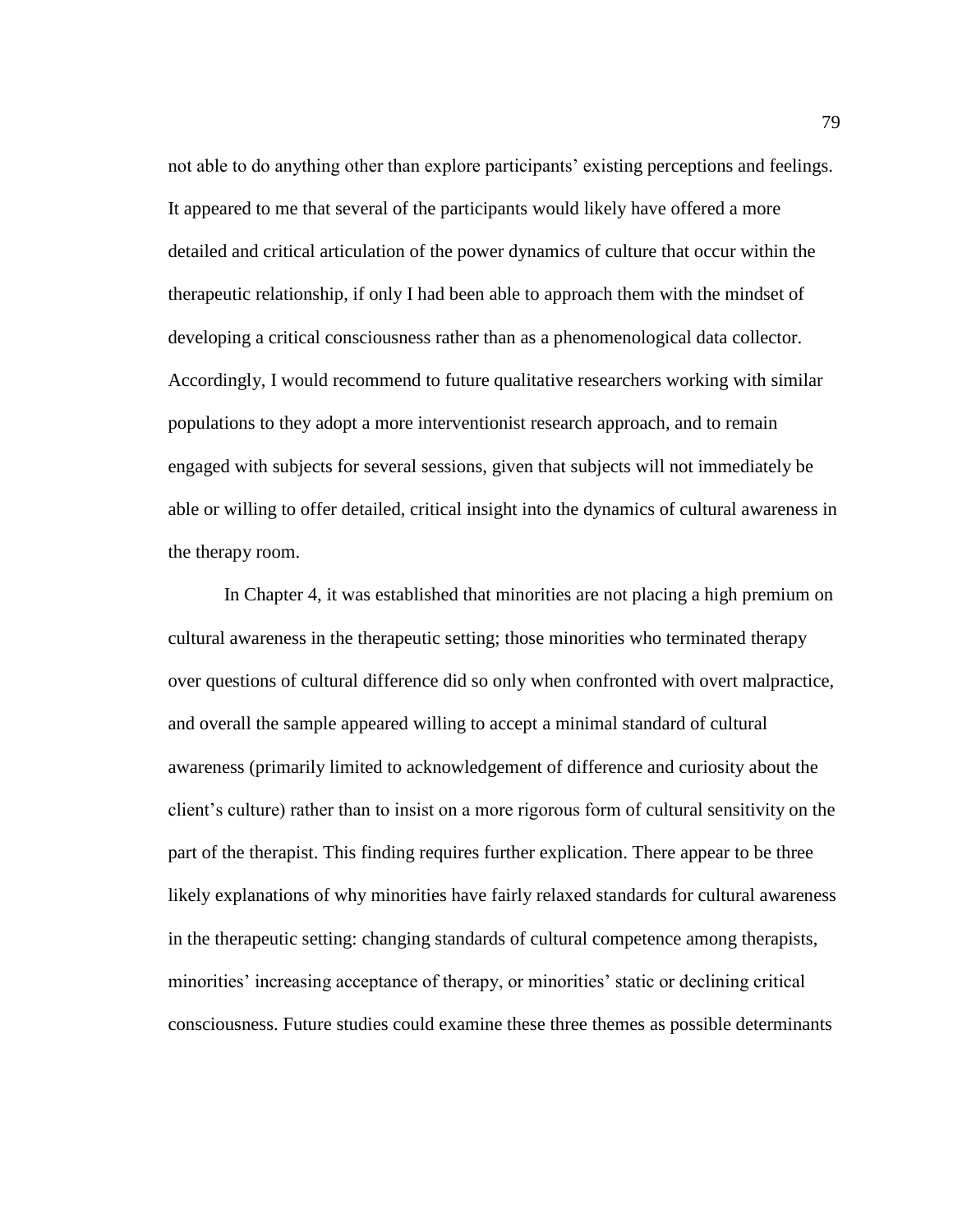not able to do anything other than explore participants' existing perceptions and feelings. It appeared to me that several of the participants would likely have offered a more detailed and critical articulation of the power dynamics of culture that occur within the therapeutic relationship, if only I had been able to approach them with the mindset of developing a critical consciousness rather than as a phenomenological data collector. Accordingly, I would recommend to future qualitative researchers working with similar populations to they adopt a more interventionist research approach, and to remain engaged with subjects for several sessions, given that subjects will not immediately be able or willing to offer detailed, critical insight into the dynamics of cultural awareness in the therapy room.

In Chapter 4, it was established that minorities are not placing a high premium on cultural awareness in the therapeutic setting; those minorities who terminated therapy over questions of cultural difference did so only when confronted with overt malpractice, and overall the sample appeared willing to accept a minimal standard of cultural awareness (primarily limited to acknowledgement of difference and curiosity about the client's culture) rather than to insist on a more rigorous form of cultural sensitivity on the part of the therapist. This finding requires further explication. There appear to be three likely explanations of why minorities have fairly relaxed standards for cultural awareness in the therapeutic setting: changing standards of cultural competence among therapists, minorities' increasing acceptance of therapy, or minorities' static or declining critical consciousness. Future studies could examine these three themes as possible determinants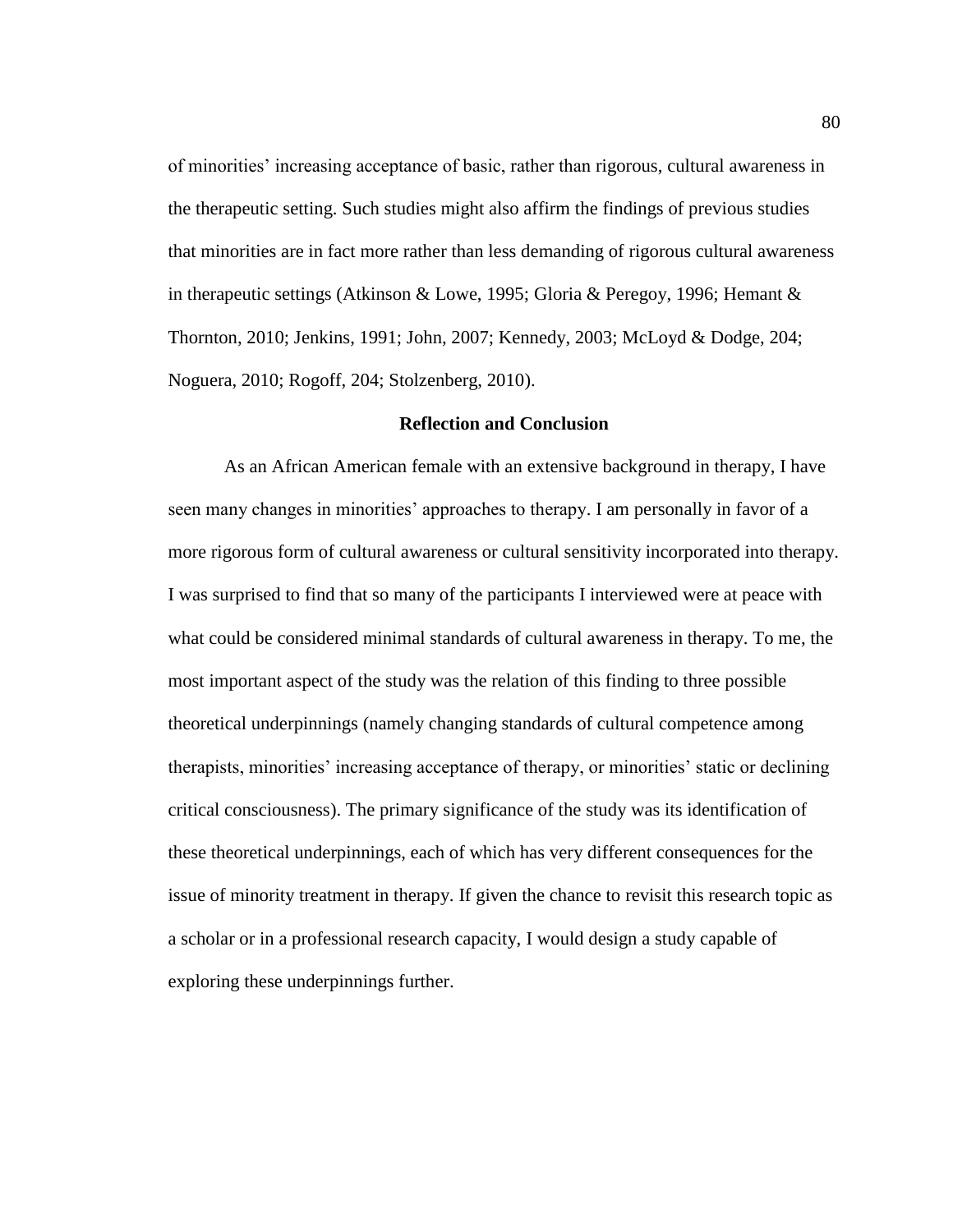of minorities' increasing acceptance of basic, rather than rigorous, cultural awareness in the therapeutic setting. Such studies might also affirm the findings of previous studies that minorities are in fact more rather than less demanding of rigorous cultural awareness in therapeutic settings (Atkinson & Lowe, 1995; Gloria & Peregoy, 1996; Hemant & Thornton, 2010; Jenkins, 1991; John, 2007; Kennedy, 2003; McLoyd & Dodge, 204; Noguera, 2010; Rogoff, 204; Stolzenberg, 2010).

### **Reflection and Conclusion**

As an African American female with an extensive background in therapy, I have seen many changes in minorities' approaches to therapy. I am personally in favor of a more rigorous form of cultural awareness or cultural sensitivity incorporated into therapy. I was surprised to find that so many of the participants I interviewed were at peace with what could be considered minimal standards of cultural awareness in therapy. To me, the most important aspect of the study was the relation of this finding to three possible theoretical underpinnings (namely changing standards of cultural competence among therapists, minorities' increasing acceptance of therapy, or minorities' static or declining critical consciousness). The primary significance of the study was its identification of these theoretical underpinnings, each of which has very different consequences for the issue of minority treatment in therapy. If given the chance to revisit this research topic as a scholar or in a professional research capacity, I would design a study capable of exploring these underpinnings further.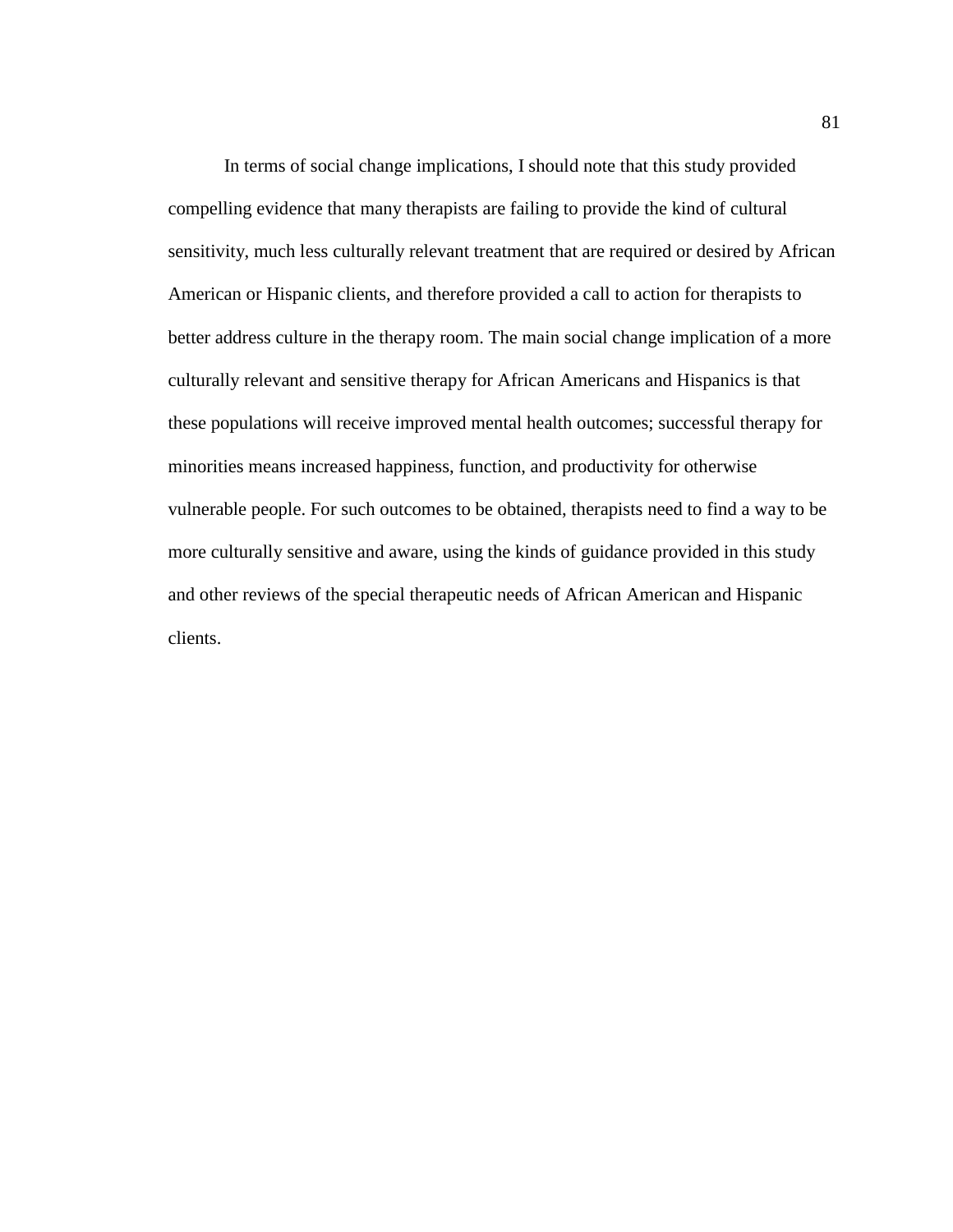In terms of social change implications, I should note that this study provided compelling evidence that many therapists are failing to provide the kind of cultural sensitivity, much less culturally relevant treatment that are required or desired by African American or Hispanic clients, and therefore provided a call to action for therapists to better address culture in the therapy room. The main social change implication of a more culturally relevant and sensitive therapy for African Americans and Hispanics is that these populations will receive improved mental health outcomes; successful therapy for minorities means increased happiness, function, and productivity for otherwise vulnerable people. For such outcomes to be obtained, therapists need to find a way to be more culturally sensitive and aware, using the kinds of guidance provided in this study and other reviews of the special therapeutic needs of African American and Hispanic clients.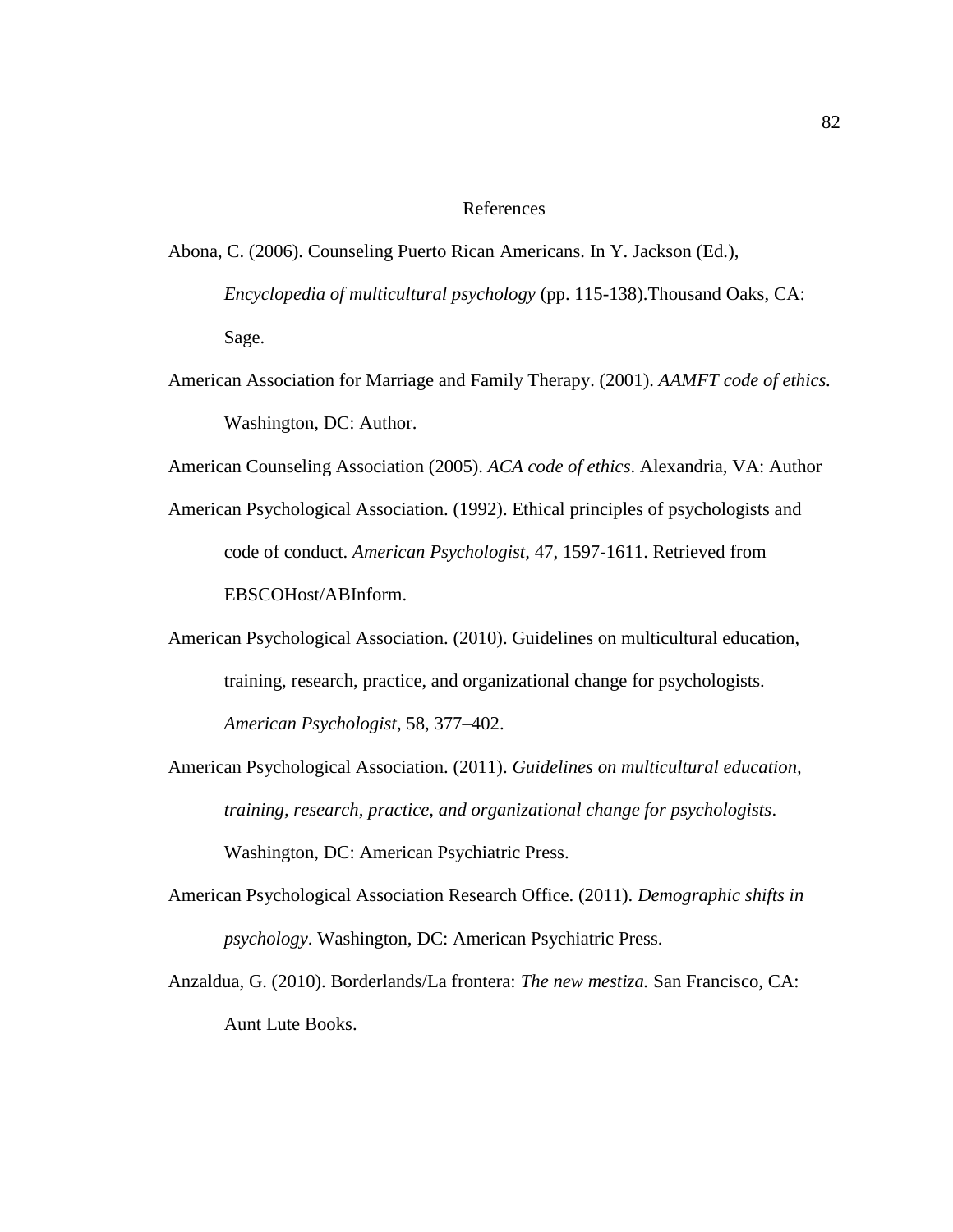### References

- Abona, C. (2006). Counseling Puerto Rican Americans. In Y. Jackson (Ed.), *Encyclopedia of multicultural psychology* (pp. 115-138).Thousand Oaks, CA: Sage.
- American Association for Marriage and Family Therapy. (2001). *AAMFT code of ethics.*  Washington, DC: Author.
- American Counseling Association (2005). *ACA code of ethics*. Alexandria, VA: Author
- American Psychological Association. (1992). Ethical principles of psychologists and code of conduct. *American Psychologist,* 47, 1597-1611. Retrieved from EBSCOHost/ABInform.
- American Psychological Association. (2010). Guidelines on multicultural education, training, research, practice, and organizational change for psychologists. *American Psychologist*, 58, 377–402.
- American Psychological Association. (2011). *Guidelines on multicultural education, training, research, practice, and organizational change for psychologists*. Washington, DC: American Psychiatric Press.
- American Psychological Association Research Office. (2011). *Demographic shifts in psychology*. Washington, DC: American Psychiatric Press.
- Anzaldua, G. (2010). Borderlands/La frontera: *The new mestiza.* San Francisco, CA: Aunt Lute Books.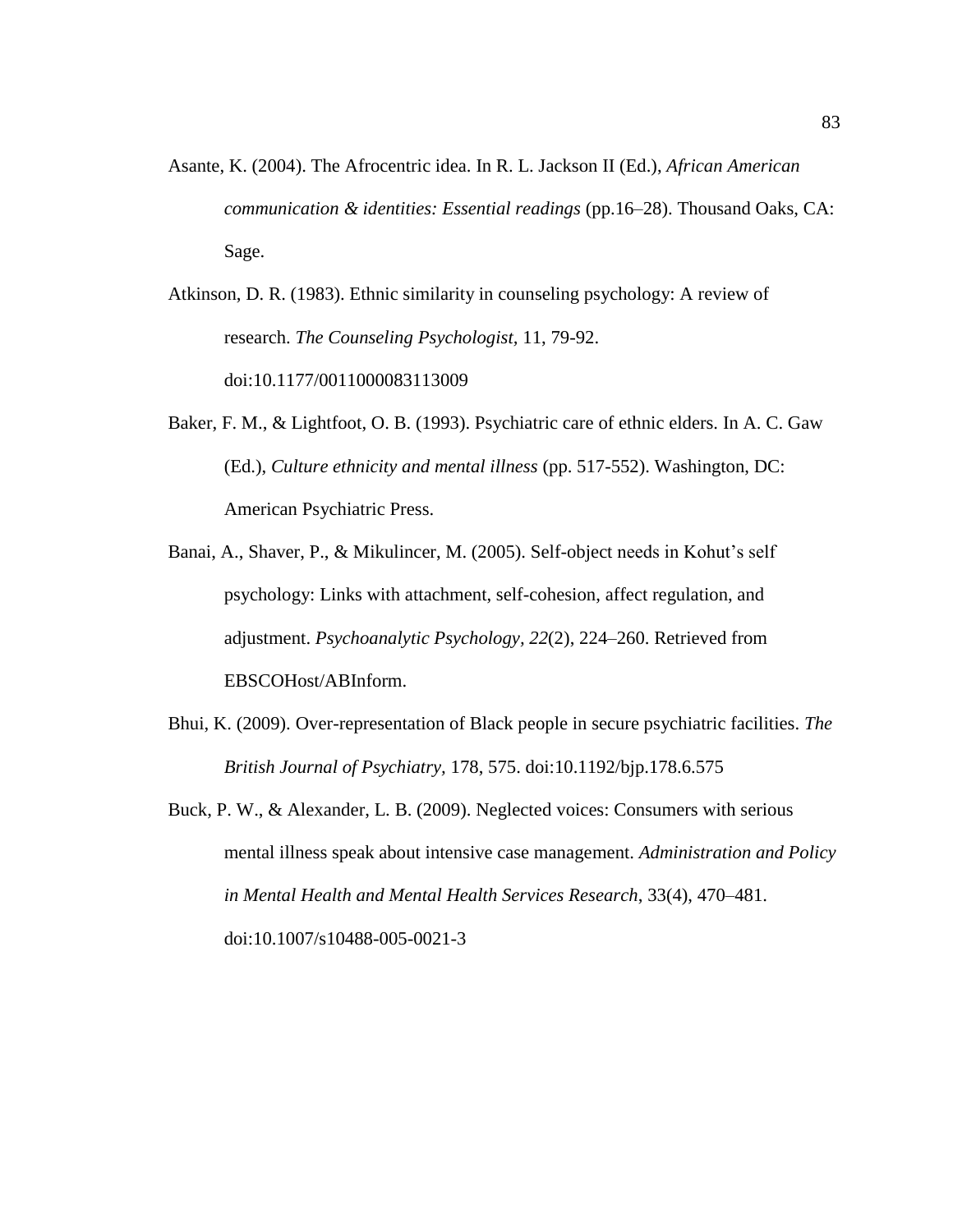Asante, K. (2004). The Afrocentric idea. In R. L. Jackson II (Ed.), *African American communication & identities: Essential readings* (pp.16–28). Thousand Oaks, CA: Sage.

Atkinson, D. R. (1983). Ethnic similarity in counseling psychology: A review of research. *The Counseling Psychologist,* 11, 79-92. doi:10.1177/0011000083113009

- Baker, F. M., & Lightfoot, O. B. (1993). Psychiatric care of ethnic elders. In A. C. Gaw (Ed.), *Culture ethnicity and mental illness* (pp. 517-552). Washington, DC: American Psychiatric Press.
- Banai, A., Shaver, P., & Mikulincer, M. (2005). Self-object needs in Kohut's self psychology: Links with attachment, self-cohesion, affect regulation, and adjustment. *Psychoanalytic Psychology, 22*(2), 224–260. Retrieved from EBSCOHost/ABInform.
- Bhui, K. (2009). Over-representation of Black people in secure psychiatric facilities. *The British Journal of Psychiatry,* 178, 575. doi:10.1192/bjp.178.6.575
- Buck, P. W., & Alexander, L. B. (2009). Neglected voices: Consumers with serious mental illness speak about intensive case management. *Administration and Policy in Mental Health and Mental Health Services Research*, 33(4), 470–481. doi:10.1007/s10488-005-0021-3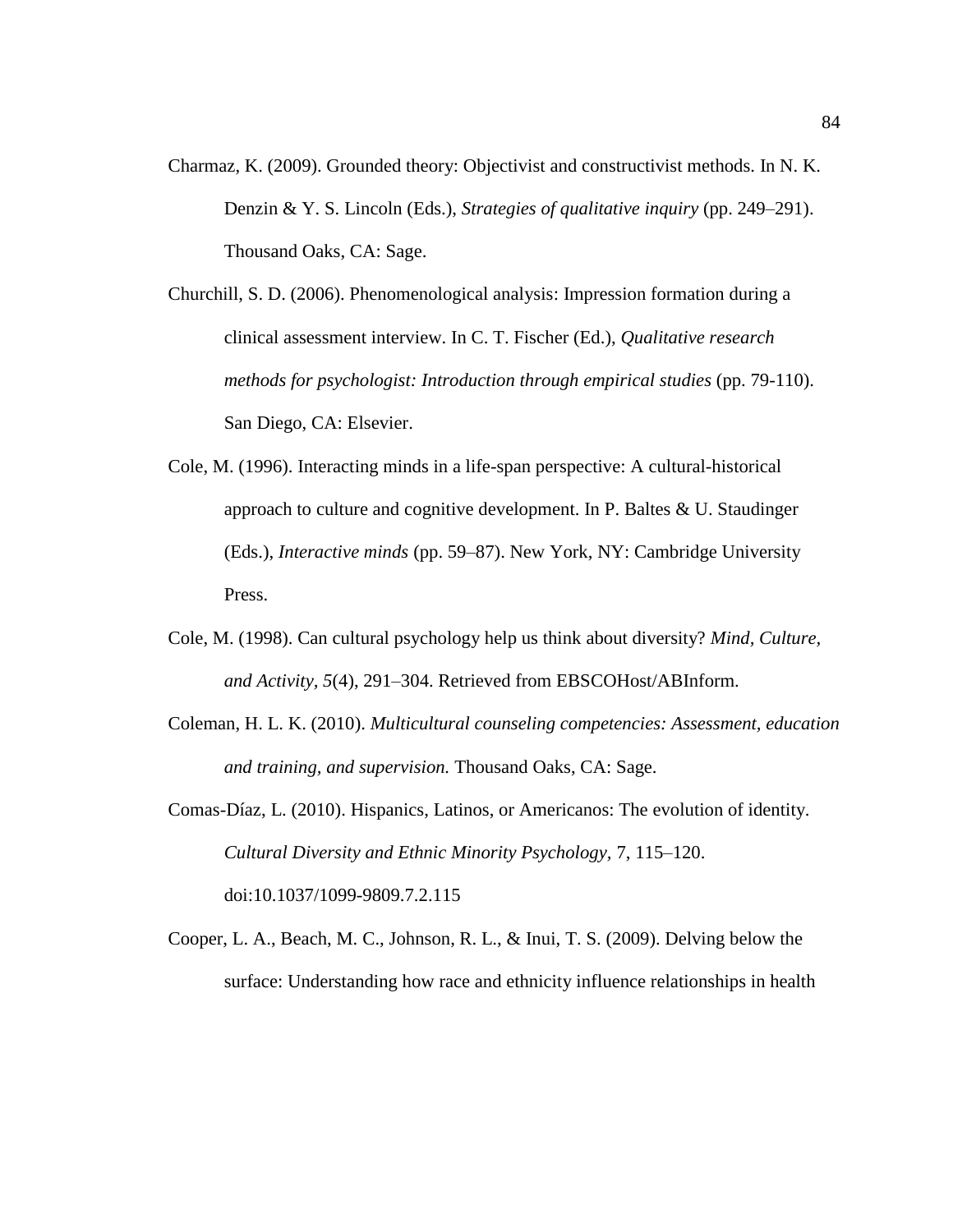- Charmaz, K. (2009). Grounded theory: Objectivist and constructivist methods. In N. K. Denzin & Y. S. Lincoln (Eds.), *Strategies of qualitative inquiry* (pp. 249–291). Thousand Oaks, CA: Sage.
- Churchill, S. D. (2006). Phenomenological analysis: Impression formation during a clinical assessment interview. In C. T. Fischer (Ed.), *Qualitative research methods for psychologist: Introduction through empirical studies (pp. 79-110).* San Diego, CA: Elsevier.
- Cole, M. (1996). Interacting minds in a life-span perspective: A cultural-historical approach to culture and cognitive development. In P. Baltes & U. Staudinger (Eds.), *Interactive minds* (pp. 59–87). New York, NY: Cambridge University Press.
- Cole, M. (1998). Can cultural psychology help us think about diversity? *Mind, Culture, and Activity, 5*(4), 291–304. Retrieved from EBSCOHost/ABInform.
- Coleman, H. L. K. (2010). *Multicultural counseling competencies: Assessment, education and training, and supervision.* Thousand Oaks, CA: Sage.
- Comas-Díaz, L. (2010). Hispanics, Latinos, or Americanos: The evolution of identity. *Cultural Diversity and Ethnic Minority Psychology,* 7, 115–120. doi:10.1037/1099-9809.7.2.115
- Cooper, L. A., Beach, M. C., Johnson, R. L., & Inui, T. S. (2009). Delving below the surface: Understanding how race and ethnicity influence relationships in health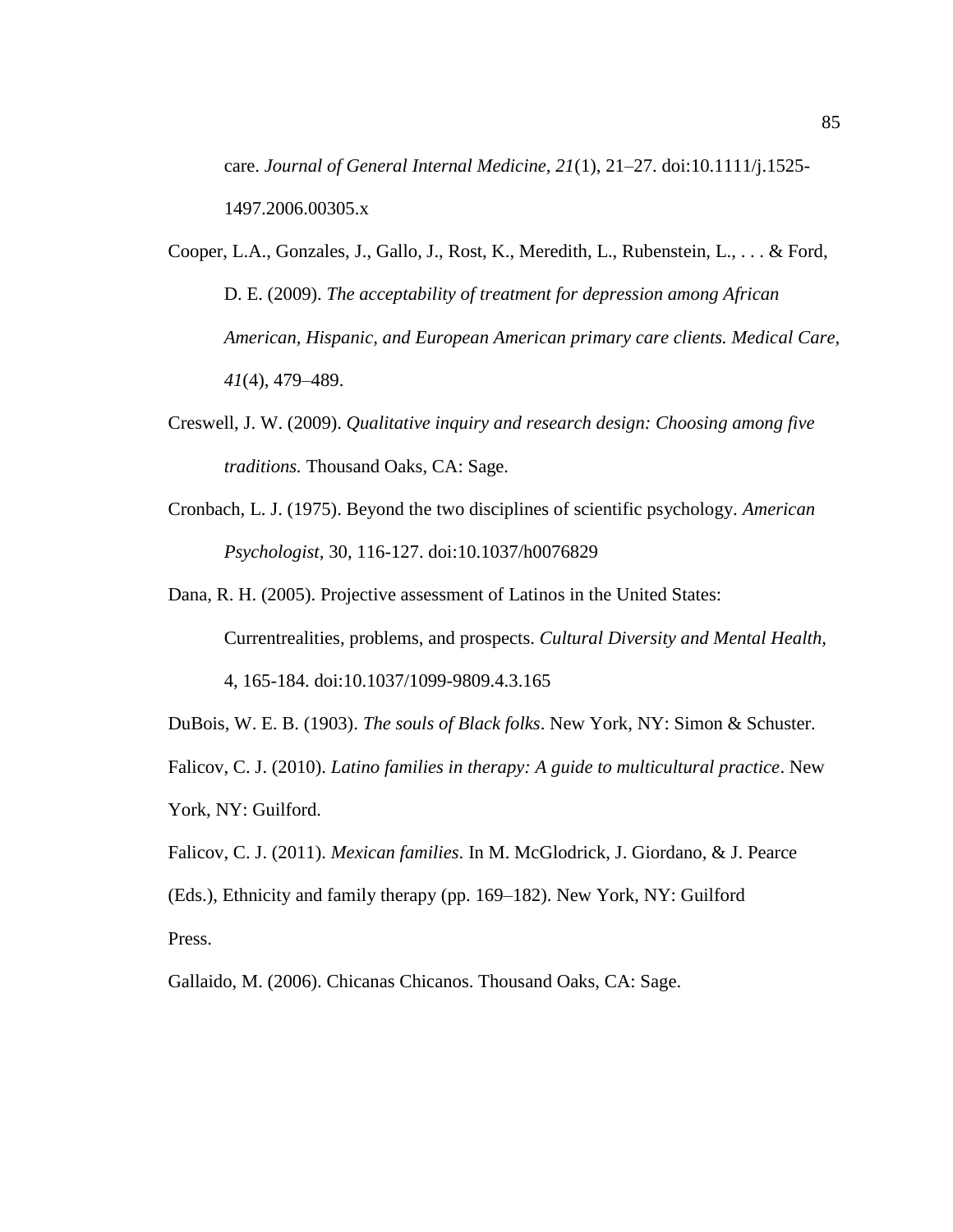care. *Journal of General Internal Medicine, 21*(1), 21–27. doi:10.1111/j.1525- 1497.2006.00305.x

- Cooper, L.A., Gonzales, J., Gallo, J., Rost, K., Meredith, L., Rubenstein, L., . . . & Ford, D. E. (2009). *The acceptability of treatment for depression among African American, Hispanic, and European American primary care clients. Medical Care, 41*(4), 479–489.
- Creswell, J. W. (2009). *Qualitative inquiry and research design: Choosing among five traditions.* Thousand Oaks, CA: Sage.
- Cronbach, L. J. (1975). Beyond the two disciplines of scientific psychology. *American Psychologist,* 30, 116-127. doi:10.1037/h0076829

Dana, R. H. (2005). Projective assessment of Latinos in the United States: Currentrealities, problems, and prospects. *Cultural Diversity and Mental Health,* 4, 165-184. doi:10.1037/1099-9809.4.3.165

DuBois, W. E. B. (1903). *The souls of Black folks*. New York, NY: Simon & Schuster. Falicov, C. J. (2010). *Latino families in therapy: A guide to multicultural practice*. New York, NY: Guilford.

Falicov, C. J. (2011). *Mexican families*. In M. McGlodrick, J. Giordano, & J. Pearce (Eds.), Ethnicity and family therapy (pp. 169–182). New York, NY: Guilford Press.

Gallaido, M. (2006). Chicanas Chicanos. Thousand Oaks, CA: Sage.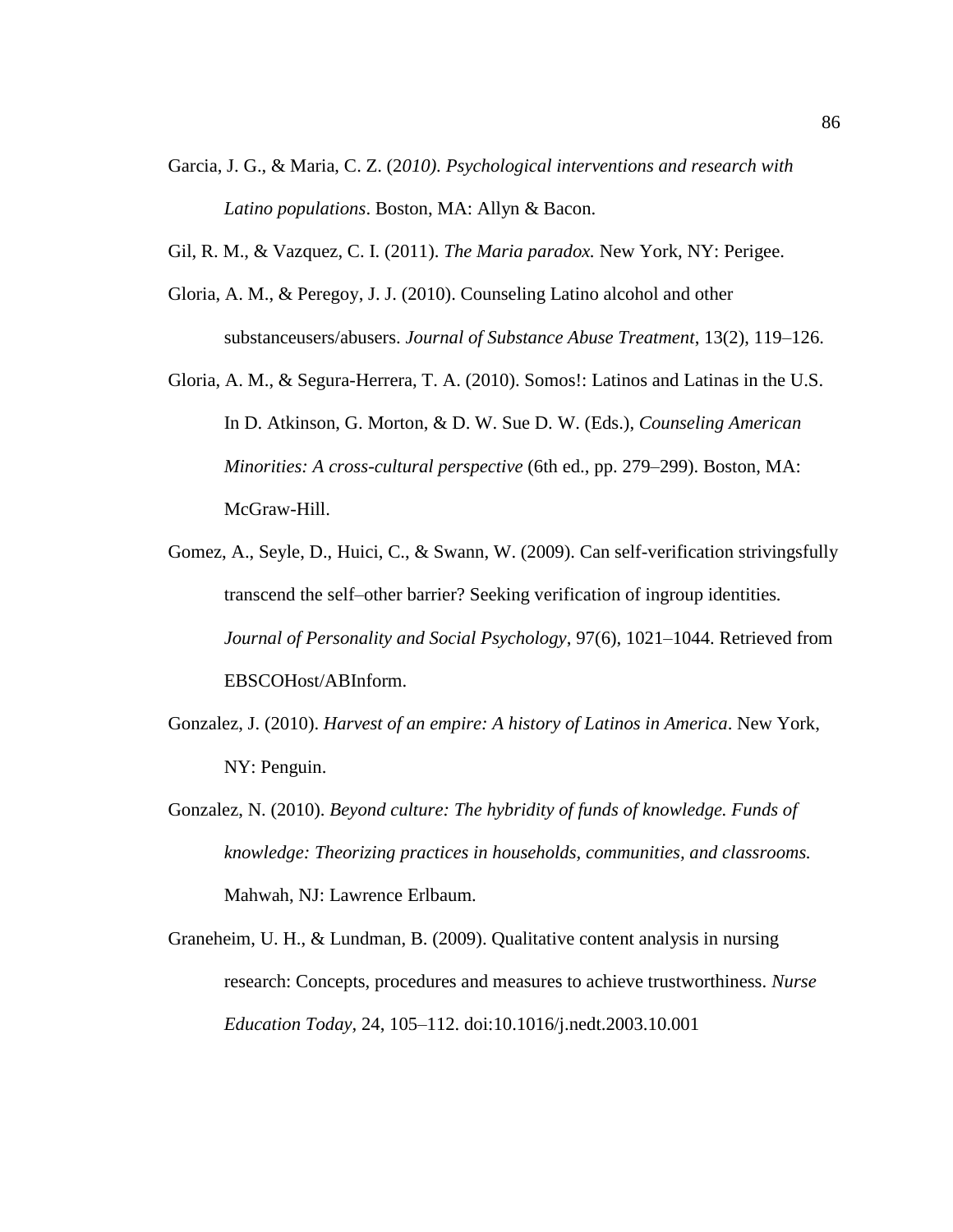- Garcia, J. G., & Maria, C. Z. (2*010). Psychological interventions and research with Latino populations*. Boston, MA: Allyn & Bacon.
- Gil, R. M., & Vazquez, C. I. (2011). *The Maria paradox.* New York, NY: Perigee.
- Gloria, A. M., & Peregoy, J. J. (2010). Counseling Latino alcohol and other substanceusers/abusers. *Journal of Substance Abuse Treatment*, 13(2), 119–126.
- Gloria, A. M., & Segura-Herrera, T. A. (2010). Somos!: Latinos and Latinas in the U.S. In D. Atkinson, G. Morton, & D. W. Sue D. W. (Eds.), *Counseling American Minorities: A cross-cultural perspective* (6th ed., pp. 279–299). Boston, MA: McGraw-Hill.
- Gomez, A., Seyle, D., Huici, C., & Swann, W. (2009). Can self-verification strivingsfully transcend the self–other barrier? Seeking verification of ingroup identities*. Journal of Personality and Social Psychology*, 97(6), 1021–1044. Retrieved from EBSCOHost/ABInform.
- Gonzalez, J. (2010). *Harvest of an empire: A history of Latinos in America*. New York, NY: Penguin.
- Gonzalez, N. (2010). *Beyond culture: The hybridity of funds of knowledge. Funds of knowledge: Theorizing practices in households, communities, and classrooms.* Mahwah, NJ: Lawrence Erlbaum.
- Graneheim, U. H., & Lundman, B. (2009). Qualitative content analysis in nursing research: Concepts, procedures and measures to achieve trustworthiness. *Nurse Education Today,* 24, 105–112. doi:10.1016/j.nedt.2003.10.001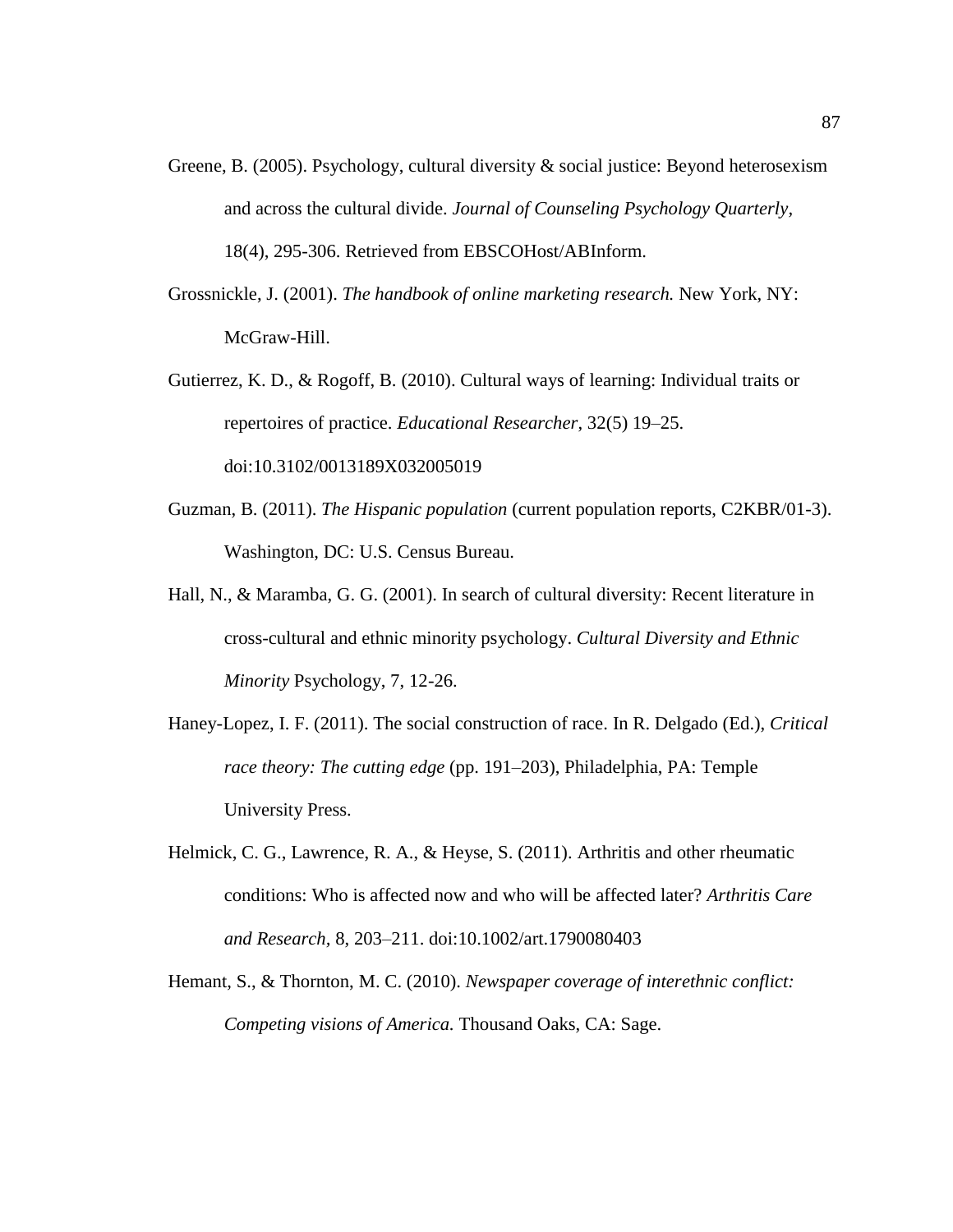- Greene, B. (2005). Psychology, cultural diversity & social justice: Beyond heterosexism and across the cultural divide. *Journal of Counseling Psychology Quarterly,* 18(4), 295-306. Retrieved from EBSCOHost/ABInform.
- Grossnickle, J. (2001). *The handbook of online marketing research.* New York, NY: McGraw-Hill.
- Gutierrez, K. D., & Rogoff, B. (2010). Cultural ways of learning: Individual traits or repertoires of practice. *Educational Researcher*, 32(5) 19–25. doi:10.3102/0013189X032005019
- Guzman, B. (2011). *The Hispanic population* (current population reports, C2KBR/01-3). Washington, DC: U.S. Census Bureau.
- Hall, N., & Maramba, G. G. (2001). In search of cultural diversity: Recent literature in cross-cultural and ethnic minority psychology. *Cultural Diversity and Ethnic Minority* Psychology, 7, 12-26.
- Haney-Lopez, I. F. (2011). The social construction of race. In R. Delgado (Ed.), *Critical race theory: The cutting edge* (pp. 191–203), Philadelphia, PA: Temple University Press.
- Helmick, C. G., Lawrence, R. A., & Heyse, S. (2011). Arthritis and other rheumatic conditions: Who is affected now and who will be affected later? *Arthritis Care and Research,* 8, 203–211. doi:10.1002/art.1790080403
- Hemant, S., & Thornton, M. C. (2010). *Newspaper coverage of interethnic conflict: Competing visions of America.* Thousand Oaks, CA: Sage.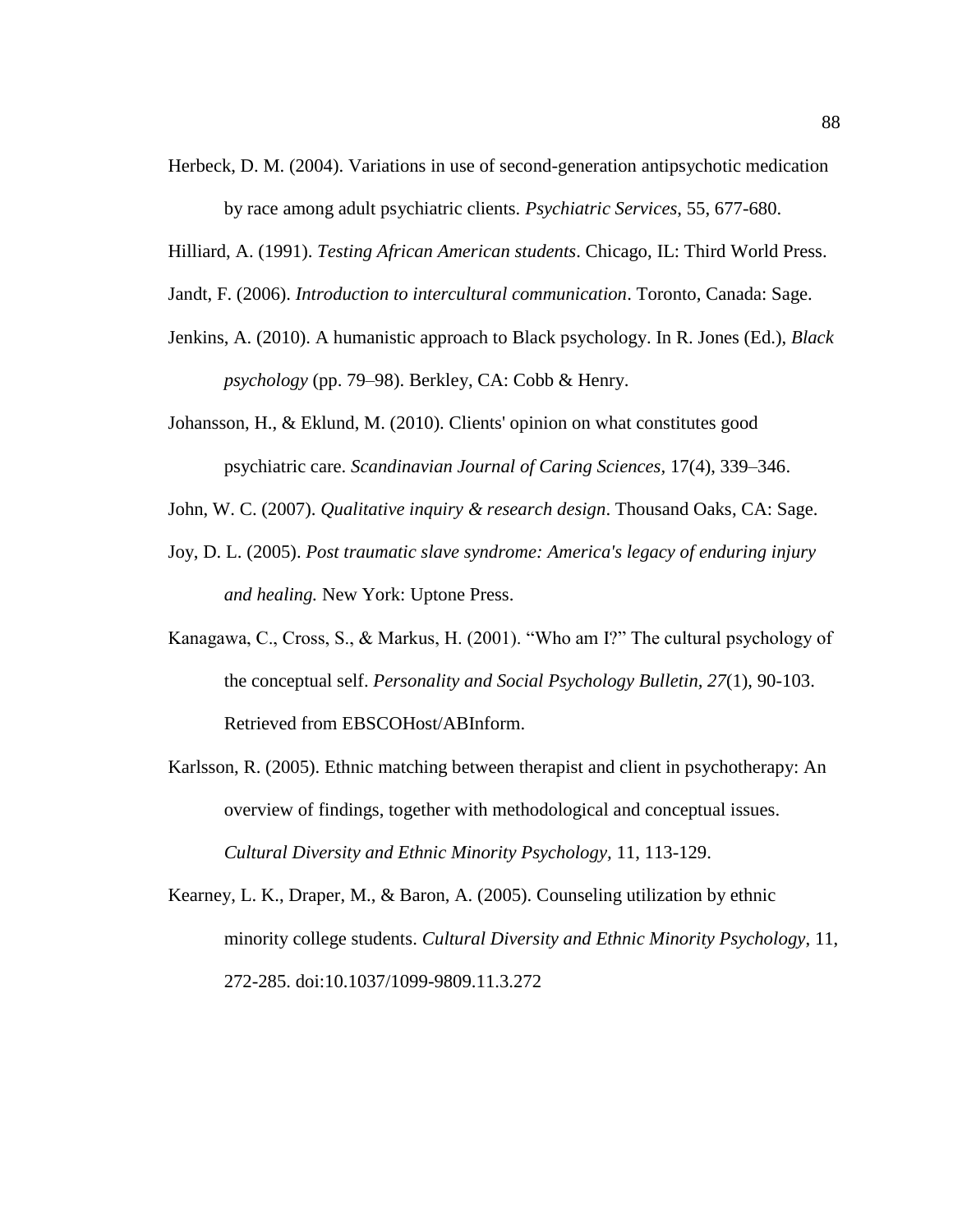Herbeck, D. M. (2004). Variations in use of second-generation antipsychotic medication

by race among adult psychiatric clients. *Psychiatric Services*, 55, 677-680.

- Hilliard, A. (1991). *Testing African American students*. Chicago, IL: Third World Press.
- Jandt, F. (2006). *Introduction to intercultural communication*. Toronto, Canada: Sage.
- Jenkins, A. (2010). A humanistic approach to Black psychology. In R. Jones (Ed.), *Black psychology* (pp. 79–98). Berkley, CA: Cobb & Henry.
- Johansson, H., & Eklund, M. (2010). Clients' opinion on what constitutes good psychiatric care. *Scandinavian Journal of Caring Sciences,* 17(4), 339–346.
- John, W. C. (2007). *Qualitative inquiry & research design*. Thousand Oaks, CA: Sage.
- Joy, D. L. (2005). *Post traumatic slave syndrome: America's legacy of enduring injury and healing.* New York: Uptone Press.
- Kanagawa, C., Cross, S., & Markus, H. (2001). "Who am I?" The cultural psychology of the conceptual self. *Personality and Social Psychology Bulletin, 27*(1), 90-103. Retrieved from EBSCOHost/ABInform.
- Karlsson, R. (2005). Ethnic matching between therapist and client in psychotherapy: An overview of findings, together with methodological and conceptual issues. *Cultural Diversity and Ethnic Minority Psychology,* 11, 113-129.
- Kearney, L. K., Draper, M., & Baron, A. (2005). Counseling utilization by ethnic minority college students. *Cultural Diversity and Ethnic Minority Psychology*, 11, 272-285. doi:10.1037/1099-9809.11.3.272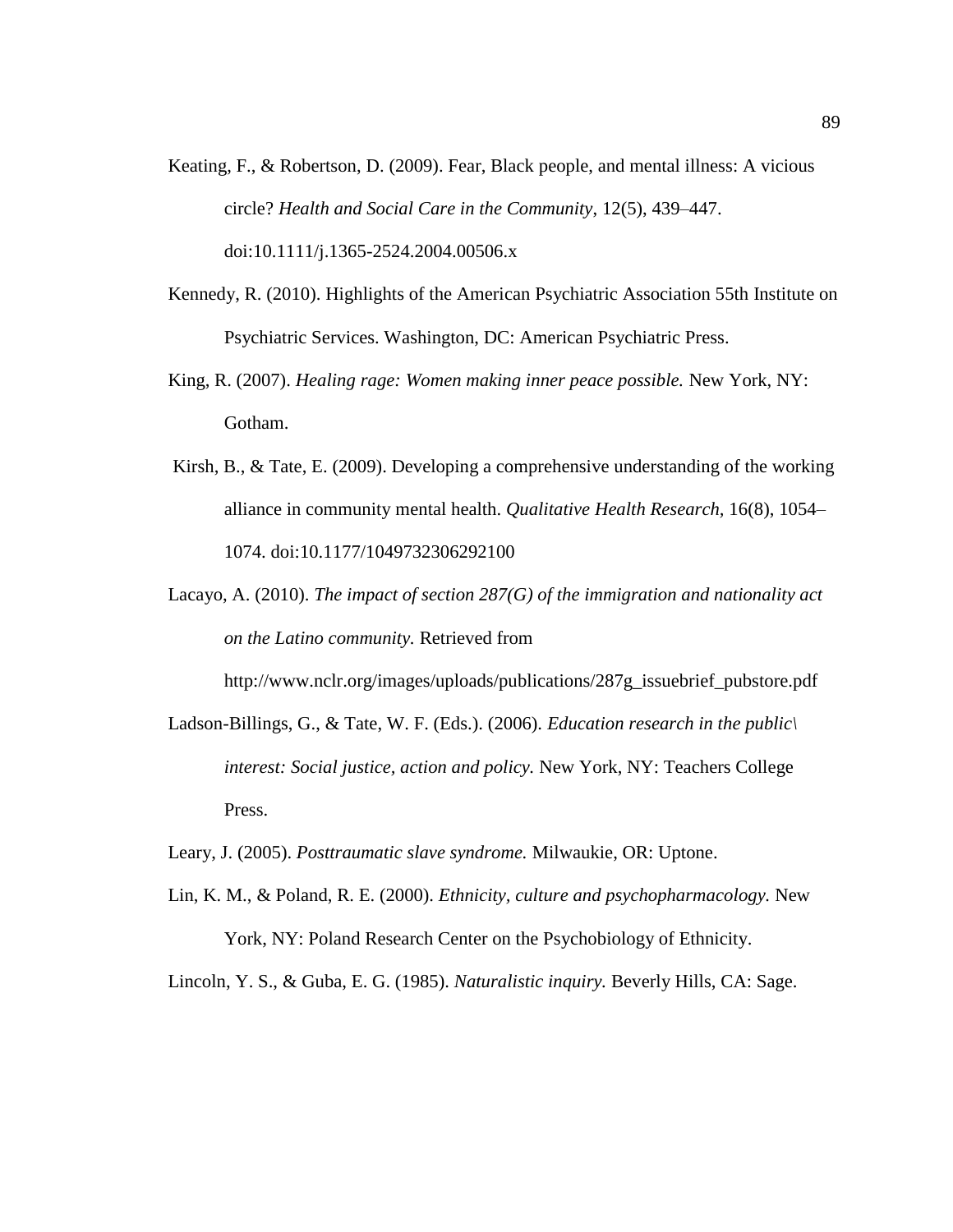- Keating, F., & Robertson, D. (2009). Fear, Black people, and mental illness: A vicious circle? *Health and Social Care in the Community*, 12(5), 439–447. doi:10.1111/j.1365-2524.2004.00506.x
- Kennedy, R. (2010). Highlights of the American Psychiatric Association 55th Institute on Psychiatric Services. Washington, DC: American Psychiatric Press.
- King, R. (2007). *Healing rage: Women making inner peace possible.* New York, NY: Gotham.
- Kirsh, B., & Tate, E. (2009). Developing a comprehensive understanding of the working alliance in community mental health. *Qualitative Health Research,* 16(8), 1054– 1074. doi:10.1177/1049732306292100
- Lacayo, A. (2010). *The impact of section 287(G) of the immigration and nationality act on the Latino community.* Retrieved from

http://www.nclr.org/images/uploads/publications/287g\_issuebrief\_pubstore.pdf

- Ladson-Billings, G., & Tate, W. F. (Eds.). (2006). *Education research in the public\ interest: Social justice, action and policy.* New York, NY: Teachers College Press.
- Leary, J. (2005). *Posttraumatic slave syndrome.* Milwaukie, OR: Uptone.
- Lin, K. M., & Poland, R. E. (2000). *Ethnicity, culture and psychopharmacology.* New York, NY: Poland Research Center on the Psychobiology of Ethnicity.

Lincoln, Y. S., & Guba, E. G. (1985). *Naturalistic inquiry.* Beverly Hills, CA: Sage.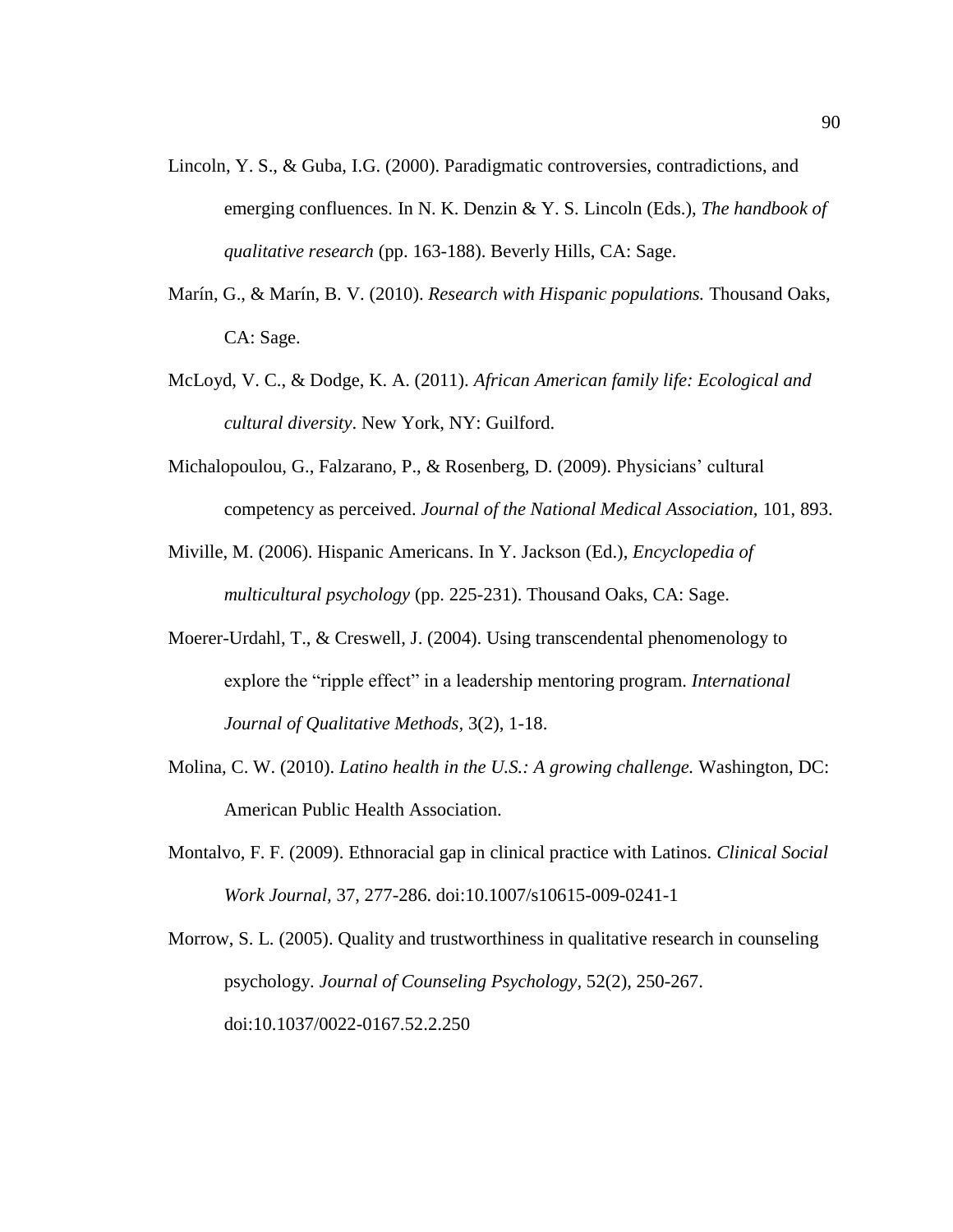- Lincoln, Y. S., & Guba, I.G. (2000). Paradigmatic controversies, contradictions, and emerging confluences. In N. K. Denzin & Y. S. Lincoln (Eds.), *The handbook of qualitative research* (pp. 163-188). Beverly Hills, CA: Sage.
- Marín, G., & Marín, B. V. (2010). *Research with Hispanic populations.* Thousand Oaks, CA: Sage.
- McLoyd, V. C., & Dodge, K. A. (2011). *African American family life: Ecological and cultural diversity*. New York, NY: Guilford.
- Michalopoulou, G., Falzarano, P., & Rosenberg, D. (2009). Physicians' cultural competency as perceived. *Journal of the National Medical Association,* 101, 893.
- Miville, M. (2006). Hispanic Americans. In Y. Jackson (Ed.), *Encyclopedia of multicultural psychology* (pp. 225-231). Thousand Oaks, CA: Sage.
- Moerer-Urdahl, T., & Creswell, J. (2004). Using transcendental phenomenology to explore the "ripple effect" in a leadership mentoring program. *International Journal of Qualitative Methods,* 3(2), 1-18.
- Molina, C. W. (2010). *Latino health in the U.S.: A growing challenge.* Washington, DC: American Public Health Association.
- Montalvo, F. F. (2009). Ethnoracial gap in clinical practice with Latinos. *Clinical Social Work Journal,* 37, 277-286. doi:10.1007/s10615-009-0241-1

Morrow, S. L. (2005). Quality and trustworthiness in qualitative research in counseling psychology. *Journal of Counseling Psychology,* 52(2), 250-267. doi:10.1037/0022-0167.52.2.250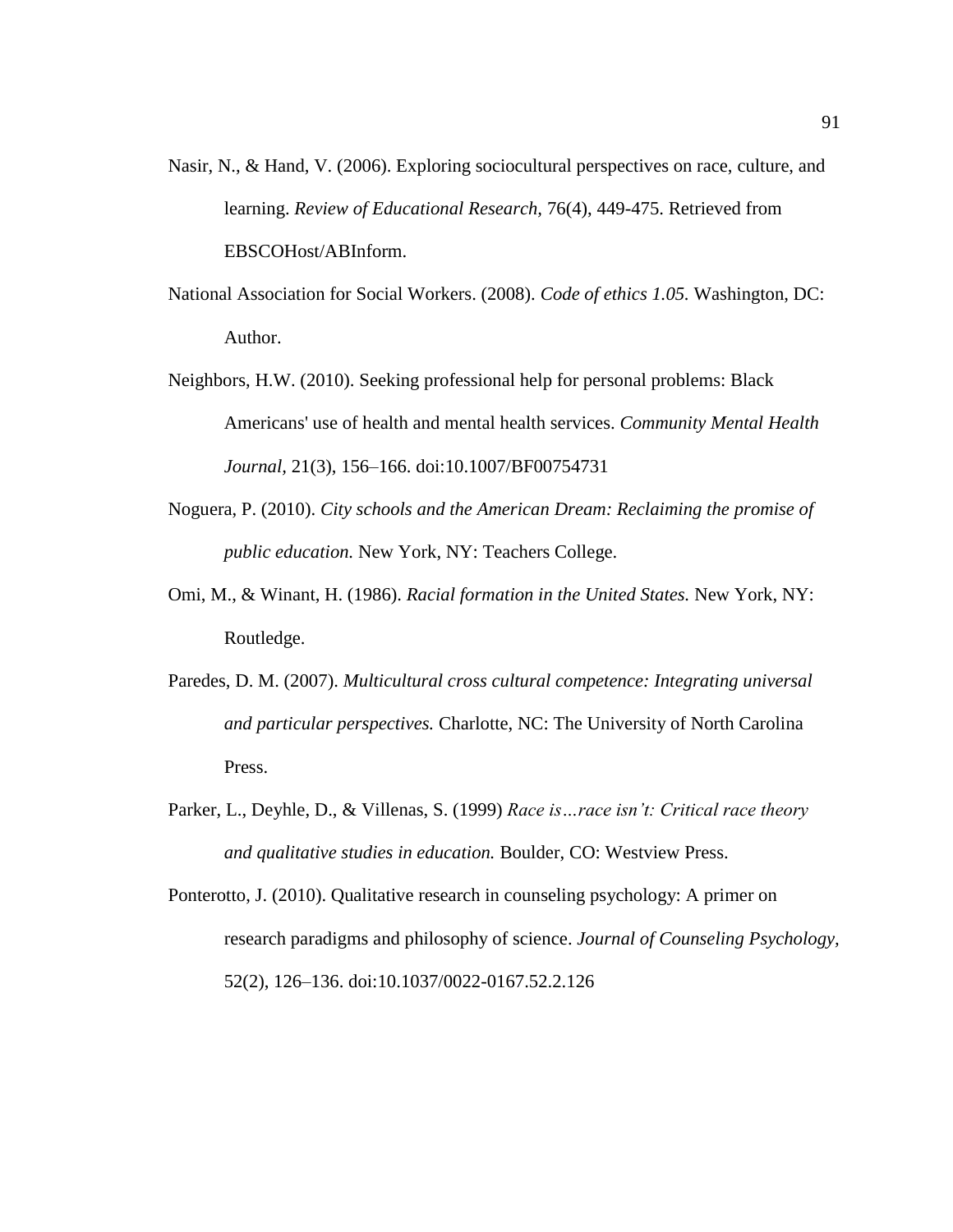- Nasir, N., & Hand, V. (2006). Exploring sociocultural perspectives on race, culture, and learning. *Review of Educational Research,* 76(4), 449-475. Retrieved from EBSCOHost/ABInform.
- National Association for Social Workers. (2008). *Code of ethics 1.05.* Washington, DC: Author.
- Neighbors, H.W. (2010). Seeking professional help for personal problems: Black Americans' use of health and mental health services. *Community Mental Health Journal,* 21(3), 156–166. doi:10.1007/BF00754731
- Noguera, P. (2010). *City schools and the American Dream: Reclaiming the promise of public education.* New York, NY: Teachers College.
- Omi, M., & Winant, H. (1986). *Racial formation in the United States.* New York, NY: Routledge.
- Paredes, D. M. (2007). *Multicultural cross cultural competence: Integrating universal and particular perspectives.* Charlotte, NC: The University of North Carolina Press.
- Parker, L., Deyhle, D., & Villenas, S. (1999) *Race is…race isn't: Critical race theory and qualitative studies in education.* Boulder, CO: Westview Press.
- Ponterotto, J. (2010). Qualitative research in counseling psychology: A primer on research paradigms and philosophy of science. *Journal of Counseling Psychology,* 52(2), 126–136. doi:10.1037/0022-0167.52.2.126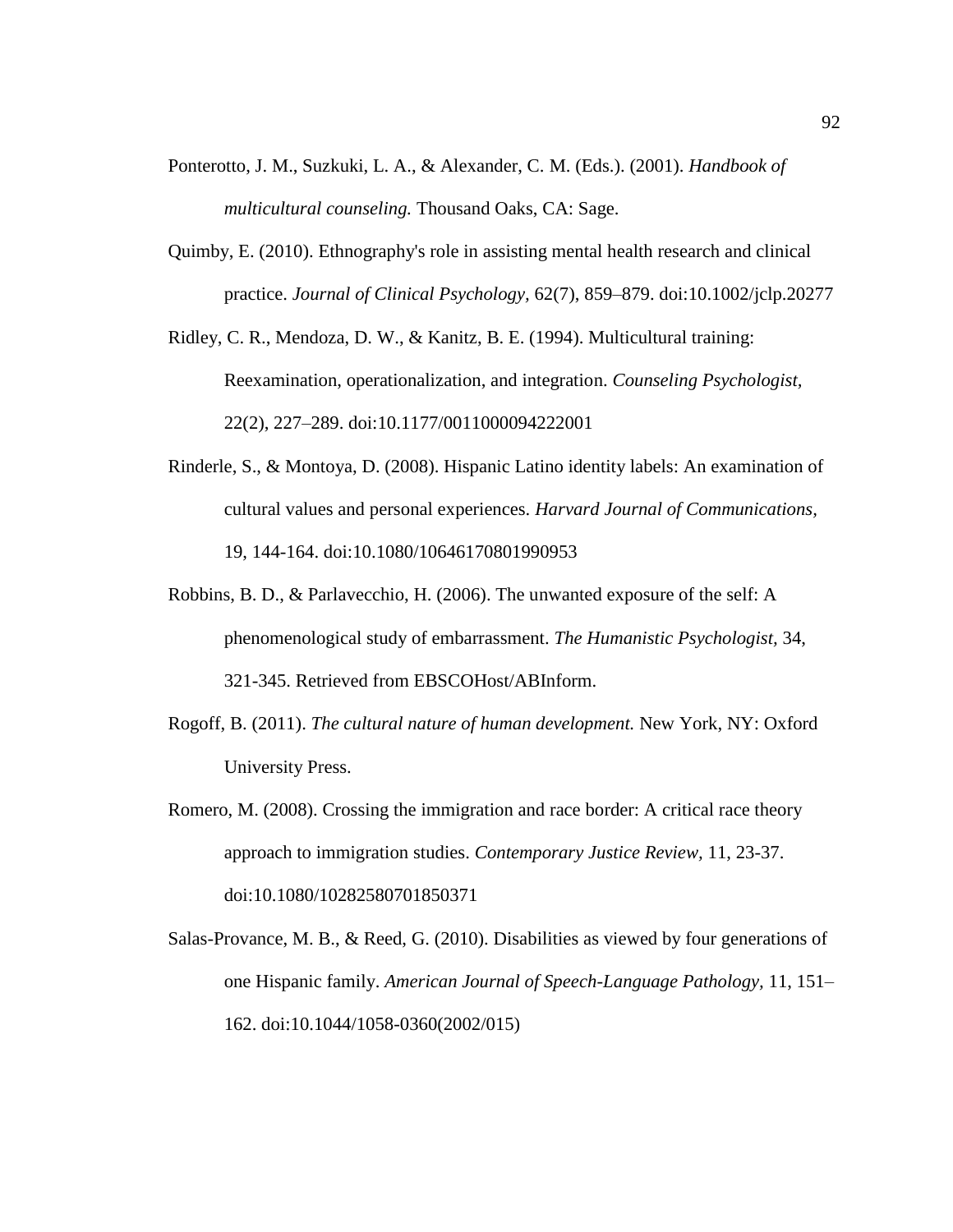- Ponterotto, J. M., Suzkuki, L. A., & Alexander, C. M. (Eds.). (2001). *Handbook of multicultural counseling.* Thousand Oaks, CA: Sage.
- Quimby, E. (2010). Ethnography's role in assisting mental health research and clinical practice. *Journal of Clinical Psychology,* 62(7), 859–879. doi:10.1002/jclp.20277

Ridley, C. R., Mendoza, D. W., & Kanitz, B. E. (1994). Multicultural training: Reexamination, operationalization, and integration. *Counseling Psychologist,* 22(2), 227–289. doi:10.1177/0011000094222001

- Rinderle, S., & Montoya, D. (2008). Hispanic Latino identity labels: An examination of cultural values and personal experiences. *Harvard Journal of Communications,*  19, 144-164. doi:10.1080/10646170801990953
- Robbins, B. D., & Parlavecchio, H. (2006). The unwanted exposure of the self: A phenomenological study of embarrassment. *The Humanistic Psychologist,* 34, 321-345. Retrieved from EBSCOHost/ABInform.
- Rogoff, B. (2011). *The cultural nature of human development.* New York, NY: Oxford University Press.
- Romero, M. (2008). Crossing the immigration and race border: A critical race theory approach to immigration studies. *Contemporary Justice Review,* 11, 23-37. doi:10.1080/10282580701850371
- Salas-Provance, M. B., & Reed, G. (2010). Disabilities as viewed by four generations of one Hispanic family. *American Journal of Speech-Language Pathology,* 11, 151– 162. doi:10.1044/1058-0360(2002/015)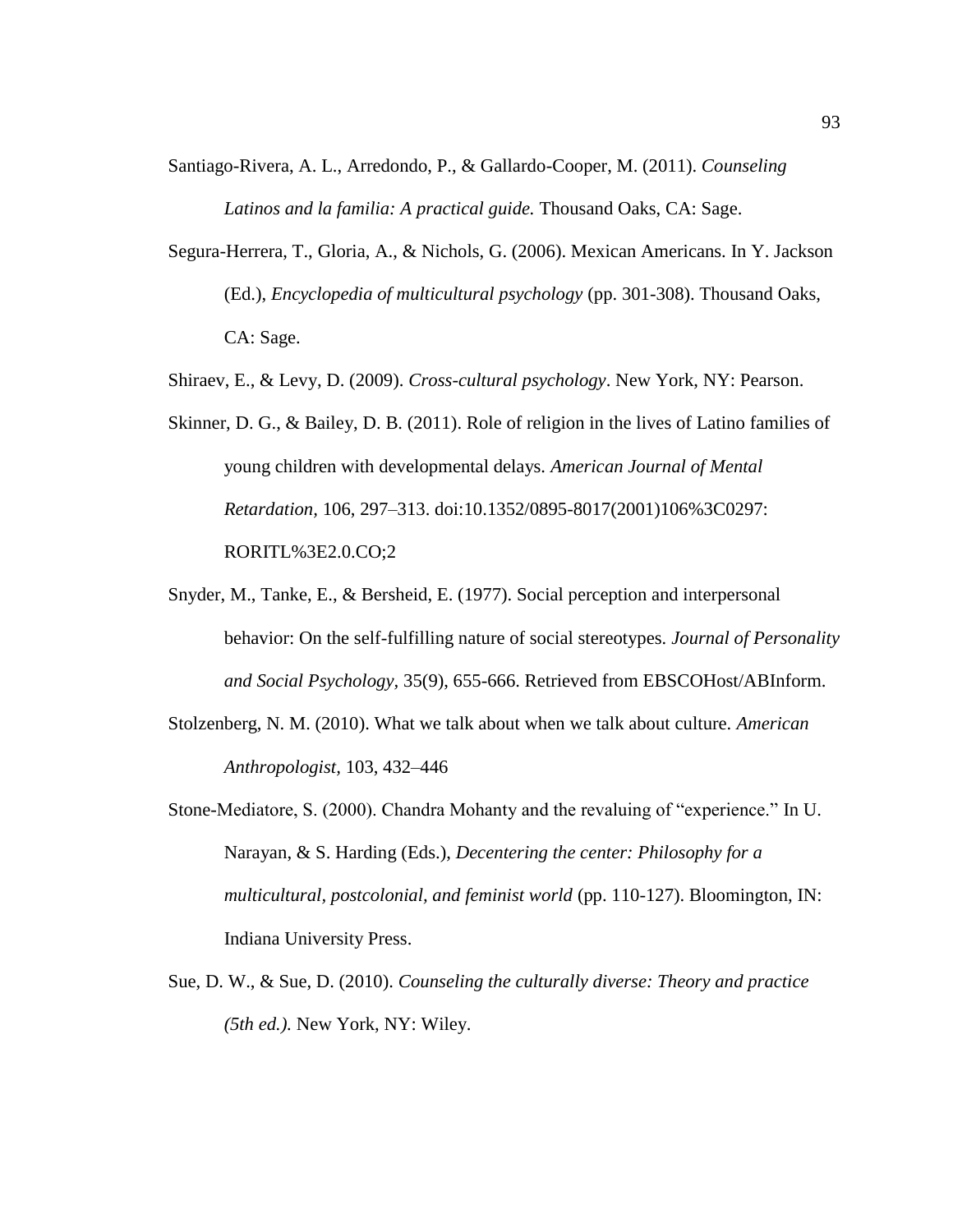Santiago-Rivera, A. L., Arredondo, P., & Gallardo-Cooper, M. (2011). *Counseling Latinos and la familia: A practical guide.* Thousand Oaks, CA: Sage.

- Segura-Herrera, T., Gloria, A., & Nichols, G. (2006). Mexican Americans. In Y. Jackson (Ed.), *Encyclopedia of multicultural psychology* (pp. 301-308). Thousand Oaks, CA: Sage.
- Shiraev, E., & Levy, D. (2009). *Cross-cultural psychology*. New York, NY: Pearson.
- Skinner, D. G., & Bailey, D. B. (2011). Role of religion in the lives of Latino families of young children with developmental delays. *American Journal of Mental Retardation,* 106, 297–313. doi:10.1352/0895-8017(2001)106%3C0297: RORITL%3E2.0.CO;2
- Snyder, M., Tanke, E., & Bersheid, E. (1977). Social perception and interpersonal behavior: On the self-fulfilling nature of social stereotypes*. Journal of Personality and Social Psychology,* 35(9), 655-666. Retrieved from EBSCOHost/ABInform.
- Stolzenberg, N. M. (2010). What we talk about when we talk about culture. *American Anthropologist,* 103, 432–446
- Stone-Mediatore, S. (2000). Chandra Mohanty and the revaluing of "experience." In U. Narayan, & S. Harding (Eds.), *Decentering the center: Philosophy for a multicultural, postcolonial, and feminist world* (pp. 110-127). Bloomington, IN: Indiana University Press.
- Sue, D. W., & Sue, D. (2010). *Counseling the culturally diverse: Theory and practice (5th ed.).* New York, NY: Wiley.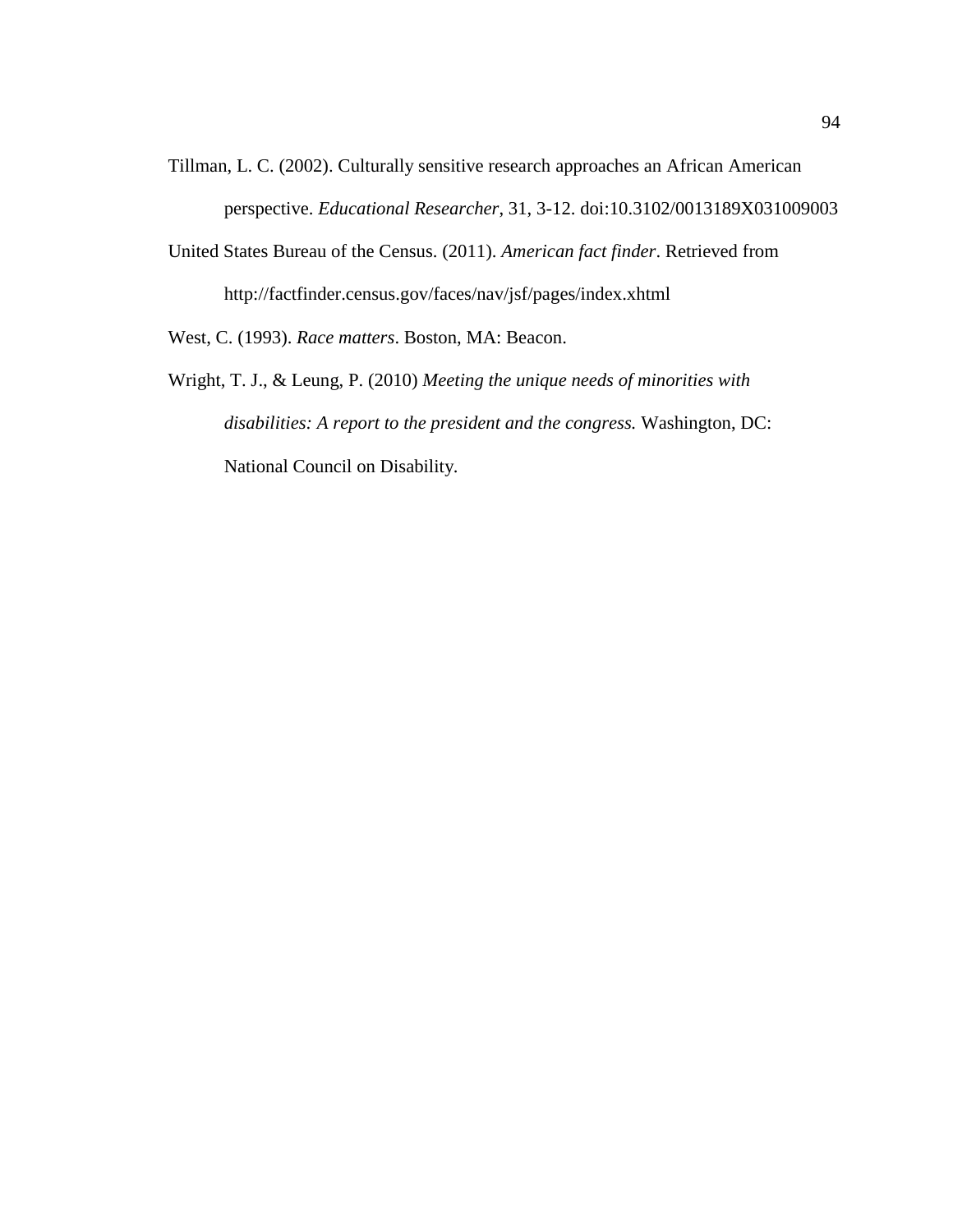- Tillman, L. C. (2002). Culturally sensitive research approaches an African American perspective. *Educational Researcher*, 31, 3-12. doi:10.3102/0013189X031009003
- United States Bureau of the Census. (2011). *American fact finder*. Retrieved from http://factfinder.census.gov/faces/nav/jsf/pages/index.xhtml

West, C. (1993). *Race matters*. Boston, MA: Beacon.

Wright, T. J., & Leung, P. (2010) *Meeting the unique needs of minorities with disabilities: A report to the president and the congress.* Washington, DC: National Council on Disability.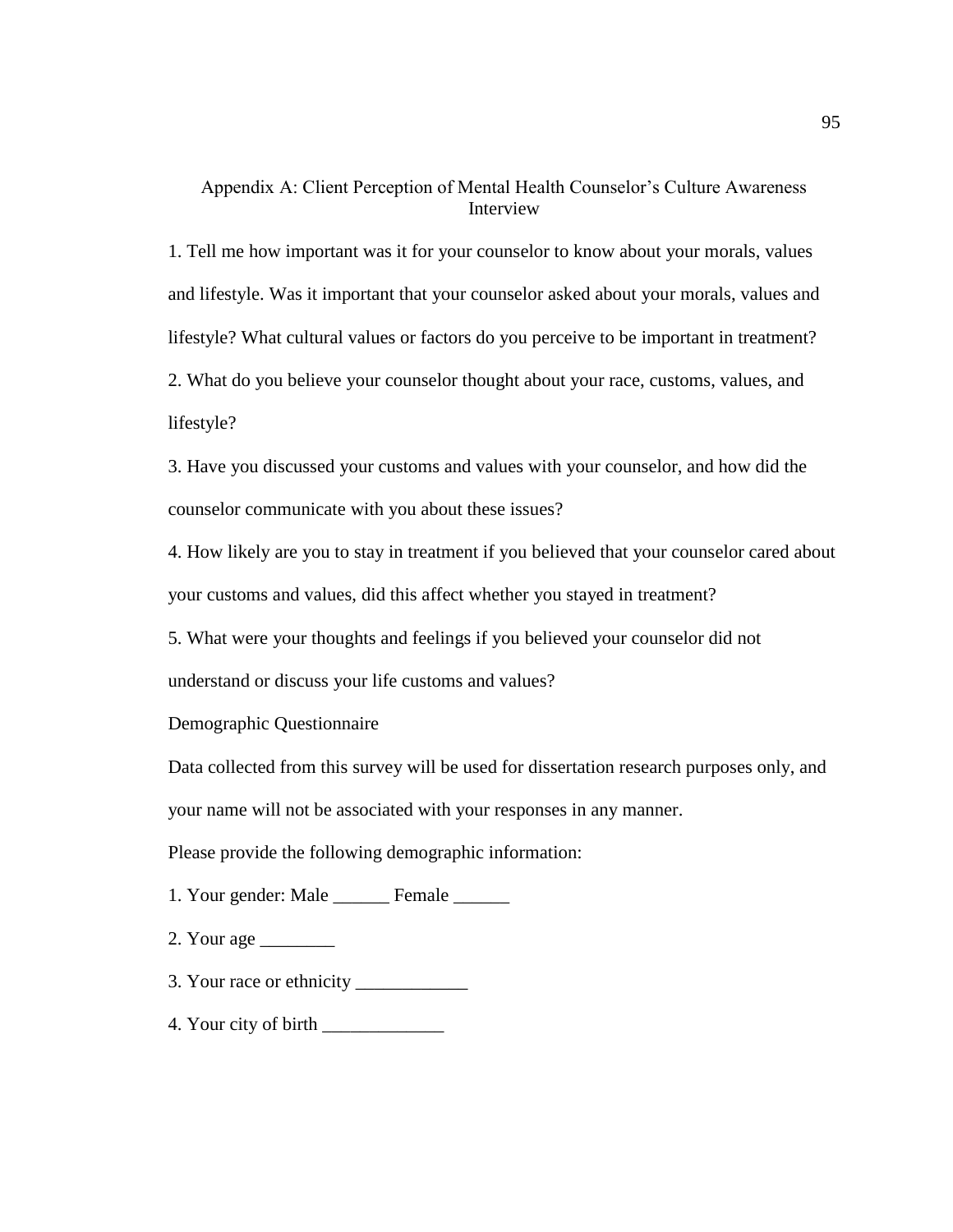# Appendix A: Client Perception of Mental Health Counselor's Culture Awareness Interview

1. Tell me how important was it for your counselor to know about your morals, values and lifestyle. Was it important that your counselor asked about your morals, values and lifestyle? What cultural values or factors do you perceive to be important in treatment? 2. What do you believe your counselor thought about your race, customs, values, and lifestyle?

3. Have you discussed your customs and values with your counselor, and how did the counselor communicate with you about these issues?

4. How likely are you to stay in treatment if you believed that your counselor cared about your customs and values, did this affect whether you stayed in treatment?

5. What were your thoughts and feelings if you believed your counselor did not understand or discuss your life customs and values?

Demographic Questionnaire

Data collected from this survey will be used for dissertation research purposes only, and your name will not be associated with your responses in any manner.

Please provide the following demographic information:

1. Your gender: Male \_\_\_\_\_\_\_ Female \_\_\_\_\_\_

- 2. Your age \_\_\_\_\_\_\_\_
- 3. Your race or ethnicity \_\_\_\_\_\_\_\_\_\_\_\_
- 4. Your city of birth \_\_\_\_\_\_\_\_\_\_\_\_\_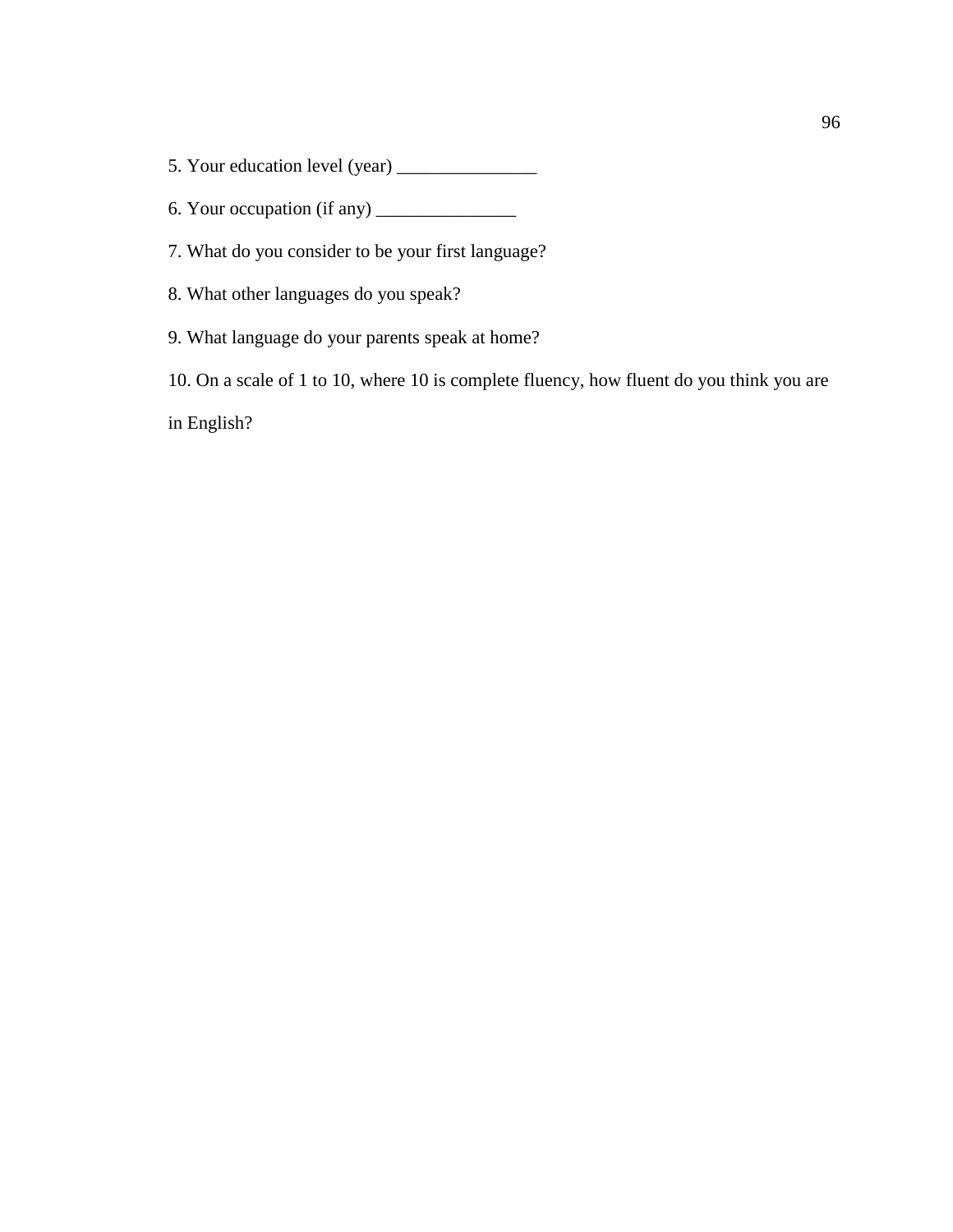- 5. Your education level (year) \_\_\_\_\_\_\_\_\_\_\_\_\_\_\_
- 6. Your occupation (if any) \_\_\_\_\_\_\_\_\_\_\_\_\_\_\_
- 7. What do you consider to be your first language?
- 8. What other languages do you speak?
- 9. What language do your parents speak at home?

10. On a scale of 1 to 10, where 10 is complete fluency, how fluent do you think you are

in English?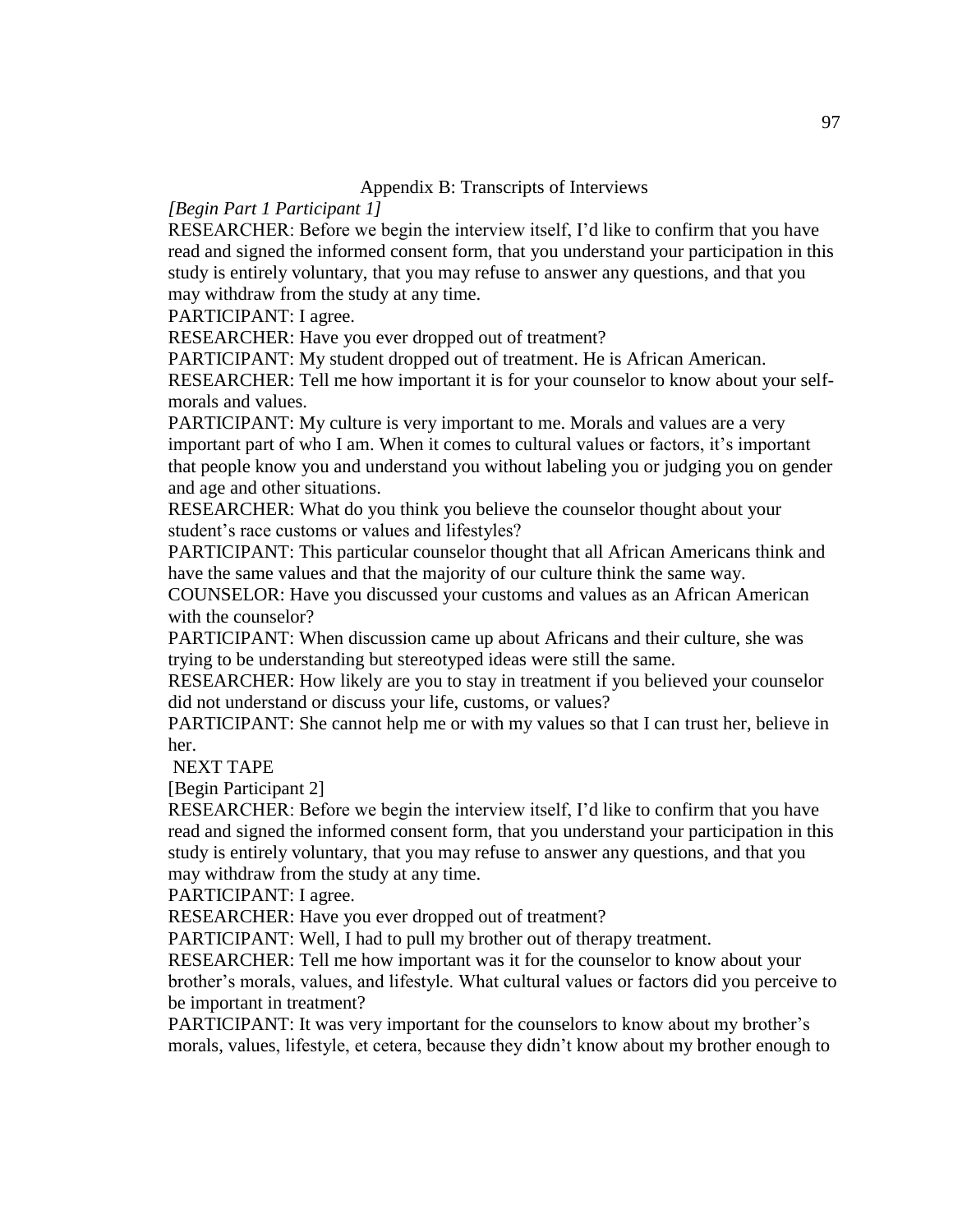### Appendix B: Transcripts of Interviews

## *[Begin Part 1 Participant 1]*

RESEARCHER: Before we begin the interview itself, I'd like to confirm that you have read and signed the informed consent form, that you understand your participation in this study is entirely voluntary, that you may refuse to answer any questions, and that you may withdraw from the study at any time.

PARTICIPANT: I agree.

RESEARCHER: Have you ever dropped out of treatment?

PARTICIPANT: My student dropped out of treatment. He is African American. RESEARCHER: Tell me how important it is for your counselor to know about your selfmorals and values.

PARTICIPANT: My culture is very important to me. Morals and values are a very important part of who I am. When it comes to cultural values or factors, it's important that people know you and understand you without labeling you or judging you on gender and age and other situations.

RESEARCHER: What do you think you believe the counselor thought about your student's race customs or values and lifestyles?

PARTICIPANT: This particular counselor thought that all African Americans think and have the same values and that the majority of our culture think the same way.

COUNSELOR: Have you discussed your customs and values as an African American with the counselor?

PARTICIPANT: When discussion came up about Africans and their culture, she was trying to be understanding but stereotyped ideas were still the same.

RESEARCHER: How likely are you to stay in treatment if you believed your counselor did not understand or discuss your life, customs, or values?

PARTICIPANT: She cannot help me or with my values so that I can trust her, believe in her.

NEXT TAPE

[Begin Participant 2]

RESEARCHER: Before we begin the interview itself, I'd like to confirm that you have read and signed the informed consent form, that you understand your participation in this study is entirely voluntary, that you may refuse to answer any questions, and that you may withdraw from the study at any time.

PARTICIPANT: I agree.

RESEARCHER: Have you ever dropped out of treatment?

PARTICIPANT: Well, I had to pull my brother out of therapy treatment.

RESEARCHER: Tell me how important was it for the counselor to know about your brother's morals, values, and lifestyle. What cultural values or factors did you perceive to be important in treatment?

PARTICIPANT: It was very important for the counselors to know about my brother's morals, values, lifestyle, et cetera, because they didn't know about my brother enough to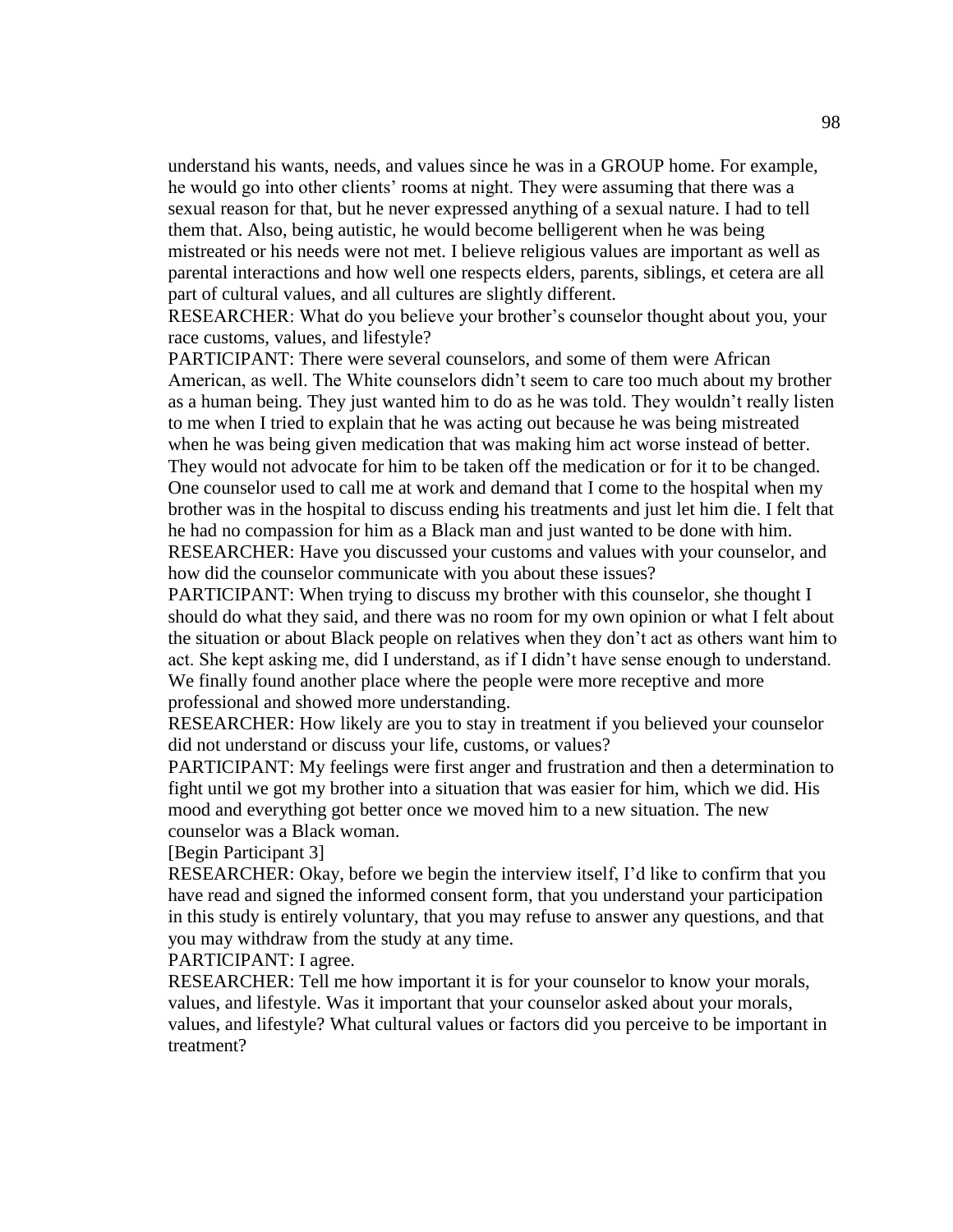understand his wants, needs, and values since he was in a GROUP home. For example, he would go into other clients' rooms at night. They were assuming that there was a sexual reason for that, but he never expressed anything of a sexual nature. I had to tell them that. Also, being autistic, he would become belligerent when he was being mistreated or his needs were not met. I believe religious values are important as well as parental interactions and how well one respects elders, parents, siblings, et cetera are all part of cultural values, and all cultures are slightly different.

RESEARCHER: What do you believe your brother's counselor thought about you, your race customs, values, and lifestyle?

PARTICIPANT: There were several counselors, and some of them were African American, as well. The White counselors didn't seem to care too much about my brother as a human being. They just wanted him to do as he was told. They wouldn't really listen to me when I tried to explain that he was acting out because he was being mistreated when he was being given medication that was making him act worse instead of better. They would not advocate for him to be taken off the medication or for it to be changed. One counselor used to call me at work and demand that I come to the hospital when my brother was in the hospital to discuss ending his treatments and just let him die. I felt that he had no compassion for him as a Black man and just wanted to be done with him. RESEARCHER: Have you discussed your customs and values with your counselor, and how did the counselor communicate with you about these issues?

PARTICIPANT: When trying to discuss my brother with this counselor, she thought I should do what they said, and there was no room for my own opinion or what I felt about the situation or about Black people on relatives when they don't act as others want him to act. She kept asking me, did I understand, as if I didn't have sense enough to understand. We finally found another place where the people were more receptive and more professional and showed more understanding.

RESEARCHER: How likely are you to stay in treatment if you believed your counselor did not understand or discuss your life, customs, or values?

PARTICIPANT: My feelings were first anger and frustration and then a determination to fight until we got my brother into a situation that was easier for him, which we did. His mood and everything got better once we moved him to a new situation. The new counselor was a Black woman.

[Begin Participant 3]

RESEARCHER: Okay, before we begin the interview itself, I'd like to confirm that you have read and signed the informed consent form, that you understand your participation in this study is entirely voluntary, that you may refuse to answer any questions, and that you may withdraw from the study at any time.

PARTICIPANT: I agree.

RESEARCHER: Tell me how important it is for your counselor to know your morals, values, and lifestyle. Was it important that your counselor asked about your morals, values, and lifestyle? What cultural values or factors did you perceive to be important in treatment?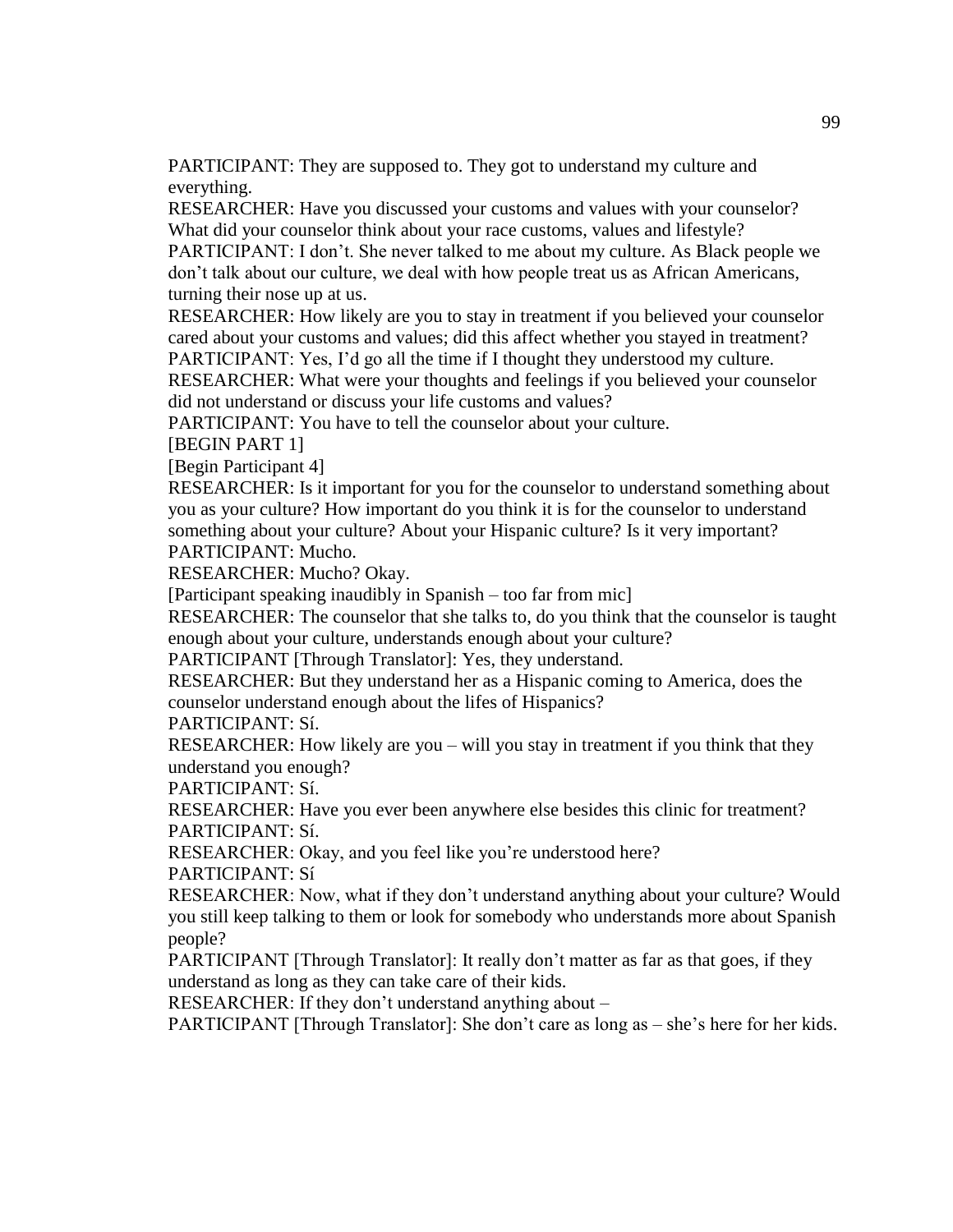PARTICIPANT: They are supposed to. They got to understand my culture and everything.

RESEARCHER: Have you discussed your customs and values with your counselor? What did your counselor think about your race customs, values and lifestyle?

PARTICIPANT: I don't. She never talked to me about my culture. As Black people we don't talk about our culture, we deal with how people treat us as African Americans, turning their nose up at us.

RESEARCHER: How likely are you to stay in treatment if you believed your counselor cared about your customs and values; did this affect whether you stayed in treatment? PARTICIPANT: Yes, I'd go all the time if I thought they understood my culture.

RESEARCHER: What were your thoughts and feelings if you believed your counselor did not understand or discuss your life customs and values?

PARTICIPANT: You have to tell the counselor about your culture.

[BEGIN PART 1]

[Begin Participant 4]

RESEARCHER: Is it important for you for the counselor to understand something about you as your culture? How important do you think it is for the counselor to understand something about your culture? About your Hispanic culture? Is it very important? PARTICIPANT: Mucho.

RESEARCHER: Mucho? Okay.

[Participant speaking inaudibly in Spanish – too far from mic]

RESEARCHER: The counselor that she talks to, do you think that the counselor is taught enough about your culture, understands enough about your culture?

PARTICIPANT [Through Translator]: Yes, they understand.

RESEARCHER: But they understand her as a Hispanic coming to America, does the counselor understand enough about the lifes of Hispanics?

PARTICIPANT: Sí.

RESEARCHER: How likely are you – will you stay in treatment if you think that they understand you enough?

PARTICIPANT: Sí.

RESEARCHER: Have you ever been anywhere else besides this clinic for treatment? PARTICIPANT: Sí.

RESEARCHER: Okay, and you feel like you're understood here?

PARTICIPANT: Sí

RESEARCHER: Now, what if they don't understand anything about your culture? Would you still keep talking to them or look for somebody who understands more about Spanish people?

PARTICIPANT [Through Translator]: It really don't matter as far as that goes, if they understand as long as they can take care of their kids.

RESEARCHER: If they don't understand anything about –

PARTICIPANT [Through Translator]: She don't care as long as – she's here for her kids.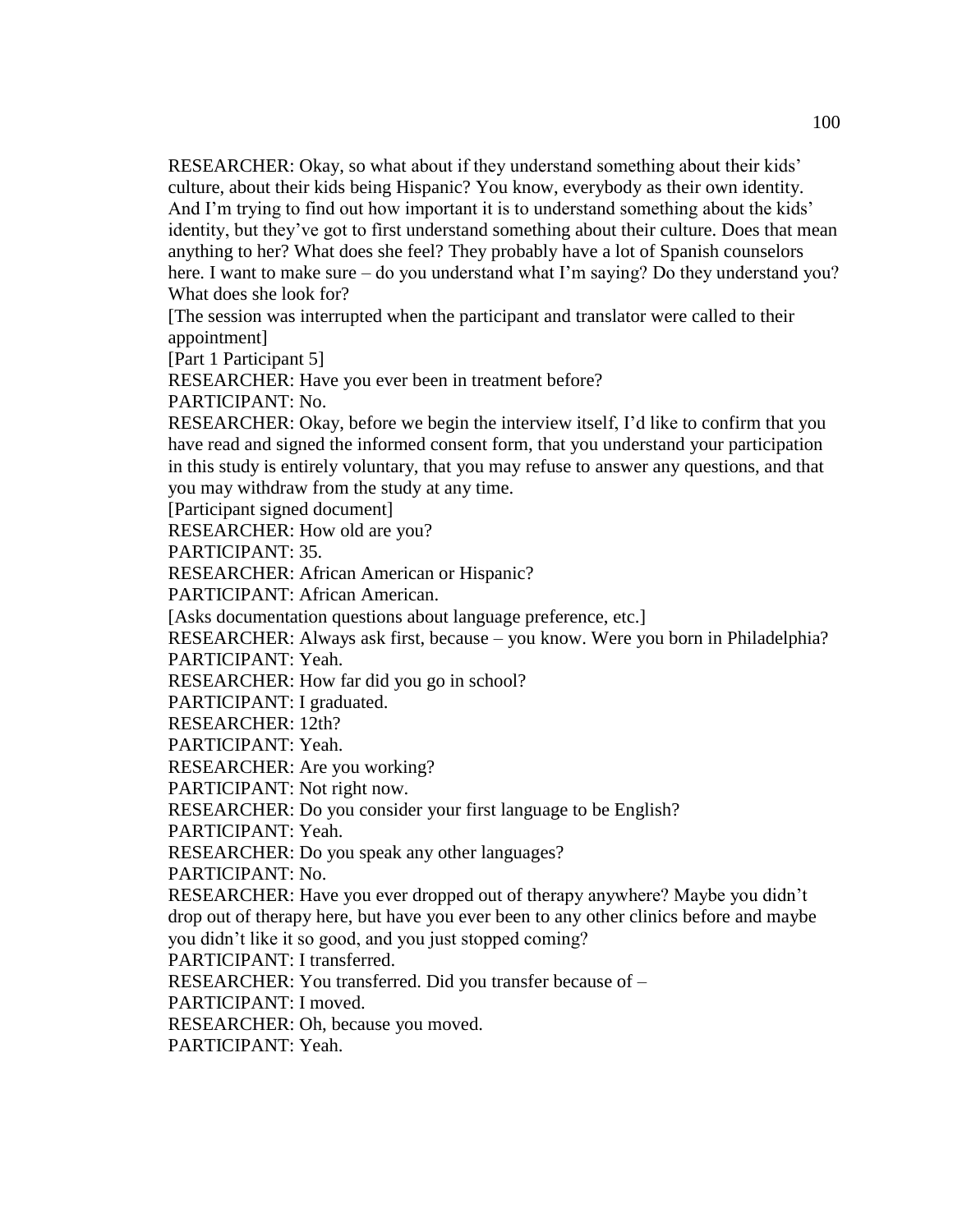RESEARCHER: Okay, so what about if they understand something about their kids' culture, about their kids being Hispanic? You know, everybody as their own identity. And I'm trying to find out how important it is to understand something about the kids' identity, but they've got to first understand something about their culture. Does that mean anything to her? What does she feel? They probably have a lot of Spanish counselors here. I want to make sure – do you understand what I'm saying? Do they understand you? What does she look for?

[The session was interrupted when the participant and translator were called to their appointment]

[Part 1 Participant 5]

RESEARCHER: Have you ever been in treatment before?

PARTICIPANT: No.

RESEARCHER: Okay, before we begin the interview itself, I'd like to confirm that you have read and signed the informed consent form, that you understand your participation in this study is entirely voluntary, that you may refuse to answer any questions, and that you may withdraw from the study at any time.

[Participant signed document]

RESEARCHER: How old are you?

PARTICIPANT: 35.

RESEARCHER: African American or Hispanic?

PARTICIPANT: African American.

[Asks documentation questions about language preference, etc.]

RESEARCHER: Always ask first, because – you know. Were you born in Philadelphia? PARTICIPANT: Yeah.

RESEARCHER: How far did you go in school?

PARTICIPANT: I graduated.

RESEARCHER: 12th?

PARTICIPANT: Yeah.

RESEARCHER: Are you working?

PARTICIPANT: Not right now.

RESEARCHER: Do you consider your first language to be English?

PARTICIPANT: Yeah.

RESEARCHER: Do you speak any other languages?

PARTICIPANT: No.

RESEARCHER: Have you ever dropped out of therapy anywhere? Maybe you didn't drop out of therapy here, but have you ever been to any other clinics before and maybe you didn't like it so good, and you just stopped coming?

PARTICIPANT: I transferred.

RESEARCHER: You transferred. Did you transfer because of –

PARTICIPANT: I moved.

RESEARCHER: Oh, because you moved.

PARTICIPANT: Yeah.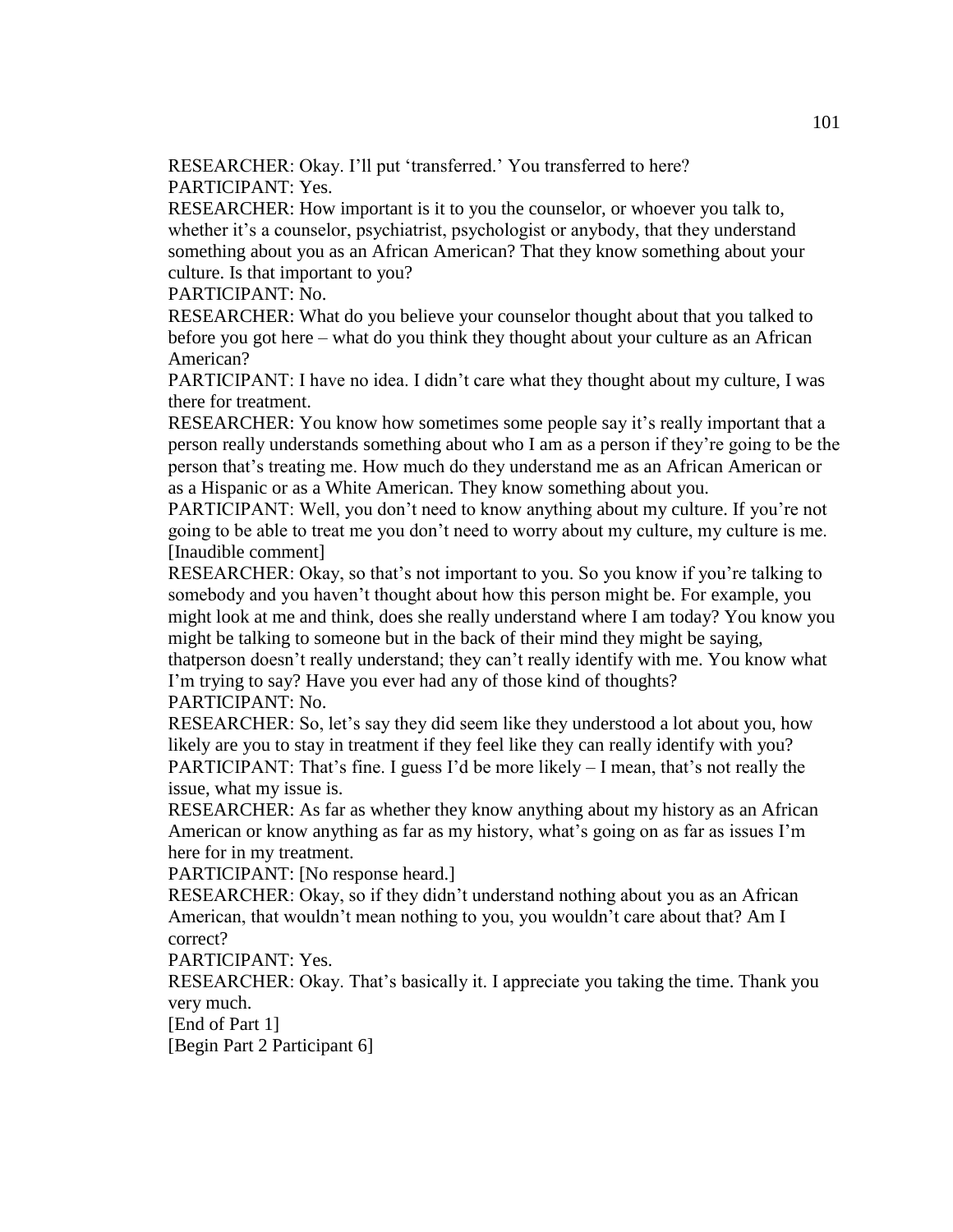RESEARCHER: Okay. I'll put 'transferred.' You transferred to here? PARTICIPANT: Yes.

RESEARCHER: How important is it to you the counselor, or whoever you talk to, whether it's a counselor, psychiatrist, psychologist or anybody, that they understand something about you as an African American? That they know something about your culture. Is that important to you?

PARTICIPANT: No.

RESEARCHER: What do you believe your counselor thought about that you talked to before you got here – what do you think they thought about your culture as an African American?

PARTICIPANT: I have no idea. I didn't care what they thought about my culture, I was there for treatment.

RESEARCHER: You know how sometimes some people say it's really important that a person really understands something about who I am as a person if they're going to be the person that's treating me. How much do they understand me as an African American or as a Hispanic or as a White American. They know something about you.

PARTICIPANT: Well, you don't need to know anything about my culture. If you're not going to be able to treat me you don't need to worry about my culture, my culture is me. [Inaudible comment]

RESEARCHER: Okay, so that's not important to you. So you know if you're talking to somebody and you haven't thought about how this person might be. For example, you might look at me and think, does she really understand where I am today? You know you might be talking to someone but in the back of their mind they might be saying, thatperson doesn't really understand; they can't really identify with me. You know what

I'm trying to say? Have you ever had any of those kind of thoughts? PARTICIPANT: No.

RESEARCHER: So, let's say they did seem like they understood a lot about you, how likely are you to stay in treatment if they feel like they can really identify with you? PARTICIPANT: That's fine. I guess I'd be more likely – I mean, that's not really the

issue, what my issue is. RESEARCHER: As far as whether they know anything about my history as an African American or know anything as far as my history, what's going on as far as issues I'm here for in my treatment.

PARTICIPANT: [No response heard.]

RESEARCHER: Okay, so if they didn't understand nothing about you as an African American, that wouldn't mean nothing to you, you wouldn't care about that? Am I correct?

PARTICIPANT: Yes.

RESEARCHER: Okay. That's basically it. I appreciate you taking the time. Thank you very much.

[End of Part 1]

[Begin Part 2 Participant 6]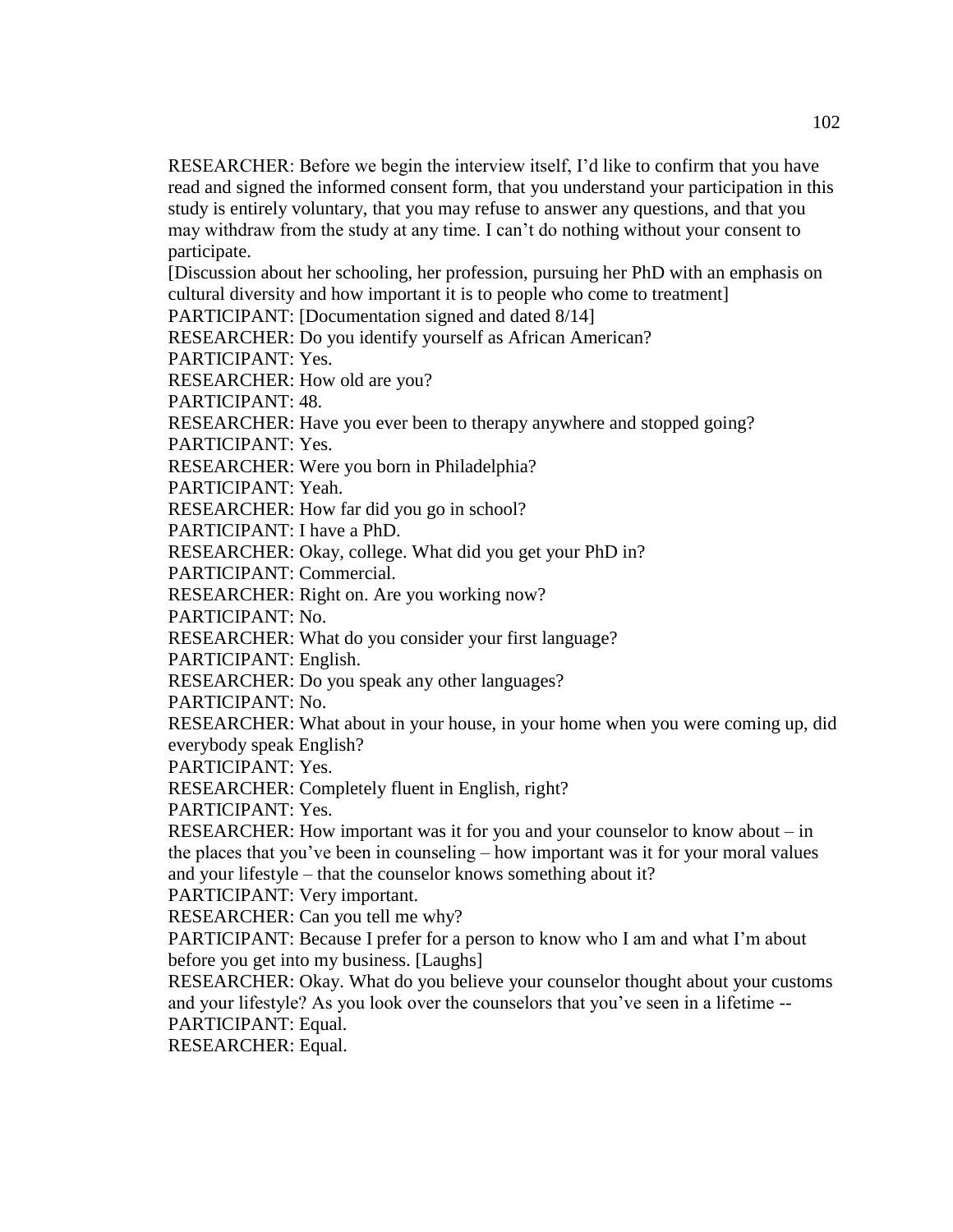RESEARCHER: Before we begin the interview itself, I'd like to confirm that you have read and signed the informed consent form, that you understand your participation in this study is entirely voluntary, that you may refuse to answer any questions, and that you may withdraw from the study at any time. I can't do nothing without your consent to participate.

[Discussion about her schooling, her profession, pursuing her PhD with an emphasis on cultural diversity and how important it is to people who come to treatment]

PARTICIPANT: [Documentation signed and dated 8/14]

RESEARCHER: Do you identify yourself as African American?

PARTICIPANT: Yes.

RESEARCHER: How old are you?

PARTICIPANT: 48.

RESEARCHER: Have you ever been to therapy anywhere and stopped going?

PARTICIPANT: Yes.

RESEARCHER: Were you born in Philadelphia?

PARTICIPANT: Yeah.

RESEARCHER: How far did you go in school?

PARTICIPANT: I have a PhD.

RESEARCHER: Okay, college. What did you get your PhD in?

PARTICIPANT: Commercial.

RESEARCHER: Right on. Are you working now?

PARTICIPANT: No.

RESEARCHER: What do you consider your first language?

PARTICIPANT: English.

RESEARCHER: Do you speak any other languages?

PARTICIPANT: No.

RESEARCHER: What about in your house, in your home when you were coming up, did everybody speak English?

PARTICIPANT: Yes.

RESEARCHER: Completely fluent in English, right?

PARTICIPANT: Yes.

RESEARCHER: How important was it for you and your counselor to know about – in the places that you've been in counseling – how important was it for your moral values and your lifestyle – that the counselor knows something about it?

PARTICIPANT: Very important.

RESEARCHER: Can you tell me why?

PARTICIPANT: Because I prefer for a person to know who I am and what I'm about before you get into my business. [Laughs]

RESEARCHER: Okay. What do you believe your counselor thought about your customs and your lifestyle? As you look over the counselors that you've seen in a lifetime -- PARTICIPANT: Equal.

RESEARCHER: Equal.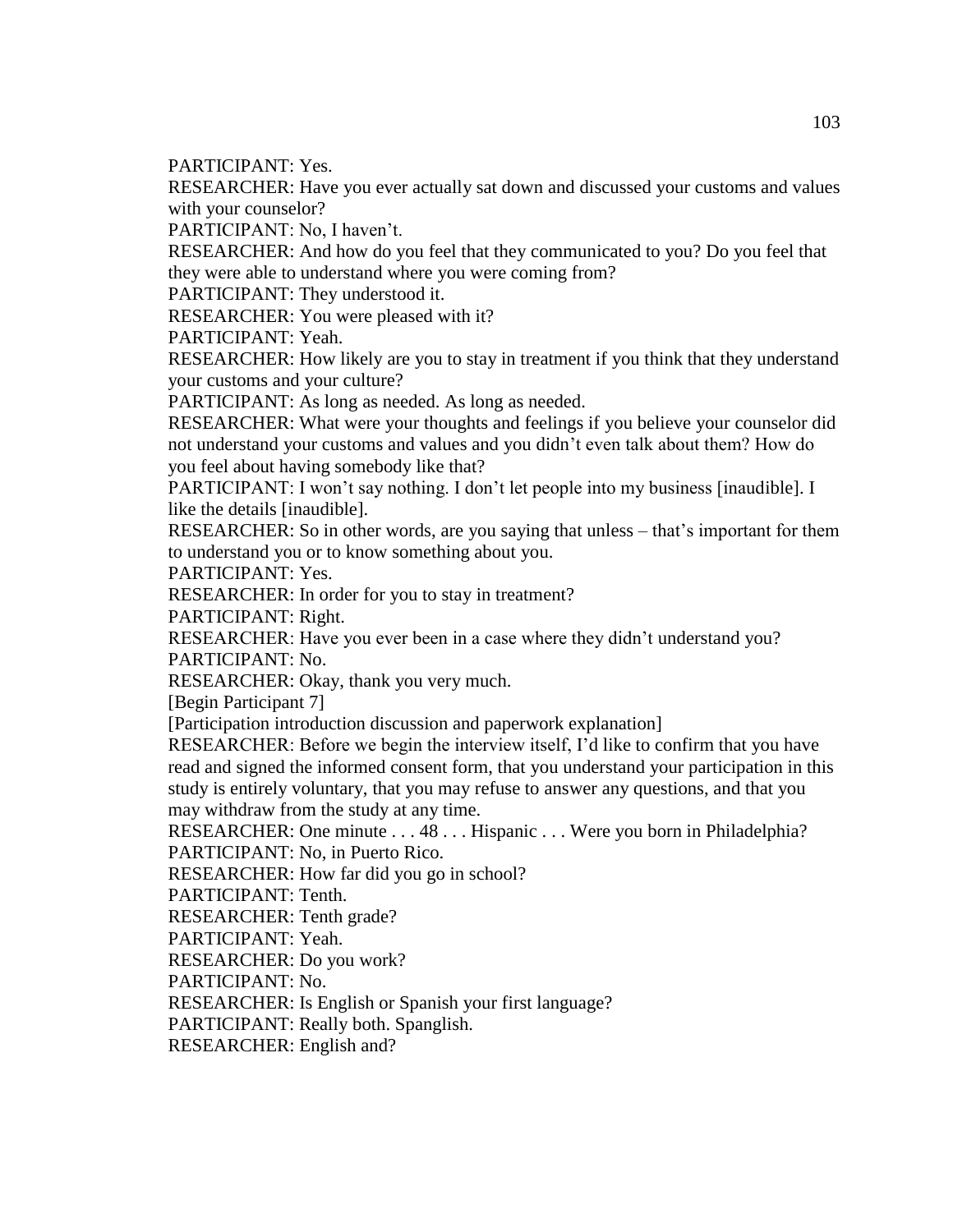PARTICIPANT: Yes.

RESEARCHER: Have you ever actually sat down and discussed your customs and values with your counselor?

PARTICIPANT: No, I haven't.

RESEARCHER: And how do you feel that they communicated to you? Do you feel that they were able to understand where you were coming from?

PARTICIPANT: They understood it.

RESEARCHER: You were pleased with it?

PARTICIPANT: Yeah.

RESEARCHER: How likely are you to stay in treatment if you think that they understand your customs and your culture?

PARTICIPANT: As long as needed. As long as needed.

RESEARCHER: What were your thoughts and feelings if you believe your counselor did not understand your customs and values and you didn't even talk about them? How do you feel about having somebody like that?

PARTICIPANT: I won't say nothing. I don't let people into my business [inaudible]. I like the details [inaudible].

RESEARCHER: So in other words, are you saying that unless – that's important for them to understand you or to know something about you.

PARTICIPANT: Yes.

RESEARCHER: In order for you to stay in treatment?

PARTICIPANT: Right.

RESEARCHER: Have you ever been in a case where they didn't understand you? PARTICIPANT: No.

RESEARCHER: Okay, thank you very much.

[Begin Participant 7]

[Participation introduction discussion and paperwork explanation]

RESEARCHER: Before we begin the interview itself, I'd like to confirm that you have read and signed the informed consent form, that you understand your participation in this study is entirely voluntary, that you may refuse to answer any questions, and that you may withdraw from the study at any time.

RESEARCHER: One minute . . . 48 . . . Hispanic . . . Were you born in Philadelphia? PARTICIPANT: No, in Puerto Rico.

RESEARCHER: How far did you go in school?

PARTICIPANT: Tenth.

RESEARCHER: Tenth grade?

PARTICIPANT: Yeah.

RESEARCHER: Do you work?

PARTICIPANT: No.

RESEARCHER: Is English or Spanish your first language?

PARTICIPANT: Really both. Spanglish.

RESEARCHER: English and?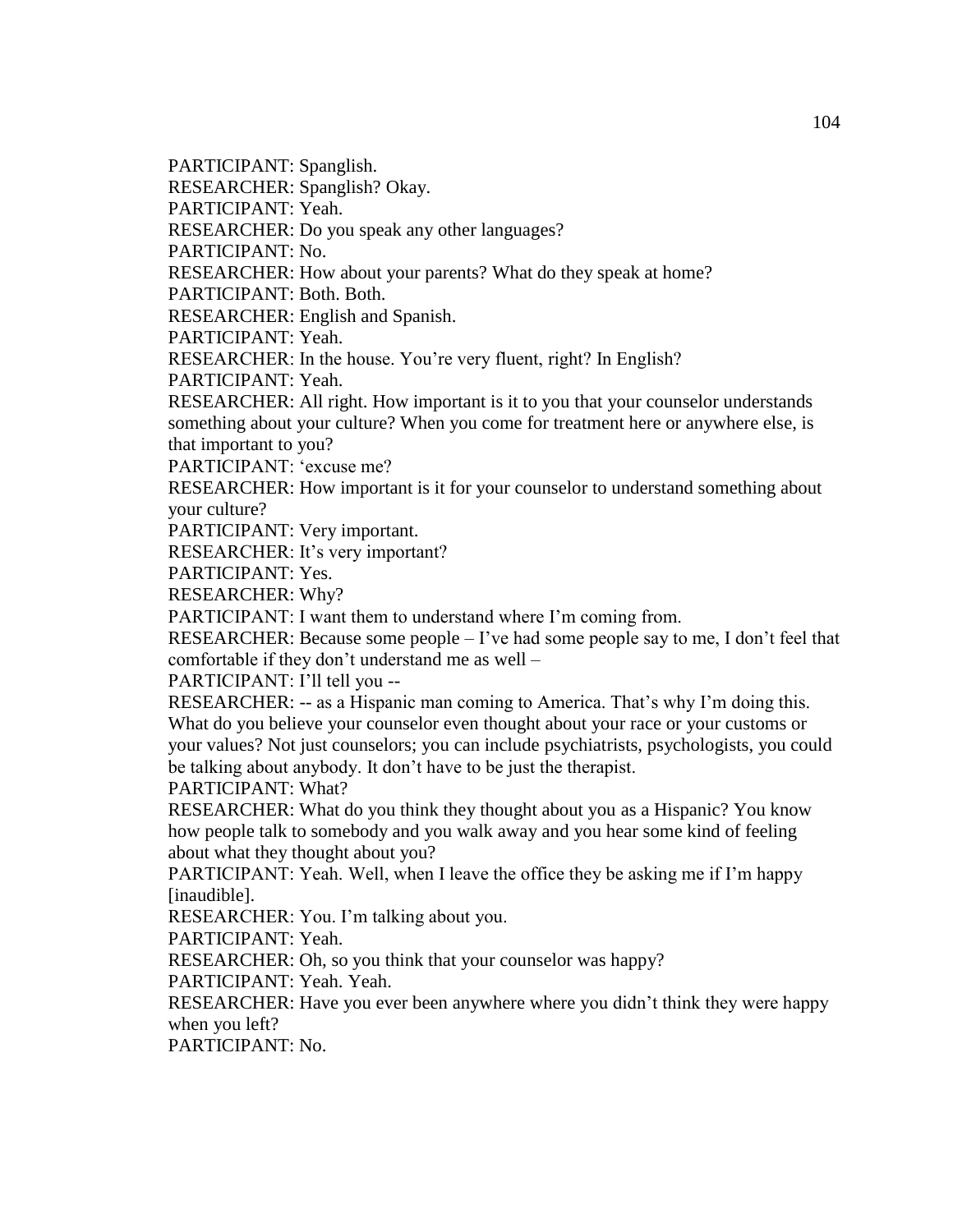PARTICIPANT: Spanglish.

RESEARCHER: Spanglish? Okay.

PARTICIPANT: Yeah.

RESEARCHER: Do you speak any other languages?

PARTICIPANT: No.

RESEARCHER: How about your parents? What do they speak at home?

PARTICIPANT: Both. Both.

RESEARCHER: English and Spanish.

PARTICIPANT: Yeah.

RESEARCHER: In the house. You're very fluent, right? In English?

PARTICIPANT: Yeah.

RESEARCHER: All right. How important is it to you that your counselor understands something about your culture? When you come for treatment here or anywhere else, is that important to you?

PARTICIPANT: 'excuse me?

RESEARCHER: How important is it for your counselor to understand something about your culture?

PARTICIPANT: Very important.

RESEARCHER: It's very important?

PARTICIPANT: Yes.

RESEARCHER: Why?

PARTICIPANT: I want them to understand where I'm coming from.

RESEARCHER: Because some people – I've had some people say to me, I don't feel that comfortable if they don't understand me as well –

PARTICIPANT: I'll tell you --

RESEARCHER: -- as a Hispanic man coming to America. That's why I'm doing this. What do you believe your counselor even thought about your race or your customs or your values? Not just counselors; you can include psychiatrists, psychologists, you could be talking about anybody. It don't have to be just the therapist.

PARTICIPANT: What?

RESEARCHER: What do you think they thought about you as a Hispanic? You know how people talk to somebody and you walk away and you hear some kind of feeling about what they thought about you?

PARTICIPANT: Yeah. Well, when I leave the office they be asking me if I'm happy [inaudible].

RESEARCHER: You. I'm talking about you.

PARTICIPANT: Yeah.

RESEARCHER: Oh, so you think that your counselor was happy?

PARTICIPANT: Yeah. Yeah.

RESEARCHER: Have you ever been anywhere where you didn't think they were happy when you left?

PARTICIPANT: No.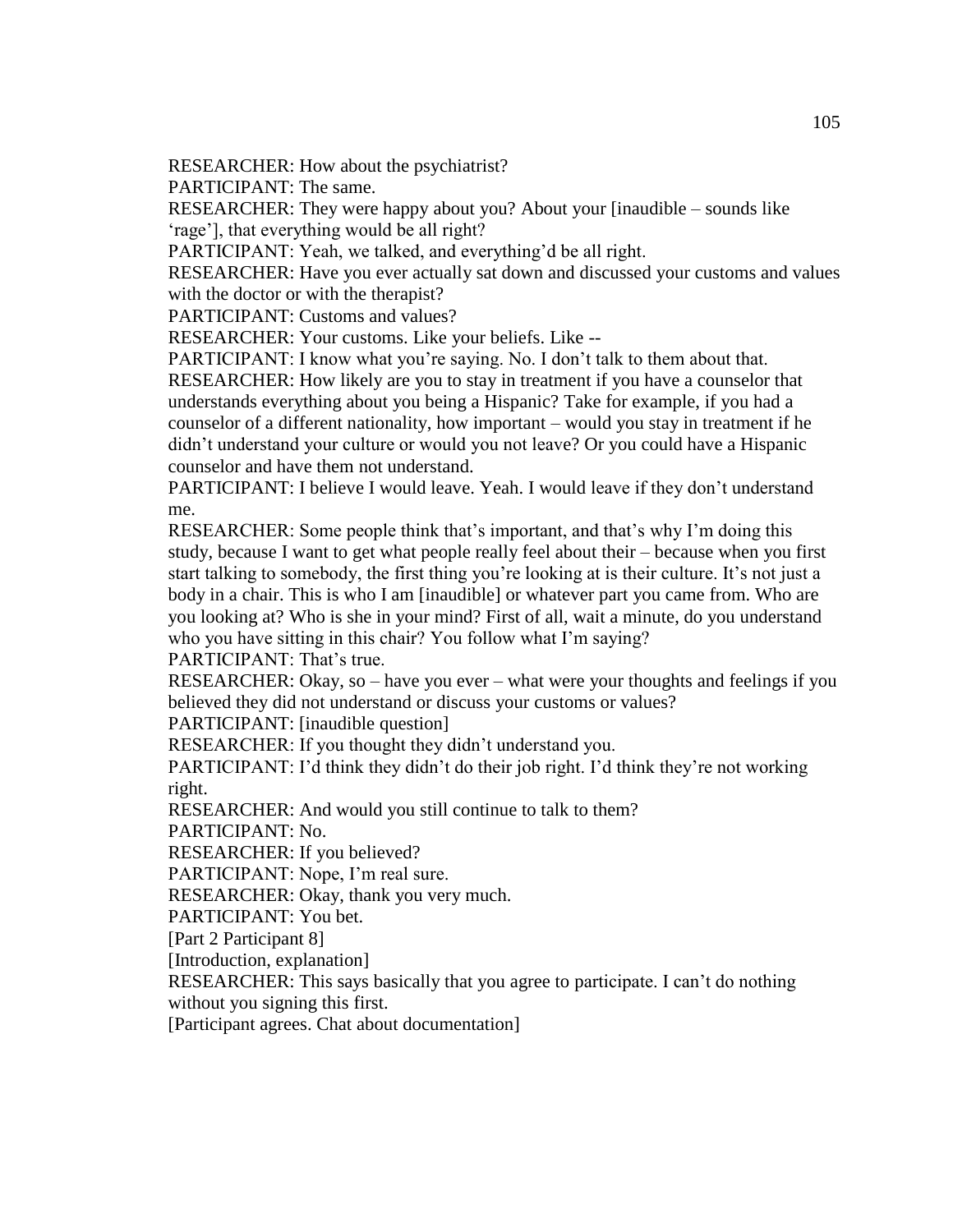RESEARCHER: How about the psychiatrist?

PARTICIPANT: The same.

RESEARCHER: They were happy about you? About your [inaudible – sounds like 'rage'], that everything would be all right?

PARTICIPANT: Yeah, we talked, and everything'd be all right.

RESEARCHER: Have you ever actually sat down and discussed your customs and values with the doctor or with the therapist?

PARTICIPANT: Customs and values?

RESEARCHER: Your customs. Like your beliefs. Like --

PARTICIPANT: I know what you're saying. No. I don't talk to them about that.

RESEARCHER: How likely are you to stay in treatment if you have a counselor that understands everything about you being a Hispanic? Take for example, if you had a counselor of a different nationality, how important – would you stay in treatment if he didn't understand your culture or would you not leave? Or you could have a Hispanic counselor and have them not understand.

PARTICIPANT: I believe I would leave. Yeah. I would leave if they don't understand me.

RESEARCHER: Some people think that's important, and that's why I'm doing this study, because I want to get what people really feel about their – because when you first start talking to somebody, the first thing you're looking at is their culture. It's not just a body in a chair. This is who I am [inaudible] or whatever part you came from. Who are you looking at? Who is she in your mind? First of all, wait a minute, do you understand who you have sitting in this chair? You follow what I'm saying?

PARTICIPANT: That's true.

RESEARCHER: Okay, so – have you ever – what were your thoughts and feelings if you believed they did not understand or discuss your customs or values?

PARTICIPANT: [inaudible question]

RESEARCHER: If you thought they didn't understand you.

PARTICIPANT: I'd think they didn't do their job right. I'd think they're not working right.

RESEARCHER: And would you still continue to talk to them?

PARTICIPANT: No.

RESEARCHER: If you believed?

PARTICIPANT: Nope, I'm real sure.

RESEARCHER: Okay, thank you very much.

PARTICIPANT: You bet.

[Part 2 Participant 8]

[Introduction, explanation]

RESEARCHER: This says basically that you agree to participate. I can't do nothing without you signing this first.

[Participant agrees. Chat about documentation]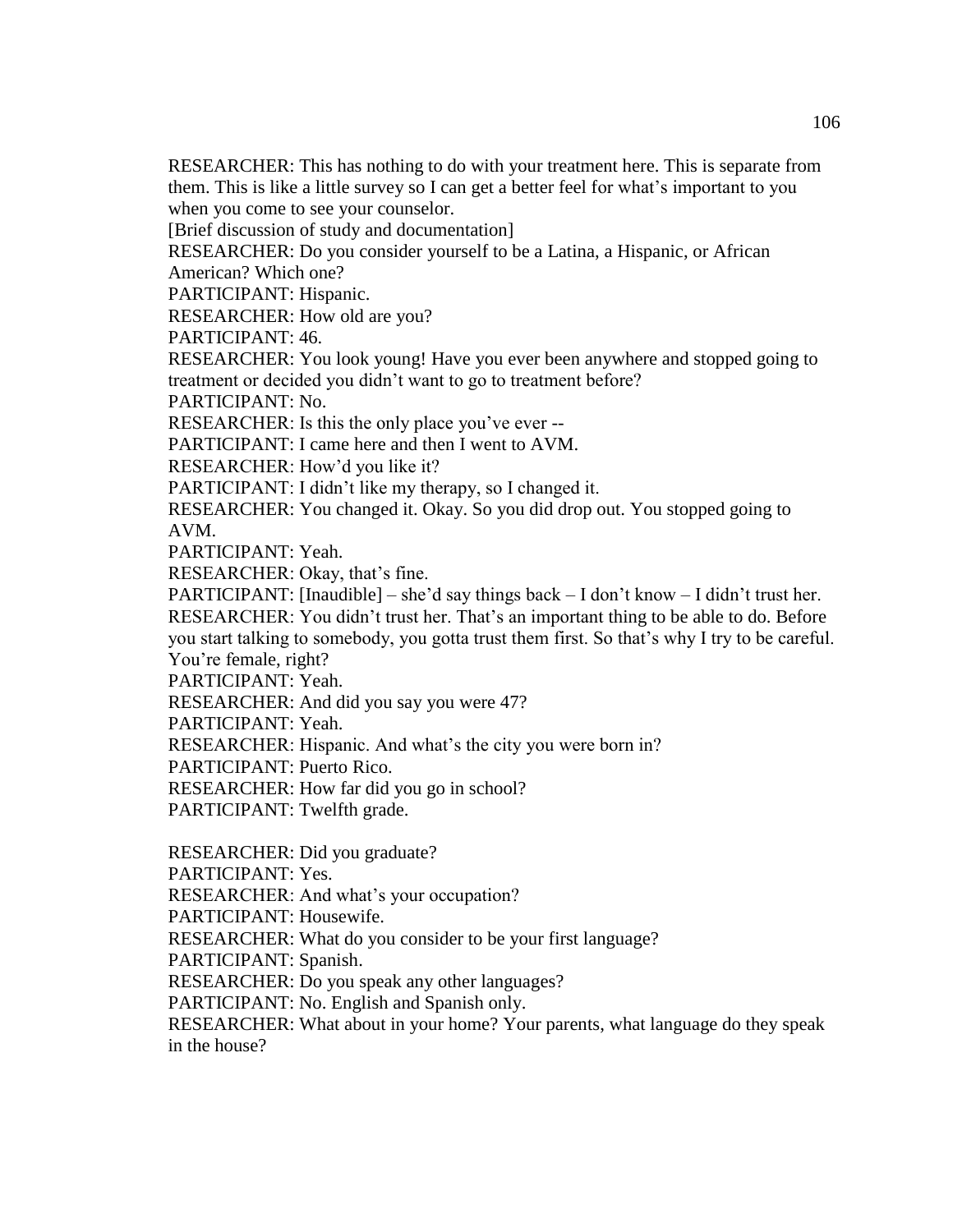RESEARCHER: This has nothing to do with your treatment here. This is separate from them. This is like a little survey so I can get a better feel for what's important to you when you come to see your counselor.

[Brief discussion of study and documentation]

RESEARCHER: Do you consider yourself to be a Latina, a Hispanic, or African American? Which one?

PARTICIPANT: Hispanic.

RESEARCHER: How old are you?

PARTICIPANT: 46.

RESEARCHER: You look young! Have you ever been anywhere and stopped going to treatment or decided you didn't want to go to treatment before?

PARTICIPANT: No.

RESEARCHER: Is this the only place you've ever --

PARTICIPANT: I came here and then I went to AVM.

RESEARCHER: How'd you like it?

PARTICIPANT: I didn't like my therapy, so I changed it.

RESEARCHER: You changed it. Okay. So you did drop out. You stopped going to AVM.

PARTICIPANT: Yeah.

RESEARCHER: Okay, that's fine.

PARTICIPANT: [Inaudible] – she'd say things back – I don't know – I didn't trust her.

RESEARCHER: You didn't trust her. That's an important thing to be able to do. Before you start talking to somebody, you gotta trust them first. So that's why I try to be careful. You're female, right?

PARTICIPANT: Yeah.

RESEARCHER: And did you say you were 47?

PARTICIPANT: Yeah.

RESEARCHER: Hispanic. And what's the city you were born in?

PARTICIPANT: Puerto Rico.

RESEARCHER: How far did you go in school?

PARTICIPANT: Twelfth grade.

RESEARCHER: Did you graduate?

PARTICIPANT: Yes.

RESEARCHER: And what's your occupation?

PARTICIPANT: Housewife.

RESEARCHER: What do you consider to be your first language?

PARTICIPANT: Spanish.

RESEARCHER: Do you speak any other languages?

PARTICIPANT: No. English and Spanish only.

RESEARCHER: What about in your home? Your parents, what language do they speak in the house?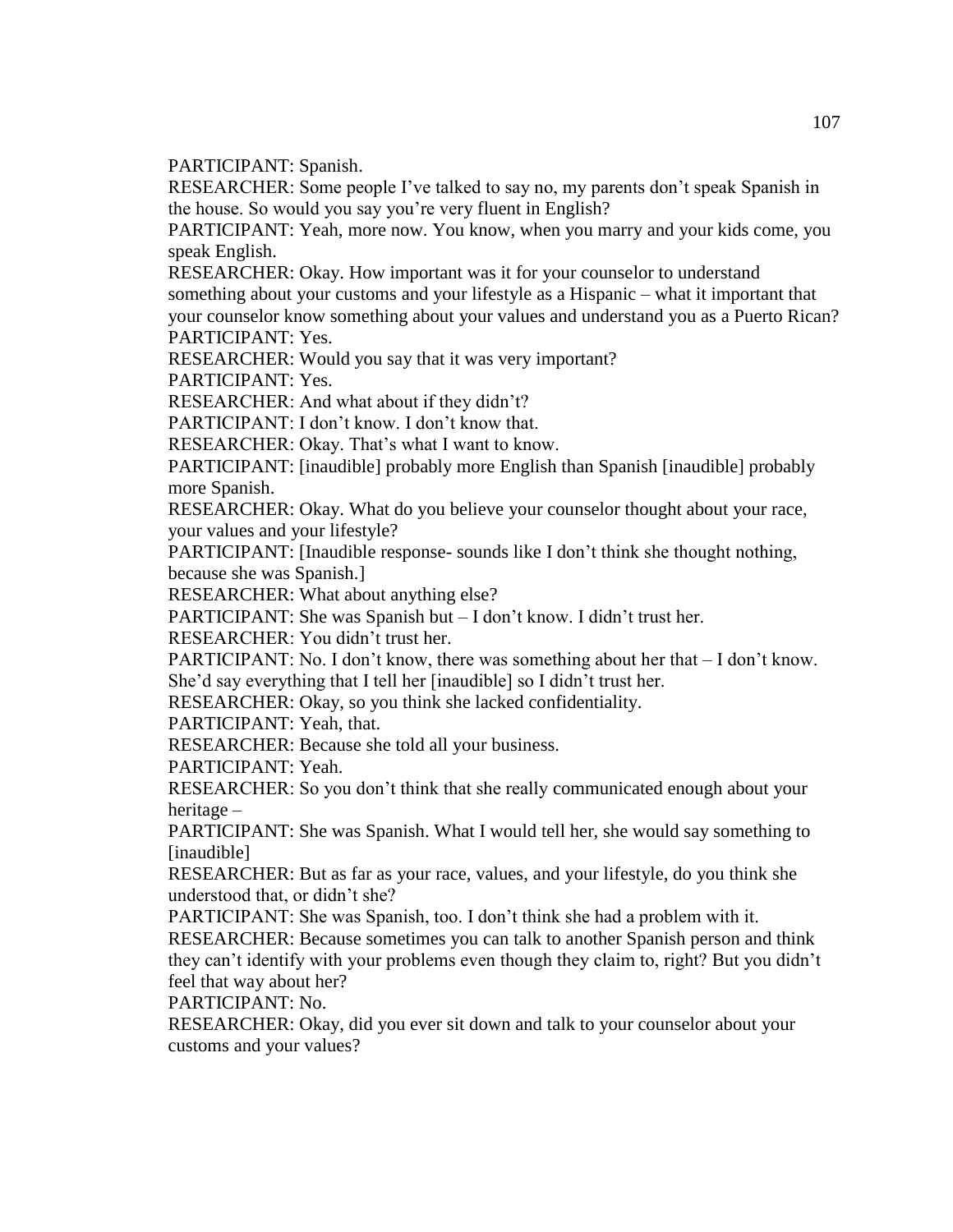PARTICIPANT: Spanish.

RESEARCHER: Some people I've talked to say no, my parents don't speak Spanish in the house. So would you say you're very fluent in English?

PARTICIPANT: Yeah, more now. You know, when you marry and your kids come, you speak English.

RESEARCHER: Okay. How important was it for your counselor to understand something about your customs and your lifestyle as a Hispanic – what it important that your counselor know something about your values and understand you as a Puerto Rican? PARTICIPANT: Yes.

RESEARCHER: Would you say that it was very important?

PARTICIPANT: Yes.

RESEARCHER: And what about if they didn't?

PARTICIPANT: I don't know. I don't know that.

RESEARCHER: Okay. That's what I want to know.

PARTICIPANT: [inaudible] probably more English than Spanish [inaudible] probably more Spanish.

RESEARCHER: Okay. What do you believe your counselor thought about your race, your values and your lifestyle?

PARTICIPANT: [Inaudible response- sounds like I don't think she thought nothing, because she was Spanish.]

RESEARCHER: What about anything else?

PARTICIPANT: She was Spanish but – I don't know. I didn't trust her.

RESEARCHER: You didn't trust her.

PARTICIPANT: No. I don't know, there was something about her that – I don't know. She'd say everything that I tell her [inaudible] so I didn't trust her.

RESEARCHER: Okay, so you think she lacked confidentiality.

PARTICIPANT: Yeah, that.

RESEARCHER: Because she told all your business.

PARTICIPANT: Yeah.

RESEARCHER: So you don't think that she really communicated enough about your heritage –

PARTICIPANT: She was Spanish. What I would tell her, she would say something to [inaudible]

RESEARCHER: But as far as your race, values, and your lifestyle, do you think she understood that, or didn't she?

PARTICIPANT: She was Spanish, too. I don't think she had a problem with it.

RESEARCHER: Because sometimes you can talk to another Spanish person and think they can't identify with your problems even though they claim to, right? But you didn't feel that way about her?

PARTICIPANT: No.

RESEARCHER: Okay, did you ever sit down and talk to your counselor about your customs and your values?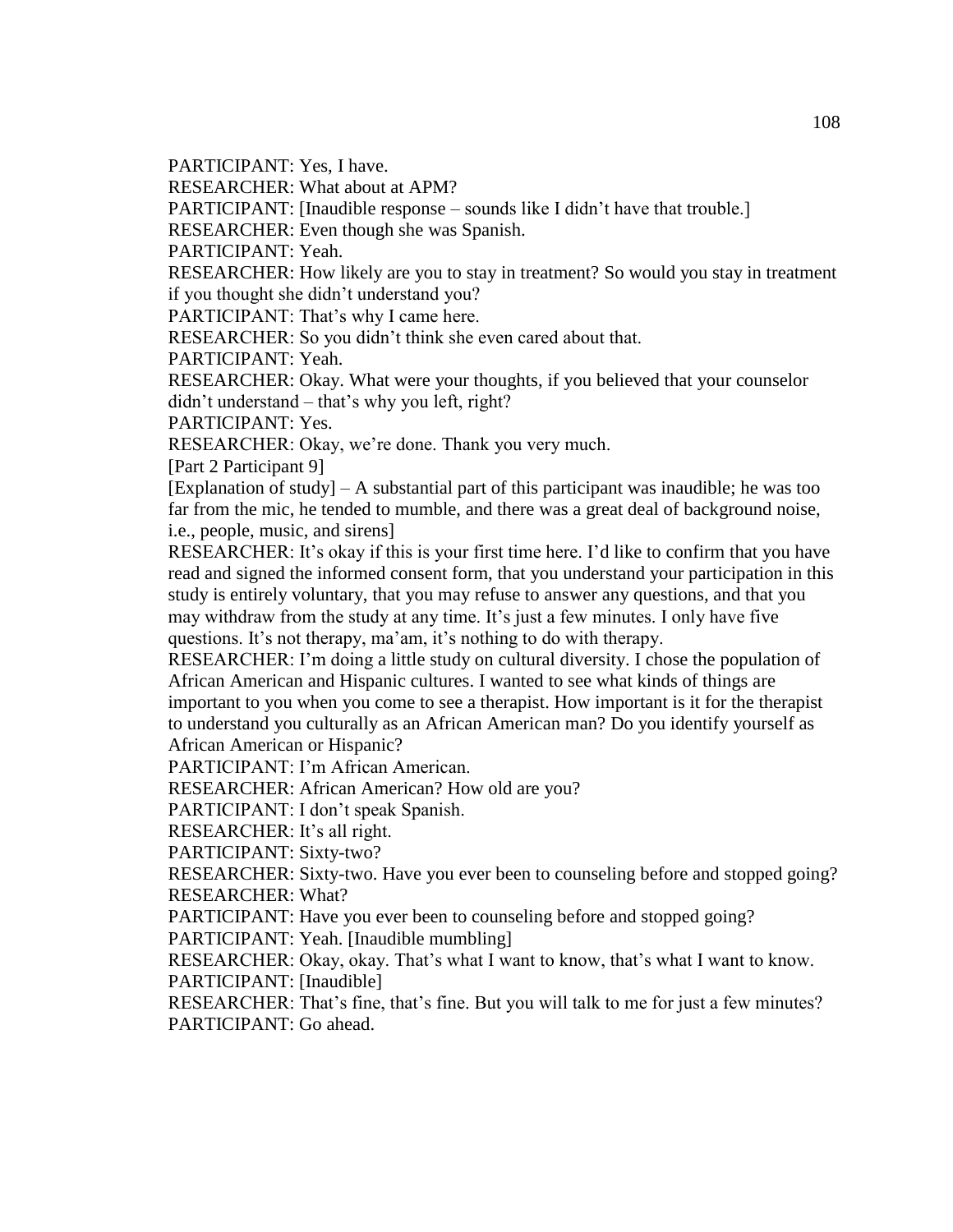PARTICIPANT: Yes, I have.

RESEARCHER: What about at APM?

PARTICIPANT: [Inaudible response – sounds like I didn't have that trouble.]

RESEARCHER: Even though she was Spanish.

PARTICIPANT: Yeah.

RESEARCHER: How likely are you to stay in treatment? So would you stay in treatment if you thought she didn't understand you?

PARTICIPANT: That's why I came here.

RESEARCHER: So you didn't think she even cared about that.

PARTICIPANT: Yeah.

RESEARCHER: Okay. What were your thoughts, if you believed that your counselor didn't understand – that's why you left, right?

PARTICIPANT: Yes.

RESEARCHER: Okay, we're done. Thank you very much.

[Part 2 Participant 9]

 $[Explanation of study] - A substantial part of this participant was in a udible; he was too$ far from the mic, he tended to mumble, and there was a great deal of background noise, i.e., people, music, and sirens]

RESEARCHER: It's okay if this is your first time here. I'd like to confirm that you have read and signed the informed consent form, that you understand your participation in this study is entirely voluntary, that you may refuse to answer any questions, and that you may withdraw from the study at any time. It's just a few minutes. I only have five questions. It's not therapy, ma'am, it's nothing to do with therapy.

RESEARCHER: I'm doing a little study on cultural diversity. I chose the population of African American and Hispanic cultures. I wanted to see what kinds of things are important to you when you come to see a therapist. How important is it for the therapist to understand you culturally as an African American man? Do you identify yourself as African American or Hispanic?

PARTICIPANT: I'm African American.

RESEARCHER: African American? How old are you?

PARTICIPANT: I don't speak Spanish.

RESEARCHER: It's all right.

PARTICIPANT: Sixty-two?

RESEARCHER: Sixty-two. Have you ever been to counseling before and stopped going? RESEARCHER: What?

PARTICIPANT: Have you ever been to counseling before and stopped going?

PARTICIPANT: Yeah. [Inaudible mumbling]

RESEARCHER: Okay, okay. That's what I want to know, that's what I want to know. PARTICIPANT: [Inaudible]

RESEARCHER: That's fine, that's fine. But you will talk to me for just a few minutes? PARTICIPANT: Go ahead.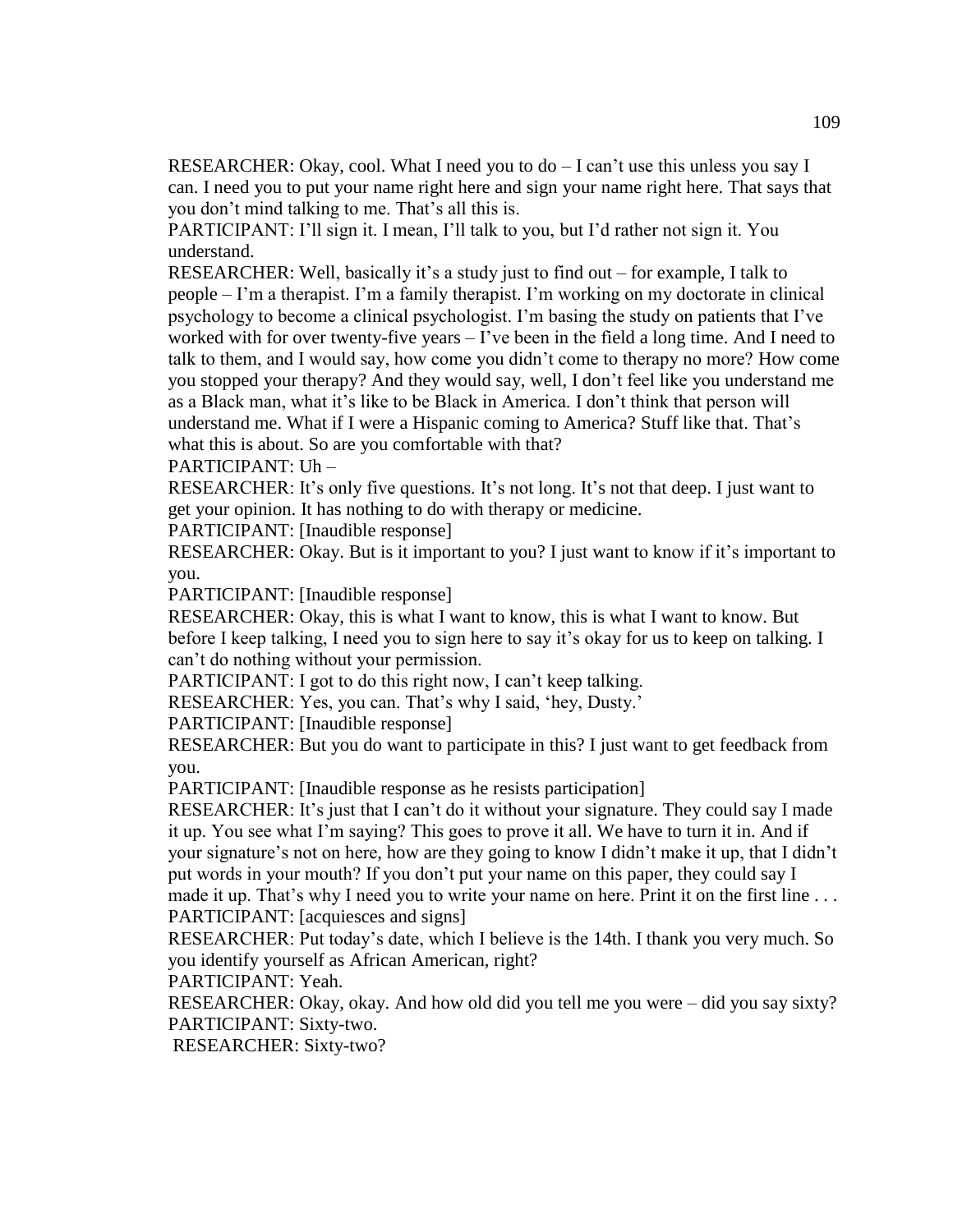RESEARCHER: Okay, cool. What I need you to  $d_0 - I$  can't use this unless you say I can. I need you to put your name right here and sign your name right here. That says that you don't mind talking to me. That's all this is.

PARTICIPANT: I'll sign it. I mean, I'll talk to you, but I'd rather not sign it. You understand.

RESEARCHER: Well, basically it's a study just to find out – for example, I talk to people – I'm a therapist. I'm a family therapist. I'm working on my doctorate in clinical psychology to become a clinical psychologist. I'm basing the study on patients that I've worked with for over twenty-five years – I've been in the field a long time. And I need to talk to them, and I would say, how come you didn't come to therapy no more? How come you stopped your therapy? And they would say, well, I don't feel like you understand me as a Black man, what it's like to be Black in America. I don't think that person will understand me. What if I were a Hispanic coming to America? Stuff like that. That's what this is about. So are you comfortable with that?

PARTICIPANT: Uh –

RESEARCHER: It's only five questions. It's not long. It's not that deep. I just want to get your opinion. It has nothing to do with therapy or medicine.

PARTICIPANT: [Inaudible response]

RESEARCHER: Okay. But is it important to you? I just want to know if it's important to you.

PARTICIPANT: [Inaudible response]

RESEARCHER: Okay, this is what I want to know, this is what I want to know. But before I keep talking, I need you to sign here to say it's okay for us to keep on talking. I can't do nothing without your permission.

PARTICIPANT: I got to do this right now, I can't keep talking.

RESEARCHER: Yes, you can. That's why I said, 'hey, Dusty.'

PARTICIPANT: [Inaudible response]

RESEARCHER: But you do want to participate in this? I just want to get feedback from you.

PARTICIPANT: [Inaudible response as he resists participation]

RESEARCHER: It's just that I can't do it without your signature. They could say I made it up. You see what I'm saying? This goes to prove it all. We have to turn it in. And if your signature's not on here, how are they going to know I didn't make it up, that I didn't put words in your mouth? If you don't put your name on this paper, they could say I made it up. That's why I need you to write your name on here. Print it on the first line ... PARTICIPANT: [acquiesces and signs]

RESEARCHER: Put today's date, which I believe is the 14th. I thank you very much. So you identify yourself as African American, right?

PARTICIPANT: Yeah.

RESEARCHER: Okay, okay. And how old did you tell me you were – did you say sixty? PARTICIPANT: Sixty-two.

RESEARCHER: Sixty-two?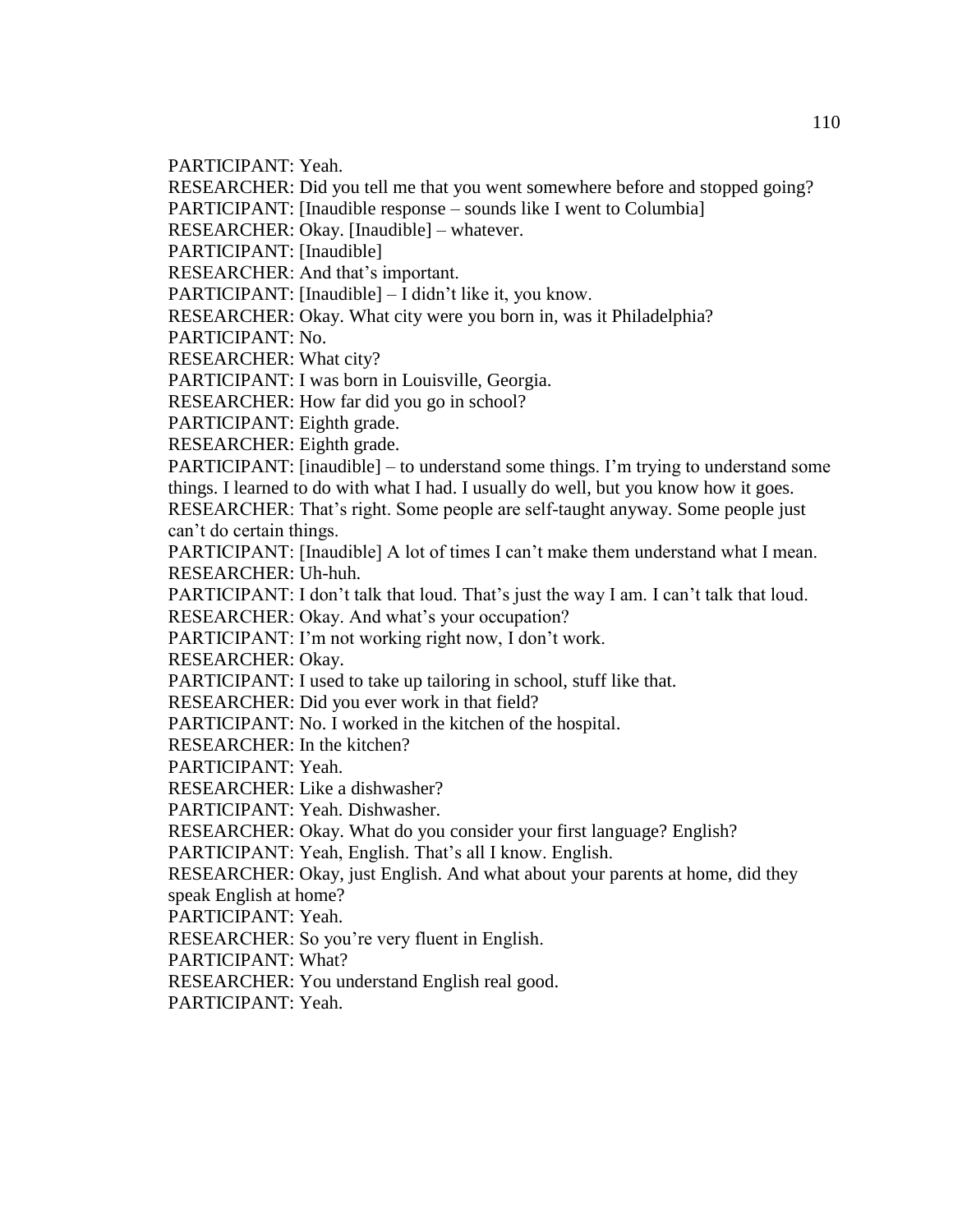PARTICIPANT: Yeah.

RESEARCHER: Did you tell me that you went somewhere before and stopped going?

PARTICIPANT: [Inaudible response – sounds like I went to Columbia]

RESEARCHER: Okay. [Inaudible] – whatever.

PARTICIPANT: [Inaudible]

RESEARCHER: And that's important.

PARTICIPANT: [Inaudible] – I didn't like it, you know.

RESEARCHER: Okay. What city were you born in, was it Philadelphia?

PARTICIPANT: No.

RESEARCHER: What city?

PARTICIPANT: I was born in Louisville, Georgia.

RESEARCHER: How far did you go in school?

PARTICIPANT: Eighth grade.

RESEARCHER: Eighth grade.

PARTICIPANT: [inaudible] – to understand some things. I'm trying to understand some things. I learned to do with what I had. I usually do well, but you know how it goes.

RESEARCHER: That's right. Some people are self-taught anyway. Some people just can't do certain things.

PARTICIPANT: [Inaudible] A lot of times I can't make them understand what I mean. RESEARCHER: Uh-huh.

PARTICIPANT: I don't talk that loud. That's just the way I am. I can't talk that loud.

RESEARCHER: Okay. And what's your occupation?

PARTICIPANT: I'm not working right now, I don't work.

RESEARCHER: Okay.

PARTICIPANT: I used to take up tailoring in school, stuff like that.

RESEARCHER: Did you ever work in that field?

PARTICIPANT: No. I worked in the kitchen of the hospital.

RESEARCHER: In the kitchen?

PARTICIPANT: Yeah.

RESEARCHER: Like a dishwasher?

PARTICIPANT: Yeah. Dishwasher.

RESEARCHER: Okay. What do you consider your first language? English?

PARTICIPANT: Yeah, English. That's all I know. English.

RESEARCHER: Okay, just English. And what about your parents at home, did they speak English at home?

PARTICIPANT: Yeah.

RESEARCHER: So you're very fluent in English.

PARTICIPANT: What?

RESEARCHER: You understand English real good.

PARTICIPANT: Yeah.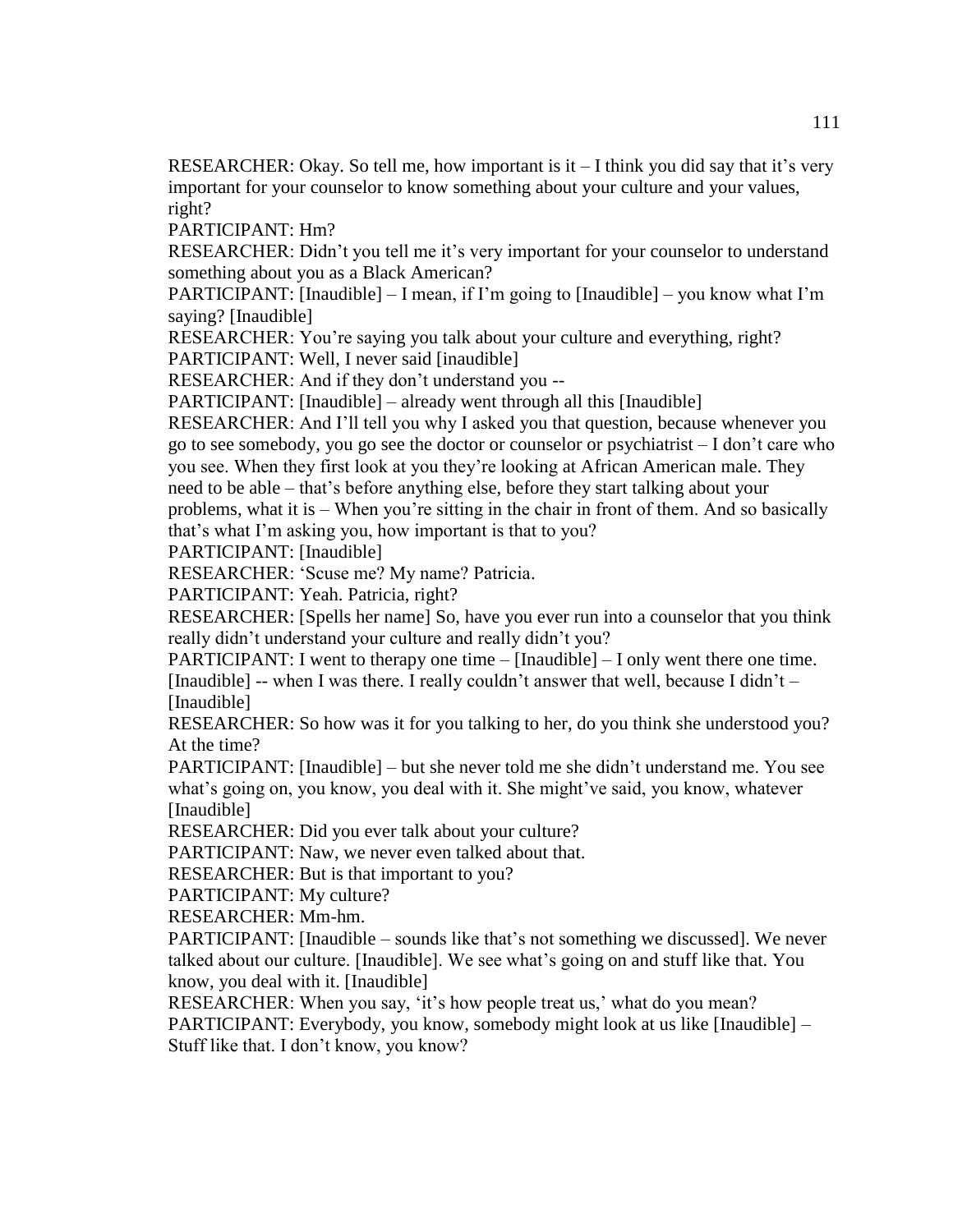RESEARCHER: Okay. So tell me, how important is  $it - I$  think you did say that it's very important for your counselor to know something about your culture and your values, right?

PARTICIPANT: Hm?

RESEARCHER: Didn't you tell me it's very important for your counselor to understand something about you as a Black American?

PARTICIPANT: [Inaudible]  $-$  I mean, if I'm going to [Inaudible]  $-$  you know what I'm saying? [Inaudible]

RESEARCHER: You're saying you talk about your culture and everything, right? PARTICIPANT: Well, I never said [inaudible]

RESEARCHER: And if they don't understand you --

PARTICIPANT: [Inaudible] – already went through all this [Inaudible]

RESEARCHER: And I'll tell you why I asked you that question, because whenever you go to see somebody, you go see the doctor or counselor or psychiatrist – I don't care who you see. When they first look at you they're looking at African American male. They need to be able – that's before anything else, before they start talking about your problems, what it is – When you're sitting in the chair in front of them. And so basically that's what I'm asking you, how important is that to you?

PARTICIPANT: [Inaudible]

RESEARCHER: 'Scuse me? My name? Patricia.

PARTICIPANT: Yeah. Patricia, right?

RESEARCHER: [Spells her name] So, have you ever run into a counselor that you think really didn't understand your culture and really didn't you?

PARTICIPANT: I went to therapy one time – [Inaudible] – I only went there one time. [Inaudible]  $-$  when I was there. I really couldn't answer that well, because I didn't  $-$ [Inaudible]

RESEARCHER: So how was it for you talking to her, do you think she understood you? At the time?

PARTICIPANT: [Inaudible] – but she never told me she didn't understand me. You see what's going on, you know, you deal with it. She might've said, you know, whatever [Inaudible]

RESEARCHER: Did you ever talk about your culture?

PARTICIPANT: Naw, we never even talked about that.

RESEARCHER: But is that important to you?

PARTICIPANT: My culture?

RESEARCHER: Mm-hm.

PARTICIPANT: [Inaudible – sounds like that's not something we discussed]. We never talked about our culture. [Inaudible]. We see what's going on and stuff like that. You know, you deal with it. [Inaudible]

RESEARCHER: When you say, 'it's how people treat us,' what do you mean? PARTICIPANT: Everybody, you know, somebody might look at us like [Inaudible] – Stuff like that. I don't know, you know?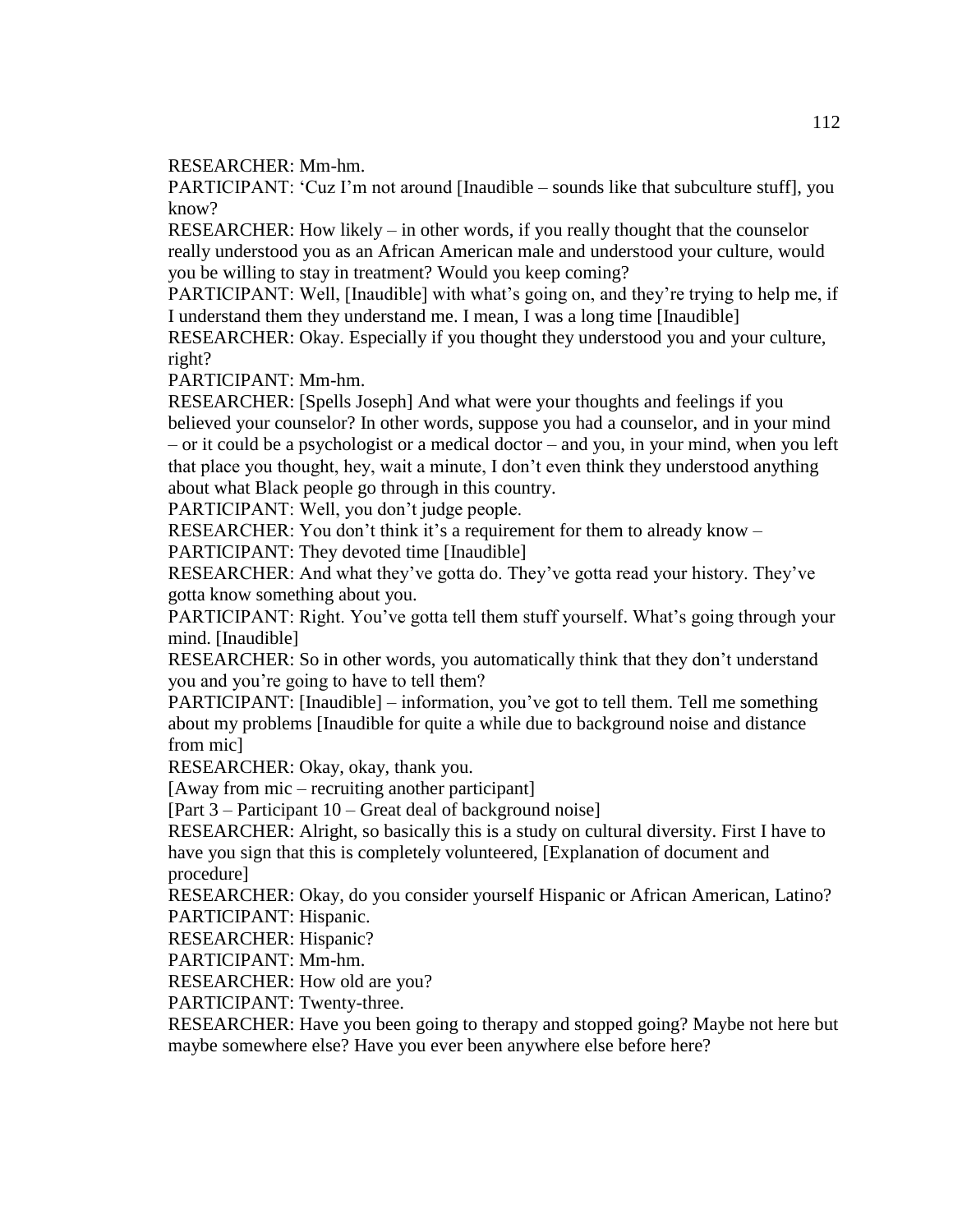RESEARCHER: Mm-hm.

PARTICIPANT: 'Cuz I'm not around [Inaudible – sounds like that subculture stuff], you know?

RESEARCHER: How likely – in other words, if you really thought that the counselor really understood you as an African American male and understood your culture, would you be willing to stay in treatment? Would you keep coming?

PARTICIPANT: Well, [Inaudible] with what's going on, and they're trying to help me, if I understand them they understand me. I mean, I was a long time [Inaudible]

RESEARCHER: Okay. Especially if you thought they understood you and your culture, right?

PARTICIPANT: Mm-hm.

RESEARCHER: [Spells Joseph] And what were your thoughts and feelings if you believed your counselor? In other words, suppose you had a counselor, and in your mind – or it could be a psychologist or a medical doctor – and you, in your mind, when you left that place you thought, hey, wait a minute, I don't even think they understood anything about what Black people go through in this country.

PARTICIPANT: Well, you don't judge people.

RESEARCHER: You don't think it's a requirement for them to already know – PARTICIPANT: They devoted time [Inaudible]

RESEARCHER: And what they've gotta do. They've gotta read your history. They've gotta know something about you.

PARTICIPANT: Right. You've gotta tell them stuff yourself. What's going through your mind. [Inaudible]

RESEARCHER: So in other words, you automatically think that they don't understand you and you're going to have to tell them?

PARTICIPANT: [Inaudible] – information, you've got to tell them. Tell me something about my problems [Inaudible for quite a while due to background noise and distance from mic]

RESEARCHER: Okay, okay, thank you.

[Away from mic – recruiting another participant]

[Part 3 – Participant 10 – Great deal of background noise]

RESEARCHER: Alright, so basically this is a study on cultural diversity. First I have to have you sign that this is completely volunteered, [Explanation of document and procedure]

RESEARCHER: Okay, do you consider yourself Hispanic or African American, Latino? PARTICIPANT: Hispanic.

RESEARCHER: Hispanic?

PARTICIPANT: Mm-hm.

RESEARCHER: How old are you?

PARTICIPANT: Twenty-three.

RESEARCHER: Have you been going to therapy and stopped going? Maybe not here but maybe somewhere else? Have you ever been anywhere else before here?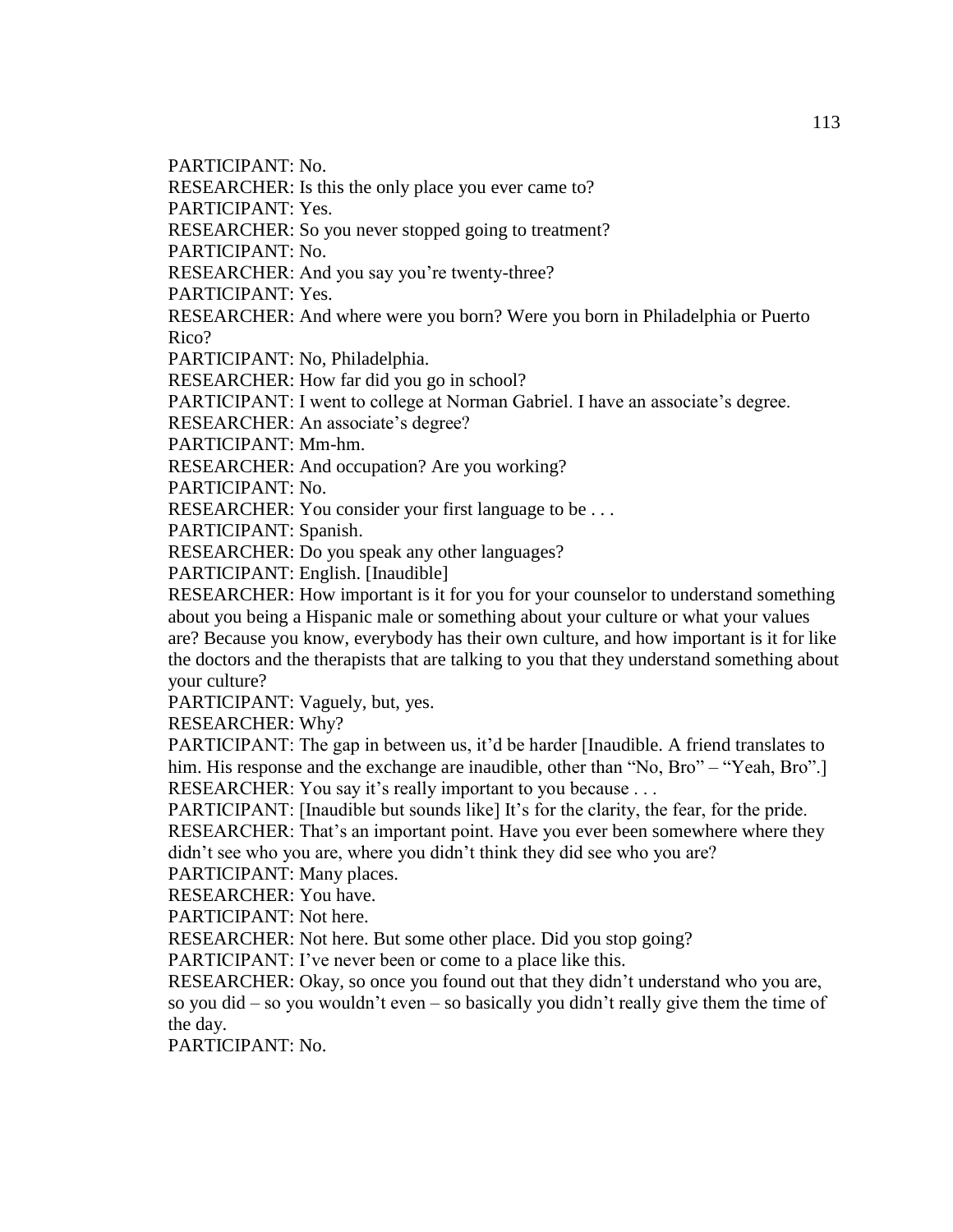PARTICIPANT: No.

RESEARCHER: Is this the only place you ever came to?

PARTICIPANT: Yes.

RESEARCHER: So you never stopped going to treatment?

PARTICIPANT: No.

RESEARCHER: And you say you're twenty-three?

PARTICIPANT: Yes.

RESEARCHER: And where were you born? Were you born in Philadelphia or Puerto Rico?

PARTICIPANT: No, Philadelphia.

RESEARCHER: How far did you go in school?

PARTICIPANT: I went to college at Norman Gabriel. I have an associate's degree.

RESEARCHER: An associate's degree?

PARTICIPANT: Mm-hm.

RESEARCHER: And occupation? Are you working?

PARTICIPANT: No.

RESEARCHER: You consider your first language to be . . .

PARTICIPANT: Spanish.

RESEARCHER: Do you speak any other languages?

PARTICIPANT: English. [Inaudible]

RESEARCHER: How important is it for you for your counselor to understand something about you being a Hispanic male or something about your culture or what your values are? Because you know, everybody has their own culture, and how important is it for like the doctors and the therapists that are talking to you that they understand something about your culture?

PARTICIPANT: Vaguely, but, yes.

RESEARCHER: Why?

PARTICIPANT: The gap in between us, it'd be harder [Inaudible. A friend translates to him. His response and the exchange are inaudible, other than "No, Bro" – "Yeah, Bro".] RESEARCHER: You say it's really important to you because . . .

PARTICIPANT: [Inaudible but sounds like] It's for the clarity, the fear, for the pride.

RESEARCHER: That's an important point. Have you ever been somewhere where they didn't see who you are, where you didn't think they did see who you are?

PARTICIPANT: Many places.

RESEARCHER: You have.

PARTICIPANT: Not here.

RESEARCHER: Not here. But some other place. Did you stop going?

PARTICIPANT: I've never been or come to a place like this.

RESEARCHER: Okay, so once you found out that they didn't understand who you are,

so you did – so you wouldn't even – so basically you didn't really give them the time of the day.

PARTICIPANT: No.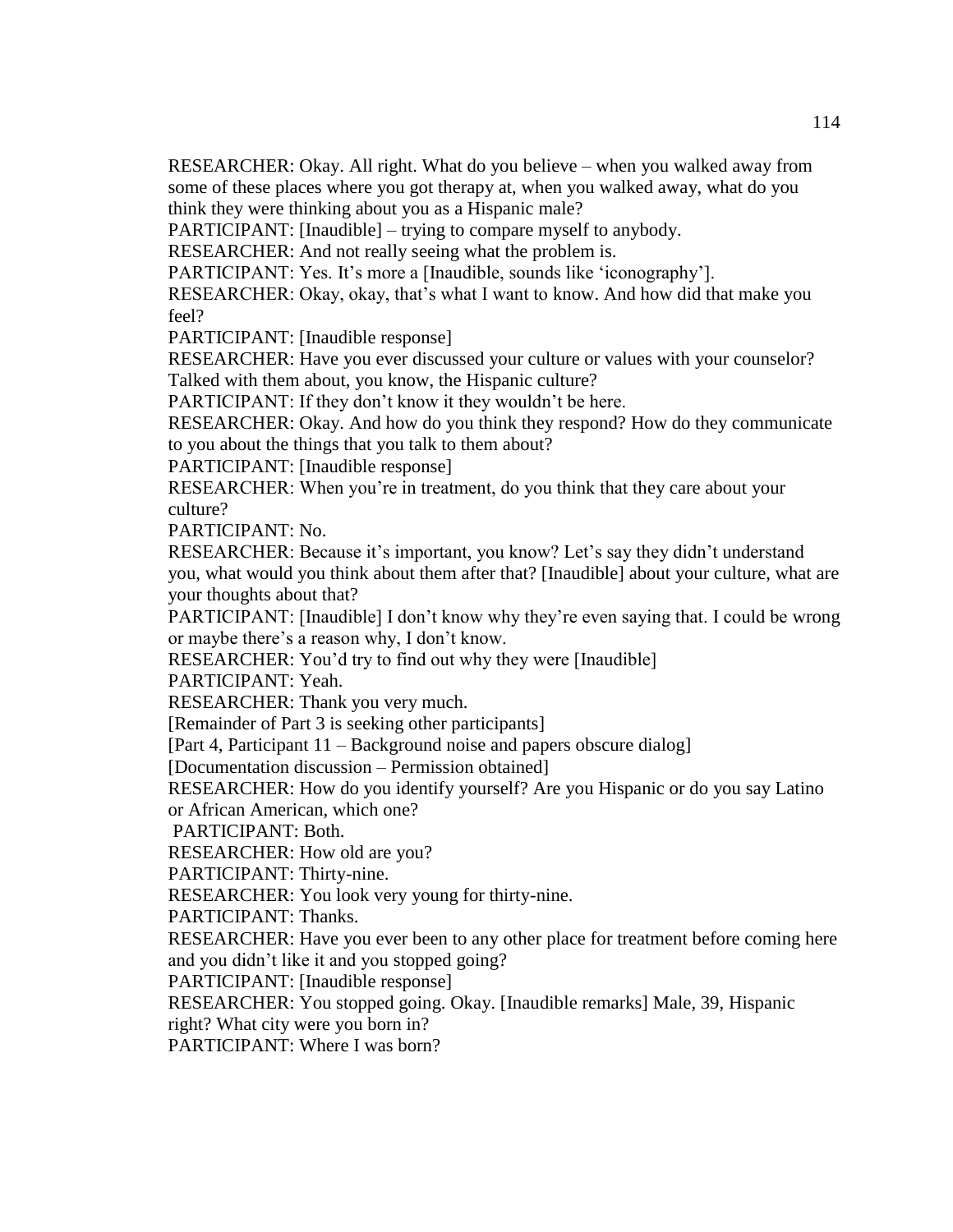RESEARCHER: Okay. All right. What do you believe – when you walked away from some of these places where you got therapy at, when you walked away, what do you think they were thinking about you as a Hispanic male?

PARTICIPANT: [Inaudible] – trying to compare myself to anybody.

RESEARCHER: And not really seeing what the problem is.

PARTICIPANT: Yes. It's more a [Inaudible, sounds like 'iconography'].

RESEARCHER: Okay, okay, that's what I want to know. And how did that make you feel?

PARTICIPANT: [Inaudible response]

RESEARCHER: Have you ever discussed your culture or values with your counselor? Talked with them about, you know, the Hispanic culture?

PARTICIPANT: If they don't know it they wouldn't be here.

RESEARCHER: Okay. And how do you think they respond? How do they communicate to you about the things that you talk to them about?

PARTICIPANT: [Inaudible response]

RESEARCHER: When you're in treatment, do you think that they care about your culture?

PARTICIPANT: No.

RESEARCHER: Because it's important, you know? Let's say they didn't understand you, what would you think about them after that? [Inaudible] about your culture, what are your thoughts about that?

PARTICIPANT: [Inaudible] I don't know why they're even saying that. I could be wrong or maybe there's a reason why, I don't know.

RESEARCHER: You'd try to find out why they were [Inaudible]

PARTICIPANT: Yeah.

RESEARCHER: Thank you very much.

[Remainder of Part 3 is seeking other participants]

[Part 4, Participant 11 – Background noise and papers obscure dialog]

[Documentation discussion – Permission obtained]

RESEARCHER: How do you identify yourself? Are you Hispanic or do you say Latino or African American, which one?

PARTICIPANT: Both.

RESEARCHER: How old are you?

PARTICIPANT: Thirty-nine.

RESEARCHER: You look very young for thirty-nine.

PARTICIPANT: Thanks.

RESEARCHER: Have you ever been to any other place for treatment before coming here and you didn't like it and you stopped going?

PARTICIPANT: [Inaudible response]

RESEARCHER: You stopped going. Okay. [Inaudible remarks] Male, 39, Hispanic

right? What city were you born in?

PARTICIPANT: Where I was born?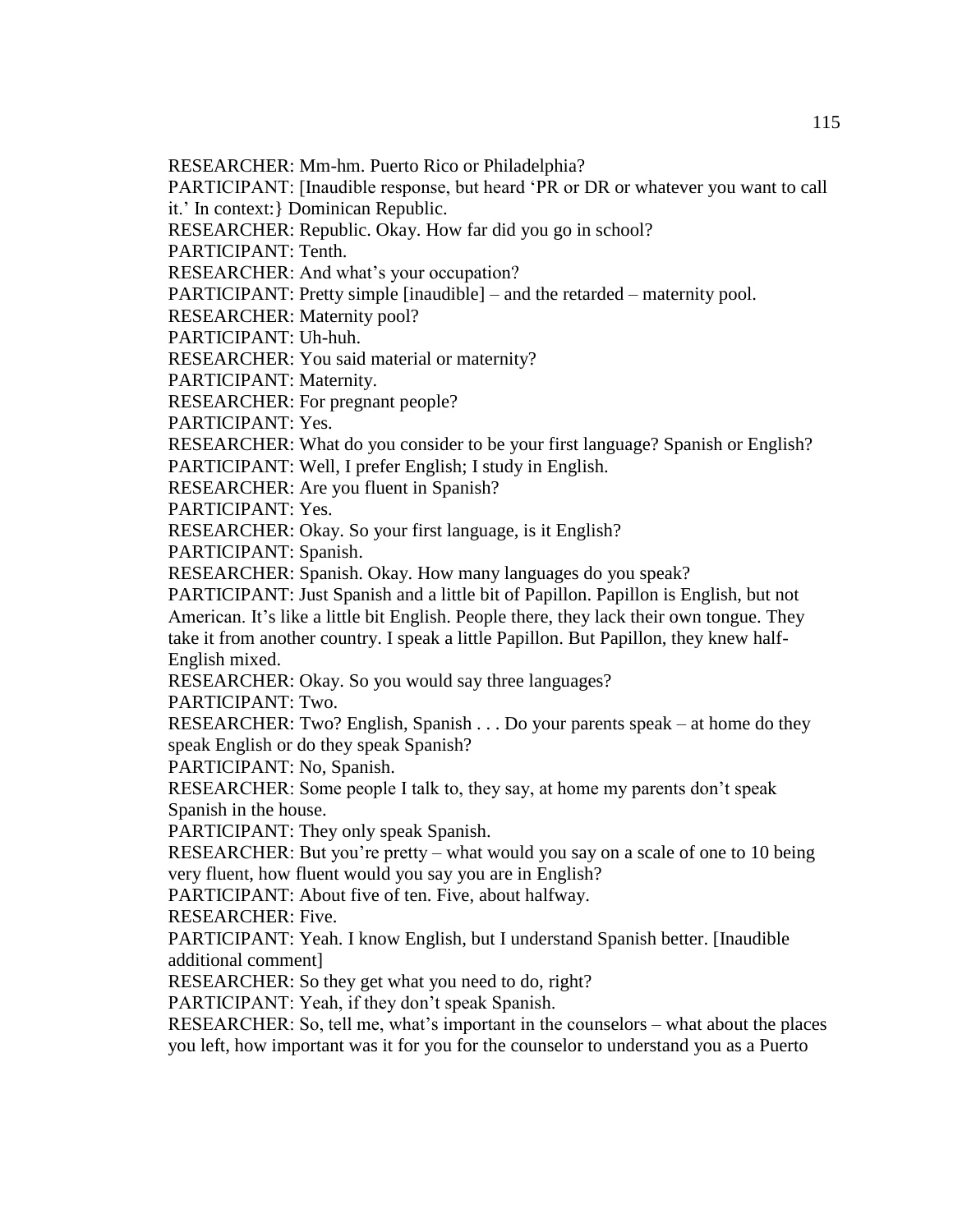RESEARCHER: Mm-hm. Puerto Rico or Philadelphia?

PARTICIPANT: [Inaudible response, but heard 'PR or DR or whatever you want to call it.' In context:} Dominican Republic.

RESEARCHER: Republic. Okay. How far did you go in school?

PARTICIPANT: Tenth.

RESEARCHER: And what's your occupation?

PARTICIPANT: Pretty simple [inaudible] – and the retarded – maternity pool.

RESEARCHER: Maternity pool?

PARTICIPANT: Uh-huh.

RESEARCHER: You said material or maternity?

PARTICIPANT: Maternity.

RESEARCHER: For pregnant people?

PARTICIPANT: Yes.

RESEARCHER: What do you consider to be your first language? Spanish or English? PARTICIPANT: Well, I prefer English; I study in English.

RESEARCHER: Are you fluent in Spanish?

PARTICIPANT: Yes.

RESEARCHER: Okay. So your first language, is it English?

PARTICIPANT: Spanish.

RESEARCHER: Spanish. Okay. How many languages do you speak?

PARTICIPANT: Just Spanish and a little bit of Papillon. Papillon is English, but not American. It's like a little bit English. People there, they lack their own tongue. They take it from another country. I speak a little Papillon. But Papillon, they knew half-English mixed.

RESEARCHER: Okay. So you would say three languages?

PARTICIPANT: Two.

RESEARCHER: Two? English, Spanish . . . Do your parents speak – at home do they speak English or do they speak Spanish?

PARTICIPANT: No, Spanish.

RESEARCHER: Some people I talk to, they say, at home my parents don't speak Spanish in the house.

PARTICIPANT: They only speak Spanish.

RESEARCHER: But you're pretty – what would you say on a scale of one to 10 being very fluent, how fluent would you say you are in English?

PARTICIPANT: About five of ten. Five, about halfway.

RESEARCHER: Five.

PARTICIPANT: Yeah. I know English, but I understand Spanish better. [Inaudible additional comment]

RESEARCHER: So they get what you need to do, right?

PARTICIPANT: Yeah, if they don't speak Spanish.

RESEARCHER: So, tell me, what's important in the counselors – what about the places you left, how important was it for you for the counselor to understand you as a Puerto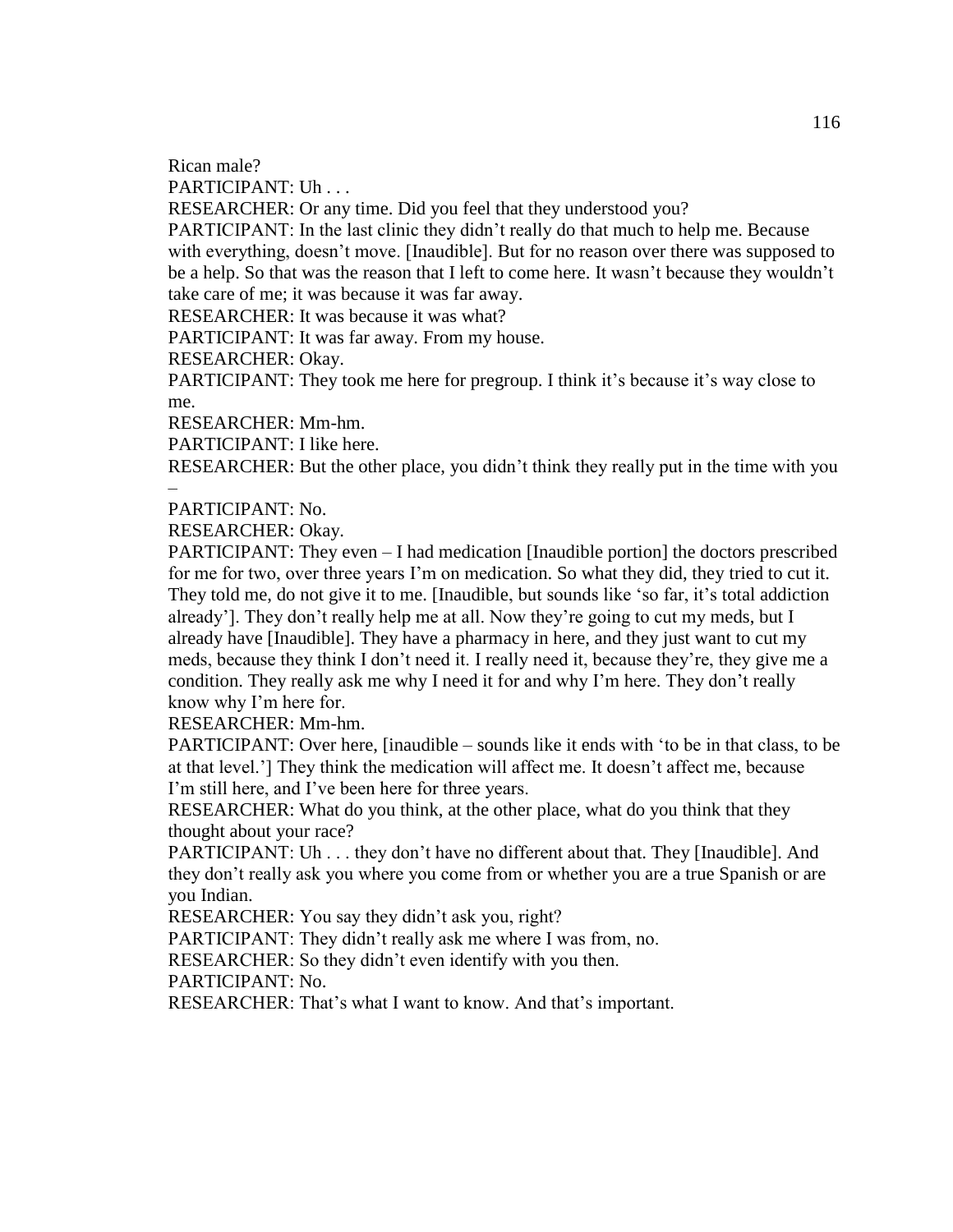Rican male?

PARTICIPANT: Uh . . .

RESEARCHER: Or any time. Did you feel that they understood you?

PARTICIPANT: In the last clinic they didn't really do that much to help me. Because with everything, doesn't move. [Inaudible]. But for no reason over there was supposed to be a help. So that was the reason that I left to come here. It wasn't because they wouldn't take care of me; it was because it was far away.

RESEARCHER: It was because it was what?

PARTICIPANT: It was far away. From my house.

RESEARCHER: Okay.

PARTICIPANT: They took me here for pregroup. I think it's because it's way close to me.

RESEARCHER: Mm-hm.

PARTICIPANT: I like here.

RESEARCHER: But the other place, you didn't think they really put in the time with you

#### PARTICIPANT: No.

–

RESEARCHER: Okay.

PARTICIPANT: They even – I had medication [Inaudible portion] the doctors prescribed for me for two, over three years I'm on medication. So what they did, they tried to cut it. They told me, do not give it to me. [Inaudible, but sounds like 'so far, it's total addiction already']. They don't really help me at all. Now they're going to cut my meds, but I already have [Inaudible]. They have a pharmacy in here, and they just want to cut my meds, because they think I don't need it. I really need it, because they're, they give me a condition. They really ask me why I need it for and why I'm here. They don't really know why I'm here for.

RESEARCHER: Mm-hm.

PARTICIPANT: Over here, [inaudible – sounds like it ends with 'to be in that class, to be at that level.'] They think the medication will affect me. It doesn't affect me, because I'm still here, and I've been here for three years.

RESEARCHER: What do you think, at the other place, what do you think that they thought about your race?

PARTICIPANT: Uh . . . they don't have no different about that. They [Inaudible]. And they don't really ask you where you come from or whether you are a true Spanish or are you Indian.

RESEARCHER: You say they didn't ask you, right?

PARTICIPANT: They didn't really ask me where I was from, no.

RESEARCHER: So they didn't even identify with you then.

PARTICIPANT: No.

RESEARCHER: That's what I want to know. And that's important.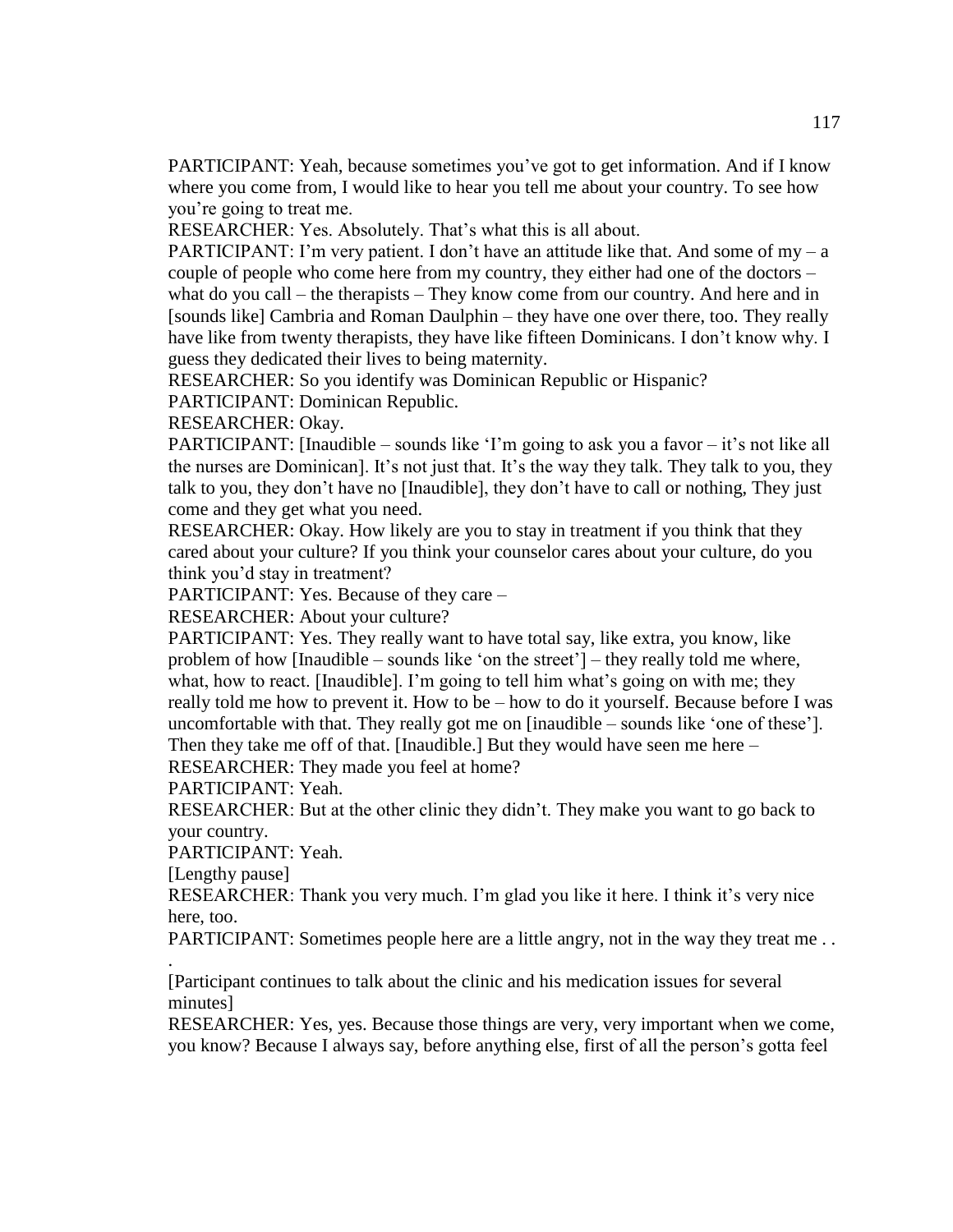PARTICIPANT: Yeah, because sometimes you've got to get information. And if I know where you come from, I would like to hear you tell me about your country. To see how you're going to treat me.

RESEARCHER: Yes. Absolutely. That's what this is all about.

PARTICIPANT: I'm very patient. I don't have an attitude like that. And some of  $my - a$ couple of people who come here from my country, they either had one of the doctors – what do you call – the therapists – They know come from our country. And here and in [sounds like] Cambria and Roman Daulphin – they have one over there, too. They really have like from twenty therapists, they have like fifteen Dominicans. I don't know why. I guess they dedicated their lives to being maternity.

RESEARCHER: So you identify was Dominican Republic or Hispanic?

PARTICIPANT: Dominican Republic.

RESEARCHER: Okay.

PARTICIPANT: [Inaudible – sounds like 'I'm going to ask you a favor – it's not like all the nurses are Dominican]. It's not just that. It's the way they talk. They talk to you, they talk to you, they don't have no [Inaudible], they don't have to call or nothing, They just come and they get what you need.

RESEARCHER: Okay. How likely are you to stay in treatment if you think that they cared about your culture? If you think your counselor cares about your culture, do you think you'd stay in treatment?

PARTICIPANT: Yes. Because of they care –

RESEARCHER: About your culture?

PARTICIPANT: Yes. They really want to have total say, like extra, you know, like problem of how [Inaudible – sounds like 'on the street'] – they really told me where, what, how to react. [Inaudible]. I'm going to tell him what's going on with me; they really told me how to prevent it. How to be – how to do it yourself. Because before I was uncomfortable with that. They really got me on [inaudible – sounds like 'one of these']. Then they take me off of that. [Inaudible.] But they would have seen me here –

RESEARCHER: They made you feel at home?

PARTICIPANT: Yeah.

RESEARCHER: But at the other clinic they didn't. They make you want to go back to your country.

PARTICIPANT: Yeah.

[Lengthy pause]

.

RESEARCHER: Thank you very much. I'm glad you like it here. I think it's very nice here, too.

PARTICIPANT: Sometimes people here are a little angry, not in the way they treat me...

[Participant continues to talk about the clinic and his medication issues for several minutes]

RESEARCHER: Yes, yes. Because those things are very, very important when we come, you know? Because I always say, before anything else, first of all the person's gotta feel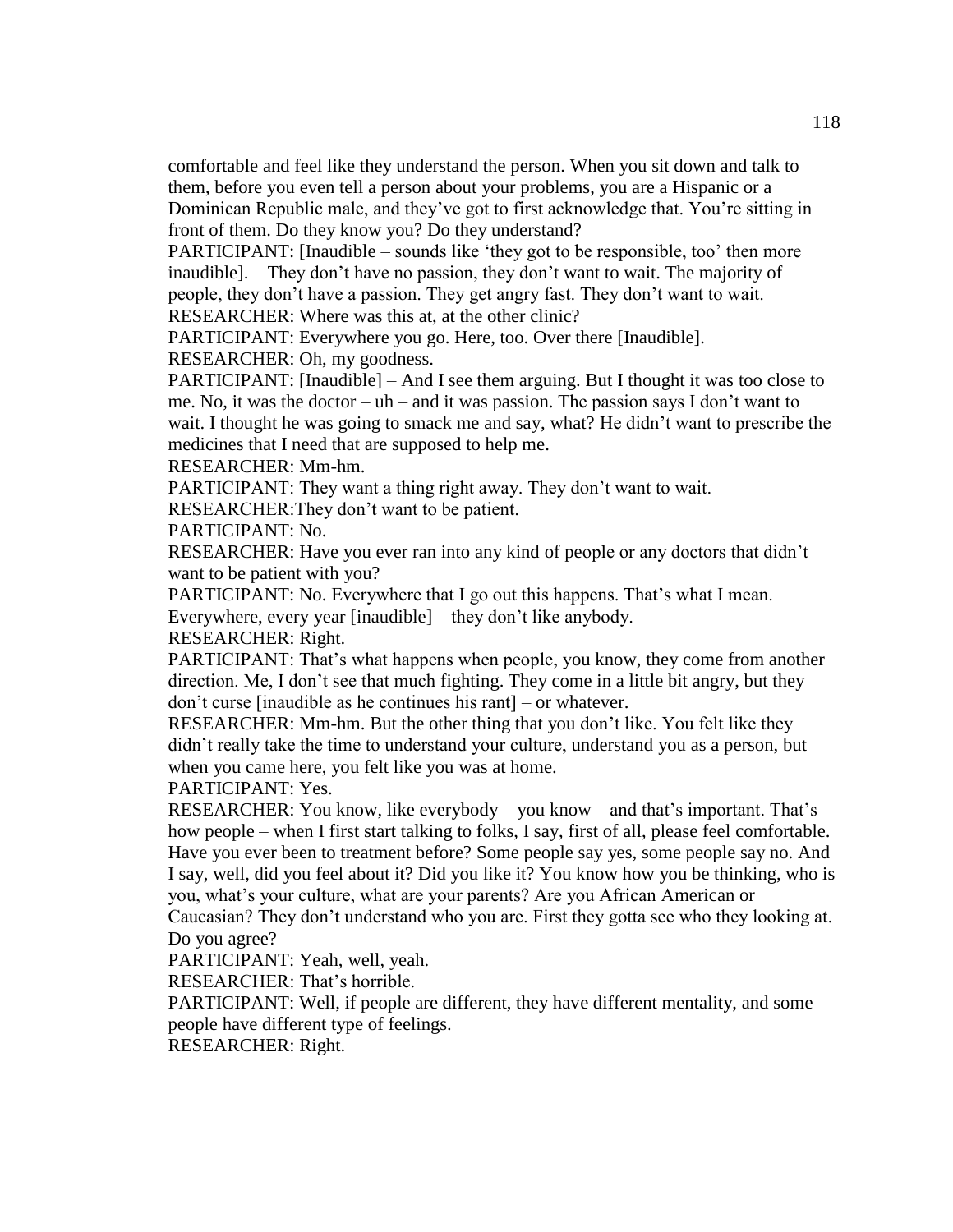comfortable and feel like they understand the person. When you sit down and talk to them, before you even tell a person about your problems, you are a Hispanic or a Dominican Republic male, and they've got to first acknowledge that. You're sitting in front of them. Do they know you? Do they understand?

PARTICIPANT: [Inaudible – sounds like 'they got to be responsible, too' then more inaudible]. – They don't have no passion, they don't want to wait. The majority of people, they don't have a passion. They get angry fast. They don't want to wait. RESEARCHER: Where was this at, at the other clinic?

PARTICIPANT: Everywhere you go. Here, too. Over there [Inaudible].

RESEARCHER: Oh, my goodness.

PARTICIPANT: [Inaudible] – And I see them arguing. But I thought it was too close to me. No, it was the doctor – uh – and it was passion. The passion says I don't want to wait. I thought he was going to smack me and say, what? He didn't want to prescribe the medicines that I need that are supposed to help me.

RESEARCHER: Mm-hm.

PARTICIPANT: They want a thing right away. They don't want to wait.

RESEARCHER:They don't want to be patient.

PARTICIPANT: No.

RESEARCHER: Have you ever ran into any kind of people or any doctors that didn't want to be patient with you?

PARTICIPANT: No. Everywhere that I go out this happens. That's what I mean.

Everywhere, every year [inaudible] – they don't like anybody.

RESEARCHER: Right.

PARTICIPANT: That's what happens when people, you know, they come from another direction. Me, I don't see that much fighting. They come in a little bit angry, but they don't curse [inaudible as he continues his rant] – or whatever.

RESEARCHER: Mm-hm. But the other thing that you don't like. You felt like they didn't really take the time to understand your culture, understand you as a person, but when you came here, you felt like you was at home.

PARTICIPANT: Yes.

RESEARCHER: You know, like everybody – you know – and that's important. That's how people – when I first start talking to folks, I say, first of all, please feel comfortable. Have you ever been to treatment before? Some people say yes, some people say no. And I say, well, did you feel about it? Did you like it? You know how you be thinking, who is you, what's your culture, what are your parents? Are you African American or

Caucasian? They don't understand who you are. First they gotta see who they looking at. Do you agree?

PARTICIPANT: Yeah, well, yeah.

RESEARCHER: That's horrible.

PARTICIPANT: Well, if people are different, they have different mentality, and some people have different type of feelings.

RESEARCHER: Right.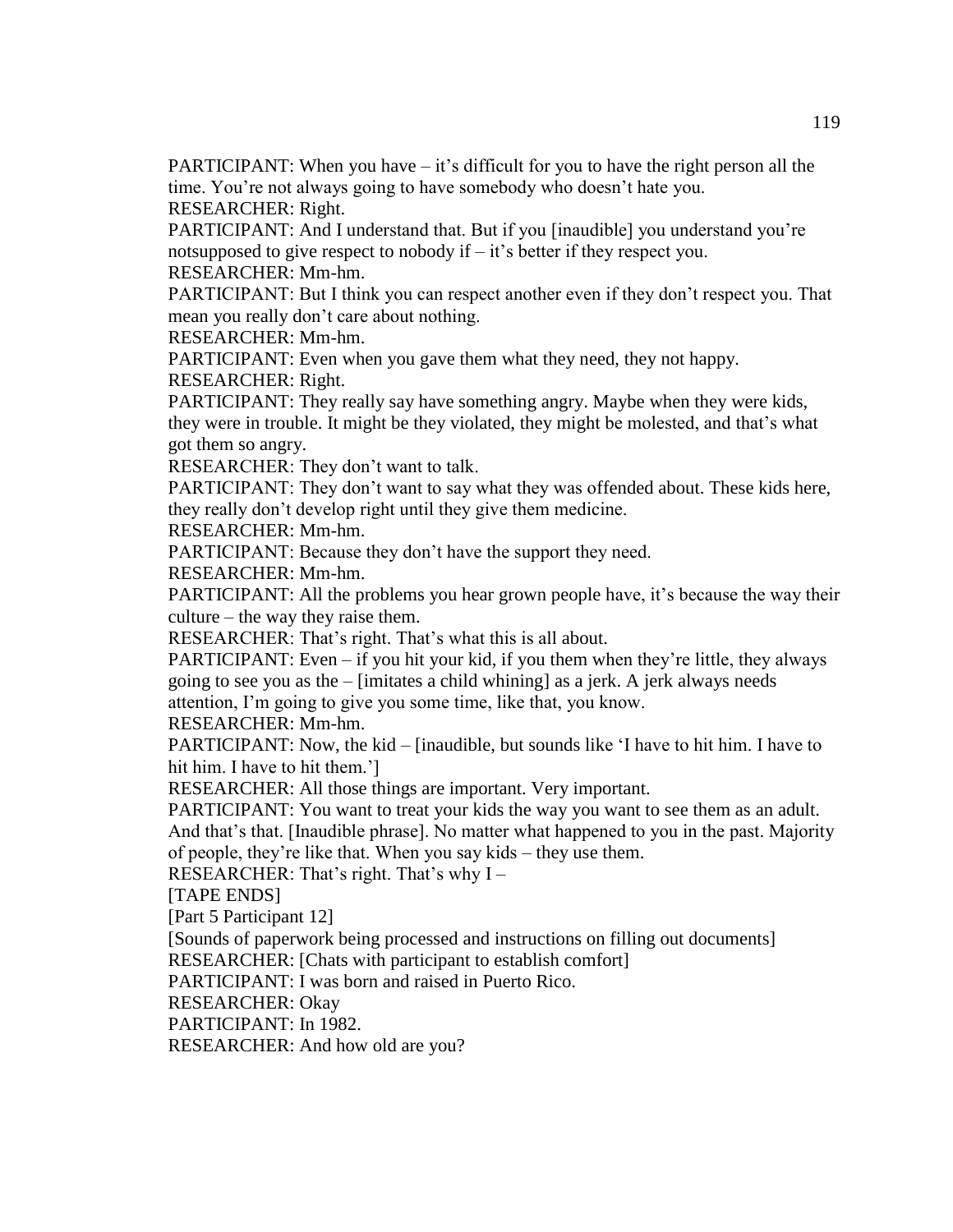PARTICIPANT: When you have – it's difficult for you to have the right person all the time. You're not always going to have somebody who doesn't hate you. RESEARCHER: Right.

PARTICIPANT: And I understand that. But if you [inaudible] you understand you're notsupposed to give respect to nobody if  $-$  it's better if they respect you. RESEARCHER: Mm-hm.

PARTICIPANT: But I think you can respect another even if they don't respect you. That mean you really don't care about nothing.

RESEARCHER: Mm-hm.

PARTICIPANT: Even when you gave them what they need, they not happy. RESEARCHER: Right.

PARTICIPANT: They really say have something angry. Maybe when they were kids, they were in trouble. It might be they violated, they might be molested, and that's what got them so angry.

RESEARCHER: They don't want to talk.

PARTICIPANT: They don't want to say what they was offended about. These kids here, they really don't develop right until they give them medicine.

RESEARCHER: Mm-hm.

PARTICIPANT: Because they don't have the support they need.

RESEARCHER: Mm-hm.

PARTICIPANT: All the problems you hear grown people have, it's because the way their culture – the way they raise them.

RESEARCHER: That's right. That's what this is all about.

PARTICIPANT: Even – if you hit your kid, if you them when they're little, they always going to see you as the – [imitates a child whining] as a jerk. A jerk always needs attention, I'm going to give you some time, like that, you know.

RESEARCHER: Mm-hm.

PARTICIPANT: Now, the kid – [inaudible, but sounds like 'I have to hit him. I have to hit him. I have to hit them.']

RESEARCHER: All those things are important. Very important.

PARTICIPANT: You want to treat your kids the way you want to see them as an adult. And that's that. [Inaudible phrase]. No matter what happened to you in the past. Majority of people, they're like that. When you say kids – they use them.

RESEARCHER: That's right. That's why I –

[TAPE ENDS]

[Part 5 Participant 12]

[Sounds of paperwork being processed and instructions on filling out documents]

RESEARCHER: [Chats with participant to establish comfort]

PARTICIPANT: I was born and raised in Puerto Rico.

RESEARCHER: Okay

PARTICIPANT: In 1982.

RESEARCHER: And how old are you?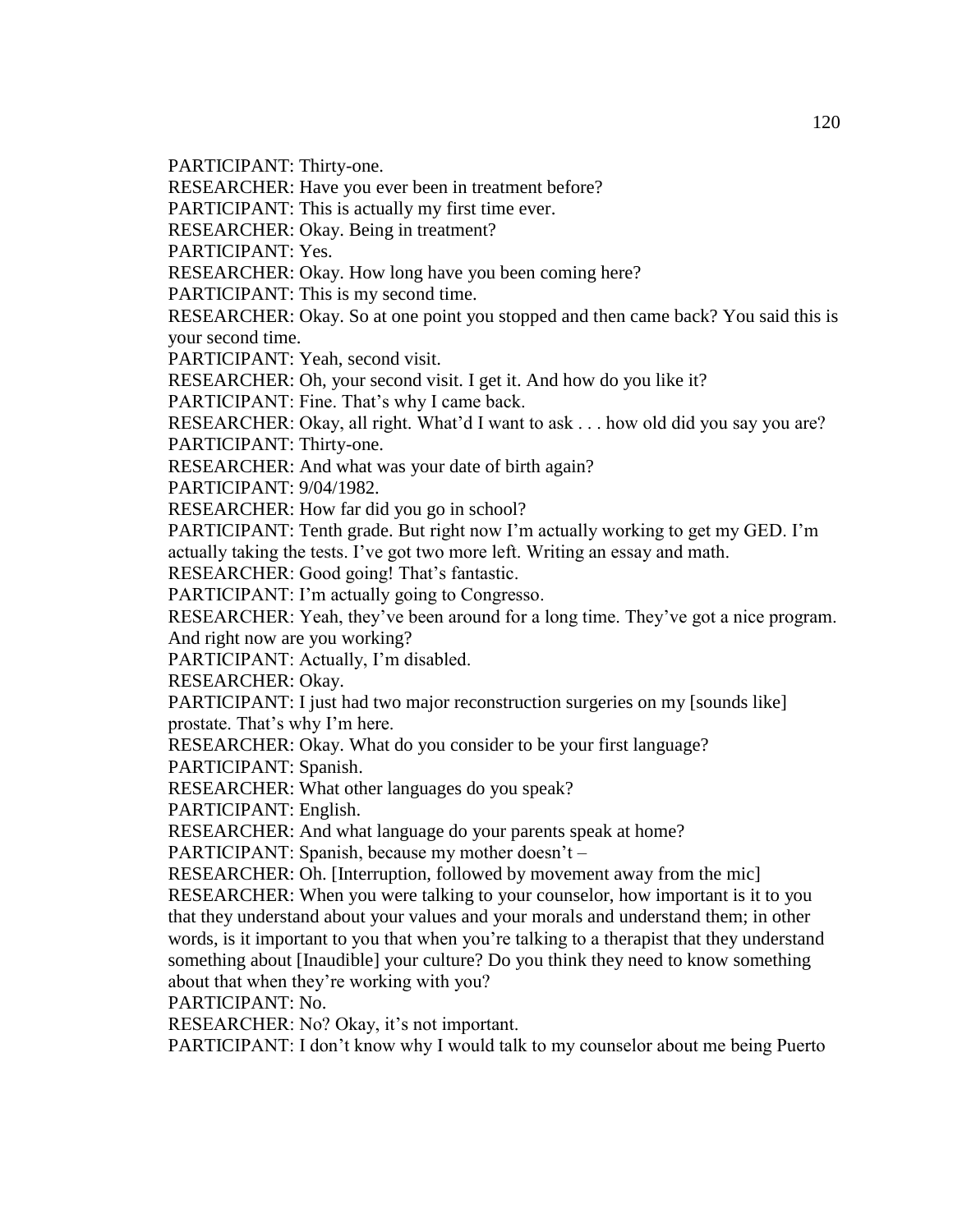PARTICIPANT: Thirty-one.

RESEARCHER: Have you ever been in treatment before?

PARTICIPANT: This is actually my first time ever.

RESEARCHER: Okay. Being in treatment?

PARTICIPANT: Yes.

RESEARCHER: Okay. How long have you been coming here?

PARTICIPANT: This is my second time.

RESEARCHER: Okay. So at one point you stopped and then came back? You said this is your second time.

PARTICIPANT: Yeah, second visit.

RESEARCHER: Oh, your second visit. I get it. And how do you like it?

PARTICIPANT: Fine. That's why I came back.

RESEARCHER: Okay, all right. What'd I want to ask . . . how old did you say you are? PARTICIPANT: Thirty-one.

RESEARCHER: And what was your date of birth again?

PARTICIPANT: 9/04/1982.

RESEARCHER: How far did you go in school?

PARTICIPANT: Tenth grade. But right now I'm actually working to get my GED. I'm actually taking the tests. I've got two more left. Writing an essay and math.

RESEARCHER: Good going! That's fantastic.

PARTICIPANT: I'm actually going to Congresso.

RESEARCHER: Yeah, they've been around for a long time. They've got a nice program. And right now are you working?

PARTICIPANT: Actually, I'm disabled.

RESEARCHER: Okay.

PARTICIPANT: I just had two major reconstruction surgeries on my [sounds like] prostate. That's why I'm here.

RESEARCHER: Okay. What do you consider to be your first language?

PARTICIPANT: Spanish.

RESEARCHER: What other languages do you speak?

PARTICIPANT: English.

RESEARCHER: And what language do your parents speak at home?

PARTICIPANT: Spanish, because my mother doesn't –

RESEARCHER: Oh. [Interruption, followed by movement away from the mic]

RESEARCHER: When you were talking to your counselor, how important is it to you that they understand about your values and your morals and understand them; in other words, is it important to you that when you're talking to a therapist that they understand something about [Inaudible] your culture? Do you think they need to know something about that when they're working with you?

PARTICIPANT: No.

RESEARCHER: No? Okay, it's not important.

PARTICIPANT: I don't know why I would talk to my counselor about me being Puerto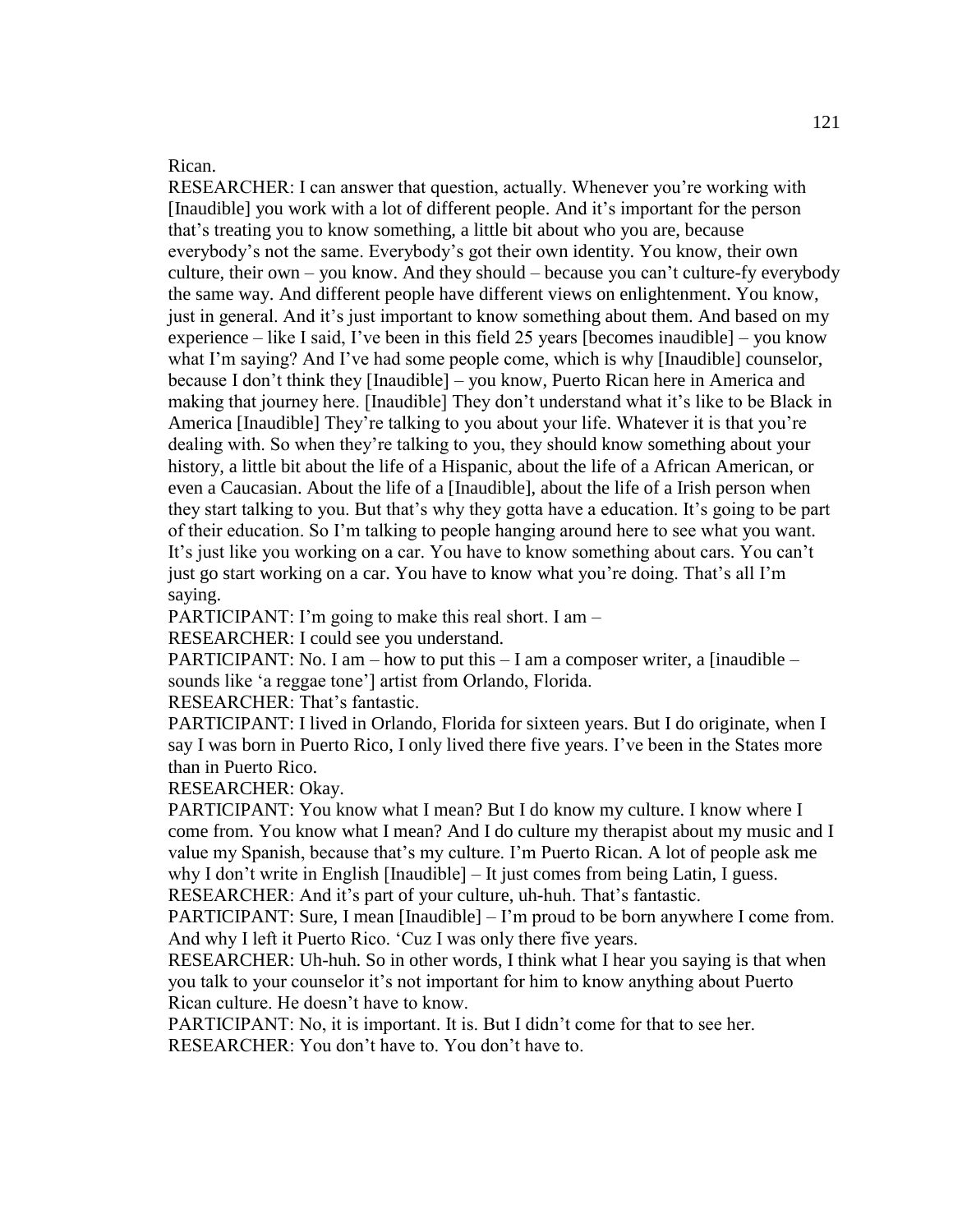#### Rican.

RESEARCHER: I can answer that question, actually. Whenever you're working with [Inaudible] you work with a lot of different people. And it's important for the person that's treating you to know something, a little bit about who you are, because everybody's not the same. Everybody's got their own identity. You know, their own culture, their own – you know. And they should – because you can't culture-fy everybody the same way. And different people have different views on enlightenment. You know, just in general. And it's just important to know something about them. And based on my experience – like I said, I've been in this field 25 years [becomes inaudible] – you know what I'm saying? And I've had some people come, which is why [Inaudible] counselor, because I don't think they [Inaudible] – you know, Puerto Rican here in America and making that journey here. [Inaudible] They don't understand what it's like to be Black in America [Inaudible] They're talking to you about your life. Whatever it is that you're dealing with. So when they're talking to you, they should know something about your history, a little bit about the life of a Hispanic, about the life of a African American, or even a Caucasian. About the life of a [Inaudible], about the life of a Irish person when they start talking to you. But that's why they gotta have a education. It's going to be part of their education. So I'm talking to people hanging around here to see what you want. It's just like you working on a car. You have to know something about cars. You can't just go start working on a car. You have to know what you're doing. That's all I'm saying.

PARTICIPANT: I'm going to make this real short. I am –

RESEARCHER: I could see you understand.

PARTICIPANT: No. I am – how to put this  $-$  I am a composer writer, a [inaudible – sounds like 'a reggae tone'] artist from Orlando, Florida.

RESEARCHER: That's fantastic.

PARTICIPANT: I lived in Orlando, Florida for sixteen years. But I do originate, when I say I was born in Puerto Rico, I only lived there five years. I've been in the States more than in Puerto Rico.

RESEARCHER: Okay.

PARTICIPANT: You know what I mean? But I do know my culture. I know where I come from. You know what I mean? And I do culture my therapist about my music and I value my Spanish, because that's my culture. I'm Puerto Rican. A lot of people ask me why I don't write in English [Inaudible] – It just comes from being Latin, I guess. RESEARCHER: And it's part of your culture, uh-huh. That's fantastic.

PARTICIPANT: Sure, I mean [Inaudible] – I'm proud to be born anywhere I come from. And why I left it Puerto Rico. 'Cuz I was only there five years.

RESEARCHER: Uh-huh. So in other words, I think what I hear you saying is that when you talk to your counselor it's not important for him to know anything about Puerto Rican culture. He doesn't have to know.

PARTICIPANT: No, it is important. It is. But I didn't come for that to see her. RESEARCHER: You don't have to. You don't have to.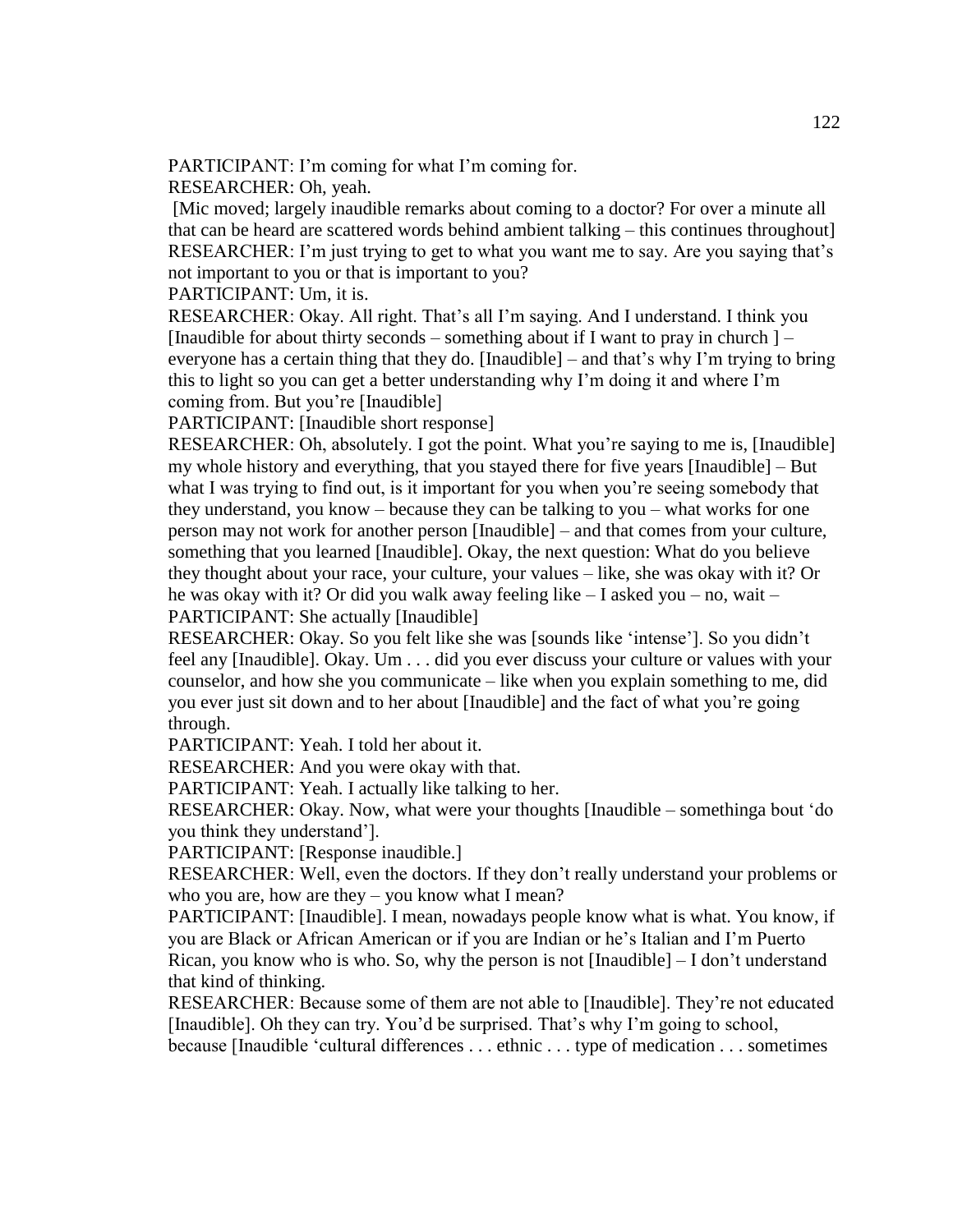PARTICIPANT: I'm coming for what I'm coming for.

RESEARCHER: Oh, yeah.

[Mic moved; largely inaudible remarks about coming to a doctor? For over a minute all that can be heard are scattered words behind ambient talking – this continues throughout] RESEARCHER: I'm just trying to get to what you want me to say. Are you saying that's not important to you or that is important to you?

PARTICIPANT: Um, it is.

RESEARCHER: Okay. All right. That's all I'm saying. And I understand. I think you [Inaudible for about thirty seconds – something about if I want to pray in church  $]$ everyone has a certain thing that they do. [Inaudible] – and that's why I'm trying to bring this to light so you can get a better understanding why I'm doing it and where I'm coming from. But you're [Inaudible]

PARTICIPANT: [Inaudible short response]

RESEARCHER: Oh, absolutely. I got the point. What you're saying to me is, [Inaudible] my whole history and everything, that you stayed there for five years [Inaudible] – But what I was trying to find out, is it important for you when you're seeing somebody that they understand, you know – because they can be talking to you – what works for one person may not work for another person [Inaudible] – and that comes from your culture, something that you learned [Inaudible]. Okay, the next question: What do you believe they thought about your race, your culture, your values – like, she was okay with it? Or he was okay with it? Or did you walk away feeling like – I asked you – no, wait – PARTICIPANT: She actually [Inaudible]

RESEARCHER: Okay. So you felt like she was [sounds like 'intense']. So you didn't feel any [Inaudible]. Okay. Um . . . did you ever discuss your culture or values with your counselor, and how she you communicate – like when you explain something to me, did you ever just sit down and to her about [Inaudible] and the fact of what you're going through.

PARTICIPANT: Yeah. I told her about it.

RESEARCHER: And you were okay with that.

PARTICIPANT: Yeah. I actually like talking to her.

RESEARCHER: Okay. Now, what were your thoughts [Inaudible – somethinga bout 'do you think they understand'].

PARTICIPANT: [Response inaudible.]

RESEARCHER: Well, even the doctors. If they don't really understand your problems or who you are, how are they – you know what I mean?

PARTICIPANT: [Inaudible]. I mean, nowadays people know what is what. You know, if you are Black or African American or if you are Indian or he's Italian and I'm Puerto Rican, you know who is who. So, why the person is not [Inaudible] – I don't understand that kind of thinking.

RESEARCHER: Because some of them are not able to [Inaudible]. They're not educated [Inaudible]. Oh they can try. You'd be surprised. That's why I'm going to school,

because [Inaudible 'cultural differences . . . ethnic . . . type of medication . . . sometimes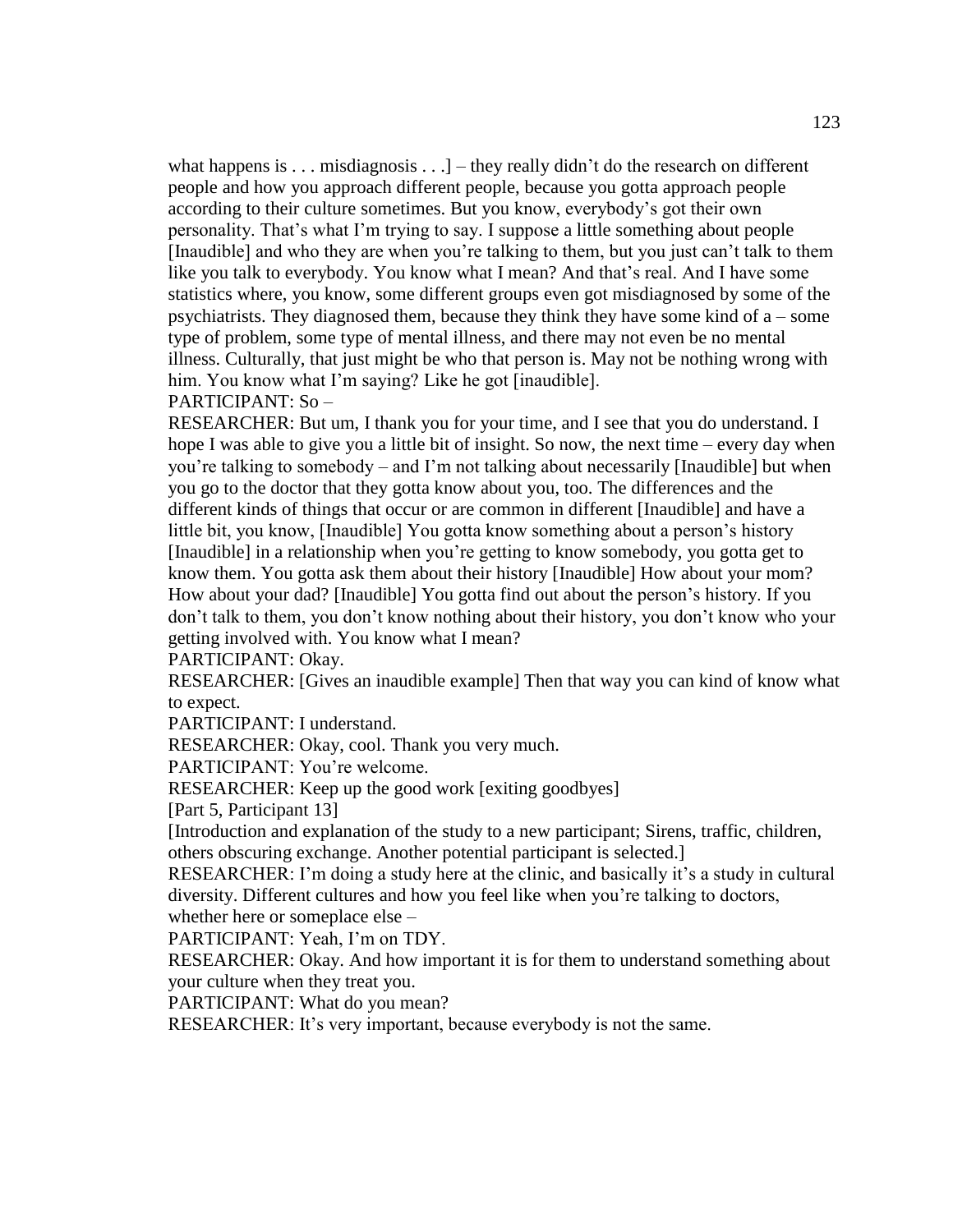what happens is  $\dots$  misdiagnosis  $\dots$ ] – they really didn't do the research on different people and how you approach different people, because you gotta approach people according to their culture sometimes. But you know, everybody's got their own personality. That's what I'm trying to say. I suppose a little something about people [Inaudible] and who they are when you're talking to them, but you just can't talk to them like you talk to everybody. You know what I mean? And that's real. And I have some statistics where, you know, some different groups even got misdiagnosed by some of the psychiatrists. They diagnosed them, because they think they have some kind of  $a$  – some type of problem, some type of mental illness, and there may not even be no mental illness. Culturally, that just might be who that person is. May not be nothing wrong with him. You know what I'm saying? Like he got [inaudible].

PARTICIPANT: So –

RESEARCHER: But um, I thank you for your time, and I see that you do understand. I hope I was able to give you a little bit of insight. So now, the next time – every day when you're talking to somebody – and I'm not talking about necessarily [Inaudible] but when you go to the doctor that they gotta know about you, too. The differences and the different kinds of things that occur or are common in different [Inaudible] and have a little bit, you know, [Inaudible] You gotta know something about a person's history [Inaudible] in a relationship when you're getting to know somebody, you gotta get to know them. You gotta ask them about their history [Inaudible] How about your mom? How about your dad? [Inaudible] You gotta find out about the person's history. If you don't talk to them, you don't know nothing about their history, you don't know who your getting involved with. You know what I mean?

PARTICIPANT: Okay.

RESEARCHER: [Gives an inaudible example] Then that way you can kind of know what to expect.

PARTICIPANT: I understand.

RESEARCHER: Okay, cool. Thank you very much.

PARTICIPANT: You're welcome.

RESEARCHER: Keep up the good work [exiting goodbyes]

[Part 5, Participant 13]

[Introduction and explanation of the study to a new participant; Sirens, traffic, children, others obscuring exchange. Another potential participant is selected.]

RESEARCHER: I'm doing a study here at the clinic, and basically it's a study in cultural diversity. Different cultures and how you feel like when you're talking to doctors,

whether here or someplace else –

PARTICIPANT: Yeah, I'm on TDY.

RESEARCHER: Okay. And how important it is for them to understand something about your culture when they treat you.

PARTICIPANT: What do you mean?

RESEARCHER: It's very important, because everybody is not the same.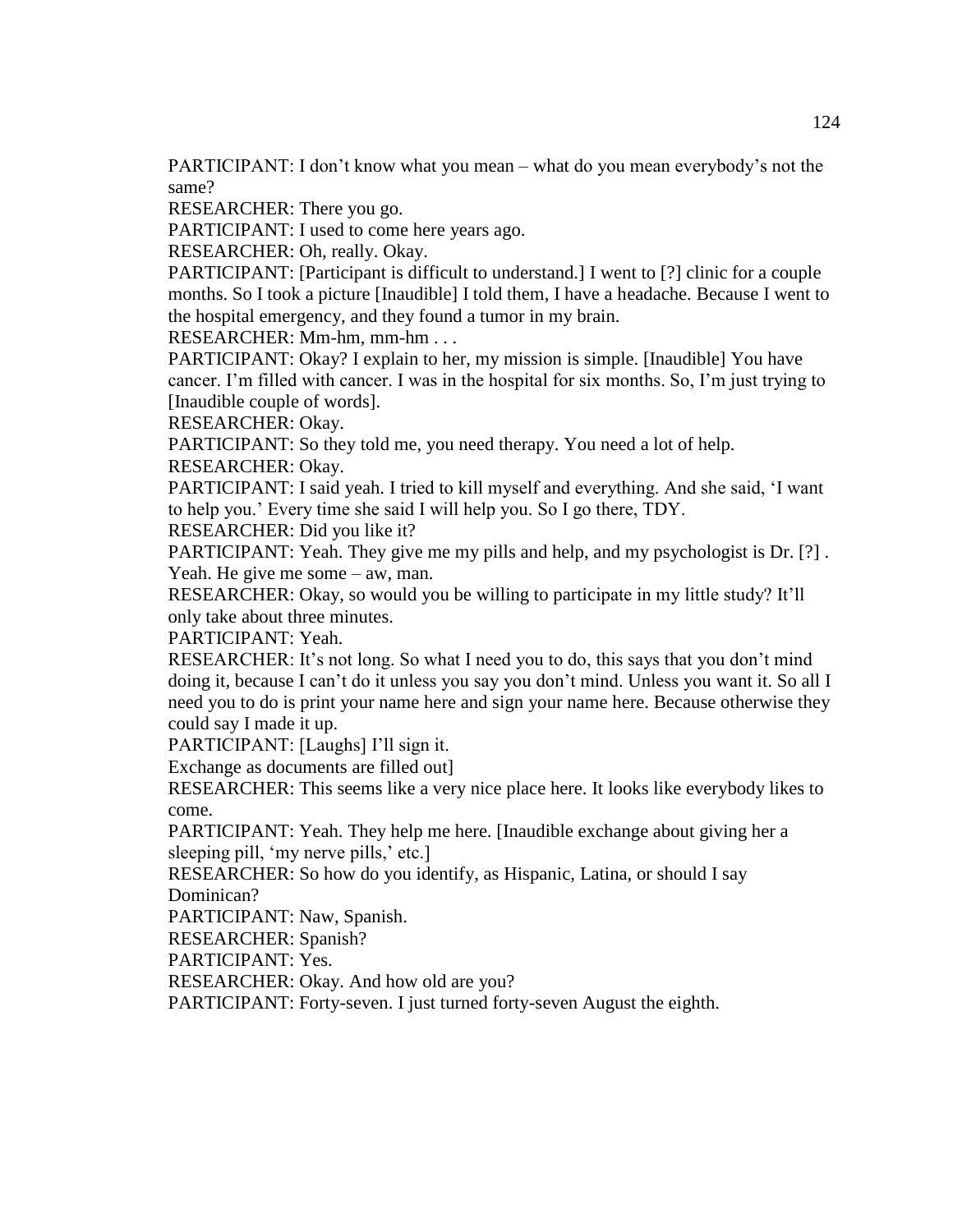PARTICIPANT: I don't know what you mean – what do you mean everybody's not the same?

RESEARCHER: There you go.

PARTICIPANT: I used to come here years ago.

RESEARCHER: Oh, really. Okay.

PARTICIPANT: [Participant is difficult to understand.] I went to [?] clinic for a couple months. So I took a picture [Inaudible] I told them, I have a headache. Because I went to the hospital emergency, and they found a tumor in my brain.

RESEARCHER: Mm-hm, mm-hm . . .

PARTICIPANT: Okay? I explain to her, my mission is simple. [Inaudible] You have cancer. I'm filled with cancer. I was in the hospital for six months. So, I'm just trying to [Inaudible couple of words].

RESEARCHER: Okay.

PARTICIPANT: So they told me, you need therapy. You need a lot of help. RESEARCHER: Okay.

PARTICIPANT: I said yeah. I tried to kill myself and everything. And she said, 'I want to help you.' Every time she said I will help you. So I go there, TDY.

RESEARCHER: Did you like it?

PARTICIPANT: Yeah. They give me my pills and help, and my psychologist is Dr. [?] . Yeah. He give me some – aw, man.

RESEARCHER: Okay, so would you be willing to participate in my little study? It'll only take about three minutes.

PARTICIPANT: Yeah.

RESEARCHER: It's not long. So what I need you to do, this says that you don't mind doing it, because I can't do it unless you say you don't mind. Unless you want it. So all I need you to do is print your name here and sign your name here. Because otherwise they could say I made it up.

PARTICIPANT: [Laughs] I'll sign it.

Exchange as documents are filled out]

RESEARCHER: This seems like a very nice place here. It looks like everybody likes to come.

PARTICIPANT: Yeah. They help me here. [Inaudible exchange about giving her a sleeping pill, 'my nerve pills,' etc.]

RESEARCHER: So how do you identify, as Hispanic, Latina, or should I say Dominican?

PARTICIPANT: Naw, Spanish.

RESEARCHER: Spanish?

PARTICIPANT: Yes.

RESEARCHER: Okay. And how old are you?

PARTICIPANT: Forty-seven. I just turned forty-seven August the eighth.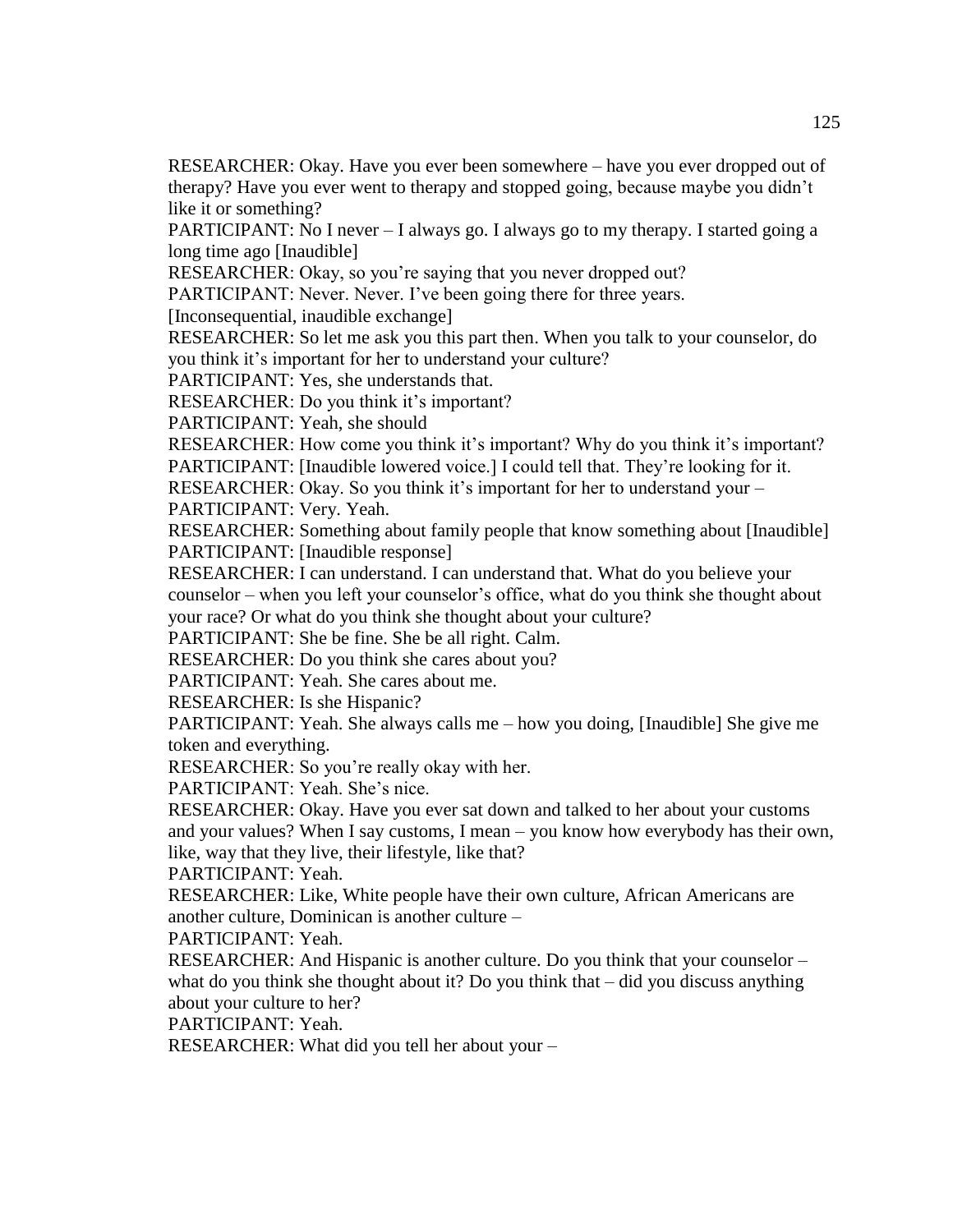RESEARCHER: Okay. Have you ever been somewhere – have you ever dropped out of therapy? Have you ever went to therapy and stopped going, because maybe you didn't like it or something?

PARTICIPANT: No I never – I always go. I always go to my therapy. I started going a long time ago [Inaudible]

RESEARCHER: Okay, so you're saying that you never dropped out?

PARTICIPANT: Never. Never. I've been going there for three years.

[Inconsequential, inaudible exchange]

RESEARCHER: So let me ask you this part then. When you talk to your counselor, do you think it's important for her to understand your culture?

PARTICIPANT: Yes, she understands that.

RESEARCHER: Do you think it's important?

PARTICIPANT: Yeah, she should

RESEARCHER: How come you think it's important? Why do you think it's important? PARTICIPANT: [Inaudible lowered voice.] I could tell that. They're looking for it.

RESEARCHER: Okay. So you think it's important for her to understand your –

PARTICIPANT: Very. Yeah.

RESEARCHER: Something about family people that know something about [Inaudible] PARTICIPANT: [Inaudible response]

RESEARCHER: I can understand. I can understand that. What do you believe your counselor – when you left your counselor's office, what do you think she thought about your race? Or what do you think she thought about your culture?

PARTICIPANT: She be fine. She be all right. Calm.

RESEARCHER: Do you think she cares about you?

PARTICIPANT: Yeah. She cares about me.

RESEARCHER: Is she Hispanic?

PARTICIPANT: Yeah. She always calls me – how you doing, [Inaudible] She give me token and everything.

RESEARCHER: So you're really okay with her.

PARTICIPANT: Yeah. She's nice.

RESEARCHER: Okay. Have you ever sat down and talked to her about your customs and your values? When I say customs, I mean – you know how everybody has their own, like, way that they live, their lifestyle, like that?

PARTICIPANT: Yeah.

RESEARCHER: Like, White people have their own culture, African Americans are another culture, Dominican is another culture –

PARTICIPANT: Yeah.

RESEARCHER: And Hispanic is another culture. Do you think that your counselor – what do you think she thought about it? Do you think that – did you discuss anything about your culture to her?

PARTICIPANT: Yeah.

RESEARCHER: What did you tell her about your –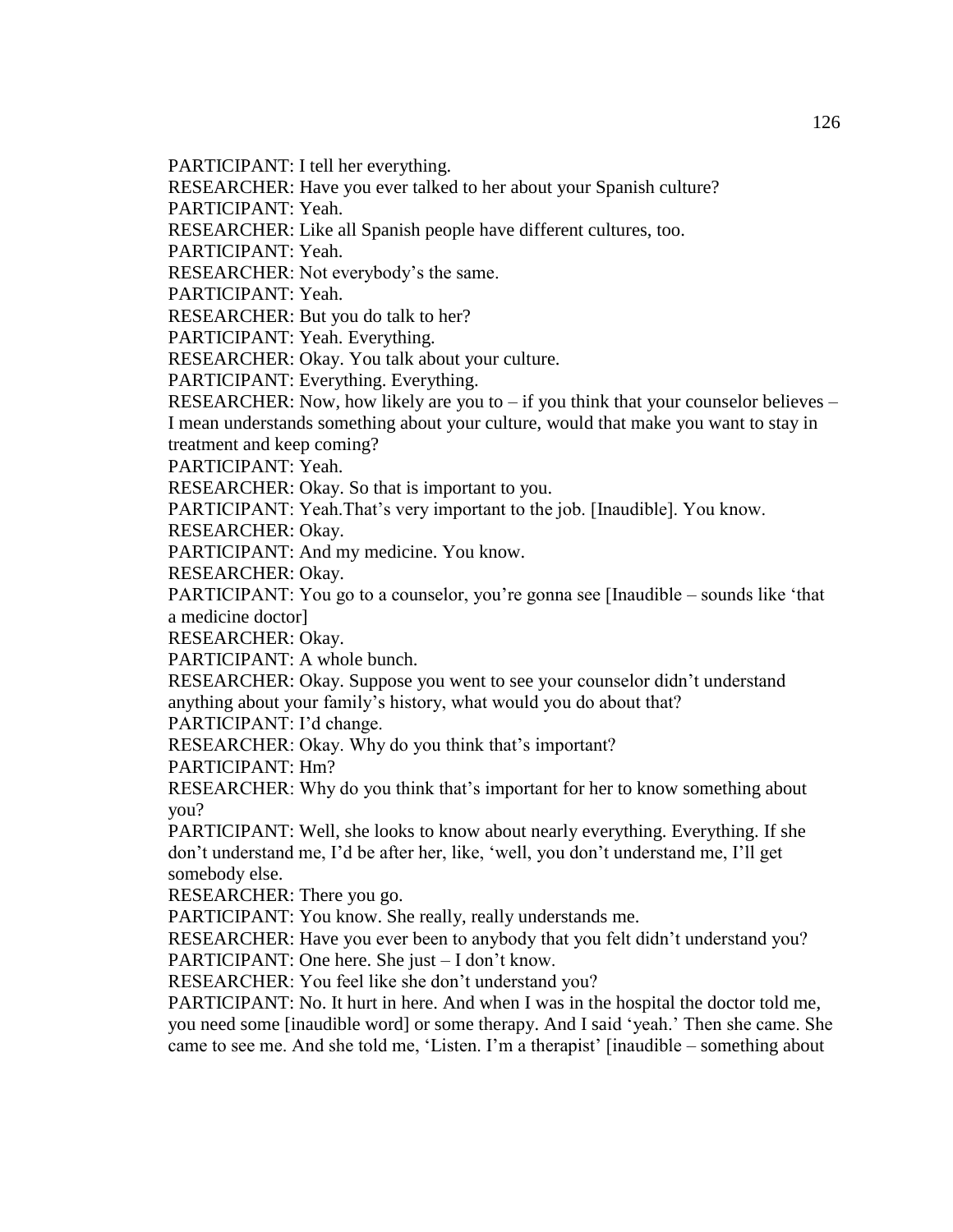PARTICIPANT: I tell her everything.

RESEARCHER: Have you ever talked to her about your Spanish culture?

PARTICIPANT: Yeah.

RESEARCHER: Like all Spanish people have different cultures, too.

PARTICIPANT: Yeah.

RESEARCHER: Not everybody's the same.

PARTICIPANT: Yeah.

RESEARCHER: But you do talk to her?

PARTICIPANT: Yeah. Everything.

RESEARCHER: Okay. You talk about your culture.

PARTICIPANT: Everything. Everything.

RESEARCHER: Now, how likely are you to  $-$  if you think that your counselor believes  $-$ I mean understands something about your culture, would that make you want to stay in treatment and keep coming?

PARTICIPANT: Yeah.

RESEARCHER: Okay. So that is important to you.

PARTICIPANT: Yeah.That's very important to the job. [Inaudible]. You know.

RESEARCHER: Okay.

PARTICIPANT: And my medicine. You know.

RESEARCHER: Okay.

PARTICIPANT: You go to a counselor, you're gonna see [Inaudible – sounds like 'that a medicine doctor]

RESEARCHER: Okay.

PARTICIPANT: A whole bunch.

RESEARCHER: Okay. Suppose you went to see your counselor didn't understand anything about your family's history, what would you do about that?

PARTICIPANT: I'd change.

RESEARCHER: Okay. Why do you think that's important?

PARTICIPANT: Hm?

RESEARCHER: Why do you think that's important for her to know something about you?

PARTICIPANT: Well, she looks to know about nearly everything. Everything. If she don't understand me, I'd be after her, like, 'well, you don't understand me, I'll get somebody else.

RESEARCHER: There you go.

PARTICIPANT: You know. She really, really understands me.

RESEARCHER: Have you ever been to anybody that you felt didn't understand you? PARTICIPANT: One here. She just – I don't know.

RESEARCHER: You feel like she don't understand you?

PARTICIPANT: No. It hurt in here. And when I was in the hospital the doctor told me, you need some [inaudible word] or some therapy. And I said 'yeah.' Then she came. She came to see me. And she told me, 'Listen. I'm a therapist' [inaudible – something about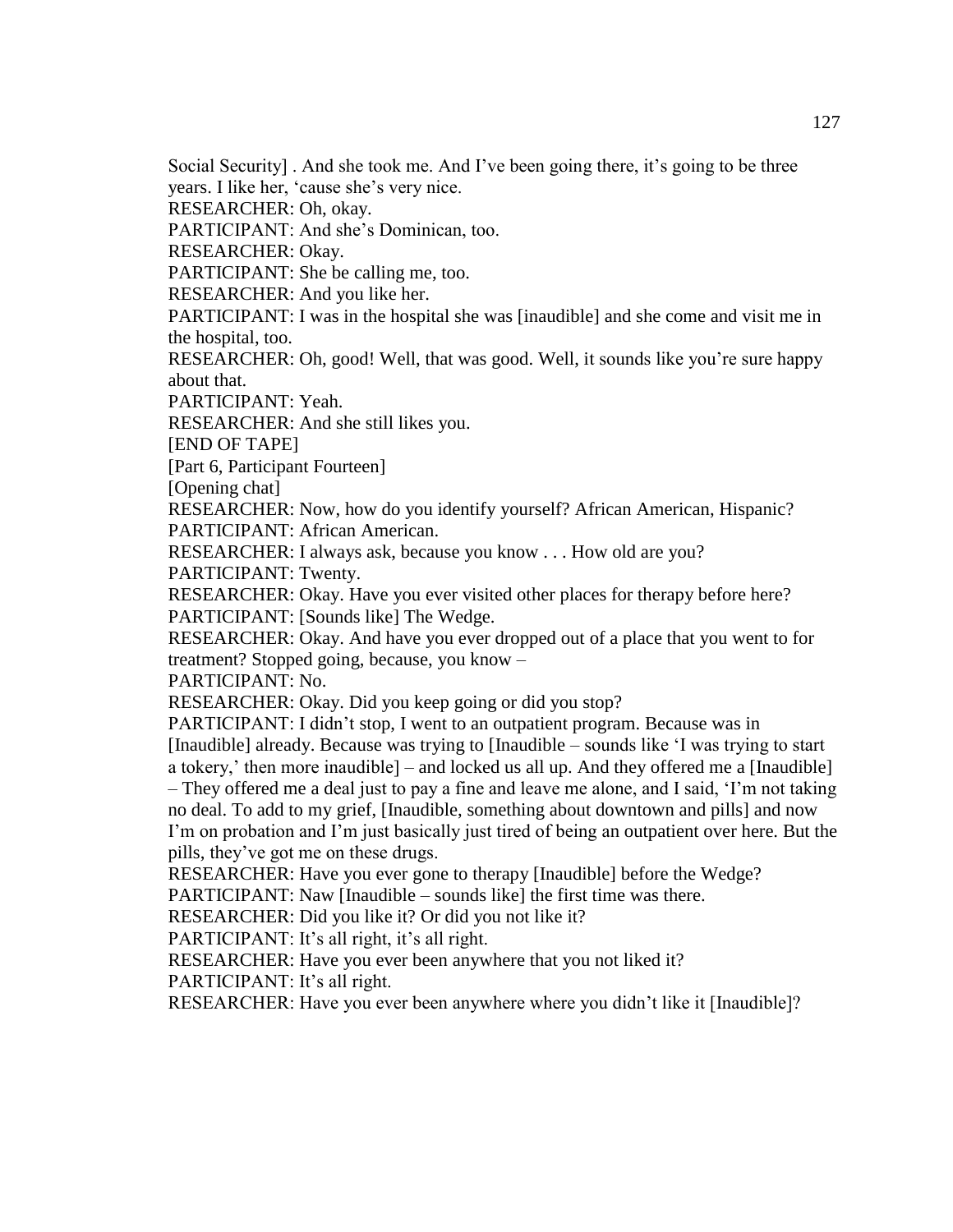Social Security] . And she took me. And I've been going there, it's going to be three

years. I like her, 'cause she's very nice.

RESEARCHER: Oh, okay.

PARTICIPANT: And she's Dominican, too.

RESEARCHER: Okay.

PARTICIPANT: She be calling me, too.

RESEARCHER: And you like her.

PARTICIPANT: I was in the hospital she was [inaudible] and she come and visit me in the hospital, too.

RESEARCHER: Oh, good! Well, that was good. Well, it sounds like you're sure happy about that.

PARTICIPANT: Yeah.

RESEARCHER: And she still likes you.

[END OF TAPE]

[Part 6, Participant Fourteen]

[Opening chat]

RESEARCHER: Now, how do you identify yourself? African American, Hispanic? PARTICIPANT: African American.

RESEARCHER: I always ask, because you know . . . How old are you?

PARTICIPANT: Twenty.

RESEARCHER: Okay. Have you ever visited other places for therapy before here? PARTICIPANT: [Sounds like] The Wedge.

RESEARCHER: Okay. And have you ever dropped out of a place that you went to for treatment? Stopped going, because, you know –

PARTICIPANT: No.

RESEARCHER: Okay. Did you keep going or did you stop?

PARTICIPANT: I didn't stop, I went to an outpatient program. Because was in [Inaudible] already. Because was trying to [Inaudible – sounds like 'I was trying to start a tokery,' then more inaudible] – and locked us all up. And they offered me a [Inaudible] – They offered me a deal just to pay a fine and leave me alone, and I said, 'I'm not taking no deal. To add to my grief, [Inaudible, something about downtown and pills] and now I'm on probation and I'm just basically just tired of being an outpatient over here. But the pills, they've got me on these drugs.

RESEARCHER: Have you ever gone to therapy [Inaudible] before the Wedge?

PARTICIPANT: Naw [Inaudible – sounds like] the first time was there.

RESEARCHER: Did you like it? Or did you not like it?

PARTICIPANT: It's all right, it's all right.

RESEARCHER: Have you ever been anywhere that you not liked it?

PARTICIPANT: It's all right.

RESEARCHER: Have you ever been anywhere where you didn't like it [Inaudible]?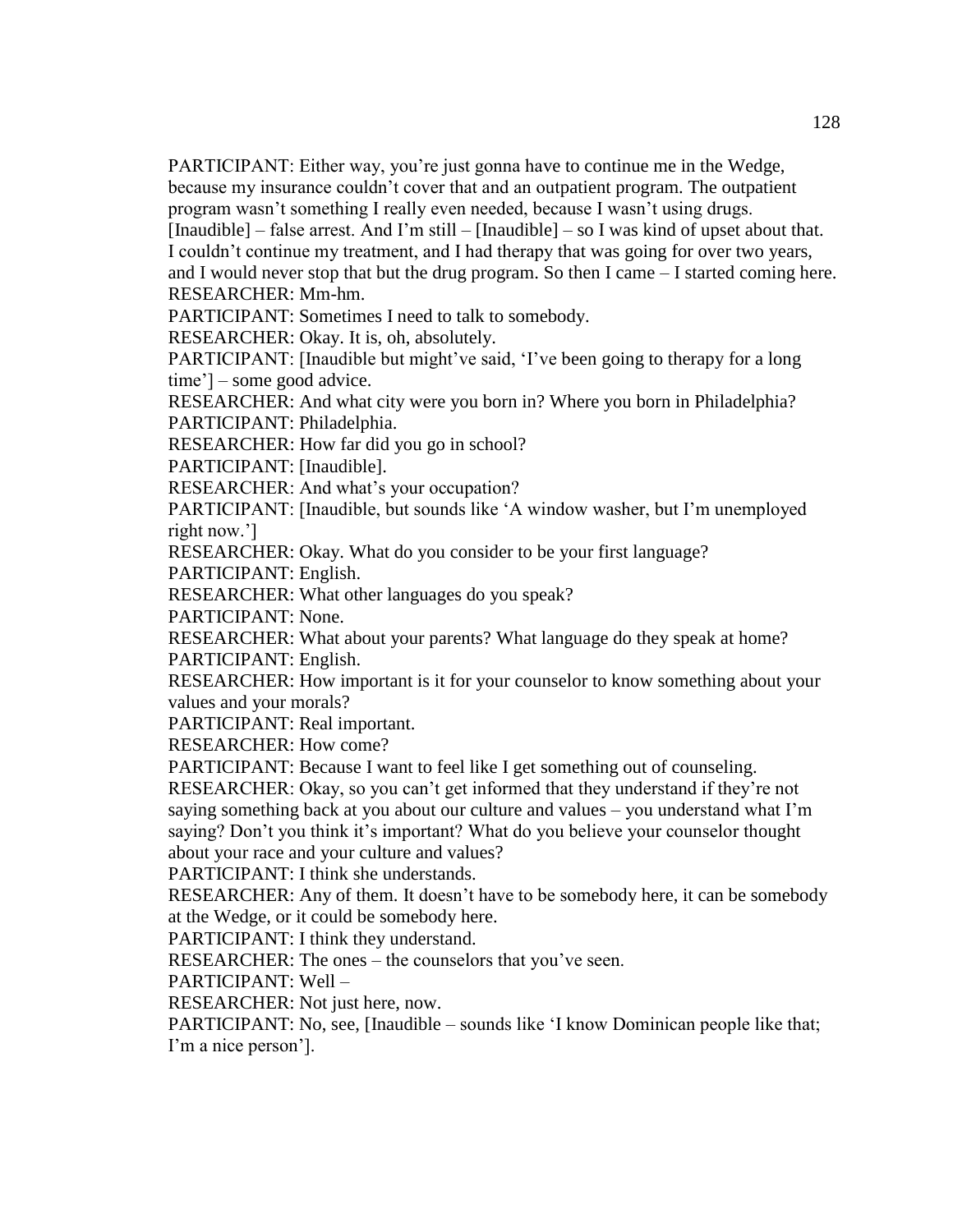PARTICIPANT: Either way, you're just gonna have to continue me in the Wedge, because my insurance couldn't cover that and an outpatient program. The outpatient program wasn't something I really even needed, because I wasn't using drugs.

[Inaudible] – false arrest. And I'm still – [Inaudible] – so I was kind of upset about that. I couldn't continue my treatment, and I had therapy that was going for over two years, and I would never stop that but the drug program. So then I came – I started coming here. RESEARCHER: Mm-hm.

PARTICIPANT: Sometimes I need to talk to somebody.

RESEARCHER: Okay. It is, oh, absolutely.

PARTICIPANT: [Inaudible but might've said, 'I've been going to therapy for a long time'] – some good advice.

RESEARCHER: And what city were you born in? Where you born in Philadelphia? PARTICIPANT: Philadelphia.

RESEARCHER: How far did you go in school?

PARTICIPANT: [Inaudible].

RESEARCHER: And what's your occupation?

PARTICIPANT: [Inaudible, but sounds like 'A window washer, but I'm unemployed right now.']

RESEARCHER: Okay. What do you consider to be your first language?

PARTICIPANT: English.

RESEARCHER: What other languages do you speak?

PARTICIPANT: None.

RESEARCHER: What about your parents? What language do they speak at home? PARTICIPANT: English.

RESEARCHER: How important is it for your counselor to know something about your values and your morals?

PARTICIPANT: Real important.

RESEARCHER: How come?

PARTICIPANT: Because I want to feel like I get something out of counseling.

RESEARCHER: Okay, so you can't get informed that they understand if they're not saying something back at you about our culture and values – you understand what I'm saying? Don't you think it's important? What do you believe your counselor thought about your race and your culture and values?

PARTICIPANT: I think she understands.

RESEARCHER: Any of them. It doesn't have to be somebody here, it can be somebody at the Wedge, or it could be somebody here.

PARTICIPANT: I think they understand.

RESEARCHER: The ones – the counselors that you've seen.

PARTICIPANT: Well –

RESEARCHER: Not just here, now.

PARTICIPANT: No, see, [Inaudible – sounds like 'I know Dominican people like that; I'm a nice person'].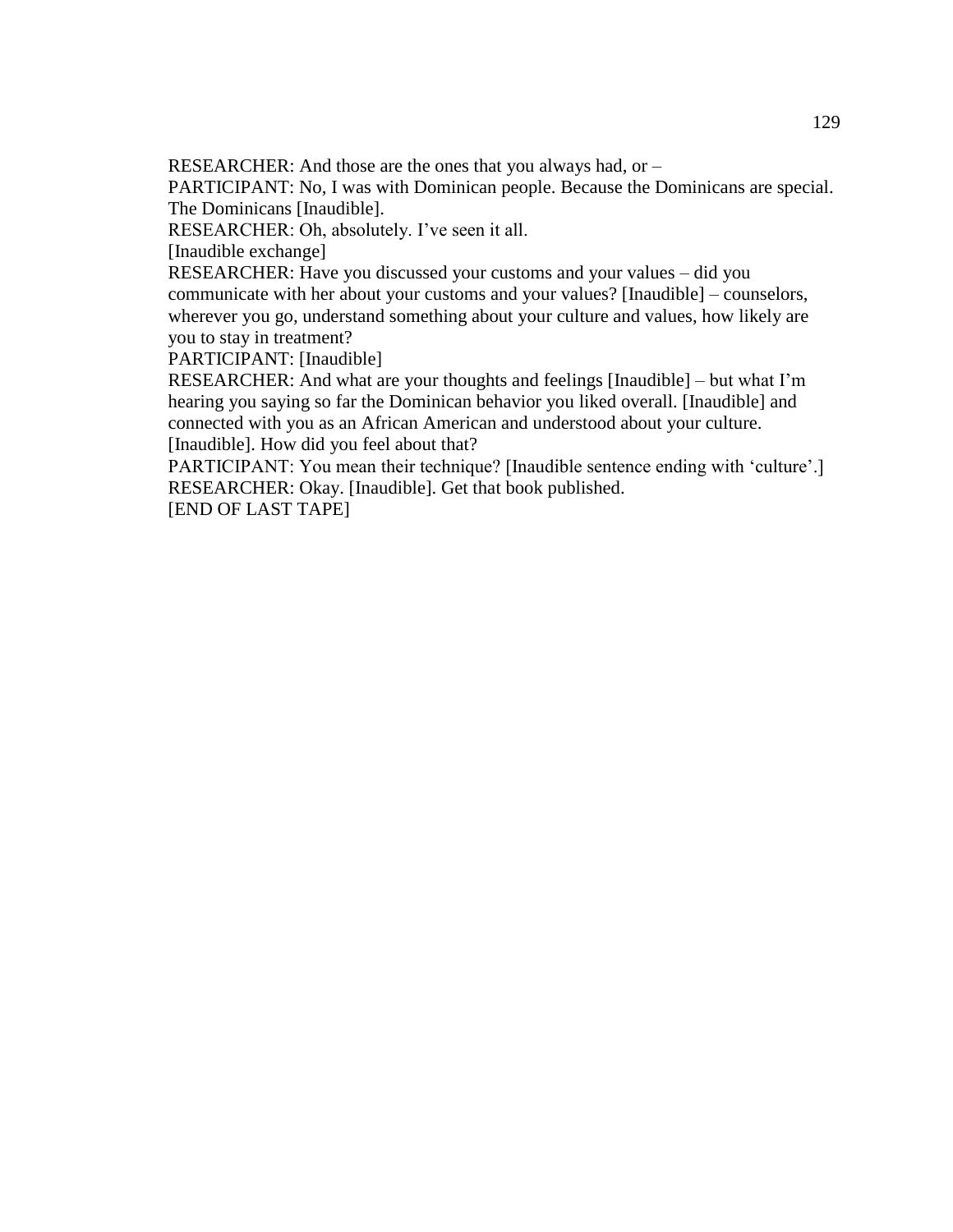RESEARCHER: And those are the ones that you always had, or –

PARTICIPANT: No, I was with Dominican people. Because the Dominicans are special. The Dominicans [Inaudible].

RESEARCHER: Oh, absolutely. I've seen it all.

[Inaudible exchange]

RESEARCHER: Have you discussed your customs and your values – did you communicate with her about your customs and your values? [Inaudible] – counselors, wherever you go, understand something about your culture and values, how likely are you to stay in treatment?

PARTICIPANT: [Inaudible]

RESEARCHER: And what are your thoughts and feelings [Inaudible] – but what I'm hearing you saying so far the Dominican behavior you liked overall. [Inaudible] and connected with you as an African American and understood about your culture. [Inaudible]. How did you feel about that?

PARTICIPANT: You mean their technique? [Inaudible sentence ending with 'culture'.] RESEARCHER: Okay. [Inaudible]. Get that book published. [END OF LAST TAPE]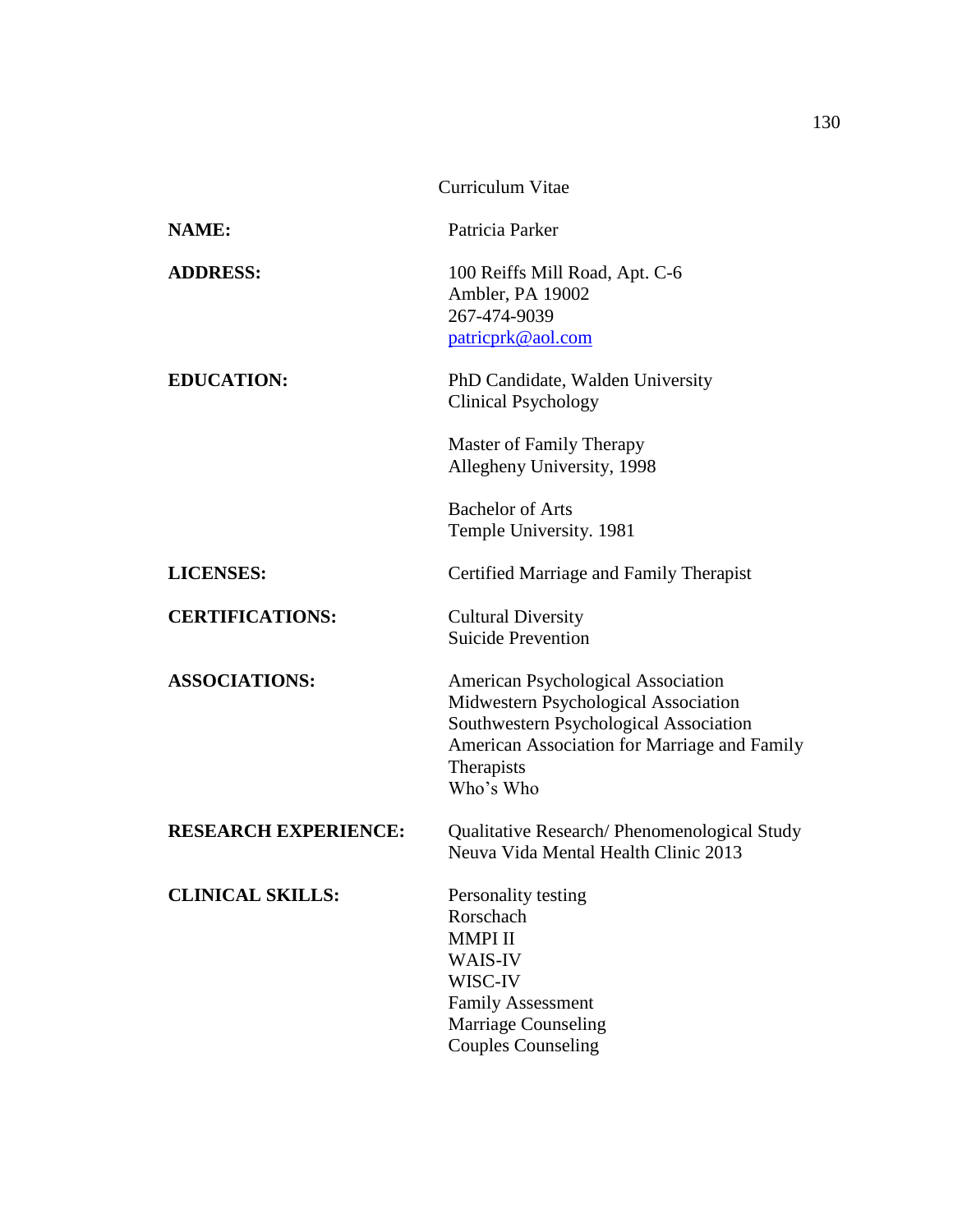|                             | Curriculum Vitae                                                                                                                                                                                |
|-----------------------------|-------------------------------------------------------------------------------------------------------------------------------------------------------------------------------------------------|
| <b>NAME:</b>                | Patricia Parker                                                                                                                                                                                 |
| <b>ADDRESS:</b>             | 100 Reiffs Mill Road, Apt. C-6<br>Ambler, PA 19002<br>267-474-9039<br>patricprk@aol.com                                                                                                         |
| <b>EDUCATION:</b>           | PhD Candidate, Walden University<br><b>Clinical Psychology</b>                                                                                                                                  |
|                             | Master of Family Therapy<br>Allegheny University, 1998                                                                                                                                          |
|                             | <b>Bachelor of Arts</b><br>Temple University. 1981                                                                                                                                              |
| <b>LICENSES:</b>            | Certified Marriage and Family Therapist                                                                                                                                                         |
| <b>CERTIFICATIONS:</b>      | <b>Cultural Diversity</b><br><b>Suicide Prevention</b>                                                                                                                                          |
| <b>ASSOCIATIONS:</b>        | American Psychological Association<br>Midwestern Psychological Association<br>Southwestern Psychological Association<br>American Association for Marriage and Family<br>Therapists<br>Who's Who |
| <b>RESEARCH EXPERIENCE:</b> | Qualitative Research/ Phenomenological Study<br>Neuva Vida Mental Health Clinic 2013                                                                                                            |
| <b>CLINICAL SKILLS:</b>     | Personality testing<br>Rorschach<br><b>MMPI II</b><br>WAIS-IV<br>WISC-IV<br><b>Family Assessment</b><br><b>Marriage Counseling</b><br><b>Couples Counseling</b>                                 |